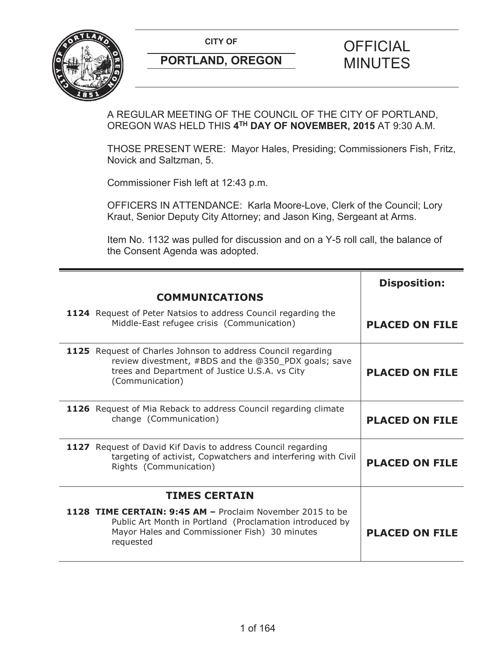

A REGULAR MEETING OF THE COUNCIL OF THE CITY OF PORTLAND, OREGON WAS HELD THIS **4TH DAY OF NOVEMBER, 2015** AT 9:30 A.M.

THOSE PRESENT WERE: Mayor Hales, Presiding; Commissioners Fish, Fritz, Novick and Saltzman, 5.

Commissioner Fish left at 12:43 p.m.

OFFICERS IN ATTENDANCE: Karla Moore-Love, Clerk of the Council; Lory Kraut, Senior Deputy City Attorney; and Jason King, Sergeant at Arms.

Item No. 1132 was pulled for discussion and on a Y-5 roll call, the balance of the Consent Agenda was adopted.

|                                                                                                                                                                                           | <b>Disposition:</b>   |
|-------------------------------------------------------------------------------------------------------------------------------------------------------------------------------------------|-----------------------|
| <b>COMMUNICATIONS</b>                                                                                                                                                                     |                       |
| 1124 Request of Peter Natsios to address Council regarding the<br>Middle-East refugee crisis (Communication)                                                                              | <b>PLACED ON FILE</b> |
| 1125 Request of Charles Johnson to address Council regarding<br>review divestment, #BDS and the @350_PDX goals; save<br>trees and Department of Justice U.S.A. vs City<br>(Communication) | <b>PLACED ON FILE</b> |
| 1126 Request of Mia Reback to address Council regarding climate<br>change (Communication)                                                                                                 | <b>PLACED ON FILE</b> |
| 1127 Request of David Kif Davis to address Council regarding<br>targeting of activist, Copwatchers and interfering with Civil<br>Rights (Communication)                                   | <b>PLACED ON FILE</b> |
| <b>TIMES CERTAIN</b>                                                                                                                                                                      |                       |
| 1128 TIME CERTAIN: 9:45 AM - Proclaim November 2015 to be<br>Public Art Month in Portland (Proclamation introduced by<br>Mayor Hales and Commissioner Fish) 30 minutes<br>requested       | <b>PLACED ON FILE</b> |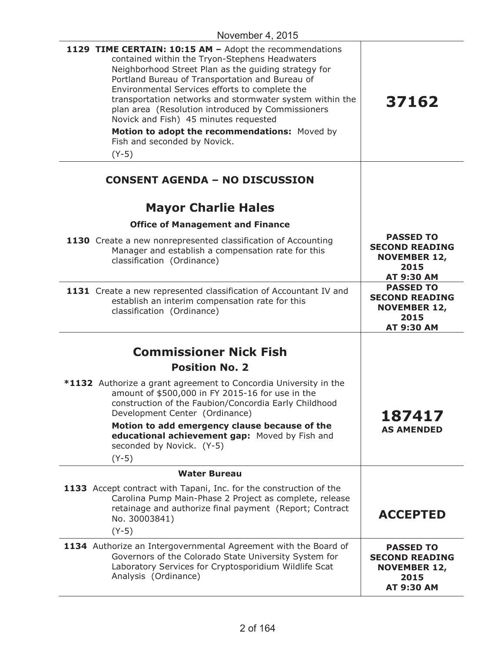| 1129 TIME CERTAIN: 10:15 AM - Adopt the recommendations<br>contained within the Tryon-Stephens Headwaters<br>Neighborhood Street Plan as the guiding strategy for<br>Portland Bureau of Transportation and Bureau of<br>Environmental Services efforts to complete the<br>transportation networks and stormwater system within the<br>plan area (Resolution introduced by Commissioners<br>Novick and Fish) 45 minutes requested<br>Motion to adopt the recommendations: Moved by<br>Fish and seconded by Novick.<br>$(Y-5)$ | 37162                                                                                         |
|------------------------------------------------------------------------------------------------------------------------------------------------------------------------------------------------------------------------------------------------------------------------------------------------------------------------------------------------------------------------------------------------------------------------------------------------------------------------------------------------------------------------------|-----------------------------------------------------------------------------------------------|
| <b>CONSENT AGENDA - NO DISCUSSION</b>                                                                                                                                                                                                                                                                                                                                                                                                                                                                                        |                                                                                               |
| <b>Mayor Charlie Hales</b>                                                                                                                                                                                                                                                                                                                                                                                                                                                                                                   |                                                                                               |
| <b>Office of Management and Finance</b>                                                                                                                                                                                                                                                                                                                                                                                                                                                                                      |                                                                                               |
| 1130 Create a new nonrepresented classification of Accounting<br>Manager and establish a compensation rate for this<br>classification (Ordinance)                                                                                                                                                                                                                                                                                                                                                                            | <b>PASSED TO</b><br><b>SECOND READING</b><br><b>NOVEMBER 12,</b><br>2015<br>AT 9:30 AM        |
| 1131 Create a new represented classification of Accountant IV and<br>establish an interim compensation rate for this<br>classification (Ordinance)                                                                                                                                                                                                                                                                                                                                                                           | <b>PASSED TO</b><br><b>SECOND READING</b><br><b>NOVEMBER 12,</b><br>2015<br><b>AT 9:30 AM</b> |
|                                                                                                                                                                                                                                                                                                                                                                                                                                                                                                                              |                                                                                               |
| <b>Commissioner Nick Fish</b><br><b>Position No. 2</b>                                                                                                                                                                                                                                                                                                                                                                                                                                                                       |                                                                                               |
| *1132 Authorize a grant agreement to Concordia University in the<br>amount of \$500,000 in FY 2015-16 for use in the<br>construction of the Faubion/Concordia Early Childhood<br>Development Center (Ordinance)<br>Motion to add emergency clause because of the<br>educational achievement gap: Moved by Fish and<br>seconded by Novick. (Y-5)<br>$(Y-5)$                                                                                                                                                                   | 187417<br><b>AS AMENDED</b>                                                                   |
| <b>Water Bureau</b>                                                                                                                                                                                                                                                                                                                                                                                                                                                                                                          |                                                                                               |
| 1133 Accept contract with Tapani, Inc. for the construction of the<br>Carolina Pump Main-Phase 2 Project as complete, release<br>retainage and authorize final payment (Report; Contract<br>No. 30003841)<br>$(Y-5)$                                                                                                                                                                                                                                                                                                         | <b>ACCEPTED</b>                                                                               |
| 1134 Authorize an Intergovernmental Agreement with the Board of<br>Governors of the Colorado State University System for<br>Laboratory Services for Cryptosporidium Wildlife Scat<br>Analysis (Ordinance)                                                                                                                                                                                                                                                                                                                    | <b>PASSED TO</b><br><b>SECOND READING</b><br><b>NOVEMBER 12,</b><br>2015<br><b>AT 9:30 AM</b> |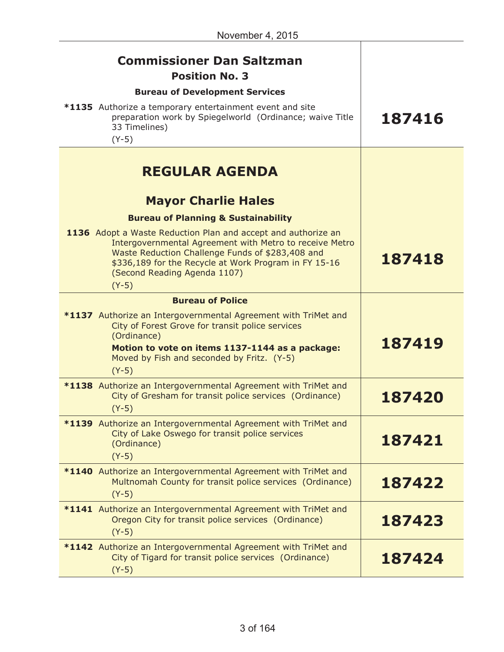| <b>Commissioner Dan Saltzman</b><br><b>Position No. 3</b><br><b>Bureau of Development Services</b><br>*1135 Authorize a temporary entertainment event and site<br>preparation work by Spiegelworld (Ordinance; waive Title<br>33 Timelines)<br>$(Y-5)$                           | 187416 |
|----------------------------------------------------------------------------------------------------------------------------------------------------------------------------------------------------------------------------------------------------------------------------------|--------|
| <b>REGULAR AGENDA</b>                                                                                                                                                                                                                                                            |        |
| <b>Mayor Charlie Hales</b><br><b>Bureau of Planning &amp; Sustainability</b>                                                                                                                                                                                                     |        |
| 1136 Adopt a Waste Reduction Plan and accept and authorize an<br>Intergovernmental Agreement with Metro to receive Metro<br>Waste Reduction Challenge Funds of \$283,408 and<br>\$336,189 for the Recycle at Work Program in FY 15-16<br>(Second Reading Agenda 1107)<br>$(Y-5)$ | 187418 |
| <b>Bureau of Police</b>                                                                                                                                                                                                                                                          |        |
| *1137 Authorize an Intergovernmental Agreement with TriMet and<br>City of Forest Grove for transit police services<br>(Ordinance)<br>Motion to vote on items 1137-1144 as a package:<br>Moved by Fish and seconded by Fritz. (Y-5)<br>$(Y-5)$                                    | 187419 |
| *1138 Authorize an Intergovernmental Agreement with TriMet and<br>City of Gresham for transit police services (Ordinance)<br>$(Y-5)$                                                                                                                                             | 187420 |
| *1139 Authorize an Intergovernmental Agreement with TriMet and<br>City of Lake Oswego for transit police services<br>(Ordinance)<br>$(Y-5)$                                                                                                                                      | 187421 |
| *1140 Authorize an Intergovernmental Agreement with TriMet and<br>Multnomah County for transit police services (Ordinance)<br>$(Y-5)$                                                                                                                                            | 187422 |
| *1141 Authorize an Intergovernmental Agreement with TriMet and<br>Oregon City for transit police services (Ordinance)<br>$(Y-5)$                                                                                                                                                 | 187423 |
| *1142 Authorize an Intergovernmental Agreement with TriMet and<br>City of Tigard for transit police services (Ordinance)<br>$(Y-5)$                                                                                                                                              | 187424 |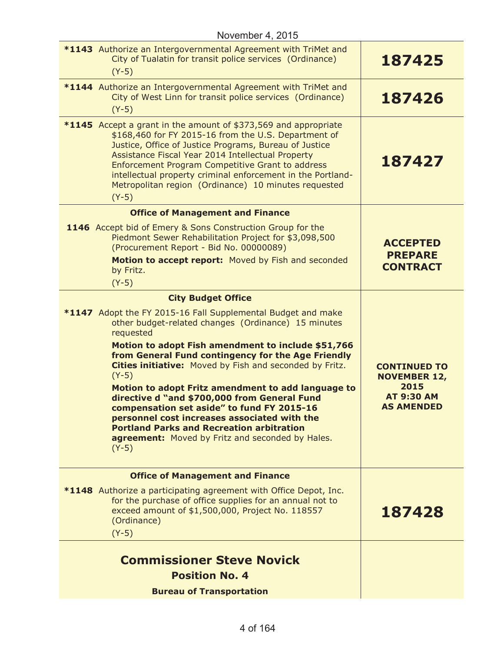| November 4, 2015                                                                                                                                                                                                                                                                                                                                                                                                                                                                                                                                                                                                                                                       |                                                                                              |
|------------------------------------------------------------------------------------------------------------------------------------------------------------------------------------------------------------------------------------------------------------------------------------------------------------------------------------------------------------------------------------------------------------------------------------------------------------------------------------------------------------------------------------------------------------------------------------------------------------------------------------------------------------------------|----------------------------------------------------------------------------------------------|
| *1143 Authorize an Intergovernmental Agreement with TriMet and<br>City of Tualatin for transit police services (Ordinance)<br>$(Y-5)$                                                                                                                                                                                                                                                                                                                                                                                                                                                                                                                                  | 187425                                                                                       |
| *1144 Authorize an Intergovernmental Agreement with TriMet and<br>City of West Linn for transit police services (Ordinance)<br>$(Y-5)$                                                                                                                                                                                                                                                                                                                                                                                                                                                                                                                                 | 187426                                                                                       |
| *1145 Accept a grant in the amount of \$373,569 and appropriate<br>\$168,460 for FY 2015-16 from the U.S. Department of<br>Justice, Office of Justice Programs, Bureau of Justice<br>Assistance Fiscal Year 2014 Intellectual Property<br>Enforcement Program Competitive Grant to address<br>intellectual property criminal enforcement in the Portland-<br>Metropolitan region (Ordinance) 10 minutes requested<br>$(Y-5)$                                                                                                                                                                                                                                           | 187427                                                                                       |
| <b>Office of Management and Finance</b>                                                                                                                                                                                                                                                                                                                                                                                                                                                                                                                                                                                                                                |                                                                                              |
| 1146 Accept bid of Emery & Sons Construction Group for the<br>Piedmont Sewer Rehabilitation Project for \$3,098,500<br>(Procurement Report - Bid No. 00000089)<br>Motion to accept report: Moved by Fish and seconded<br>by Fritz.                                                                                                                                                                                                                                                                                                                                                                                                                                     | <b>ACCEPTED</b><br><b>PREPARE</b><br><b>CONTRACT</b>                                         |
| $(Y-5)$                                                                                                                                                                                                                                                                                                                                                                                                                                                                                                                                                                                                                                                                |                                                                                              |
| <b>City Budget Office</b><br>*1147 Adopt the FY 2015-16 Fall Supplemental Budget and make<br>other budget-related changes (Ordinance) 15 minutes<br>requested<br>Motion to adopt Fish amendment to include \$51,766<br>from General Fund contingency for the Age Friendly<br>Cities initiative: Moved by Fish and seconded by Fritz.<br>$(Y-5)$<br>Motion to adopt Fritz amendment to add language to<br>directive d "and \$700,000 from General Fund<br>compensation set aside" to fund FY 2015-16<br>personnel cost increases associated with the<br><b>Portland Parks and Recreation arbitration</b><br>agreement: Moved by Fritz and seconded by Hales.<br>$(Y-5)$ | <b>CONTINUED TO</b><br><b>NOVEMBER 12,</b><br>2015<br><b>AT 9:30 AM</b><br><b>AS AMENDED</b> |
| <b>Office of Management and Finance</b><br><b>*1148</b> Authorize a participating agreement with Office Depot, Inc.<br>for the purchase of office supplies for an annual not to<br>exceed amount of \$1,500,000, Project No. 118557<br>(Ordinance)<br>$(Y-5)$                                                                                                                                                                                                                                                                                                                                                                                                          | 187428                                                                                       |
| <b>Commissioner Steve Novick</b><br><b>Position No. 4</b><br><b>Bureau of Transportation</b>                                                                                                                                                                                                                                                                                                                                                                                                                                                                                                                                                                           |                                                                                              |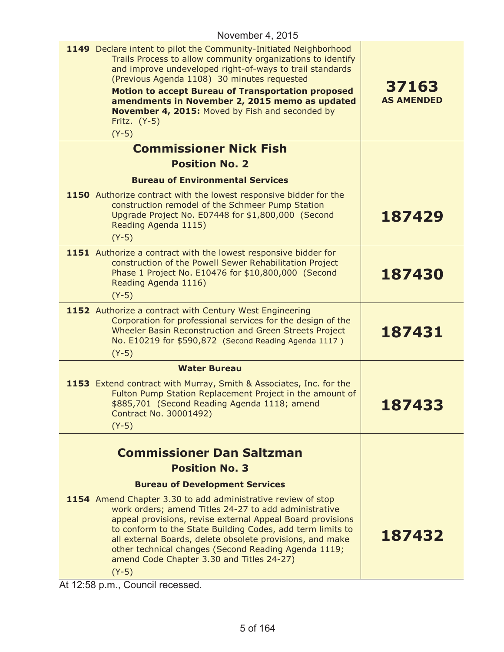| 1149 Declare intent to pilot the Community-Initiated Neighborhood<br>Trails Process to allow community organizations to identify<br>and improve undeveloped right-of-ways to trail standards<br>(Previous Agenda 1108) 30 minutes requested<br><b>Motion to accept Bureau of Transportation proposed</b><br>amendments in November 2, 2015 memo as updated<br>November 4, 2015: Moved by Fish and seconded by<br>Fritz. (Y-5)<br>$(Y-5)$ | 37163<br><b>AS AMENDED</b> |
|------------------------------------------------------------------------------------------------------------------------------------------------------------------------------------------------------------------------------------------------------------------------------------------------------------------------------------------------------------------------------------------------------------------------------------------|----------------------------|
| <b>Commissioner Nick Fish</b>                                                                                                                                                                                                                                                                                                                                                                                                            |                            |
| <b>Position No. 2</b>                                                                                                                                                                                                                                                                                                                                                                                                                    |                            |
| <b>Bureau of Environmental Services</b>                                                                                                                                                                                                                                                                                                                                                                                                  |                            |
| 1150 Authorize contract with the lowest responsive bidder for the<br>construction remodel of the Schmeer Pump Station<br>Upgrade Project No. E07448 for \$1,800,000 (Second<br>Reading Agenda 1115)<br>$(Y-5)$                                                                                                                                                                                                                           | 187429                     |
| 1151 Authorize a contract with the lowest responsive bidder for<br>construction of the Powell Sewer Rehabilitation Project<br>Phase 1 Project No. E10476 for \$10,800,000 (Second<br>Reading Agenda 1116)<br>$(Y-5)$                                                                                                                                                                                                                     | 187430                     |
| 1152 Authorize a contract with Century West Engineering<br>Corporation for professional services for the design of the<br>Wheeler Basin Reconstruction and Green Streets Project<br>No. E10219 for \$590,872 (Second Reading Agenda 1117)<br>$(Y-5)$                                                                                                                                                                                     | 187431                     |
| <b>Water Bureau</b>                                                                                                                                                                                                                                                                                                                                                                                                                      |                            |
| 1153 Extend contract with Murray, Smith & Associates, Inc. for the<br>Fulton Pump Station Replacement Project in the amount of<br>\$885,701 (Second Reading Agenda 1118; amend<br>Contract No. 30001492)<br>$(Y-5)$                                                                                                                                                                                                                      | 187433                     |
| <b>Commissioner Dan Saltzman</b>                                                                                                                                                                                                                                                                                                                                                                                                         |                            |
| <b>Position No. 3</b>                                                                                                                                                                                                                                                                                                                                                                                                                    |                            |
| <b>Bureau of Development Services</b>                                                                                                                                                                                                                                                                                                                                                                                                    |                            |
| 1154 Amend Chapter 3.30 to add administrative review of stop<br>work orders; amend Titles 24-27 to add administrative<br>appeal provisions, revise external Appeal Board provisions<br>to conform to the State Building Codes, add term limits to<br>all external Boards, delete obsolete provisions, and make<br>other technical changes (Second Reading Agenda 1119;<br>amend Code Chapter 3.30 and Titles 24-27)<br>$(Y-5)$           | 187432                     |

At 12:58 p.m., Council recessed.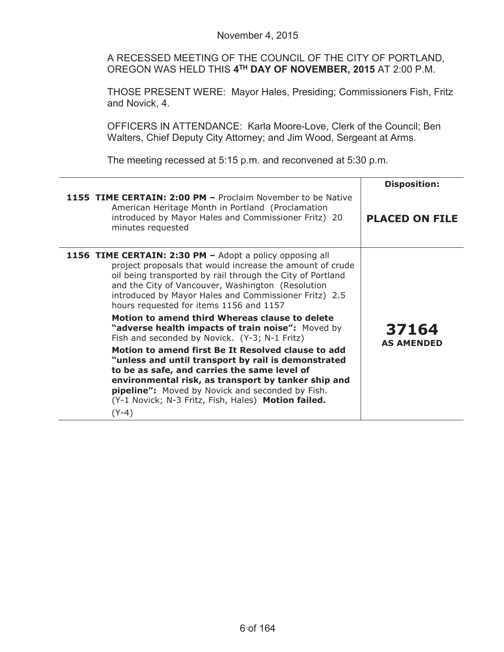A RECESSED MEETING OF THE COUNCIL OF THE CITY OF PORTLAND, OREGON WAS HELD THIS **4TH DAY OF NOVEMBER, 2015** AT 2:00 P.M.

THOSE PRESENT WERE: Mayor Hales, Presiding; Commissioners Fish, Fritz and Novick, 4.

OFFICERS IN ATTENDANCE: Karla Moore-Love, Clerk of the Council; Ben Walters, Chief Deputy City Attorney; and Jim Wood, Sergeant at Arms.

The meeting recessed at 5:15 p.m. and reconvened at 5:30 p.m.

|                                                                                                                                                                                                                                                                                                                                                                                                                                                                                                                                                                                                                                                                                                                                                                                                                                                       | <b>Disposition:</b>        |
|-------------------------------------------------------------------------------------------------------------------------------------------------------------------------------------------------------------------------------------------------------------------------------------------------------------------------------------------------------------------------------------------------------------------------------------------------------------------------------------------------------------------------------------------------------------------------------------------------------------------------------------------------------------------------------------------------------------------------------------------------------------------------------------------------------------------------------------------------------|----------------------------|
| <b>1155 TIME CERTAIN: 2:00 PM - Proclaim November to be Native</b><br>American Heritage Month in Portland (Proclamation<br>introduced by Mayor Hales and Commissioner Fritz) 20<br>minutes requested                                                                                                                                                                                                                                                                                                                                                                                                                                                                                                                                                                                                                                                  | <b>PLACED ON FILE</b>      |
| 1156 TIME CERTAIN: 2:30 PM - Adopt a policy opposing all<br>project proposals that would increase the amount of crude<br>oil being transported by rail through the City of Portland<br>and the City of Vancouver, Washington (Resolution<br>introduced by Mayor Hales and Commissioner Fritz) 2.5<br>hours requested for items 1156 and 1157<br>Motion to amend third Whereas clause to delete<br>"adverse health impacts of train noise": Moved by<br>Fish and seconded by Novick. (Y-3; N-1 Fritz)<br>Motion to amend first Be It Resolved clause to add<br>"unless and until transport by rail is demonstrated<br>to be as safe, and carries the same level of<br>environmental risk, as transport by tanker ship and<br><b>pipeline":</b> Moved by Novick and seconded by Fish.<br>(Y-1 Novick; N-3 Fritz, Fish, Hales) Motion failed.<br>$(Y-4)$ | 37164<br><b>AS AMENDED</b> |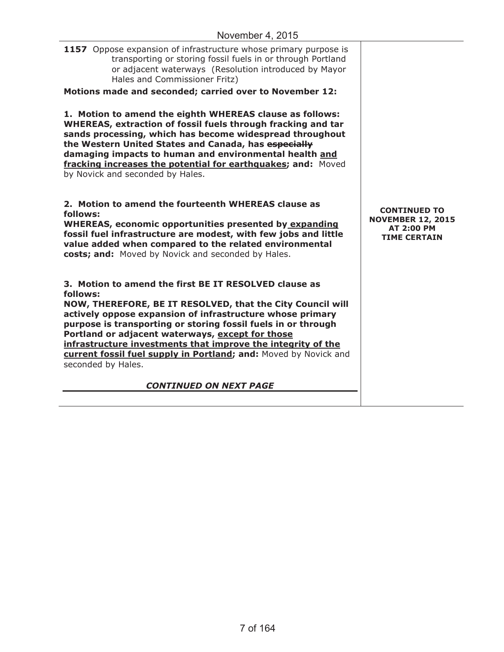| T                                                                                                                                                                                                                                                                                                                                                                                                                                                                           |                                                                                             |
|-----------------------------------------------------------------------------------------------------------------------------------------------------------------------------------------------------------------------------------------------------------------------------------------------------------------------------------------------------------------------------------------------------------------------------------------------------------------------------|---------------------------------------------------------------------------------------------|
| <b>1157</b> Oppose expansion of infrastructure whose primary purpose is<br>transporting or storing fossil fuels in or through Portland<br>or adjacent waterways (Resolution introduced by Mayor<br>Hales and Commissioner Fritz)                                                                                                                                                                                                                                            |                                                                                             |
| Motions made and seconded; carried over to November 12:                                                                                                                                                                                                                                                                                                                                                                                                                     |                                                                                             |
| 1. Motion to amend the eighth WHEREAS clause as follows:<br>WHEREAS, extraction of fossil fuels through fracking and tar<br>sands processing, which has become widespread throughout<br>the Western United States and Canada, has especially<br>damaging impacts to human and environmental health and<br>fracking increases the potential for earthquakes; and: Moved<br>by Novick and seconded by Hales.                                                                  |                                                                                             |
| 2. Motion to amend the fourteenth WHEREAS clause as<br>follows:<br><b>WHEREAS, economic opportunities presented by expanding</b><br>fossil fuel infrastructure are modest, with few jobs and little<br>value added when compared to the related environmental<br>costs; and: Moved by Novick and seconded by Hales.                                                                                                                                                         | <b>CONTINUED TO</b><br><b>NOVEMBER 12, 2015</b><br><b>AT 2:00 PM</b><br><b>TIME CERTAIN</b> |
| 3. Motion to amend the first BE IT RESOLVED clause as<br>follows:<br>NOW, THEREFORE, BE IT RESOLVED, that the City Council will<br>actively oppose expansion of infrastructure whose primary<br>purpose is transporting or storing fossil fuels in or through<br>Portland or adjacent waterways, except for those<br>infrastructure investments that improve the integrity of the<br>current fossil fuel supply in Portland; and: Moved by Novick and<br>seconded by Hales. |                                                                                             |
| <b>CONTINUED ON NEXT PAGE</b>                                                                                                                                                                                                                                                                                                                                                                                                                                               |                                                                                             |
|                                                                                                                                                                                                                                                                                                                                                                                                                                                                             |                                                                                             |
|                                                                                                                                                                                                                                                                                                                                                                                                                                                                             |                                                                                             |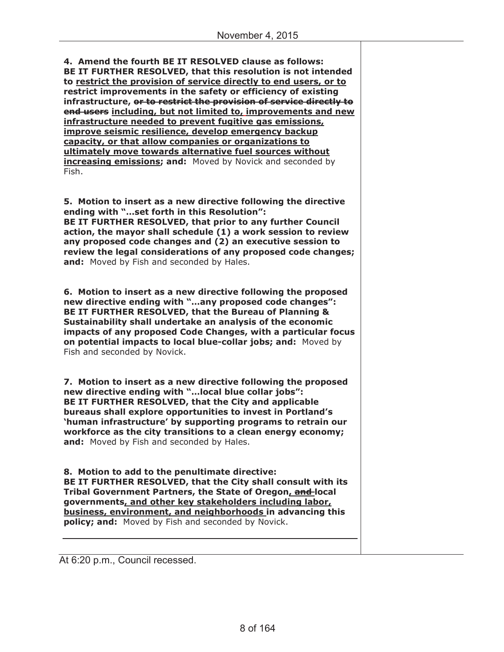**4. Amend the fourth BE IT RESOLVED clause as follows: BE IT FURTHER RESOLVED, that this resolution is not intended to restrict the provision of service directly to end users, or to restrict improvements in the safety or efficiency of existing infrastructure, or to restrict the provision of service directly to end users including, but not limited to, improvements and new infrastructure needed to prevent fugitive gas emissions, improve seismic resilience, develop emergency backup capacity, or that allow companies or organizations to ultimately move towards alternative fuel sources without increasing emissions; and:** Moved by Novick and seconded by Fish.

**5. Motion to insert as a new directive following the directive ending with "…set forth in this Resolution": BE IT FURTHER RESOLVED, that prior to any further Council action, the mayor shall schedule (1) a work session to review any proposed code changes and (2) an executive session to review the legal considerations of any proposed code changes; and:** Moved by Fish and seconded by Hales.

**6. Motion to insert as a new directive following the proposed new directive ending with "…any proposed code changes": BE IT FURTHER RESOLVED, that the Bureau of Planning & Sustainability shall undertake an analysis of the economic impacts of any proposed Code Changes, with a particular focus on potential impacts to local blue-collar jobs; and:** Moved by Fish and seconded by Novick.

**7. Motion to insert as a new directive following the proposed new directive ending with "…local blue collar jobs": BE IT FURTHER RESOLVED, that the City and applicable bureaus shall explore opportunities to invest in Portland's 'human infrastructure' by supporting programs to retrain our workforce as the city transitions to a clean energy economy; and:** Moved by Fish and seconded by Hales.

**8. Motion to add to the penultimate directive: BE IT FURTHER RESOLVED, that the City shall consult with its Tribal Government Partners, the State of Oregon, and local governments, and other key stakeholders including labor, business, environment, and neighborhoods in advancing this policy; and:** Moved by Fish and seconded by Novick.

At 6:20 p.m., Council recessed.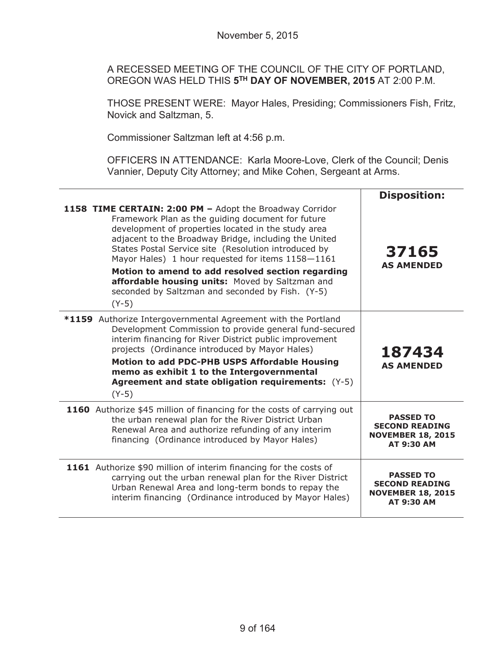A RECESSED MEETING OF THE COUNCIL OF THE CITY OF PORTLAND, OREGON WAS HELD THIS **5TH DAY OF NOVEMBER, 2015** AT 2:00 P.M.

THOSE PRESENT WERE: Mayor Hales, Presiding; Commissioners Fish, Fritz, Novick and Saltzman, 5.

Commissioner Saltzman left at 4:56 p.m.

OFFICERS IN ATTENDANCE: Karla Moore-Love, Clerk of the Council; Denis Vannier, Deputy City Attorney; and Mike Cohen, Sergeant at Arms.

|                                                                                                                                                                                                                                                                                                                                                                                                                                                                                                                   | <b>Disposition:</b>                                                                        |
|-------------------------------------------------------------------------------------------------------------------------------------------------------------------------------------------------------------------------------------------------------------------------------------------------------------------------------------------------------------------------------------------------------------------------------------------------------------------------------------------------------------------|--------------------------------------------------------------------------------------------|
| 1158 TIME CERTAIN: 2:00 PM - Adopt the Broadway Corridor<br>Framework Plan as the guiding document for future<br>development of properties located in the study area<br>adjacent to the Broadway Bridge, including the United<br>States Postal Service site (Resolution introduced by<br>Mayor Hales) 1 hour requested for items 1158-1161<br>Motion to amend to add resolved section regarding<br>affordable housing units: Moved by Saltzman and<br>seconded by Saltzman and seconded by Fish. (Y-5)<br>$(Y-5)$ | 37165<br><b>AS AMENDED</b>                                                                 |
| *1159 Authorize Intergovernmental Agreement with the Portland<br>Development Commission to provide general fund-secured<br>interim financing for River District public improvement<br>projects (Ordinance introduced by Mayor Hales)<br>Motion to add PDC-PHB USPS Affordable Housing<br>memo as exhibit 1 to the Intergovernmental<br><b>Agreement and state obligation requirements:</b> (Y-5)<br>$(Y-5)$                                                                                                       | 187434<br><b>AS AMENDED</b>                                                                |
| 1160 Authorize \$45 million of financing for the costs of carrying out<br>the urban renewal plan for the River District Urban<br>Renewal Area and authorize refunding of any interim<br>financing (Ordinance introduced by Mayor Hales)                                                                                                                                                                                                                                                                           | <b>PASSED TO</b><br><b>SECOND READING</b><br><b>NOVEMBER 18, 2015</b><br><b>AT 9:30 AM</b> |
| 1161 Authorize \$90 million of interim financing for the costs of<br>carrying out the urban renewal plan for the River District<br>Urban Renewal Area and long-term bonds to repay the<br>interim financing (Ordinance introduced by Mayor Hales)                                                                                                                                                                                                                                                                 | <b>PASSED TO</b><br><b>SECOND READING</b><br><b>NOVEMBER 18, 2015</b><br><b>AT 9:30 AM</b> |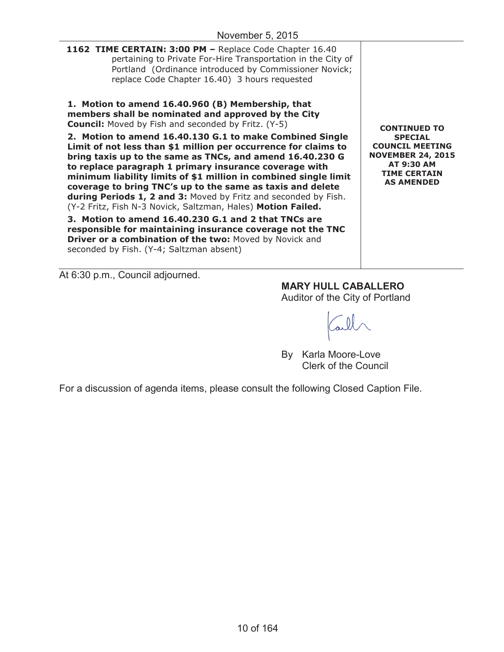| 1162 TIME CERTAIN: 3:00 PM - Replace Code Chapter 16.40<br>pertaining to Private For-Hire Transportation in the City of<br>Portland (Ordinance introduced by Commissioner Novick;<br>replace Code Chapter 16.40) 3 hours requested                                                                                                                                                                                                                                                                                                                                                                                                                                                                                                                                                                                                                                                                                                    |                                                                                                                                                       |
|---------------------------------------------------------------------------------------------------------------------------------------------------------------------------------------------------------------------------------------------------------------------------------------------------------------------------------------------------------------------------------------------------------------------------------------------------------------------------------------------------------------------------------------------------------------------------------------------------------------------------------------------------------------------------------------------------------------------------------------------------------------------------------------------------------------------------------------------------------------------------------------------------------------------------------------|-------------------------------------------------------------------------------------------------------------------------------------------------------|
| 1. Motion to amend 16.40.960 (B) Membership, that<br>members shall be nominated and approved by the City<br><b>Council:</b> Moved by Fish and seconded by Fritz. (Y-5)<br>2. Motion to amend 16.40.130 G.1 to make Combined Single<br>Limit of not less than \$1 million per occurrence for claims to<br>bring taxis up to the same as TNCs, and amend 16.40.230 G<br>to replace paragraph 1 primary insurance coverage with<br>minimum liability limits of \$1 million in combined single limit<br>coverage to bring TNC's up to the same as taxis and delete<br>during Periods 1, 2 and 3: Moved by Fritz and seconded by Fish.<br>(Y-2 Fritz, Fish N-3 Novick, Saltzman, Hales) Motion Failed.<br>3. Motion to amend 16.40.230 G.1 and 2 that TNCs are<br>responsible for maintaining insurance coverage not the TNC<br><b>Driver or a combination of the two: Moved by Novick and</b><br>seconded by Fish. (Y-4; Saltzman absent) | <b>CONTINUED TO</b><br><b>SPECTAL</b><br><b>COUNCIL MEETING</b><br><b>NOVEMBER 24, 2015</b><br>AT 9:30 AM<br><b>TIME CERTAIN</b><br><b>AS AMENDED</b> |

At 6:30 p.m., Council adjourned.

**MARY HULL CABALLERO**

Auditor of the City of Portland

all

By Karla Moore-Love Clerk of the Council

For a discussion of agenda items, please consult the following Closed Caption File.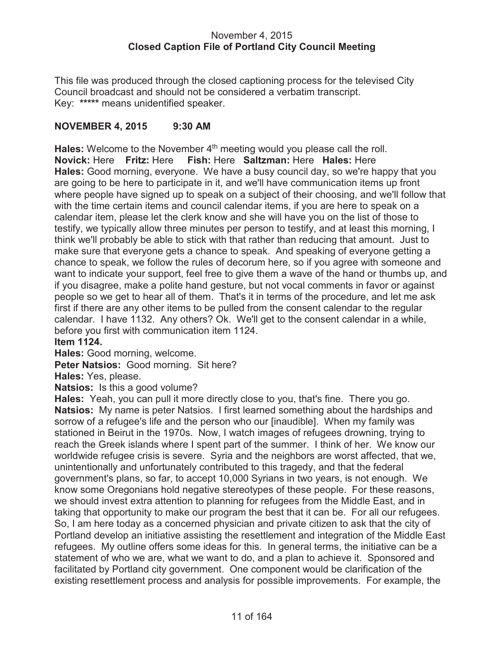# November 4, 2015 **Closed Caption File of Portland City Council Meeting**

This file was produced through the closed captioning process for the televised City Council broadcast and should not be considered a verbatim transcript. Key: **\*\*\*\*\*** means unidentified speaker.

# **NOVEMBER 4, 2015 9:30 AM**

Hales: Welcome to the November 4<sup>th</sup> meeting would you please call the roll. **Novick:** Here **Fritz:** Here **Fish:** Here **Saltzman:** Here **Hales:** Here **Hales:** Good morning, everyone. We have a busy council day, so we're happy that you are going to be here to participate in it, and we'll have communication items up front where people have signed up to speak on a subject of their choosing, and we'll follow that with the time certain items and council calendar items, if you are here to speak on a calendar item, please let the clerk know and she will have you on the list of those to testify, we typically allow three minutes per person to testify, and at least this morning, I think we'll probably be able to stick with that rather than reducing that amount. Just to make sure that everyone gets a chance to speak. And speaking of everyone getting a chance to speak, we follow the rules of decorum here, so if you agree with someone and want to indicate your support, feel free to give them a wave of the hand or thumbs up, and if you disagree, make a polite hand gesture, but not vocal comments in favor or against people so we get to hear all of them. That's it in terms of the procedure, and let me ask first if there are any other items to be pulled from the consent calendar to the regular calendar. I have 1132. Any others? Ok. We'll get to the consent calendar in a while, before you first with communication item 1124.

**Item 1124.**

**Hales:** Good morning, welcome.

**Peter Natsios:** Good morning. Sit here?

**Hales:** Yes, please.

**Natsios:** Is this a good volume?

**Hales:** Yeah, you can pull it more directly close to you, that's fine. There you go. **Natsios:** My name is peter Natsios. I first learned something about the hardships and sorrow of a refugee's life and the person who our [inaudible]. When my family was stationed in Beirut in the 1970s. Now, I watch images of refugees drowning, trying to reach the Greek islands where I spent part of the summer. I think of her. We know our worldwide refugee crisis is severe. Syria and the neighbors are worst affected, that we, unintentionally and unfortunately contributed to this tragedy, and that the federal government's plans, so far, to accept 10,000 Syrians in two years, is not enough. We know some Oregonians hold negative stereotypes of these people. For these reasons, we should invest extra attention to planning for refugees from the Middle East, and in taking that opportunity to make our program the best that it can be. For all our refugees. So, I am here today as a concerned physician and private citizen to ask that the city of Portland develop an initiative assisting the resettlement and integration of the Middle East refugees. My outline offers some ideas for this. In general terms, the initiative can be a statement of who we are, what we want to do, and a plan to achieve it. Sponsored and facilitated by Portland city government. One component would be clarification of the existing resettlement process and analysis for possible improvements. For example, the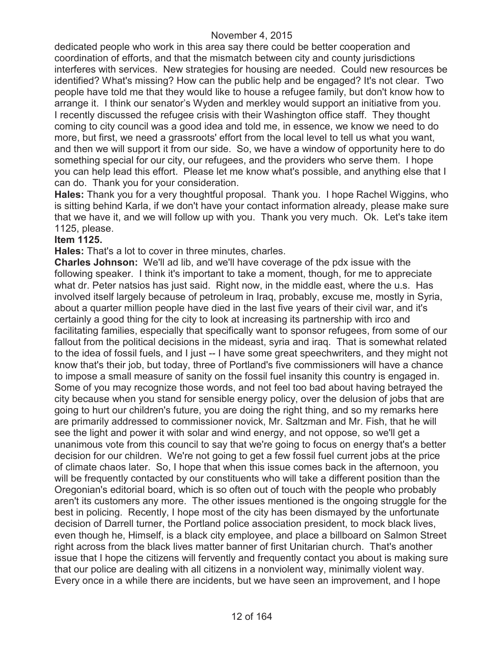dedicated people who work in this area say there could be better cooperation and coordination of efforts, and that the mismatch between city and county jurisdictions interferes with services. New strategies for housing are needed. Could new resources be identified? What's missing? How can the public help and be engaged? It's not clear. Two people have told me that they would like to house a refugee family, but don't know how to arrange it. I think our senator's Wyden and merkley would support an initiative from you. I recently discussed the refugee crisis with their Washington office staff. They thought coming to city council was a good idea and told me, in essence, we know we need to do more, but first, we need a grassroots' effort from the local level to tell us what you want, and then we will support it from our side. So, we have a window of opportunity here to do something special for our city, our refugees, and the providers who serve them. I hope you can help lead this effort. Please let me know what's possible, and anything else that I can do. Thank you for your consideration.

**Hales:** Thank you for a very thoughtful proposal. Thank you. I hope Rachel Wiggins, who is sitting behind Karla, if we don't have your contact information already, please make sure that we have it, and we will follow up with you. Thank you very much. Ok. Let's take item 1125, please.

#### **Item 1125.**

**Hales:** That's a lot to cover in three minutes, charles.

**Charles Johnson:** We'll ad lib, and we'll have coverage of the pdx issue with the following speaker. I think it's important to take a moment, though, for me to appreciate what dr. Peter natsios has just said. Right now, in the middle east, where the u.s. Has involved itself largely because of petroleum in Iraq, probably, excuse me, mostly in Syria, about a quarter million people have died in the last five years of their civil war, and it's certainly a good thing for the city to look at increasing its partnership with irco and facilitating families, especially that specifically want to sponsor refugees, from some of our fallout from the political decisions in the mideast, syria and iraq. That is somewhat related to the idea of fossil fuels, and I just -- I have some great speechwriters, and they might not know that's their job, but today, three of Portland's five commissioners will have a chance to impose a small measure of sanity on the fossil fuel insanity this country is engaged in. Some of you may recognize those words, and not feel too bad about having betrayed the city because when you stand for sensible energy policy, over the delusion of jobs that are going to hurt our children's future, you are doing the right thing, and so my remarks here are primarily addressed to commissioner novick, Mr. Saltzman and Mr. Fish, that he will see the light and power it with solar and wind energy, and not oppose, so we'll get a unanimous vote from this council to say that we're going to focus on energy that's a better decision for our children. We're not going to get a few fossil fuel current jobs at the price of climate chaos later. So, I hope that when this issue comes back in the afternoon, you will be frequently contacted by our constituents who will take a different position than the Oregonian's editorial board, which is so often out of touch with the people who probably aren't its customers any more. The other issues mentioned is the ongoing struggle for the best in policing. Recently, I hope most of the city has been dismayed by the unfortunate decision of Darrell turner, the Portland police association president, to mock black lives, even though he, Himself, is a black city employee, and place a billboard on Salmon Street right across from the black lives matter banner of first Unitarian church. That's another issue that I hope the citizens will fervently and frequently contact you about is making sure that our police are dealing with all citizens in a nonviolent way, minimally violent way. Every once in a while there are incidents, but we have seen an improvement, and I hope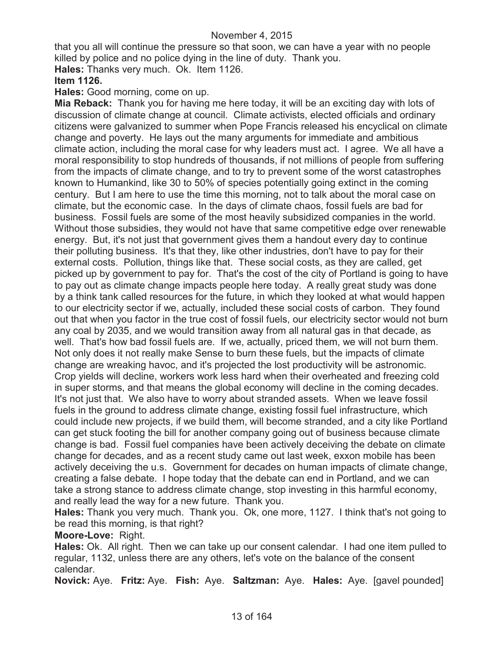that you all will continue the pressure so that soon, we can have a year with no people killed by police and no police dying in the line of duty. Thank you.

**Hales:** Thanks very much. Ok. Item 1126.

**Item 1126.**

**Hales:** Good morning, come on up.

**Mia Reback:** Thank you for having me here today, it will be an exciting day with lots of discussion of climate change at council. Climate activists, elected officials and ordinary citizens were galvanized to summer when Pope Francis released his encyclical on climate change and poverty. He lays out the many arguments for immediate and ambitious climate action, including the moral case for why leaders must act. I agree. We all have a moral responsibility to stop hundreds of thousands, if not millions of people from suffering from the impacts of climate change, and to try to prevent some of the worst catastrophes known to Humankind, like 30 to 50% of species potentially going extinct in the coming century. But I am here to use the time this morning, not to talk about the moral case on climate, but the economic case. In the days of climate chaos, fossil fuels are bad for business. Fossil fuels are some of the most heavily subsidized companies in the world. Without those subsidies, they would not have that same competitive edge over renewable energy. But, it's not just that government gives them a handout every day to continue their polluting business. It's that they, like other industries, don't have to pay for their external costs. Pollution, things like that. These social costs, as they are called, get picked up by government to pay for. That's the cost of the city of Portland is going to have to pay out as climate change impacts people here today. A really great study was done by a think tank called resources for the future, in which they looked at what would happen to our electricity sector if we, actually, included these social costs of carbon. They found out that when you factor in the true cost of fossil fuels, our electricity sector would not burn any coal by 2035, and we would transition away from all natural gas in that decade, as well. That's how bad fossil fuels are. If we, actually, priced them, we will not burn them. Not only does it not really make Sense to burn these fuels, but the impacts of climate change are wreaking havoc, and it's projected the lost productivity will be astronomic. Crop yields will decline, workers work less hard when their overheated and freezing cold in super storms, and that means the global economy will decline in the coming decades. It's not just that. We also have to worry about stranded assets. When we leave fossil fuels in the ground to address climate change, existing fossil fuel infrastructure, which could include new projects, if we build them, will become stranded, and a city like Portland can get stuck footing the bill for another company going out of business because climate change is bad. Fossil fuel companies have been actively deceiving the debate on climate change for decades, and as a recent study came out last week, exxon mobile has been actively deceiving the u.s. Government for decades on human impacts of climate change, creating a false debate. I hope today that the debate can end in Portland, and we can take a strong stance to address climate change, stop investing in this harmful economy, and really lead the way for a new future. Thank you.

**Hales:** Thank you very much. Thank you. Ok, one more, 1127. I think that's not going to be read this morning, is that right?

**Moore-Love:** Right.

**Hales:** Ok. All right. Then we can take up our consent calendar. I had one item pulled to regular, 1132, unless there are any others, let's vote on the balance of the consent calendar.

**Novick:** Aye. **Fritz:** Aye. **Fish:** Aye. **Saltzman:** Aye. **Hales:** Aye. [gavel pounded]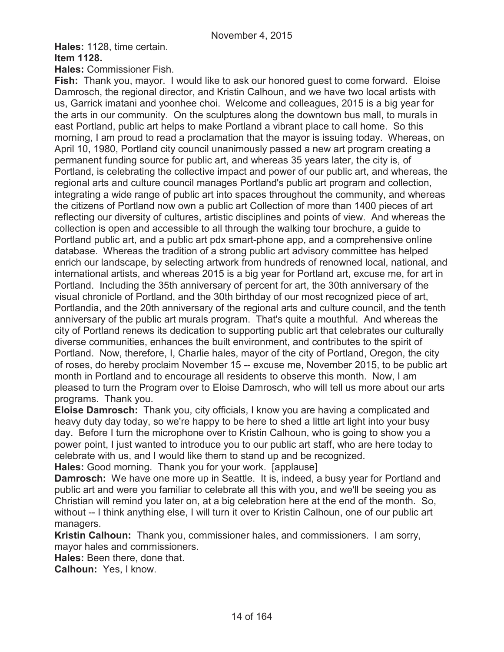**Hales:** 1128, time certain.

**Item 1128.**

**Hales:** Commissioner Fish.

**Fish:** Thank you, mayor. I would like to ask our honored guest to come forward. Eloise Damrosch, the regional director, and Kristin Calhoun, and we have two local artists with us, Garrick imatani and yoonhee choi. Welcome and colleagues, 2015 is a big year for the arts in our community. On the sculptures along the downtown bus mall, to murals in east Portland, public art helps to make Portland a vibrant place to call home. So this morning, I am proud to read a proclamation that the mayor is issuing today. Whereas, on April 10, 1980, Portland city council unanimously passed a new art program creating a permanent funding source for public art, and whereas 35 years later, the city is, of Portland, is celebrating the collective impact and power of our public art, and whereas, the regional arts and culture council manages Portland's public art program and collection, integrating a wide range of public art into spaces throughout the community, and whereas the citizens of Portland now own a public art Collection of more than 1400 pieces of art reflecting our diversity of cultures, artistic disciplines and points of view. And whereas the collection is open and accessible to all through the walking tour brochure, a guide to Portland public art, and a public art pdx smart-phone app, and a comprehensive online database. Whereas the tradition of a strong public art advisory committee has helped enrich our landscape, by selecting artwork from hundreds of renowned local, national, and international artists, and whereas 2015 is a big year for Portland art, excuse me, for art in Portland. Including the 35th anniversary of percent for art, the 30th anniversary of the visual chronicle of Portland, and the 30th birthday of our most recognized piece of art, Portlandia, and the 20th anniversary of the regional arts and culture council, and the tenth anniversary of the public art murals program. That's quite a mouthful. And whereas the city of Portland renews its dedication to supporting public art that celebrates our culturally diverse communities, enhances the built environment, and contributes to the spirit of Portland. Now, therefore, I, Charlie hales, mayor of the city of Portland, Oregon, the city of roses, do hereby proclaim November 15 -- excuse me, November 2015, to be public art month in Portland and to encourage all residents to observe this month. Now, I am pleased to turn the Program over to Eloise Damrosch, who will tell us more about our arts programs. Thank you.

**Eloise Damrosch:** Thank you, city officials, I know you are having a complicated and heavy duty day today, so we're happy to be here to shed a little art light into your busy day. Before I turn the microphone over to Kristin Calhoun, who is going to show you a power point, I just wanted to introduce you to our public art staff, who are here today to celebrate with us, and I would like them to stand up and be recognized.

**Hales:** Good morning. Thank you for your work. [applause]

**Damrosch:** We have one more up in Seattle. It is, indeed, a busy year for Portland and public art and were you familiar to celebrate all this with you, and we'll be seeing you as Christian will remind you later on, at a big celebration here at the end of the month. So, without -- I think anything else, I will turn it over to Kristin Calhoun, one of our public art managers.

**Kristin Calhoun:** Thank you, commissioner hales, and commissioners. I am sorry, mayor hales and commissioners.

**Hales:** Been there, done that.

**Calhoun:** Yes, I know.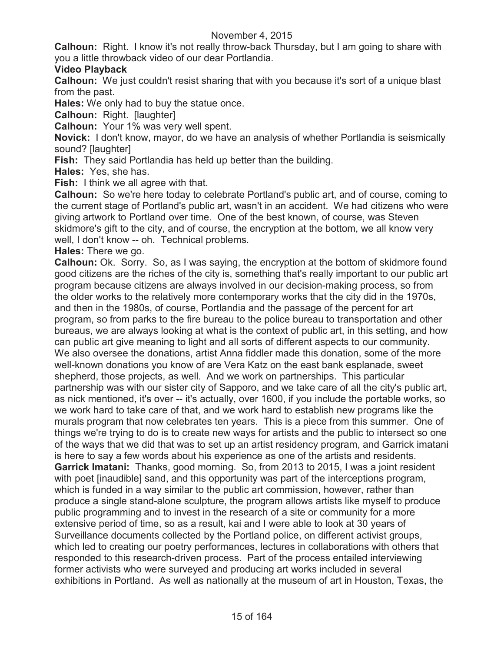**Calhoun:** Right. I know it's not really throw-back Thursday, but I am going to share with you a little throwback video of our dear Portlandia.

# **Video Playback**

**Calhoun:** We just couldn't resist sharing that with you because it's sort of a unique blast from the past.

**Hales:** We only had to buy the statue once.

**Calhoun:** Right. [laughter]

**Calhoun:** Your 1% was very well spent.

**Novick:** I don't know, mayor, do we have an analysis of whether Portlandia is seismically sound? [laughter]

**Fish:** They said Portlandia has held up better than the building.

**Hales:** Yes, she has.

**Fish:** I think we all agree with that.

**Calhoun:** So we're here today to celebrate Portland's public art, and of course, coming to the current stage of Portland's public art, wasn't in an accident. We had citizens who were giving artwork to Portland over time. One of the best known, of course, was Steven skidmore's gift to the city, and of course, the encryption at the bottom, we all know very well, I don't know -- oh. Technical problems.

**Hales:** There we go.

**Calhoun:** Ok. Sorry. So, as I was saying, the encryption at the bottom of skidmore found good citizens are the riches of the city is, something that's really important to our public art program because citizens are always involved in our decision-making process, so from the older works to the relatively more contemporary works that the city did in the 1970s, and then in the 1980s, of course, Portlandia and the passage of the percent for art program, so from parks to the fire bureau to the police bureau to transportation and other bureaus, we are always looking at what is the context of public art, in this setting, and how can public art give meaning to light and all sorts of different aspects to our community. We also oversee the donations, artist Anna fiddler made this donation, some of the more well-known donations you know of are Vera Katz on the east bank esplanade, sweet shepherd, those projects, as well. And we work on partnerships. This particular partnership was with our sister city of Sapporo, and we take care of all the city's public art, as nick mentioned, it's over -- it's actually, over 1600, if you include the portable works, so we work hard to take care of that, and we work hard to establish new programs like the murals program that now celebrates ten years. This is a piece from this summer. One of things we're trying to do is to create new ways for artists and the public to intersect so one of the ways that we did that was to set up an artist residency program, and Garrick imatani is here to say a few words about his experience as one of the artists and residents. **Garrick Imatani:** Thanks, good morning. So, from 2013 to 2015, I was a joint resident with poet [inaudible] sand, and this opportunity was part of the interceptions program, which is funded in a way similar to the public art commission, however, rather than produce a single stand-alone sculpture, the program allows artists like myself to produce public programming and to invest in the research of a site or community for a more extensive period of time, so as a result, kai and I were able to look at 30 years of Surveillance documents collected by the Portland police, on different activist groups, which led to creating our poetry performances, lectures in collaborations with others that responded to this research-driven process. Part of the process entailed interviewing former activists who were surveyed and producing art works included in several exhibitions in Portland. As well as nationally at the museum of art in Houston, Texas, the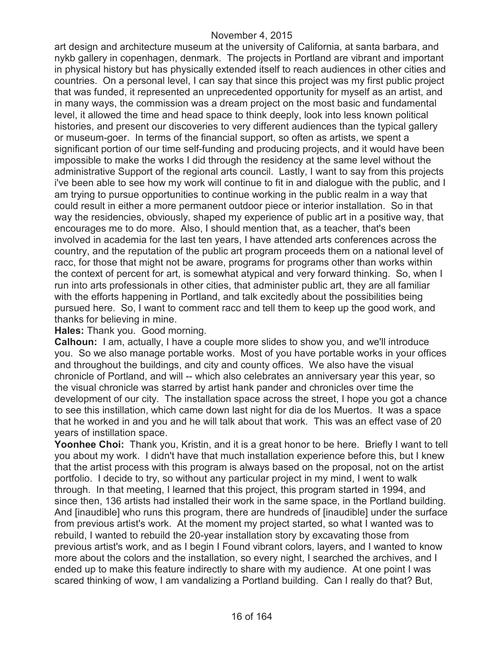art design and architecture museum at the university of California, at santa barbara, and nykb gallery in copenhagen, denmark. The projects in Portland are vibrant and important in physical history but has physically extended itself to reach audiences in other cities and countries. On a personal level, I can say that since this project was my first public project that was funded, it represented an unprecedented opportunity for myself as an artist, and in many ways, the commission was a dream project on the most basic and fundamental level, it allowed the time and head space to think deeply, look into less known political histories, and present our discoveries to very different audiences than the typical gallery or museum-goer. In terms of the financial support, so often as artists, we spent a significant portion of our time self-funding and producing projects, and it would have been impossible to make the works I did through the residency at the same level without the administrative Support of the regional arts council. Lastly, I want to say from this projects i've been able to see how my work will continue to fit in and dialogue with the public, and I am trying to pursue opportunities to continue working in the public realm in a way that could result in either a more permanent outdoor piece or interior installation. So in that way the residencies, obviously, shaped my experience of public art in a positive way, that encourages me to do more. Also, I should mention that, as a teacher, that's been involved in academia for the last ten years, I have attended arts conferences across the country, and the reputation of the public art program proceeds them on a national level of racc, for those that might not be aware, programs for programs other than works within the context of percent for art, is somewhat atypical and very forward thinking. So, when I run into arts professionals in other cities, that administer public art, they are all familiar with the efforts happening in Portland, and talk excitedly about the possibilities being pursued here. So, I want to comment racc and tell them to keep up the good work, and thanks for believing in mine.

#### **Hales:** Thank you. Good morning.

**Calhoun:** I am, actually, I have a couple more slides to show you, and we'll introduce you. So we also manage portable works. Most of you have portable works in your offices and throughout the buildings, and city and county offices. We also have the visual chronicle of Portland, and will -- which also celebrates an anniversary year this year, so the visual chronicle was starred by artist hank pander and chronicles over time the development of our city. The installation space across the street, I hope you got a chance to see this instillation, which came down last night for dia de los Muertos. It was a space that he worked in and you and he will talk about that work. This was an effect vase of 20 years of instillation space.

**Yoonhee Choi:** Thank you, Kristin, and it is a great honor to be here. Briefly I want to tell you about my work. I didn't have that much installation experience before this, but I knew that the artist process with this program is always based on the proposal, not on the artist portfolio. I decide to try, so without any particular project in my mind, I went to walk through. In that meeting, I learned that this project, this program started in 1994, and since then, 136 artists had installed their work in the same space, in the Portland building. And [inaudible] who runs this program, there are hundreds of [inaudible] under the surface from previous artist's work. At the moment my project started, so what I wanted was to rebuild, I wanted to rebuild the 20-year installation story by excavating those from previous artist's work, and as I begin I Found vibrant colors, layers, and I wanted to know more about the colors and the installation, so every night, I searched the archives, and I ended up to make this feature indirectly to share with my audience. At one point I was scared thinking of wow, I am vandalizing a Portland building. Can I really do that? But,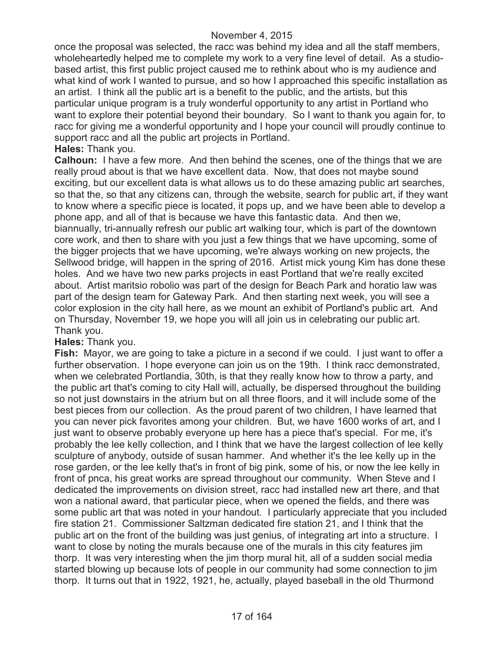once the proposal was selected, the racc was behind my idea and all the staff members, wholeheartedly helped me to complete my work to a very fine level of detail. As a studiobased artist, this first public project caused me to rethink about who is my audience and what kind of work I wanted to pursue, and so how I approached this specific installation as an artist. I think all the public art is a benefit to the public, and the artists, but this particular unique program is a truly wonderful opportunity to any artist in Portland who want to explore their potential beyond their boundary. So I want to thank you again for, to racc for giving me a wonderful opportunity and I hope your council will proudly continue to support racc and all the public art projects in Portland. **Hales:** Thank you.

**Calhoun:** I have a few more. And then behind the scenes, one of the things that we are really proud about is that we have excellent data. Now, that does not maybe sound exciting, but our excellent data is what allows us to do these amazing public art searches, so that the, so that any citizens can, through the website, search for public art, if they want to know where a specific piece is located, it pops up, and we have been able to develop a phone app, and all of that is because we have this fantastic data. And then we, biannually, tri-annually refresh our public art walking tour, which is part of the downtown core work, and then to share with you just a few things that we have upcoming, some of the bigger projects that we have upcoming, we're always working on new projects, the Sellwood bridge, will happen in the spring of 2016. Artist mick young Kim has done these holes. And we have two new parks projects in east Portland that we're really excited about. Artist maritsio robolio was part of the design for Beach Park and horatio law was part of the design team for Gateway Park. And then starting next week, you will see a color explosion in the city hall here, as we mount an exhibit of Portland's public art. And on Thursday, November 19, we hope you will all join us in celebrating our public art. Thank you.

# **Hales:** Thank you.

**Fish:** Mayor, we are going to take a picture in a second if we could. I just want to offer a further observation. I hope everyone can join us on the 19th. I think racc demonstrated, when we celebrated Portlandia, 30th, is that they really know how to throw a party, and the public art that's coming to city Hall will, actually, be dispersed throughout the building so not just downstairs in the atrium but on all three floors, and it will include some of the best pieces from our collection. As the proud parent of two children, I have learned that you can never pick favorites among your children. But, we have 1600 works of art, and I just want to observe probably everyone up here has a piece that's special. For me, it's probably the lee kelly collection, and I think that we have the largest collection of lee kelly sculpture of anybody, outside of susan hammer. And whether it's the lee kelly up in the rose garden, or the lee kelly that's in front of big pink, some of his, or now the lee kelly in front of pnca, his great works are spread throughout our community. When Steve and I dedicated the improvements on division street, racc had installed new art there, and that won a national award, that particular piece, when we opened the fields, and there was some public art that was noted in your handout. I particularly appreciate that you included fire station 21. Commissioner Saltzman dedicated fire station 21, and I think that the public art on the front of the building was just genius, of integrating art into a structure. I want to close by noting the murals because one of the murals in this city features jim thorp. It was very interesting when the jim thorp mural hit, all of a sudden social media started blowing up because lots of people in our community had some connection to jim thorp. It turns out that in 1922, 1921, he, actually, played baseball in the old Thurmond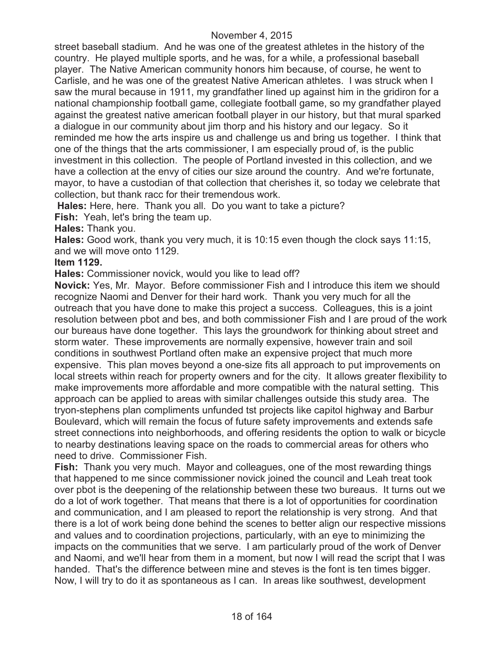street baseball stadium. And he was one of the greatest athletes in the history of the country. He played multiple sports, and he was, for a while, a professional baseball player. The Native American community honors him because, of course, he went to Carlisle, and he was one of the greatest Native American athletes. I was struck when I saw the mural because in 1911, my grandfather lined up against him in the gridiron for a national championship football game, collegiate football game, so my grandfather played against the greatest native american football player in our history, but that mural sparked a dialogue in our community about jim thorp and his history and our legacy. So it reminded me how the arts inspire us and challenge us and bring us together. I think that one of the things that the arts commissioner, I am especially proud of, is the public investment in this collection. The people of Portland invested in this collection, and we have a collection at the envy of cities our size around the country. And we're fortunate, mayor, to have a custodian of that collection that cherishes it, so today we celebrate that collection, but thank racc for their tremendous work.

**Hales:** Here, here. Thank you all. Do you want to take a picture?

**Fish:** Yeah, let's bring the team up.

**Hales:** Thank you.

**Hales:** Good work, thank you very much, it is 10:15 even though the clock says 11:15, and we will move onto 1129.

# **Item 1129.**

**Hales:** Commissioner novick, would you like to lead off?

**Novick:** Yes, Mr. Mayor. Before commissioner Fish and I introduce this item we should recognize Naomi and Denver for their hard work. Thank you very much for all the outreach that you have done to make this project a success. Colleagues, this is a joint resolution between pbot and bes, and both commissioner Fish and I are proud of the work our bureaus have done together. This lays the groundwork for thinking about street and storm water. These improvements are normally expensive, however train and soil conditions in southwest Portland often make an expensive project that much more expensive. This plan moves beyond a one-size fits all approach to put improvements on local streets within reach for property owners and for the city. It allows greater flexibility to make improvements more affordable and more compatible with the natural setting. This approach can be applied to areas with similar challenges outside this study area. The tryon-stephens plan compliments unfunded tst projects like capitol highway and Barbur Boulevard, which will remain the focus of future safety improvements and extends safe street connections into neighborhoods, and offering residents the option to walk or bicycle to nearby destinations leaving space on the roads to commercial areas for others who need to drive. Commissioner Fish.

**Fish:** Thank you very much. Mayor and colleagues, one of the most rewarding things that happened to me since commissioner novick joined the council and Leah treat took over pbot is the deepening of the relationship between these two bureaus. It turns out we do a lot of work together. That means that there is a lot of opportunities for coordination and communication, and I am pleased to report the relationship is very strong. And that there is a lot of work being done behind the scenes to better align our respective missions and values and to coordination projections, particularly, with an eye to minimizing the impacts on the communities that we serve. I am particularly proud of the work of Denver and Naomi, and we'll hear from them in a moment, but now I will read the script that I was handed. That's the difference between mine and steves is the font is ten times bigger. Now, I will try to do it as spontaneous as I can. In areas like southwest, development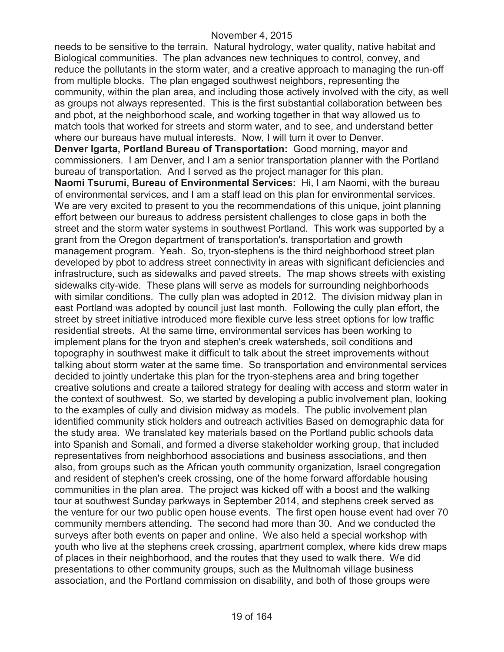needs to be sensitive to the terrain. Natural hydrology, water quality, native habitat and Biological communities. The plan advances new techniques to control, convey, and reduce the pollutants in the storm water, and a creative approach to managing the run-off from multiple blocks. The plan engaged southwest neighbors, representing the community, within the plan area, and including those actively involved with the city, as well as groups not always represented. This is the first substantial collaboration between bes and pbot, at the neighborhood scale, and working together in that way allowed us to match tools that worked for streets and storm water, and to see, and understand better where our bureaus have mutual interests. Now, I will turn it over to Denver. **Denver Igarta, Portland Bureau of Transportation:** Good morning, mayor and commissioners. I am Denver, and I am a senior transportation planner with the Portland bureau of transportation. And I served as the project manager for this plan. **Naomi Tsurumi, Bureau of Environmental Services:** Hi, I am Naomi, with the bureau of environmental services, and I am a staff lead on this plan for environmental services. We are very excited to present to you the recommendations of this unique, joint planning effort between our bureaus to address persistent challenges to close gaps in both the street and the storm water systems in southwest Portland. This work was supported by a grant from the Oregon department of transportation's, transportation and growth management program. Yeah. So, tryon-stephens is the third neighborhood street plan developed by pbot to address street connectivity in areas with significant deficiencies and infrastructure, such as sidewalks and paved streets. The map shows streets with existing sidewalks city-wide. These plans will serve as models for surrounding neighborhoods with similar conditions. The cully plan was adopted in 2012. The division midway plan in east Portland was adopted by council just last month. Following the cully plan effort, the street by street initiative introduced more flexible curve less street options for low traffic residential streets. At the same time, environmental services has been working to implement plans for the tryon and stephen's creek watersheds, soil conditions and topography in southwest make it difficult to talk about the street improvements without talking about storm water at the same time. So transportation and environmental services decided to jointly undertake this plan for the tryon-stephens area and bring together creative solutions and create a tailored strategy for dealing with access and storm water in the context of southwest. So, we started by developing a public involvement plan, looking to the examples of cully and division midway as models. The public involvement plan identified community stick holders and outreach activities Based on demographic data for the study area. We translated key materials based on the Portland public schools data into Spanish and Somali, and formed a diverse stakeholder working group, that included representatives from neighborhood associations and business associations, and then also, from groups such as the African youth community organization, Israel congregation and resident of stephen's creek crossing, one of the home forward affordable housing communities in the plan area. The project was kicked off with a boost and the walking tour at southwest Sunday parkways in September 2014, and stephens creek served as the venture for our two public open house events. The first open house event had over 70 community members attending. The second had more than 30. And we conducted the surveys after both events on paper and online. We also held a special workshop with youth who live at the stephens creek crossing, apartment complex, where kids drew maps of places in their neighborhood, and the routes that they used to walk there. We did presentations to other community groups, such as the Multnomah village business association, and the Portland commission on disability, and both of those groups were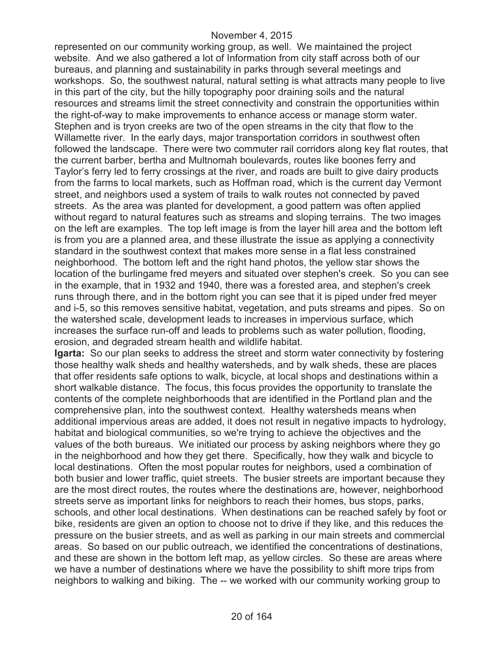represented on our community working group, as well. We maintained the project website. And we also gathered a lot of Information from city staff across both of our bureaus, and planning and sustainability in parks through several meetings and workshops. So, the southwest natural, natural setting is what attracts many people to live in this part of the city, but the hilly topography poor draining soils and the natural resources and streams limit the street connectivity and constrain the opportunities within the right-of-way to make improvements to enhance access or manage storm water. Stephen and is tryon creeks are two of the open streams in the city that flow to the Willamette river. In the early days, major transportation corridors in southwest often followed the landscape. There were two commuter rail corridors along key flat routes, that the current barber, bertha and Multnomah boulevards, routes like boones ferry and Taylor's ferry led to ferry crossings at the river, and roads are built to give dairy products from the farms to local markets, such as Hoffman road, which is the current day Vermont street, and neighbors used a system of trails to walk routes not connected by paved streets. As the area was planted for development, a good pattern was often applied without regard to natural features such as streams and sloping terrains. The two images on the left are examples. The top left image is from the layer hill area and the bottom left is from you are a planned area, and these illustrate the issue as applying a connectivity standard in the southwest context that makes more sense in a flat less constrained neighborhood. The bottom left and the right hand photos, the yellow star shows the location of the burlingame fred meyers and situated over stephen's creek. So you can see in the example, that in 1932 and 1940, there was a forested area, and stephen's creek runs through there, and in the bottom right you can see that it is piped under fred meyer and i-5, so this removes sensitive habitat, vegetation, and puts streams and pipes. So on the watershed scale, development leads to increases in impervious surface, which increases the surface run-off and leads to problems such as water pollution, flooding, erosion, and degraded stream health and wildlife habitat.

**Igarta:** So our plan seeks to address the street and storm water connectivity by fostering those healthy walk sheds and healthy watersheds, and by walk sheds, these are places that offer residents safe options to walk, bicycle, at local shops and destinations within a short walkable distance. The focus, this focus provides the opportunity to translate the contents of the complete neighborhoods that are identified in the Portland plan and the comprehensive plan, into the southwest context. Healthy watersheds means when additional impervious areas are added, it does not result in negative impacts to hydrology, habitat and biological communities, so we're trying to achieve the objectives and the values of the both bureaus. We initiated our process by asking neighbors where they go in the neighborhood and how they get there. Specifically, how they walk and bicycle to local destinations. Often the most popular routes for neighbors, used a combination of both busier and lower traffic, quiet streets. The busier streets are important because they are the most direct routes, the routes where the destinations are, however, neighborhood streets serve as important links for neighbors to reach their homes, bus stops, parks, schools, and other local destinations. When destinations can be reached safely by foot or bike, residents are given an option to choose not to drive if they like, and this reduces the pressure on the busier streets, and as well as parking in our main streets and commercial areas. So based on our public outreach, we identified the concentrations of destinations, and these are shown in the bottom left map, as yellow circles. So these are areas where we have a number of destinations where we have the possibility to shift more trips from neighbors to walking and biking. The -- we worked with our community working group to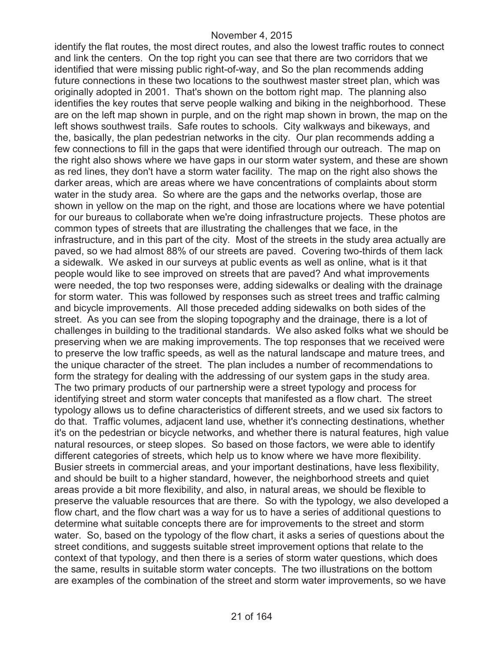identify the flat routes, the most direct routes, and also the lowest traffic routes to connect and link the centers. On the top right you can see that there are two corridors that we identified that were missing public right-of-way, and So the plan recommends adding future connections in these two locations to the southwest master street plan, which was originally adopted in 2001. That's shown on the bottom right map. The planning also identifies the key routes that serve people walking and biking in the neighborhood. These are on the left map shown in purple, and on the right map shown in brown, the map on the left shows southwest trails. Safe routes to schools. City walkways and bikeways, and the, basically, the plan pedestrian networks in the city. Our plan recommends adding a few connections to fill in the gaps that were identified through our outreach. The map on the right also shows where we have gaps in our storm water system, and these are shown as red lines, they don't have a storm water facility. The map on the right also shows the darker areas, which are areas where we have concentrations of complaints about storm water in the study area. So where are the gaps and the networks overlap, those are shown in yellow on the map on the right, and those are locations where we have potential for our bureaus to collaborate when we're doing infrastructure projects. These photos are common types of streets that are illustrating the challenges that we face, in the infrastructure, and in this part of the city. Most of the streets in the study area actually are paved, so we had almost 88% of our streets are paved. Covering two-thirds of them lack a sidewalk. We asked in our surveys at public events as well as online, what is it that people would like to see improved on streets that are paved? And what improvements were needed, the top two responses were, adding sidewalks or dealing with the drainage for storm water. This was followed by responses such as street trees and traffic calming and bicycle improvements. All those preceded adding sidewalks on both sides of the street. As you can see from the sloping topography and the drainage, there is a lot of challenges in building to the traditional standards. We also asked folks what we should be preserving when we are making improvements. The top responses that we received were to preserve the low traffic speeds, as well as the natural landscape and mature trees, and the unique character of the street. The plan includes a number of recommendations to form the strategy for dealing with the addressing of our system gaps in the study area. The two primary products of our partnership were a street typology and process for identifying street and storm water concepts that manifested as a flow chart. The street typology allows us to define characteristics of different streets, and we used six factors to do that. Traffic volumes, adjacent land use, whether it's connecting destinations, whether it's on the pedestrian or bicycle networks, and whether there is natural features, high value natural resources, or steep slopes. So based on those factors, we were able to identify different categories of streets, which help us to know where we have more flexibility. Busier streets in commercial areas, and your important destinations, have less flexibility, and should be built to a higher standard, however, the neighborhood streets and quiet areas provide a bit more flexibility, and also, in natural areas, we should be flexible to preserve the valuable resources that are there. So with the typology, we also developed a flow chart, and the flow chart was a way for us to have a series of additional questions to determine what suitable concepts there are for improvements to the street and storm water. So, based on the typology of the flow chart, it asks a series of questions about the street conditions, and suggests suitable street improvement options that relate to the context of that typology, and then there is a series of storm water questions, which does the same, results in suitable storm water concepts. The two illustrations on the bottom are examples of the combination of the street and storm water improvements, so we have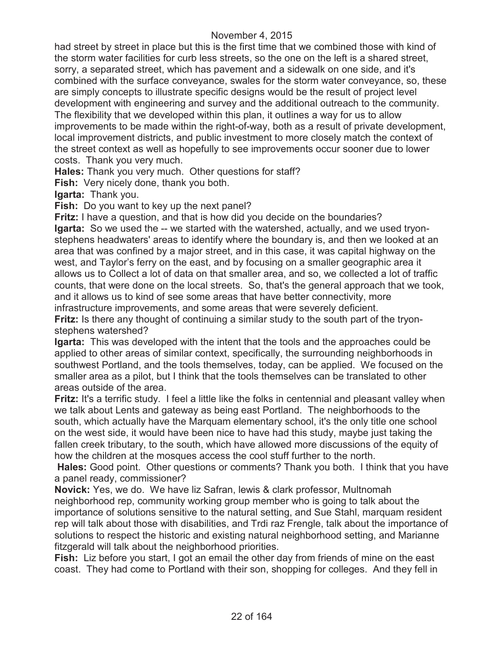had street by street in place but this is the first time that we combined those with kind of the storm water facilities for curb less streets, so the one on the left is a shared street, sorry, a separated street, which has pavement and a sidewalk on one side, and it's combined with the surface conveyance, swales for the storm water conveyance, so, these are simply concepts to illustrate specific designs would be the result of project level development with engineering and survey and the additional outreach to the community. The flexibility that we developed within this plan, it outlines a way for us to allow improvements to be made within the right-of-way, both as a result of private development, local improvement districts, and public investment to more closely match the context of the street context as well as hopefully to see improvements occur sooner due to lower costs. Thank you very much.

**Hales:** Thank you very much. Other questions for staff?

**Fish:** Very nicely done, thank you both.

**Igarta:** Thank you.

**Fish:** Do you want to key up the next panel?

**Fritz:** I have a question, and that is how did you decide on the boundaries?

**Igarta:** So we used the -- we started with the watershed, actually, and we used tryonstephens headwaters' areas to identify where the boundary is, and then we looked at an area that was confined by a major street, and in this case, it was capital highway on the west, and Taylor's ferry on the east, and by focusing on a smaller geographic area it allows us to Collect a lot of data on that smaller area, and so, we collected a lot of traffic counts, that were done on the local streets. So, that's the general approach that we took, and it allows us to kind of see some areas that have better connectivity, more infrastructure improvements, and some areas that were severely deficient.

**Fritz:** Is there any thought of continuing a similar study to the south part of the tryonstephens watershed?

**Igarta:** This was developed with the intent that the tools and the approaches could be applied to other areas of similar context, specifically, the surrounding neighborhoods in southwest Portland, and the tools themselves, today, can be applied. We focused on the smaller area as a pilot, but I think that the tools themselves can be translated to other areas outside of the area.

**Fritz:** It's a terrific study. I feel a little like the folks in centennial and pleasant valley when we talk about Lents and gateway as being east Portland. The neighborhoods to the south, which actually have the Marquam elementary school, it's the only title one school on the west side, it would have been nice to have had this study, maybe just taking the fallen creek tributary, to the south, which have allowed more discussions of the equity of how the children at the mosques access the cool stuff further to the north.

**Hales:** Good point. Other questions or comments? Thank you both. I think that you have a panel ready, commissioner?

**Novick:** Yes, we do. We have liz Safran, lewis & clark professor, Multnomah neighborhood rep, community working group member who is going to talk about the importance of solutions sensitive to the natural setting, and Sue Stahl, marquam resident rep will talk about those with disabilities, and Trdi raz Frengle, talk about the importance of solutions to respect the historic and existing natural neighborhood setting, and Marianne fitzgerald will talk about the neighborhood priorities.

**Fish:** Liz before you start, I got an email the other day from friends of mine on the east coast. They had come to Portland with their son, shopping for colleges. And they fell in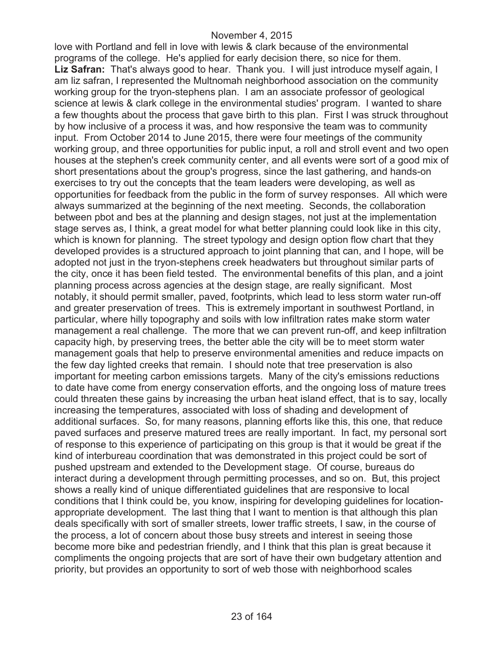love with Portland and fell in love with lewis & clark because of the environmental programs of the college. He's applied for early decision there, so nice for them. **Liz Safran:** That's always good to hear. Thank you. I will just introduce myself again, I am liz safran, I represented the Multnomah neighborhood association on the community working group for the tryon-stephens plan. I am an associate professor of geological science at lewis & clark college in the environmental studies' program. I wanted to share a few thoughts about the process that gave birth to this plan. First I was struck throughout by how inclusive of a process it was, and how responsive the team was to community input. From October 2014 to June 2015, there were four meetings of the community working group, and three opportunities for public input, a roll and stroll event and two open houses at the stephen's creek community center, and all events were sort of a good mix of short presentations about the group's progress, since the last gathering, and hands-on exercises to try out the concepts that the team leaders were developing, as well as opportunities for feedback from the public in the form of survey responses. All which were always summarized at the beginning of the next meeting. Seconds, the collaboration between pbot and bes at the planning and design stages, not just at the implementation stage serves as, I think, a great model for what better planning could look like in this city, which is known for planning. The street typology and design option flow chart that they developed provides is a structured approach to joint planning that can, and I hope, will be adopted not just in the tryon-stephens creek headwaters but throughout similar parts of the city, once it has been field tested. The environmental benefits of this plan, and a joint planning process across agencies at the design stage, are really significant. Most notably, it should permit smaller, paved, footprints, which lead to less storm water run-off and greater preservation of trees. This is extremely important in southwest Portland, in particular, where hilly topography and soils with low infiltration rates make storm water management a real challenge. The more that we can prevent run-off, and keep infiltration capacity high, by preserving trees, the better able the city will be to meet storm water management goals that help to preserve environmental amenities and reduce impacts on the few day lighted creeks that remain. I should note that tree preservation is also important for meeting carbon emissions targets. Many of the city's emissions reductions to date have come from energy conservation efforts, and the ongoing loss of mature trees could threaten these gains by increasing the urban heat island effect, that is to say, locally increasing the temperatures, associated with loss of shading and development of additional surfaces. So, for many reasons, planning efforts like this, this one, that reduce paved surfaces and preserve matured trees are really important. In fact, my personal sort of response to this experience of participating on this group is that it would be great if the kind of interbureau coordination that was demonstrated in this project could be sort of pushed upstream and extended to the Development stage. Of course, bureaus do interact during a development through permitting processes, and so on. But, this project shows a really kind of unique differentiated guidelines that are responsive to local conditions that I think could be, you know, inspiring for developing guidelines for locationappropriate development. The last thing that I want to mention is that although this plan deals specifically with sort of smaller streets, lower traffic streets, I saw, in the course of the process, a lot of concern about those busy streets and interest in seeing those become more bike and pedestrian friendly, and I think that this plan is great because it compliments the ongoing projects that are sort of have their own budgetary attention and priority, but provides an opportunity to sort of web those with neighborhood scales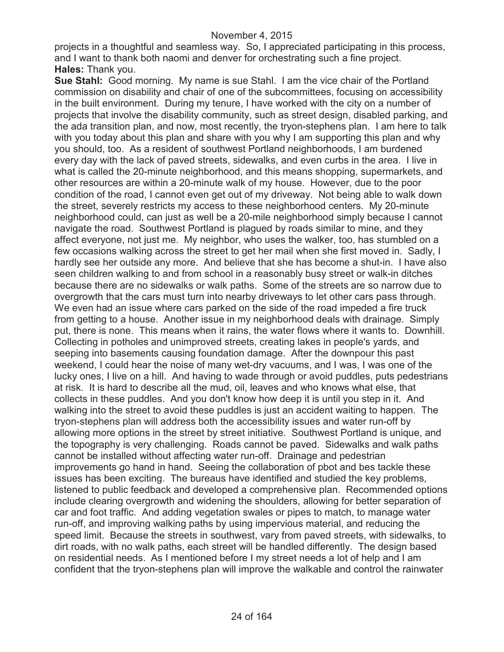projects in a thoughtful and seamless way. So, I appreciated participating in this process, and I want to thank both naomi and denver for orchestrating such a fine project. **Hales:** Thank you.

**Sue Stahl:** Good morning. My name is sue Stahl. I am the vice chair of the Portland commission on disability and chair of one of the subcommittees, focusing on accessibility in the built environment. During my tenure, I have worked with the city on a number of projects that involve the disability community, such as street design, disabled parking, and the ada transition plan, and now, most recently, the tryon-stephens plan. I am here to talk with you today about this plan and share with you why I am supporting this plan and why you should, too. As a resident of southwest Portland neighborhoods, I am burdened every day with the lack of paved streets, sidewalks, and even curbs in the area. I live in what is called the 20-minute neighborhood, and this means shopping, supermarkets, and other resources are within a 20-minute walk of my house. However, due to the poor condition of the road, I cannot even get out of my driveway. Not being able to walk down the street, severely restricts my access to these neighborhood centers. My 20-minute neighborhood could, can just as well be a 20-mile neighborhood simply because I cannot navigate the road. Southwest Portland is plagued by roads similar to mine, and they affect everyone, not just me. My neighbor, who uses the walker, too, has stumbled on a few occasions walking across the street to get her mail when she first moved in. Sadly, I hardly see her outside any more. And believe that she has become a shut-in. I have also seen children walking to and from school in a reasonably busy street or walk-in ditches because there are no sidewalks or walk paths. Some of the streets are so narrow due to overgrowth that the cars must turn into nearby driveways to let other cars pass through. We even had an issue where cars parked on the side of the road impeded a fire truck from getting to a house. Another issue in my neighborhood deals with drainage. Simply put, there is none. This means when it rains, the water flows where it wants to. Downhill. Collecting in potholes and unimproved streets, creating lakes in people's yards, and seeping into basements causing foundation damage. After the downpour this past weekend, I could hear the noise of many wet-dry vacuums, and I was, I was one of the lucky ones, I live on a hill. And having to wade through or avoid puddles, puts pedestrians at risk. It is hard to describe all the mud, oil, leaves and who knows what else, that collects in these puddles. And you don't know how deep it is until you step in it. And walking into the street to avoid these puddles is just an accident waiting to happen. The tryon-stephens plan will address both the accessibility issues and water run-off by allowing more options in the street by street initiative. Southwest Portland is unique, and the topography is very challenging. Roads cannot be paved. Sidewalks and walk paths cannot be installed without affecting water run-off. Drainage and pedestrian improvements go hand in hand. Seeing the collaboration of pbot and bes tackle these issues has been exciting. The bureaus have identified and studied the key problems, listened to public feedback and developed a comprehensive plan. Recommended options include clearing overgrowth and widening the shoulders, allowing for better separation of car and foot traffic. And adding vegetation swales or pipes to match, to manage water run-off, and improving walking paths by using impervious material, and reducing the speed limit. Because the streets in southwest, vary from paved streets, with sidewalks, to dirt roads, with no walk paths, each street will be handled differently. The design based on residential needs. As I mentioned before I my street needs a lot of help and I am confident that the tryon-stephens plan will improve the walkable and control the rainwater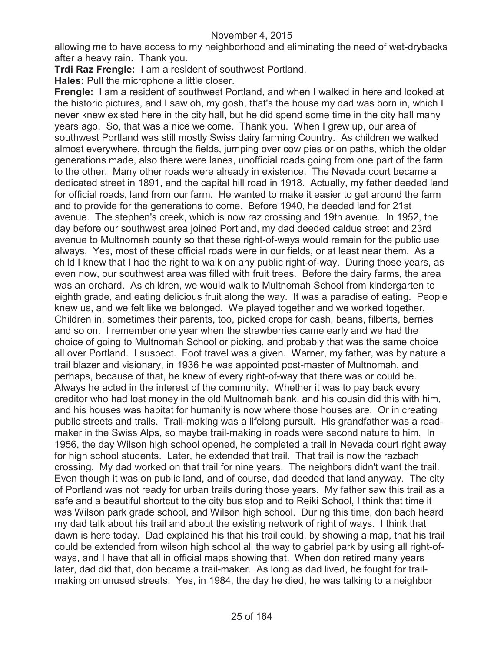allowing me to have access to my neighborhood and eliminating the need of wet-drybacks after a heavy rain. Thank you.

**Trdi Raz Frengle:** I am a resident of southwest Portland.

**Hales:** Pull the microphone a little closer.

**Frengle:** I am a resident of southwest Portland, and when I walked in here and looked at the historic pictures, and I saw oh, my gosh, that's the house my dad was born in, which I never knew existed here in the city hall, but he did spend some time in the city hall many years ago. So, that was a nice welcome. Thank you. When I grew up, our area of southwest Portland was still mostly Swiss dairy farming Country. As children we walked almost everywhere, through the fields, jumping over cow pies or on paths, which the older generations made, also there were lanes, unofficial roads going from one part of the farm to the other. Many other roads were already in existence. The Nevada court became a dedicated street in 1891, and the capital hill road in 1918. Actually, my father deeded land for official roads, land from our farm. He wanted to make it easier to get around the farm and to provide for the generations to come. Before 1940, he deeded land for 21st avenue. The stephen's creek, which is now raz crossing and 19th avenue. In 1952, the day before our southwest area joined Portland, my dad deeded caldue street and 23rd avenue to Multnomah county so that these right-of-ways would remain for the public use always. Yes, most of these official roads were in our fields, or at least near them. As a child I knew that I had the right to walk on any public right-of-way. During those years, as even now, our southwest area was filled with fruit trees. Before the dairy farms, the area was an orchard. As children, we would walk to Multnomah School from kindergarten to eighth grade, and eating delicious fruit along the way. It was a paradise of eating. People knew us, and we felt like we belonged. We played together and we worked together. Children in, sometimes their parents, too, picked crops for cash, beans, filberts, berries and so on. I remember one year when the strawberries came early and we had the choice of going to Multnomah School or picking, and probably that was the same choice all over Portland. I suspect. Foot travel was a given. Warner, my father, was by nature a trail blazer and visionary, in 1936 he was appointed post-master of Multnomah, and perhaps, because of that, he knew of every right-of-way that there was or could be. Always he acted in the interest of the community. Whether it was to pay back every creditor who had lost money in the old Multnomah bank, and his cousin did this with him, and his houses was habitat for humanity is now where those houses are. Or in creating public streets and trails. Trail-making was a lifelong pursuit. His grandfather was a roadmaker in the Swiss Alps, so maybe trail-making in roads were second nature to him. In 1956, the day Wilson high school opened, he completed a trail in Nevada court right away for high school students. Later, he extended that trail. That trail is now the razbach crossing. My dad worked on that trail for nine years. The neighbors didn't want the trail. Even though it was on public land, and of course, dad deeded that land anyway. The city of Portland was not ready for urban trails during those years. My father saw this trail as a safe and a beautiful shortcut to the city bus stop and to Reiki School, I think that time it was Wilson park grade school, and Wilson high school. During this time, don bach heard my dad talk about his trail and about the existing network of right of ways. I think that dawn is here today. Dad explained his that his trail could, by showing a map, that his trail could be extended from wilson high school all the way to gabriel park by using all right-ofways, and I have that all in official maps showing that. When don retired many years later, dad did that, don became a trail-maker. As long as dad lived, he fought for trailmaking on unused streets. Yes, in 1984, the day he died, he was talking to a neighbor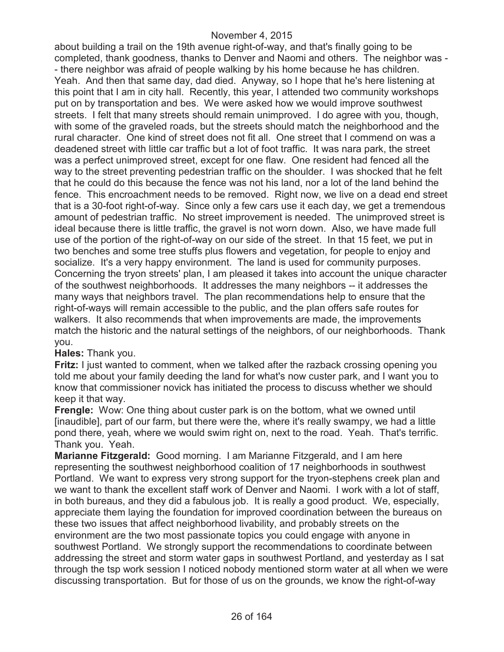about building a trail on the 19th avenue right-of-way, and that's finally going to be completed, thank goodness, thanks to Denver and Naomi and others. The neighbor was - - there neighbor was afraid of people walking by his home because he has children. Yeah. And then that same day, dad died. Anyway, so I hope that he's here listening at this point that I am in city hall. Recently, this year, I attended two community workshops put on by transportation and bes. We were asked how we would improve southwest streets. I felt that many streets should remain unimproved. I do agree with you, though, with some of the graveled roads, but the streets should match the neighborhood and the rural character. One kind of street does not fit all. One street that I commend on was a deadened street with little car traffic but a lot of foot traffic. It was nara park, the street was a perfect unimproved street, except for one flaw. One resident had fenced all the way to the street preventing pedestrian traffic on the shoulder. I was shocked that he felt that he could do this because the fence was not his land, nor a lot of the land behind the fence. This encroachment needs to be removed. Right now, we live on a dead end street that is a 30-foot right-of-way. Since only a few cars use it each day, we get a tremendous amount of pedestrian traffic. No street improvement is needed. The unimproved street is ideal because there is little traffic, the gravel is not worn down. Also, we have made full use of the portion of the right-of-way on our side of the street. In that 15 feet, we put in two benches and some tree stuffs plus flowers and vegetation, for people to enjoy and socialize. It's a very happy environment. The land is used for community purposes. Concerning the tryon streets' plan, I am pleased it takes into account the unique character of the southwest neighborhoods. It addresses the many neighbors -- it addresses the many ways that neighbors travel. The plan recommendations help to ensure that the right-of-ways will remain accessible to the public, and the plan offers safe routes for walkers. It also recommends that when improvements are made, the improvements match the historic and the natural settings of the neighbors, of our neighborhoods. Thank you.

### **Hales:** Thank you.

**Fritz:** I just wanted to comment, when we talked after the razback crossing opening you told me about your family deeding the land for what's now custer park, and I want you to know that commissioner novick has initiated the process to discuss whether we should keep it that way.

**Frengle:** Wow: One thing about custer park is on the bottom, what we owned until [inaudible], part of our farm, but there were the, where it's really swampy, we had a little pond there, yeah, where we would swim right on, next to the road. Yeah. That's terrific. Thank you. Yeah.

**Marianne Fitzgerald:** Good morning. I am Marianne Fitzgerald, and I am here representing the southwest neighborhood coalition of 17 neighborhoods in southwest Portland. We want to express very strong support for the tryon-stephens creek plan and we want to thank the excellent staff work of Denver and Naomi. I work with a lot of staff, in both bureaus, and they did a fabulous job. It is really a good product. We, especially, appreciate them laying the foundation for improved coordination between the bureaus on these two issues that affect neighborhood livability, and probably streets on the environment are the two most passionate topics you could engage with anyone in southwest Portland. We strongly support the recommendations to coordinate between addressing the street and storm water gaps in southwest Portland, and yesterday as I sat through the tsp work session I noticed nobody mentioned storm water at all when we were discussing transportation. But for those of us on the grounds, we know the right-of-way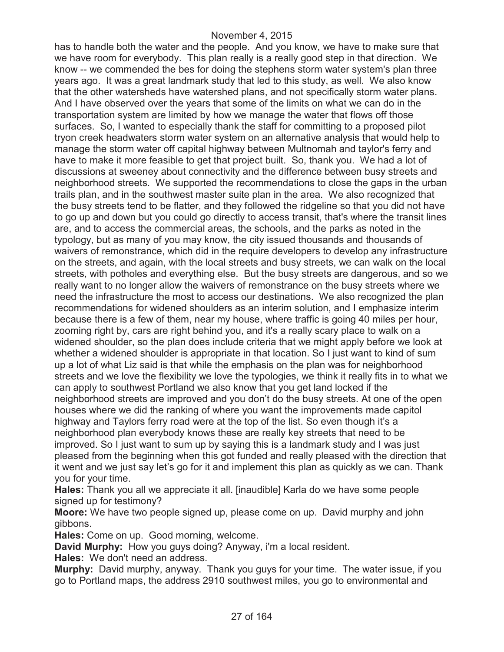has to handle both the water and the people. And you know, we have to make sure that we have room for everybody. This plan really is a really good step in that direction. We know -- we commended the bes for doing the stephens storm water system's plan three years ago. It was a great landmark study that led to this study, as well. We also know that the other watersheds have watershed plans, and not specifically storm water plans. And I have observed over the years that some of the limits on what we can do in the transportation system are limited by how we manage the water that flows off those surfaces. So, I wanted to especially thank the staff for committing to a proposed pilot tryon creek headwaters storm water system on an alternative analysis that would help to manage the storm water off capital highway between Multnomah and taylor's ferry and have to make it more feasible to get that project built. So, thank you. We had a lot of discussions at sweeney about connectivity and the difference between busy streets and neighborhood streets. We supported the recommendations to close the gaps in the urban trails plan, and in the southwest master suite plan in the area. We also recognized that the busy streets tend to be flatter, and they followed the ridgeline so that you did not have to go up and down but you could go directly to access transit, that's where the transit lines are, and to access the commercial areas, the schools, and the parks as noted in the typology, but as many of you may know, the city issued thousands and thousands of waivers of remonstrance, which did in the require developers to develop any infrastructure on the streets, and again, with the local streets and busy streets, we can walk on the local streets, with potholes and everything else. But the busy streets are dangerous, and so we really want to no longer allow the waivers of remonstrance on the busy streets where we need the infrastructure the most to access our destinations. We also recognized the plan recommendations for widened shoulders as an interim solution, and I emphasize interim because there is a few of them, near my house, where traffic is going 40 miles per hour, zooming right by, cars are right behind you, and it's a really scary place to walk on a widened shoulder, so the plan does include criteria that we might apply before we look at whether a widened shoulder is appropriate in that location. So I just want to kind of sum up a lot of what Liz said is that while the emphasis on the plan was for neighborhood streets and we love the flexibility we love the typologies, we think it really fits in to what we can apply to southwest Portland we also know that you get land locked if the neighborhood streets are improved and you don't do the busy streets. At one of the open houses where we did the ranking of where you want the improvements made capitol highway and Taylors ferry road were at the top of the list. So even though it's a neighborhood plan everybody knows these are really key streets that need to be improved. So I just want to sum up by saying this is a landmark study and I was just pleased from the beginning when this got funded and really pleased with the direction that it went and we just say let's go for it and implement this plan as quickly as we can. Thank you for your time.

**Hales:** Thank you all we appreciate it all. [inaudible] Karla do we have some people signed up for testimony?

**Moore:** We have two people signed up, please come on up. David murphy and john gibbons.

**Hales:** Come on up. Good morning, welcome.

**David Murphy:** How you guys doing? Anyway, i'm a local resident.

**Hales:** We don't need an address.

**Murphy:** David murphy, anyway. Thank you guys for your time. The water issue, if you go to Portland maps, the address 2910 southwest miles, you go to environmental and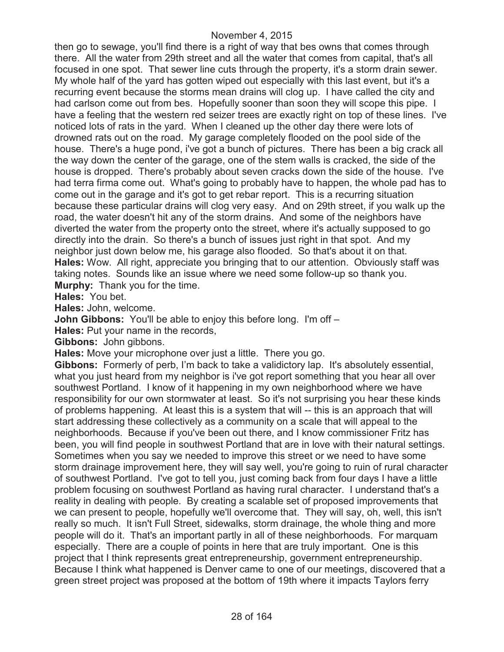then go to sewage, you'll find there is a right of way that bes owns that comes through there. All the water from 29th street and all the water that comes from capital, that's all focused in one spot. That sewer line cuts through the property, it's a storm drain sewer. My whole half of the yard has gotten wiped out especially with this last event, but it's a recurring event because the storms mean drains will clog up. I have called the city and had carlson come out from bes. Hopefully sooner than soon they will scope this pipe. I have a feeling that the western red seizer trees are exactly right on top of these lines. I've noticed lots of rats in the yard. When I cleaned up the other day there were lots of drowned rats out on the road. My garage completely flooded on the pool side of the house. There's a huge pond, i've got a bunch of pictures. There has been a big crack all the way down the center of the garage, one of the stem walls is cracked, the side of the house is dropped. There's probably about seven cracks down the side of the house. I've had terra firma come out. What's going to probably have to happen, the whole pad has to come out in the garage and it's got to get rebar report. This is a recurring situation because these particular drains will clog very easy. And on 29th street, if you walk up the road, the water doesn't hit any of the storm drains. And some of the neighbors have diverted the water from the property onto the street, where it's actually supposed to go directly into the drain. So there's a bunch of issues just right in that spot. And my neighbor just down below me, his garage also flooded. So that's about it on that. **Hales:** Wow. All right, appreciate you bringing that to our attention. Obviously staff was taking notes. Sounds like an issue where we need some follow-up so thank you. **Murphy:** Thank you for the time.

**Hales:** You bet.

**Hales:** John, welcome.

**John Gibbons:** You'll be able to enjoy this before long. I'm off –

**Hales:** Put your name in the records,

**Gibbons:** John gibbons.

**Hales:** Move your microphone over just a little. There you go.

**Gibbons:** Formerly of perb, I'm back to take a validictory lap. It's absolutely essential, what you just heard from my neighbor is i've got report something that you hear all over southwest Portland. I know of it happening in my own neighborhood where we have responsibility for our own stormwater at least. So it's not surprising you hear these kinds of problems happening. At least this is a system that will -- this is an approach that will start addressing these collectively as a community on a scale that will appeal to the neighborhoods. Because if you've been out there, and I know commissioner Fritz has been, you will find people in southwest Portland that are in love with their natural settings. Sometimes when you say we needed to improve this street or we need to have some storm drainage improvement here, they will say well, you're going to ruin of rural character of southwest Portland. I've got to tell you, just coming back from four days I have a little problem focusing on southwest Portland as having rural character. I understand that's a reality in dealing with people. By creating a scalable set of proposed improvements that we can present to people, hopefully we'll overcome that. They will say, oh, well, this isn't really so much. It isn't Full Street, sidewalks, storm drainage, the whole thing and more people will do it. That's an important partly in all of these neighborhoods. For marquam especially. There are a couple of points in here that are truly important. One is this project that I think represents great entrepreneurship, government entrepreneurship. Because I think what happened is Denver came to one of our meetings, discovered that a green street project was proposed at the bottom of 19th where it impacts Taylors ferry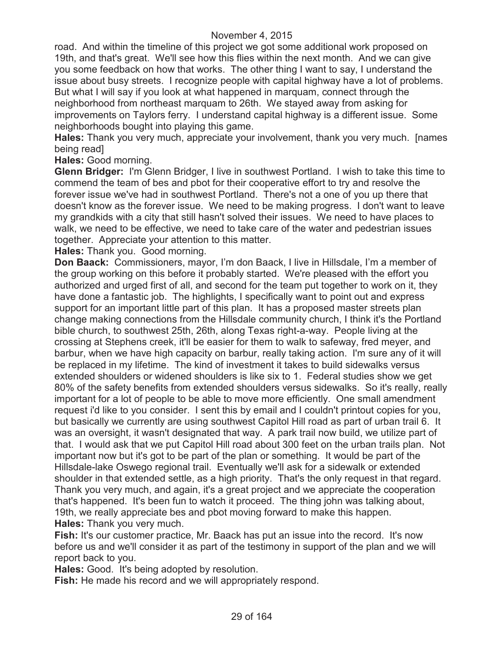road. And within the timeline of this project we got some additional work proposed on 19th, and that's great. We'll see how this flies within the next month. And we can give you some feedback on how that works. The other thing I want to say, I understand the issue about busy streets. I recognize people with capital highway have a lot of problems. But what I will say if you look at what happened in marquam, connect through the neighborhood from northeast marquam to 26th. We stayed away from asking for improvements on Taylors ferry. I understand capital highway is a different issue. Some neighborhoods bought into playing this game.

**Hales:** Thank you very much, appreciate your involvement, thank you very much. [names being read]

**Hales:** Good morning.

**Glenn Bridger:** I'm Glenn Bridger, I live in southwest Portland. I wish to take this time to commend the team of bes and pbot for their cooperative effort to try and resolve the forever issue we've had in southwest Portland. There's not a one of you up there that doesn't know as the forever issue. We need to be making progress. I don't want to leave my grandkids with a city that still hasn't solved their issues. We need to have places to walk, we need to be effective, we need to take care of the water and pedestrian issues together. Appreciate your attention to this matter.

**Hales:** Thank you. Good morning.

**Don Baack:** Commissioners, mayor, I'm don Baack, I live in Hillsdale, I'm a member of the group working on this before it probably started. We're pleased with the effort you authorized and urged first of all, and second for the team put together to work on it, they have done a fantastic job. The highlights, I specifically want to point out and express support for an important little part of this plan. It has a proposed master streets plan change making connections from the Hillsdale community church, I think it's the Portland bible church, to southwest 25th, 26th, along Texas right-a-way. People living at the crossing at Stephens creek, it'll be easier for them to walk to safeway, fred meyer, and barbur, when we have high capacity on barbur, really taking action. I'm sure any of it will be replaced in my lifetime. The kind of investment it takes to build sidewalks versus extended shoulders or widened shoulders is like six to 1. Federal studies show we get 80% of the safety benefits from extended shoulders versus sidewalks. So it's really, really important for a lot of people to be able to move more efficiently. One small amendment request i'd like to you consider. I sent this by email and I couldn't printout copies for you, but basically we currently are using southwest Capitol Hill road as part of urban trail 6. It was an oversight, it wasn't designated that way. A park trail now build, we utilize part of that. I would ask that we put Capitol Hill road about 300 feet on the urban trails plan. Not important now but it's got to be part of the plan or something. It would be part of the Hillsdale-lake Oswego regional trail. Eventually we'll ask for a sidewalk or extended shoulder in that extended settle, as a high priority. That's the only request in that regard. Thank you very much, and again, it's a great project and we appreciate the cooperation that's happened. It's been fun to watch it proceed. The thing john was talking about, 19th, we really appreciate bes and pbot moving forward to make this happen. **Hales:** Thank you very much.

**Fish:** It's our customer practice, Mr. Baack has put an issue into the record. It's now before us and we'll consider it as part of the testimony in support of the plan and we will report back to you.

**Hales:** Good. It's being adopted by resolution.

**Fish:** He made his record and we will appropriately respond.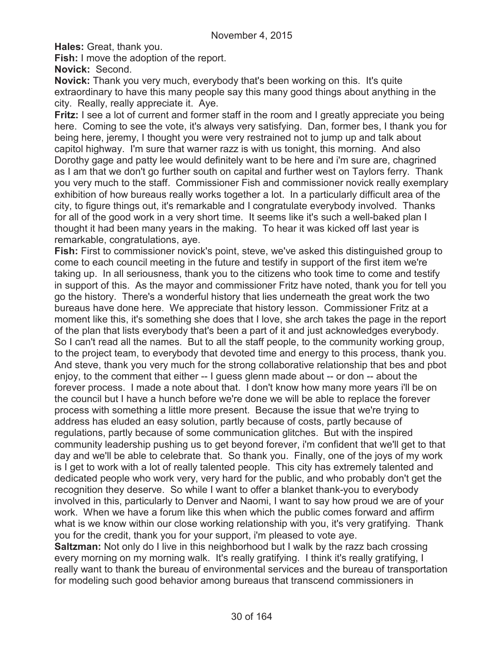**Hales:** Great, thank you.

**Fish:** I move the adoption of the report.

**Novick:** Second.

**Novick:** Thank you very much, everybody that's been working on this. It's quite extraordinary to have this many people say this many good things about anything in the city. Really, really appreciate it. Aye.

**Fritz:** I see a lot of current and former staff in the room and I greatly appreciate you being here. Coming to see the vote, it's always very satisfying. Dan, former bes, I thank you for being here, jeremy, I thought you were very restrained not to jump up and talk about capitol highway. I'm sure that warner razz is with us tonight, this morning. And also Dorothy gage and patty lee would definitely want to be here and i'm sure are, chagrined as I am that we don't go further south on capital and further west on Taylors ferry. Thank you very much to the staff. Commissioner Fish and commissioner novick really exemplary exhibition of how bureaus really works together a lot. In a particularly difficult area of the city, to figure things out, it's remarkable and I congratulate everybody involved. Thanks for all of the good work in a very short time. It seems like it's such a well-baked plan I thought it had been many years in the making. To hear it was kicked off last year is remarkable, congratulations, aye.

**Fish:** First to commissioner novick's point, steve, we've asked this distinguished group to come to each council meeting in the future and testify in support of the first item we're taking up. In all seriousness, thank you to the citizens who took time to come and testify in support of this. As the mayor and commissioner Fritz have noted, thank you for tell you go the history. There's a wonderful history that lies underneath the great work the two bureaus have done here. We appreciate that history lesson. Commissioner Fritz at a moment like this, it's something she does that I love, she arch takes the page in the report of the plan that lists everybody that's been a part of it and just acknowledges everybody. So I can't read all the names. But to all the staff people, to the community working group, to the project team, to everybody that devoted time and energy to this process, thank you. And steve, thank you very much for the strong collaborative relationship that bes and pbot enjoy, to the comment that either -- I guess glenn made about -- or don -- about the forever process. I made a note about that. I don't know how many more years i'll be on the council but I have a hunch before we're done we will be able to replace the forever process with something a little more present. Because the issue that we're trying to address has eluded an easy solution, partly because of costs, partly because of regulations, partly because of some communication glitches. But with the inspired community leadership pushing us to get beyond forever, i'm confident that we'll get to that day and we'll be able to celebrate that. So thank you. Finally, one of the joys of my work is I get to work with a lot of really talented people. This city has extremely talented and dedicated people who work very, very hard for the public, and who probably don't get the recognition they deserve. So while I want to offer a blanket thank-you to everybody involved in this, particularly to Denver and Naomi, I want to say how proud we are of your work. When we have a forum like this when which the public comes forward and affirm what is we know within our close working relationship with you, it's very gratifying. Thank you for the credit, thank you for your support, i'm pleased to vote aye.

**Saltzman:** Not only do I live in this neighborhood but I walk by the razz bach crossing every morning on my morning walk. It's really gratifying. I think it's really gratifying, I really want to thank the bureau of environmental services and the bureau of transportation for modeling such good behavior among bureaus that transcend commissioners in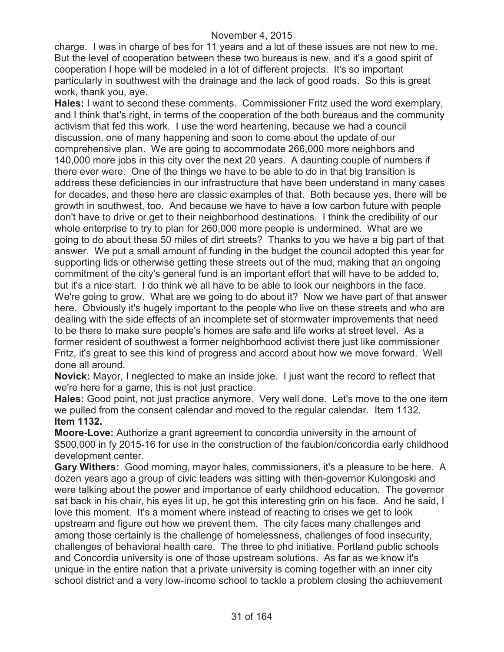charge. I was in charge of bes for 11 years and a lot of these issues are not new to me. But the level of cooperation between these two bureaus is new, and it's a good spirit of cooperation I hope will be modeled in a lot of different projects. It's so important particularly in southwest with the drainage and the lack of good roads. So this is great work, thank you, aye.

**Hales:** I want to second these comments. Commissioner Fritz used the word exemplary, and I think that's right, in terms of the cooperation of the both bureaus and the community activism that fed this work. I use the word heartening, because we had a council discussion, one of many happening and soon to come about the update of our comprehensive plan. We are going to accommodate 266,000 more neighbors and 140,000 more jobs in this city over the next 20 years. A daunting couple of numbers if there ever were. One of the things we have to be able to do in that big transition is address these deficiencies in our infrastructure that have been understand in many cases for decades, and these here are classic examples of that. Both because yes, there will be growth in southwest, too. And because we have to have a low carbon future with people don't have to drive or get to their neighborhood destinations. I think the credibility of our whole enterprise to try to plan for 260,000 more people is undermined. What are we going to do about these 50 miles of dirt streets? Thanks to you we have a big part of that answer. We put a small amount of funding in the budget the council adopted this year for supporting lids or otherwise getting these streets out of the mud, making that an ongoing commitment of the city's general fund is an important effort that will have to be added to, but it's a nice start. I do think we all have to be able to look our neighbors in the face. We're going to grow. What are we going to do about it? Now we have part of that answer here. Obviously it's hugely important to the people who live on these streets and who are dealing with the side effects of an incomplete set of stormwater improvements that need to be there to make sure people's homes are safe and life works at street level. As a former resident of southwest a former neighborhood activist there just like commissioner Fritz, it's great to see this kind of progress and accord about how we move forward. Well done all around.

**Novick:** Mayor, I neglected to make an inside joke. I just want the record to reflect that we're here for a game, this is not just practice.

**Hales:** Good point, not just practice anymore. Very well done. Let's move to the one item we pulled from the consent calendar and moved to the regular calendar. Item 1132. **Item 1132.**

**Moore-Love:** Authorize a grant agreement to concordia university in the amount of \$500,000 in fy 2015-16 for use in the construction of the faubion/concordia early childhood development center.

**Gary Withers:** Good morning, mayor hales, commissioners, it's a pleasure to be here. A dozen years ago a group of civic leaders was sitting with then-governor Kulongoski and were talking about the power and importance of early childhood education. The governor sat back in his chair, his eyes lit up, he got this interesting grin on his face. And he said, I love this moment. It's a moment where instead of reacting to crises we get to look upstream and figure out how we prevent them. The city faces many challenges and among those certainly is the challenge of homelessness, challenges of food insecurity, challenges of behavioral health care. The three to phd initiative, Portland public schools and Concordia university is one of those upstream solutions. As far as we know it's unique in the entire nation that a private university is coming together with an inner city school district and a very low-income school to tackle a problem closing the achievement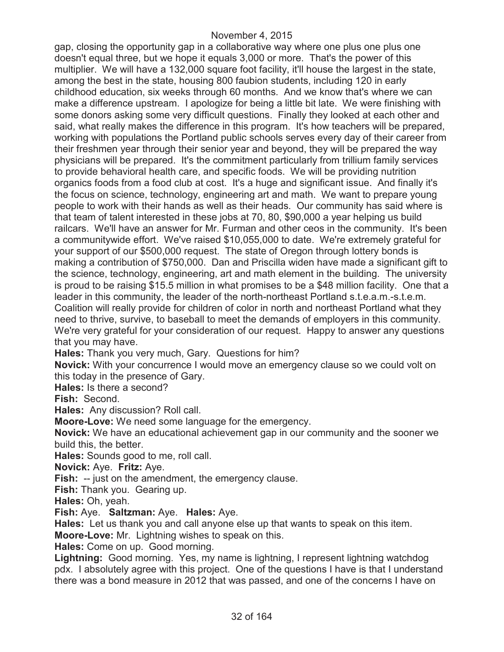gap, closing the opportunity gap in a collaborative way where one plus one plus one doesn't equal three, but we hope it equals 3,000 or more. That's the power of this multiplier. We will have a 132,000 square foot facility, it'll house the largest in the state, among the best in the state, housing 800 faubion students, including 120 in early childhood education, six weeks through 60 months. And we know that's where we can make a difference upstream. I apologize for being a little bit late. We were finishing with some donors asking some very difficult questions. Finally they looked at each other and said, what really makes the difference in this program. It's how teachers will be prepared, working with populations the Portland public schools serves every day of their career from their freshmen year through their senior year and beyond, they will be prepared the way physicians will be prepared. It's the commitment particularly from trillium family services to provide behavioral health care, and specific foods. We will be providing nutrition organics foods from a food club at cost. It's a huge and significant issue. And finally it's the focus on science, technology, engineering art and math. We want to prepare young people to work with their hands as well as their heads. Our community has said where is that team of talent interested in these jobs at 70, 80, \$90,000 a year helping us build railcars. We'll have an answer for Mr. Furman and other ceos in the community. It's been a communitywide effort. We've raised \$10,055,000 to date. We're extremely grateful for your support of our \$500,000 request. The state of Oregon through lottery bonds is making a contribution of \$750,000. Dan and Priscilla widen have made a significant gift to the science, technology, engineering, art and math element in the building. The university is proud to be raising \$15.5 million in what promises to be a \$48 million facility. One that a leader in this community, the leader of the north-northeast Portland s.t.e.a.m.-s.t.e.m. Coalition will really provide for children of color in north and northeast Portland what they need to thrive, survive, to baseball to meet the demands of employers in this community. We're very grateful for your consideration of our request. Happy to answer any questions that you may have.

**Hales:** Thank you very much, Gary. Questions for him?

**Novick:** With your concurrence I would move an emergency clause so we could volt on this today in the presence of Gary.

**Hales:** Is there a second?

**Fish:** Second.

**Hales:** Any discussion? Roll call.

**Moore-Love:** We need some language for the emergency.

**Novick:** We have an educational achievement gap in our community and the sooner we build this, the better.

**Hales:** Sounds good to me, roll call.

**Novick:** Aye. **Fritz:** Aye.

**Fish:** -- just on the amendment, the emergency clause.

**Fish:** Thank you. Gearing up.

**Hales:** Oh, yeah.

**Fish:** Aye. **Saltzman:** Aye. **Hales:** Aye.

**Hales:** Let us thank you and call anyone else up that wants to speak on this item.

**Moore-Love:** Mr. Lightning wishes to speak on this.

**Hales:** Come on up. Good morning.

**Lightning:** Good morning. Yes, my name is lightning, I represent lightning watchdog pdx. I absolutely agree with this project. One of the questions I have is that I understand there was a bond measure in 2012 that was passed, and one of the concerns I have on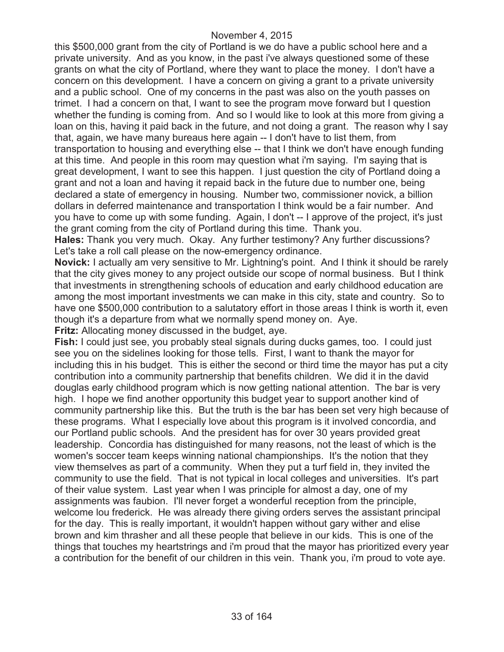this \$500,000 grant from the city of Portland is we do have a public school here and a private university. And as you know, in the past i've always questioned some of these grants on what the city of Portland, where they want to place the money. I don't have a concern on this development. I have a concern on giving a grant to a private university and a public school. One of my concerns in the past was also on the youth passes on trimet. I had a concern on that, I want to see the program move forward but I question whether the funding is coming from. And so I would like to look at this more from giving a loan on this, having it paid back in the future, and not doing a grant. The reason why I say that, again, we have many bureaus here again -- I don't have to list them, from transportation to housing and everything else -- that I think we don't have enough funding at this time. And people in this room may question what i'm saying. I'm saying that is great development, I want to see this happen. I just question the city of Portland doing a grant and not a loan and having it repaid back in the future due to number one, being declared a state of emergency in housing. Number two, commissioner novick, a billion dollars in deferred maintenance and transportation I think would be a fair number. And you have to come up with some funding. Again, I don't -- I approve of the project, it's just the grant coming from the city of Portland during this time. Thank you.

**Hales:** Thank you very much. Okay. Any further testimony? Any further discussions? Let's take a roll call please on the now-emergency ordinance.

**Novick:** I actually am very sensitive to Mr. Lightning's point. And I think it should be rarely that the city gives money to any project outside our scope of normal business. But I think that investments in strengthening schools of education and early childhood education are among the most important investments we can make in this city, state and country. So to have one \$500,000 contribution to a salutatory effort in those areas I think is worth it, even though it's a departure from what we normally spend money on. Aye.

**Fritz:** Allocating money discussed in the budget, aye.

**Fish:** I could just see, you probably steal signals during ducks games, too. I could just see you on the sidelines looking for those tells. First, I want to thank the mayor for including this in his budget. This is either the second or third time the mayor has put a city contribution into a community partnership that benefits children. We did it in the david douglas early childhood program which is now getting national attention. The bar is very high. I hope we find another opportunity this budget year to support another kind of community partnership like this. But the truth is the bar has been set very high because of these programs. What I especially love about this program is it involved concordia, and our Portland public schools. And the president has for over 30 years provided great leadership. Concordia has distinguished for many reasons, not the least of which is the women's soccer team keeps winning national championships. It's the notion that they view themselves as part of a community. When they put a turf field in, they invited the community to use the field. That is not typical in local colleges and universities. It's part of their value system. Last year when I was principle for almost a day, one of my assignments was faubion. I'll never forget a wonderful reception from the principle, welcome lou frederick. He was already there giving orders serves the assistant principal for the day. This is really important, it wouldn't happen without gary wither and elise brown and kim thrasher and all these people that believe in our kids. This is one of the things that touches my heartstrings and i'm proud that the mayor has prioritized every year a contribution for the benefit of our children in this vein. Thank you, i'm proud to vote aye.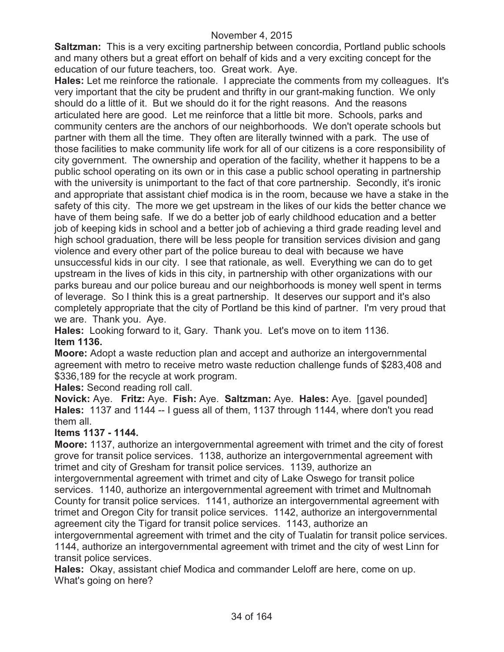**Saltzman:** This is a very exciting partnership between concordia, Portland public schools and many others but a great effort on behalf of kids and a very exciting concept for the education of our future teachers, too. Great work. Aye.

**Hales:** Let me reinforce the rationale. I appreciate the comments from my colleagues. It's very important that the city be prudent and thrifty in our grant-making function. We only should do a little of it. But we should do it for the right reasons. And the reasons articulated here are good. Let me reinforce that a little bit more. Schools, parks and community centers are the anchors of our neighborhoods. We don't operate schools but partner with them all the time. They often are literally twinned with a park. The use of those facilities to make community life work for all of our citizens is a core responsibility of city government. The ownership and operation of the facility, whether it happens to be a public school operating on its own or in this case a public school operating in partnership with the university is unimportant to the fact of that core partnership. Secondly, it's ironic and appropriate that assistant chief modica is in the room, because we have a stake in the safety of this city. The more we get upstream in the likes of our kids the better chance we have of them being safe. If we do a better job of early childhood education and a better job of keeping kids in school and a better job of achieving a third grade reading level and high school graduation, there will be less people for transition services division and gang violence and every other part of the police bureau to deal with because we have unsuccessful kids in our city. I see that rationale, as well. Everything we can do to get upstream in the lives of kids in this city, in partnership with other organizations with our parks bureau and our police bureau and our neighborhoods is money well spent in terms of leverage. So I think this is a great partnership. It deserves our support and it's also completely appropriate that the city of Portland be this kind of partner. I'm very proud that we are. Thank you. Aye.

**Hales:** Looking forward to it, Gary. Thank you. Let's move on to item 1136. **Item 1136.**

**Moore:** Adopt a waste reduction plan and accept and authorize an intergovernmental agreement with metro to receive metro waste reduction challenge funds of \$283,408 and \$336,189 for the recycle at work program.

**Hales:** Second reading roll call.

**Novick:** Aye. **Fritz:** Aye. **Fish:** Aye. **Saltzman:** Aye. **Hales:** Aye. [gavel pounded] **Hales:** 1137 and 1144 -- I guess all of them, 1137 through 1144, where don't you read them all.

# **Items 1137 - 1144.**

**Moore:** 1137, authorize an intergovernmental agreement with trimet and the city of forest grove for transit police services. 1138, authorize an intergovernmental agreement with trimet and city of Gresham for transit police services. 1139, authorize an intergovernmental agreement with trimet and city of Lake Oswego for transit police services. 1140, authorize an intergovernmental agreement with trimet and Multnomah County for transit police services. 1141, authorize an intergovernmental agreement with trimet and Oregon City for transit police services. 1142, authorize an intergovernmental agreement city the Tigard for transit police services. 1143, authorize an

intergovernmental agreement with trimet and the city of Tualatin for transit police services. 1144, authorize an intergovernmental agreement with trimet and the city of west Linn for transit police services.

**Hales:** Okay, assistant chief Modica and commander Leloff are here, come on up. What's going on here?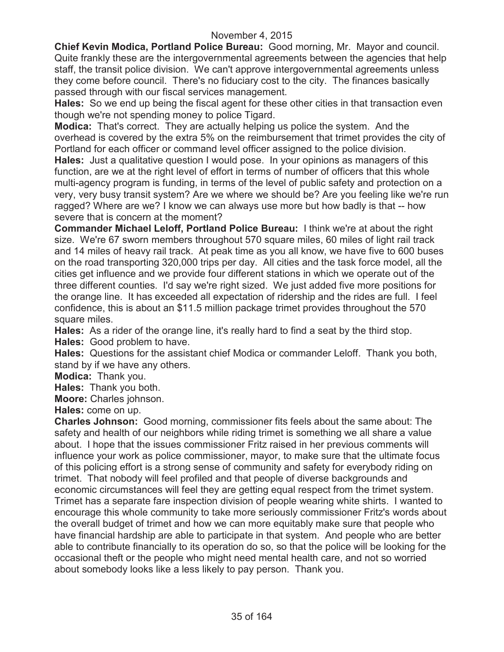**Chief Kevin Modica, Portland Police Bureau:** Good morning, Mr. Mayor and council. Quite frankly these are the intergovernmental agreements between the agencies that help staff, the transit police division. We can't approve intergovernmental agreements unless they come before council. There's no fiduciary cost to the city. The finances basically passed through with our fiscal services management.

**Hales:** So we end up being the fiscal agent for these other cities in that transaction even though we're not spending money to police Tigard.

**Modica:** That's correct. They are actually helping us police the system. And the overhead is covered by the extra 5% on the reimbursement that trimet provides the city of Portland for each officer or command level officer assigned to the police division.

**Hales:** Just a qualitative question I would pose. In your opinions as managers of this function, are we at the right level of effort in terms of number of officers that this whole multi-agency program is funding, in terms of the level of public safety and protection on a very, very busy transit system? Are we where we should be? Are you feeling like we're run ragged? Where are we? I know we can always use more but how badly is that -- how severe that is concern at the moment?

**Commander Michael Leloff, Portland Police Bureau:** I think we're at about the right size. We're 67 sworn members throughout 570 square miles, 60 miles of light rail track and 14 miles of heavy rail track. At peak time as you all know, we have five to 600 buses on the road transporting 320,000 trips per day. All cities and the task force model, all the cities get influence and we provide four different stations in which we operate out of the three different counties. I'd say we're right sized. We just added five more positions for the orange line. It has exceeded all expectation of ridership and the rides are full. I feel confidence, this is about an \$11.5 million package trimet provides throughout the 570 square miles.

**Hales:** As a rider of the orange line, it's really hard to find a seat by the third stop.

**Hales:** Good problem to have.

**Hales:** Questions for the assistant chief Modica or commander Leloff. Thank you both, stand by if we have any others.

**Modica:** Thank you.

**Hales:** Thank you both.

**Moore:** Charles johnson.

**Hales:** come on up.

**Charles Johnson:** Good morning, commissioner fits feels about the same about: The safety and health of our neighbors while riding trimet is something we all share a value about. I hope that the issues commissioner Fritz raised in her previous comments will influence your work as police commissioner, mayor, to make sure that the ultimate focus of this policing effort is a strong sense of community and safety for everybody riding on trimet. That nobody will feel profiled and that people of diverse backgrounds and economic circumstances will feel they are getting equal respect from the trimet system. Trimet has a separate fare inspection division of people wearing white shirts. I wanted to encourage this whole community to take more seriously commissioner Fritz's words about the overall budget of trimet and how we can more equitably make sure that people who have financial hardship are able to participate in that system. And people who are better able to contribute financially to its operation do so, so that the police will be looking for the occasional theft or the people who might need mental health care, and not so worried about somebody looks like a less likely to pay person. Thank you.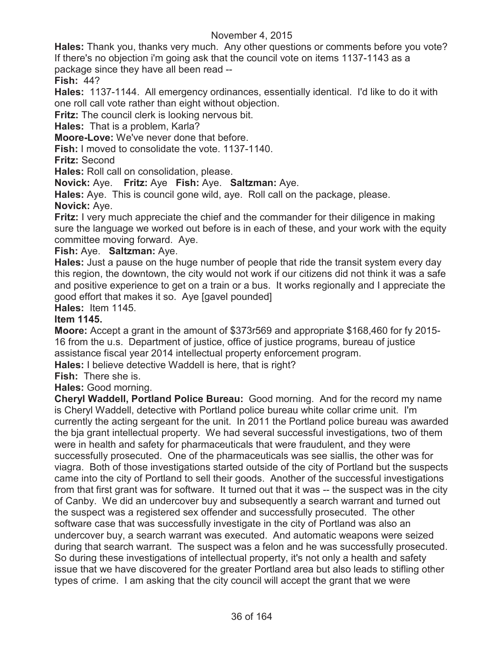**Hales:** Thank you, thanks very much. Any other questions or comments before you vote? If there's no objection i'm going ask that the council vote on items 1137-1143 as a package since they have all been read --

**Fish:** 44?

**Hales:** 1137-1144. All emergency ordinances, essentially identical. I'd like to do it with one roll call vote rather than eight without objection.

**Fritz:** The council clerk is looking nervous bit.

**Hales:** That is a problem, Karla?

**Moore-Love:** We've never done that before.

**Fish:** I moved to consolidate the vote. 1137-1140.

**Fritz:** Second

**Hales:** Roll call on consolidation, please.

**Novick:** Aye. **Fritz:** Aye **Fish:** Aye. **Saltzman:** Aye.

**Hales:** Aye. This is council gone wild, aye. Roll call on the package, please. **Novick:** Aye.

**Fritz:** I very much appreciate the chief and the commander for their diligence in making sure the language we worked out before is in each of these, and your work with the equity committee moving forward. Aye.

# **Fish:** Aye. **Saltzman:** Aye.

**Hales:** Just a pause on the huge number of people that ride the transit system every day this region, the downtown, the city would not work if our citizens did not think it was a safe and positive experience to get on a train or a bus. It works regionally and I appreciate the good effort that makes it so. Aye [gavel pounded]

**Hales:** Item 1145.

# **Item 1145.**

**Moore:** Accept a grant in the amount of \$373r569 and appropriate \$168,460 for fy 2015- 16 from the u.s. Department of justice, office of justice programs, bureau of justice assistance fiscal year 2014 intellectual property enforcement program.

**Hales:** I believe detective Waddell is here, that is right?

**Fish:** There she is.

**Hales:** Good morning.

**Cheryl Waddell, Portland Police Bureau:** Good morning. And for the record my name is Cheryl Waddell, detective with Portland police bureau white collar crime unit. I'm currently the acting sergeant for the unit. In 2011 the Portland police bureau was awarded the bja grant intellectual property. We had several successful investigations, two of them were in health and safety for pharmaceuticals that were fraudulent, and they were successfully prosecuted. One of the pharmaceuticals was see siallis, the other was for viagra. Both of those investigations started outside of the city of Portland but the suspects came into the city of Portland to sell their goods. Another of the successful investigations from that first grant was for software. It turned out that it was -- the suspect was in the city of Canby. We did an undercover buy and subsequently a search warrant and turned out the suspect was a registered sex offender and successfully prosecuted. The other software case that was successfully investigate in the city of Portland was also an undercover buy, a search warrant was executed. And automatic weapons were seized during that search warrant. The suspect was a felon and he was successfully prosecuted. So during these investigations of intellectual property, it's not only a health and safety issue that we have discovered for the greater Portland area but also leads to stifling other types of crime. I am asking that the city council will accept the grant that we were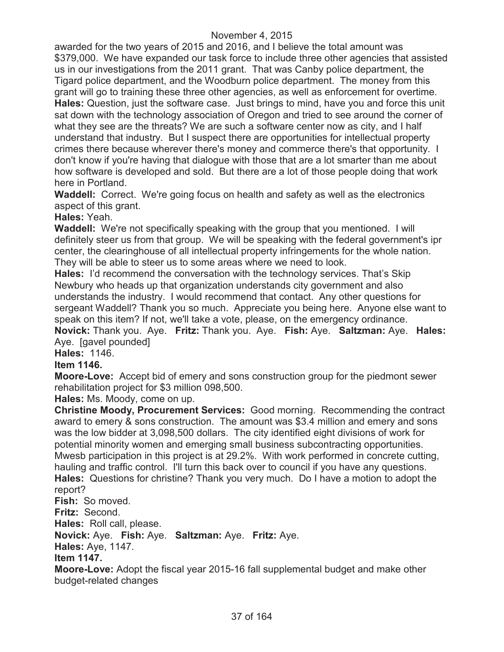awarded for the two years of 2015 and 2016, and I believe the total amount was \$379,000. We have expanded our task force to include three other agencies that assisted us in our investigations from the 2011 grant. That was Canby police department, the Tigard police department, and the Woodburn police department. The money from this grant will go to training these three other agencies, as well as enforcement for overtime. **Hales:** Question, just the software case. Just brings to mind, have you and force this unit sat down with the technology association of Oregon and tried to see around the corner of what they see are the threats? We are such a software center now as city, and I half understand that industry. But I suspect there are opportunities for intellectual property crimes there because wherever there's money and commerce there's that opportunity. I don't know if you're having that dialogue with those that are a lot smarter than me about how software is developed and sold. But there are a lot of those people doing that work here in Portland.

**Waddell:** Correct. We're going focus on health and safety as well as the electronics aspect of this grant.

### **Hales:** Yeah.

**Waddell:** We're not specifically speaking with the group that you mentioned. I will definitely steer us from that group. We will be speaking with the federal government's ipr center, the clearinghouse of all intellectual property infringements for the whole nation. They will be able to steer us to some areas where we need to look.

**Hales:** I'd recommend the conversation with the technology services. That's Skip Newbury who heads up that organization understands city government and also understands the industry. I would recommend that contact. Any other questions for sergeant Waddell? Thank you so much. Appreciate you being here. Anyone else want to speak on this item? If not, we'll take a vote, please, on the emergency ordinance. **Novick:** Thank you. Aye. **Fritz:** Thank you. Aye. **Fish:** Aye. **Saltzman:** Aye. **Hales:**

Aye. [gavel pounded]

**Hales:** 1146.

### **Item 1146.**

**Moore-Love:** Accept bid of emery and sons construction group for the piedmont sewer rehabilitation project for \$3 million 098,500.

**Hales:** Ms. Moody, come on up.

**Christine Moody, Procurement Services:** Good morning. Recommending the contract award to emery & sons construction. The amount was \$3.4 million and emery and sons was the low bidder at 3,098,500 dollars. The city identified eight divisions of work for potential minority women and emerging small business subcontracting opportunities. Mwesb participation in this project is at 29.2%. With work performed in concrete cutting, hauling and traffic control. I'll turn this back over to council if you have any questions. **Hales:** Questions for christine? Thank you very much. Do I have a motion to adopt the report?

**Fish:** So moved.

**Fritz:** Second.

**Hales:** Roll call, please.

**Novick:** Aye. **Fish:** Aye. **Saltzman:** Aye. **Fritz:** Aye.

**Hales:** Aye, 1147.

**Item 1147.**

**Moore-Love:** Adopt the fiscal year 2015-16 fall supplemental budget and make other budget-related changes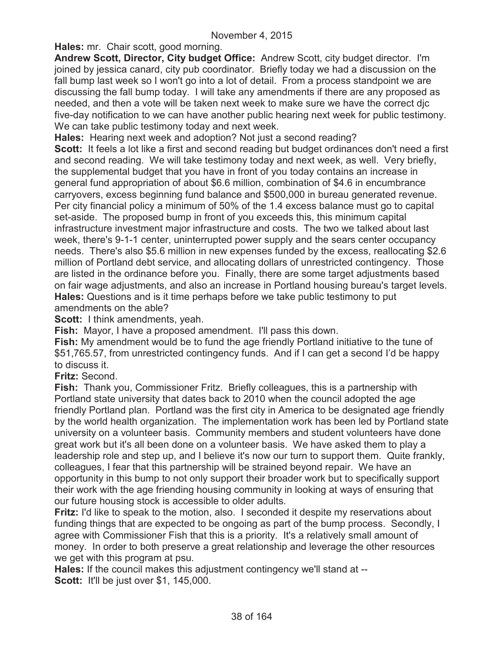**Hales:** mr. Chair scott, good morning.

**Andrew Scott, Director, City budget Office:** Andrew Scott, city budget director. I'm joined by jessica canard, city pub coordinator. Briefly today we had a discussion on the fall bump last week so I won't go into a lot of detail. From a process standpoint we are discussing the fall bump today. I will take any amendments if there are any proposed as needed, and then a vote will be taken next week to make sure we have the correct djc five-day notification to we can have another public hearing next week for public testimony. We can take public testimony today and next week.

**Hales:** Hearing next week and adoption? Not just a second reading?

**Scott:** It feels a lot like a first and second reading but budget ordinances don't need a first and second reading. We will take testimony today and next week, as well. Very briefly, the supplemental budget that you have in front of you today contains an increase in general fund appropriation of about \$6.6 million, combination of \$4.6 in encumbrance carryovers, excess beginning fund balance and \$500,000 in bureau generated revenue. Per city financial policy a minimum of 50% of the 1.4 excess balance must go to capital set-aside. The proposed bump in front of you exceeds this, this minimum capital infrastructure investment major infrastructure and costs. The two we talked about last week, there's 9-1-1 center, uninterrupted power supply and the sears center occupancy needs. There's also \$5.6 million in new expenses funded by the excess, reallocating \$2.6 million of Portland debt service, and allocating dollars of unrestricted contingency. Those are listed in the ordinance before you. Finally, there are some target adjustments based on fair wage adjustments, and also an increase in Portland housing bureau's target levels. **Hales:** Questions and is it time perhaps before we take public testimony to put amendments on the able?

**Scott:** I think amendments, yeah.

**Fish:** Mayor, I have a proposed amendment. I'll pass this down.

**Fish:** My amendment would be to fund the age friendly Portland initiative to the tune of \$51,765.57, from unrestricted contingency funds. And if I can get a second I'd be happy to discuss it.

**Fritz:** Second.

**Fish:** Thank you, Commissioner Fritz. Briefly colleagues, this is a partnership with Portland state university that dates back to 2010 when the council adopted the age friendly Portland plan. Portland was the first city in America to be designated age friendly by the world health organization. The implementation work has been led by Portland state university on a volunteer basis. Community members and student volunteers have done great work but it's all been done on a volunteer basis. We have asked them to play a leadership role and step up, and I believe it's now our turn to support them. Quite frankly, colleagues, I fear that this partnership will be strained beyond repair. We have an opportunity in this bump to not only support their broader work but to specifically support their work with the age friending housing community in looking at ways of ensuring that our future housing stock is accessible to older adults.

**Fritz:** I'd like to speak to the motion, also. I seconded it despite my reservations about funding things that are expected to be ongoing as part of the bump process. Secondly, I agree with Commissioner Fish that this is a priority. It's a relatively small amount of money. In order to both preserve a great relationship and leverage the other resources we get with this program at psu.

**Hales:** If the council makes this adjustment contingency we'll stand at -- **Scott:** It'll be just over \$1, 145,000.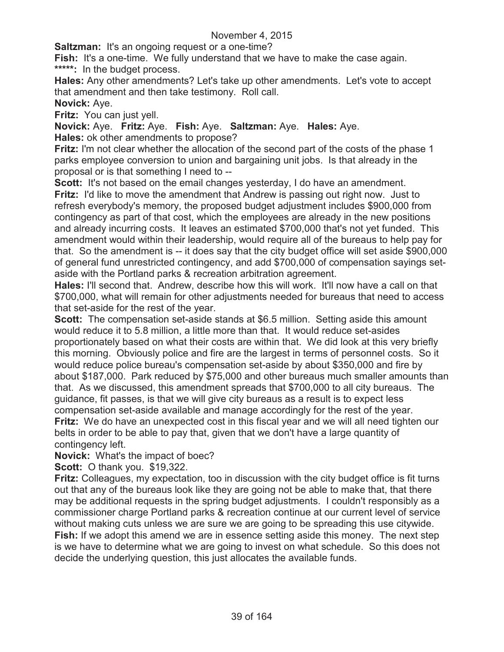**Saltzman:** It's an ongoing request or a one-time?

**Fish:** It's a one-time. We fully understand that we have to make the case again. **\*\*\*\*\*:** In the budget process.

**Hales:** Any other amendments? Let's take up other amendments. Let's vote to accept that amendment and then take testimony. Roll call.

**Novick:** Aye.

**Fritz:** You can just yell.

**Novick:** Aye. **Fritz:** Aye. **Fish:** Aye. **Saltzman:** Aye. **Hales:** Aye. **Hales:** ok other amendments to propose?

**Fritz:** I'm not clear whether the allocation of the second part of the costs of the phase 1 parks employee conversion to union and bargaining unit jobs. Is that already in the proposal or is that something I need to --

**Scott:** It's not based on the email changes yesterday, I do have an amendment. **Fritz:** I'd like to move the amendment that Andrew is passing out right now. Just to refresh everybody's memory, the proposed budget adjustment includes \$900,000 from contingency as part of that cost, which the employees are already in the new positions and already incurring costs. It leaves an estimated \$700,000 that's not yet funded. This amendment would within their leadership, would require all of the bureaus to help pay for that. So the amendment is -- it does say that the city budget office will set aside \$900,000 of general fund unrestricted contingency, and add \$700,000 of compensation sayings setaside with the Portland parks & recreation arbitration agreement.

**Hales:** I'll second that. Andrew, describe how this will work. It'll now have a call on that \$700,000, what will remain for other adjustments needed for bureaus that need to access that set-aside for the rest of the year.

**Scott:** The compensation set-aside stands at \$6.5 million. Setting aside this amount would reduce it to 5.8 million, a little more than that. It would reduce set-asides proportionately based on what their costs are within that. We did look at this very briefly this morning. Obviously police and fire are the largest in terms of personnel costs. So it would reduce police bureau's compensation set-aside by about \$350,000 and fire by about \$187,000. Park reduced by \$75,000 and other bureaus much smaller amounts than that. As we discussed, this amendment spreads that \$700,000 to all city bureaus. The guidance, fit passes, is that we will give city bureaus as a result is to expect less compensation set-aside available and manage accordingly for the rest of the year.

**Fritz:** We do have an unexpected cost in this fiscal year and we will all need tighten our belts in order to be able to pay that, given that we don't have a large quantity of contingency left.

**Novick:** What's the impact of boec?

**Scott:** O thank you. \$19,322.

**Fritz:** Colleagues, my expectation, too in discussion with the city budget office is fit turns out that any of the bureaus look like they are going not be able to make that, that there may be additional requests in the spring budget adjustments. I couldn't responsibly as a commissioner charge Portland parks & recreation continue at our current level of service without making cuts unless we are sure we are going to be spreading this use citywide. **Fish:** If we adopt this amend we are in essence setting aside this money. The next step is we have to determine what we are going to invest on what schedule. So this does not decide the underlying question, this just allocates the available funds.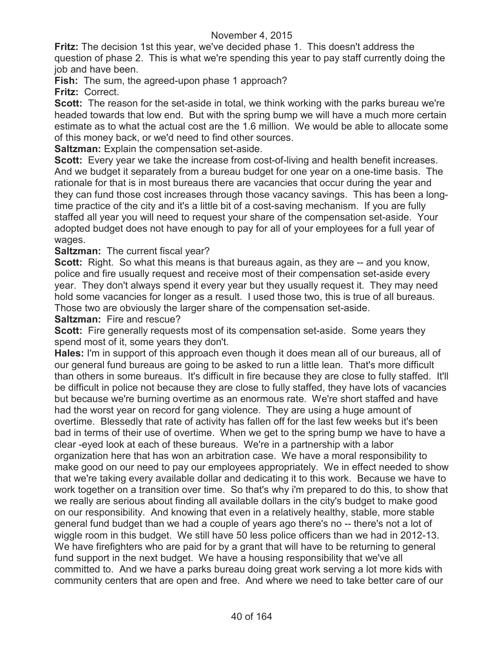**Fritz:** The decision 1st this year, we've decided phase 1. This doesn't address the question of phase 2. This is what we're spending this year to pay staff currently doing the job and have been.

**Fish:** The sum, the agreed-upon phase 1 approach?

**Fritz:** Correct.

**Scott:** The reason for the set-aside in total, we think working with the parks bureau we're headed towards that low end. But with the spring bump we will have a much more certain estimate as to what the actual cost are the 1.6 million. We would be able to allocate some of this money back, or we'd need to find other sources.

**Saltzman:** Explain the compensation set-aside.

**Scott:** Every year we take the increase from cost-of-living and health benefit increases. And we budget it separately from a bureau budget for one year on a one-time basis. The rationale for that is in most bureaus there are vacancies that occur during the year and they can fund those cost increases through those vacancy savings. This has been a longtime practice of the city and it's a little bit of a cost-saving mechanism. If you are fully staffed all year you will need to request your share of the compensation set-aside. Your adopted budget does not have enough to pay for all of your employees for a full year of wages.

### **Saltzman:** The current fiscal year?

**Scott:** Right. So what this means is that bureaus again, as they are -- and you know, police and fire usually request and receive most of their compensation set-aside every year. They don't always spend it every year but they usually request it. They may need hold some vacancies for longer as a result. I used those two, this is true of all bureaus. Those two are obviously the larger share of the compensation set-aside.

**Saltzman:** Fire and rescue?

**Scott:** Fire generally requests most of its compensation set-aside. Some years they spend most of it, some years they don't.

**Hales:** I'm in support of this approach even though it does mean all of our bureaus, all of our general fund bureaus are going to be asked to run a little lean. That's more difficult than others in some bureaus. It's difficult in fire because they are close to fully staffed. It'll be difficult in police not because they are close to fully staffed, they have lots of vacancies but because we're burning overtime as an enormous rate. We're short staffed and have had the worst year on record for gang violence. They are using a huge amount of overtime. Blessedly that rate of activity has fallen off for the last few weeks but it's been bad in terms of their use of overtime. When we get to the spring bump we have to have a clear -eyed look at each of these bureaus. We're in a partnership with a labor organization here that has won an arbitration case. We have a moral responsibility to make good on our need to pay our employees appropriately. We in effect needed to show that we're taking every available dollar and dedicating it to this work. Because we have to work together on a transition over time. So that's why i'm prepared to do this, to show that we really are serious about finding all available dollars in the city's budget to make good on our responsibility. And knowing that even in a relatively healthy, stable, more stable general fund budget than we had a couple of years ago there's no -- there's not a lot of wiggle room in this budget. We still have 50 less police officers than we had in 2012-13. We have firefighters who are paid for by a grant that will have to be returning to general fund support in the next budget. We have a housing responsibility that we've all committed to. And we have a parks bureau doing great work serving a lot more kids with community centers that are open and free. And where we need to take better care of our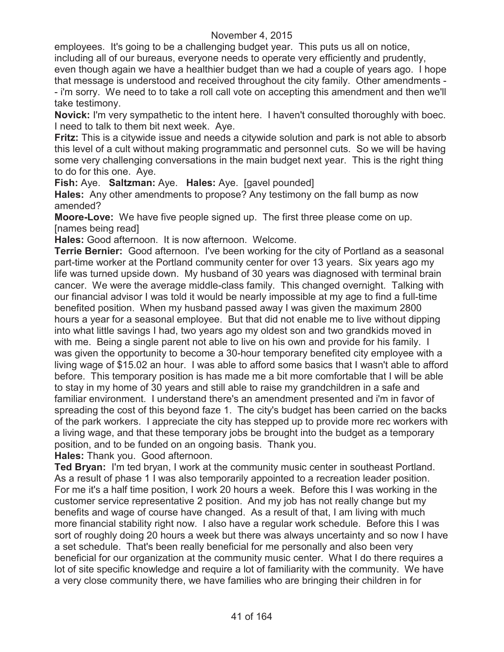employees. It's going to be a challenging budget year. This puts us all on notice,

including all of our bureaus, everyone needs to operate very efficiently and prudently,

even though again we have a healthier budget than we had a couple of years ago. I hope that message is understood and received throughout the city family. Other amendments - - i'm sorry. We need to to take a roll call vote on accepting this amendment and then we'll take testimony.

**Novick:** I'm very sympathetic to the intent here. I haven't consulted thoroughly with boec. I need to talk to them bit next week. Aye.

**Fritz:** This is a citywide issue and needs a citywide solution and park is not able to absorb this level of a cult without making programmatic and personnel cuts. So we will be having some very challenging conversations in the main budget next year. This is the right thing to do for this one. Aye.

**Fish:** Aye. **Saltzman:** Aye. **Hales:** Aye. [gavel pounded]

**Hales:** Any other amendments to propose? Any testimony on the fall bump as now amended?

**Moore-Love:** We have five people signed up. The first three please come on up. [names being read]

**Hales:** Good afternoon. It is now afternoon. Welcome.

**Terrie Bernier:** Good afternoon. I've been working for the city of Portland as a seasonal part-time worker at the Portland community center for over 13 years. Six years ago my life was turned upside down. My husband of 30 years was diagnosed with terminal brain cancer. We were the average middle-class family. This changed overnight. Talking with our financial advisor I was told it would be nearly impossible at my age to find a full-time benefited position. When my husband passed away I was given the maximum 2800 hours a year for a seasonal employee. But that did not enable me to live without dipping into what little savings I had, two years ago my oldest son and two grandkids moved in with me. Being a single parent not able to live on his own and provide for his family. I was given the opportunity to become a 30-hour temporary benefited city employee with a living wage of \$15.02 an hour. I was able to afford some basics that I wasn't able to afford before. This temporary position is has made me a bit more comfortable that I will be able to stay in my home of 30 years and still able to raise my grandchildren in a safe and familiar environment. I understand there's an amendment presented and i'm in favor of spreading the cost of this beyond faze 1. The city's budget has been carried on the backs of the park workers. I appreciate the city has stepped up to provide more rec workers with a living wage, and that these temporary jobs be brought into the budget as a temporary position, and to be funded on an ongoing basis. Thank you.

**Hales:** Thank you. Good afternoon.

**Ted Bryan:** I'm ted bryan, I work at the community music center in southeast Portland. As a result of phase 1 I was also temporarily appointed to a recreation leader position. For me it's a half time position, I work 20 hours a week. Before this I was working in the customer service representative 2 position. And my job has not really change but my benefits and wage of course have changed. As a result of that, I am living with much more financial stability right now. I also have a regular work schedule. Before this I was sort of roughly doing 20 hours a week but there was always uncertainty and so now I have a set schedule. That's been really beneficial for me personally and also been very beneficial for our organization at the community music center. What I do there requires a lot of site specific knowledge and require a lot of familiarity with the community. We have a very close community there, we have families who are bringing their children in for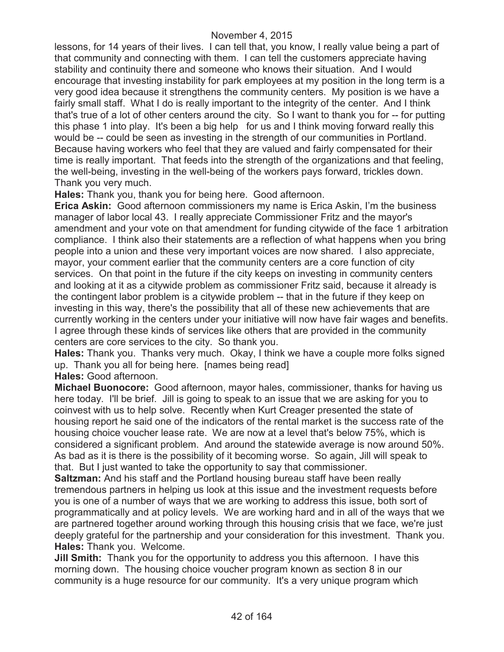lessons, for 14 years of their lives. I can tell that, you know, I really value being a part of that community and connecting with them. I can tell the customers appreciate having stability and continuity there and someone who knows their situation. And I would encourage that investing instability for park employees at my position in the long term is a very good idea because it strengthens the community centers. My position is we have a fairly small staff. What I do is really important to the integrity of the center. And I think that's true of a lot of other centers around the city. So I want to thank you for -- for putting this phase 1 into play. It's been a big help for us and I think moving forward really this would be -- could be seen as investing in the strength of our communities in Portland. Because having workers who feel that they are valued and fairly compensated for their time is really important. That feeds into the strength of the organizations and that feeling, the well-being, investing in the well-being of the workers pays forward, trickles down. Thank you very much.

**Hales:** Thank you, thank you for being here. Good afternoon.

**Erica Askin:** Good afternoon commissioners my name is Erica Askin, I'm the business manager of labor local 43. I really appreciate Commissioner Fritz and the mayor's amendment and your vote on that amendment for funding citywide of the face 1 arbitration compliance. I think also their statements are a reflection of what happens when you bring people into a union and these very important voices are now shared. I also appreciate, mayor, your comment earlier that the community centers are a core function of city services. On that point in the future if the city keeps on investing in community centers and looking at it as a citywide problem as commissioner Fritz said, because it already is the contingent labor problem is a citywide problem -- that in the future if they keep on investing in this way, there's the possibility that all of these new achievements that are currently working in the centers under your initiative will now have fair wages and benefits. I agree through these kinds of services like others that are provided in the community centers are core services to the city. So thank you.

**Hales:** Thank you. Thanks very much. Okay, I think we have a couple more folks signed up. Thank you all for being here. [names being read]

**Hales:** Good afternoon.

**Michael Buonocore:** Good afternoon, mayor hales, commissioner, thanks for having us here today. I'll be brief. Jill is going to speak to an issue that we are asking for you to coinvest with us to help solve. Recently when Kurt Creager presented the state of housing report he said one of the indicators of the rental market is the success rate of the housing choice voucher lease rate. We are now at a level that's below 75%, which is considered a significant problem. And around the statewide average is now around 50%. As bad as it is there is the possibility of it becoming worse. So again, Jill will speak to that. But I just wanted to take the opportunity to say that commissioner.

**Saltzman:** And his staff and the Portland housing bureau staff have been really tremendous partners in helping us look at this issue and the investment requests before you is one of a number of ways that we are working to address this issue, both sort of programmatically and at policy levels. We are working hard and in all of the ways that we are partnered together around working through this housing crisis that we face, we're just deeply grateful for the partnership and your consideration for this investment. Thank you. **Hales:** Thank you. Welcome.

**Jill Smith:** Thank you for the opportunity to address you this afternoon. I have this morning down. The housing choice voucher program known as section 8 in our community is a huge resource for our community. It's a very unique program which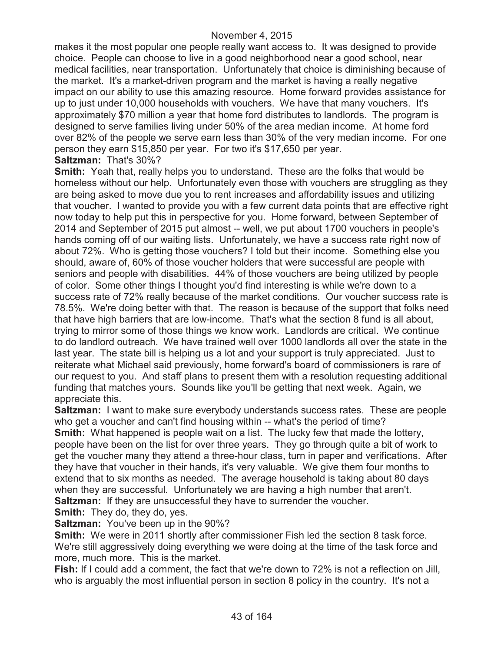makes it the most popular one people really want access to. It was designed to provide choice. People can choose to live in a good neighborhood near a good school, near medical facilities, near transportation. Unfortunately that choice is diminishing because of the market. It's a market-driven program and the market is having a really negative impact on our ability to use this amazing resource. Home forward provides assistance for up to just under 10,000 households with vouchers. We have that many vouchers. It's approximately \$70 million a year that home ford distributes to landlords. The program is designed to serve families living under 50% of the area median income. At home ford over 82% of the people we serve earn less than 30% of the very median income. For one person they earn \$15,850 per year. For two it's \$17,650 per year. **Saltzman:** That's 30%?

**Smith:** Yeah that, really helps you to understand. These are the folks that would be homeless without our help. Unfortunately even those with vouchers are struggling as they are being asked to move due you to rent increases and affordability issues and utilizing that voucher. I wanted to provide you with a few current data points that are effective right now today to help put this in perspective for you. Home forward, between September of 2014 and September of 2015 put almost -- well, we put about 1700 vouchers in people's hands coming off of our waiting lists. Unfortunately, we have a success rate right now of about 72%. Who is getting those vouchers? I told but their income. Something else you should, aware of, 60% of those voucher holders that were successful are people with seniors and people with disabilities. 44% of those vouchers are being utilized by people of color. Some other things I thought you'd find interesting is while we're down to a success rate of 72% really because of the market conditions. Our voucher success rate is 78.5%. We're doing better with that. The reason is because of the support that folks need that have high barriers that are low-income. That's what the section 8 fund is all about, trying to mirror some of those things we know work. Landlords are critical. We continue to do landlord outreach. We have trained well over 1000 landlords all over the state in the last year. The state bill is helping us a lot and your support is truly appreciated. Just to reiterate what Michael said previously, home forward's board of commissioners is rare of our request to you. And staff plans to present them with a resolution requesting additional funding that matches yours. Sounds like you'll be getting that next week. Again, we appreciate this.

**Saltzman:** I want to make sure everybody understands success rates. These are people who get a voucher and can't find housing within -- what's the period of time? **Smith:** What happened is people wait on a list. The lucky few that made the lottery, people have been on the list for over three years. They go through quite a bit of work to get the voucher many they attend a three-hour class, turn in paper and verifications. After they have that voucher in their hands, it's very valuable. We give them four months to extend that to six months as needed. The average household is taking about 80 days when they are successful. Unfortunately we are having a high number that aren't. **Saltzman:** If they are unsuccessful they have to surrender the voucher.

**Smith:** They do, they do, yes.

**Saltzman:** You've been up in the 90%?

**Smith:** We were in 2011 shortly after commissioner Fish led the section 8 task force. We're still aggressively doing everything we were doing at the time of the task force and more, much more. This is the market.

**Fish:** If I could add a comment, the fact that we're down to 72% is not a reflection on Jill, who is arguably the most influential person in section 8 policy in the country. It's not a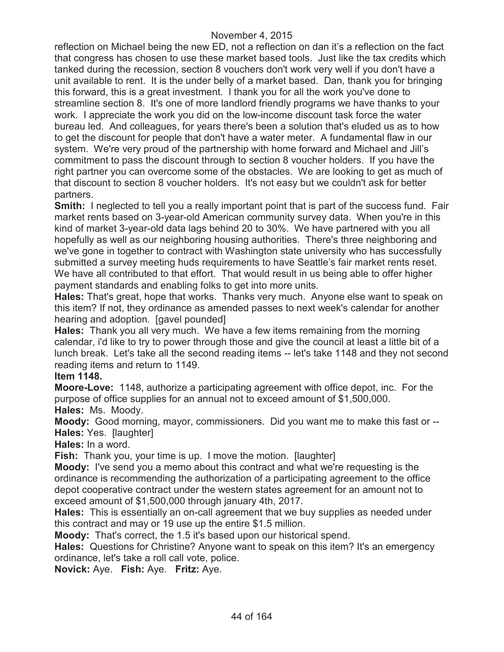reflection on Michael being the new ED, not a reflection on dan it's a reflection on the fact that congress has chosen to use these market based tools. Just like the tax credits which tanked during the recession, section 8 vouchers don't work very well if you don't have a unit available to rent. It is the under belly of a market based. Dan, thank you for bringing this forward, this is a great investment. I thank you for all the work you've done to streamline section 8. It's one of more landlord friendly programs we have thanks to your work. I appreciate the work you did on the low-income discount task force the water bureau led. And colleagues, for years there's been a solution that's eluded us as to how to get the discount for people that don't have a water meter. A fundamental flaw in our system. We're very proud of the partnership with home forward and Michael and Jill's commitment to pass the discount through to section 8 voucher holders. If you have the right partner you can overcome some of the obstacles. We are looking to get as much of that discount to section 8 voucher holders. It's not easy but we couldn't ask for better partners.

**Smith:** I neglected to tell you a really important point that is part of the success fund. Fair market rents based on 3-year-old American community survey data. When you're in this kind of market 3-year-old data lags behind 20 to 30%. We have partnered with you all hopefully as well as our neighboring housing authorities. There's three neighboring and we've gone in together to contract with Washington state university who has successfully submitted a survey meeting huds requirements to have Seattle's fair market rents reset. We have all contributed to that effort. That would result in us being able to offer higher payment standards and enabling folks to get into more units.

**Hales:** That's great, hope that works. Thanks very much. Anyone else want to speak on this item? If not, they ordinance as amended passes to next week's calendar for another hearing and adoption. [gavel pounded]

**Hales:** Thank you all very much. We have a few items remaining from the morning calendar, i'd like to try to power through those and give the council at least a little bit of a lunch break. Let's take all the second reading items -- let's take 1148 and they not second reading items and return to 1149.

### **Item 1148.**

**Moore-Love:** 1148, authorize a participating agreement with office depot, inc. For the purpose of office supplies for an annual not to exceed amount of \$1,500,000. **Hales:** Ms. Moody.

**Moody:** Good morning, mayor, commissioners. Did you want me to make this fast or -- **Hales:** Yes. [laughter]

## **Hales:** In a word.

**Fish:** Thank you, your time is up. I move the motion. [laughter]

**Moody:** I've send you a memo about this contract and what we're requesting is the ordinance is recommending the authorization of a participating agreement to the office depot cooperative contract under the western states agreement for an amount not to exceed amount of \$1,500,000 through january 4th, 2017.

**Hales:** This is essentially an on-call agreement that we buy supplies as needed under this contract and may or 19 use up the entire \$1.5 million.

**Moody:** That's correct, the 1.5 it's based upon our historical spend.

**Hales:** Questions for Christine? Anyone want to speak on this item? It's an emergency ordinance, let's take a roll call vote, police.

**Novick:** Aye. **Fish:** Aye. **Fritz:** Aye.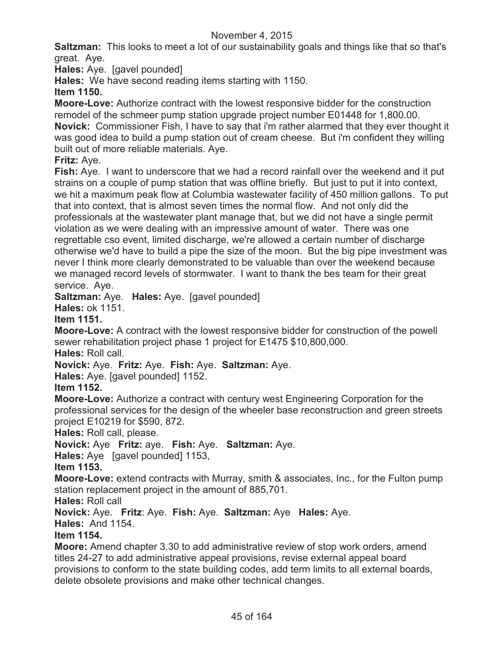**Saltzman:** This looks to meet a lot of our sustainability goals and things like that so that's great. Aye.

**Hales:** Aye. [gavel pounded]

**Hales:** We have second reading items starting with 1150.

## **Item 1150.**

**Moore-Love:** Authorize contract with the lowest responsive bidder for the construction remodel of the schmeer pump station upgrade project number E01448 for 1,800.00. **Novick:** Commissioner Fish, I have to say that i'm rather alarmed that they ever thought it was good idea to build a pump station out of cream cheese. But i'm confident they willing built out of more reliable materials. Aye.

## **Fritz:** Aye.

**Fish:** Aye. I want to underscore that we had a record rainfall over the weekend and it put strains on a couple of pump station that was offline briefly. But just to put it into context, we hit a maximum peak flow at Columbia wastewater facility of 450 million gallons. To put that into context, that is almost seven times the normal flow. And not only did the professionals at the wastewater plant manage that, but we did not have a single permit violation as we were dealing with an impressive amount of water. There was one regrettable cso event, limited discharge, we're allowed a certain number of discharge otherwise we'd have to build a pipe the size of the moon. But the big pipe investment was never I think more clearly demonstrated to be valuable than over the weekend because we managed record levels of stormwater. I want to thank the bes team for their great service. Aye.

**Saltzman:** Aye. **Hales:** Aye. [gavel pounded]

# **Hales:** ok 1151.

## **Item 1151.**

**Moore-Love:** A contract with the lowest responsive bidder for construction of the powell sewer rehabilitation project phase 1 project for E1475 \$10,800,000.

**Hales:** Roll call.

**Novick:** Aye. **Fritz:** Aye. **Fish:** Aye. **Saltzman:** Aye.

**Hales:** Aye. [gavel pounded] 1152.

## **Item 1152.**

**Moore-Love:** Authorize a contract with century west Engineering Corporation for the professional services for the design of the wheeler base reconstruction and green streets project E10219 for \$590, 872.

**Hales:** Roll call, please.

**Novick:** Aye **Fritz:** aye. **Fish:** Aye. **Saltzman:** Aye.

**Hales:** Aye [gavel pounded] 1153,

**Item 1153.**

**Moore-Love:** extend contracts with Murray, smith & associates, Inc., for the Fulton pump station replacement project in the amount of 885,701.

**Hales:** Roll call

**Novick:** Aye. **Fritz**: Aye. **Fish:** Aye. **Saltzman:** Aye **Hales:** Aye.

**Hales:** And 1154.

## **Item 1154.**

**Moore:** Amend chapter 3.30 to add administrative review of stop work orders, amend titles 24-27 to add administrative appeal provisions, revise external appeal board provisions to conform to the state building codes, add term limits to all external boards, delete obsolete provisions and make other technical changes.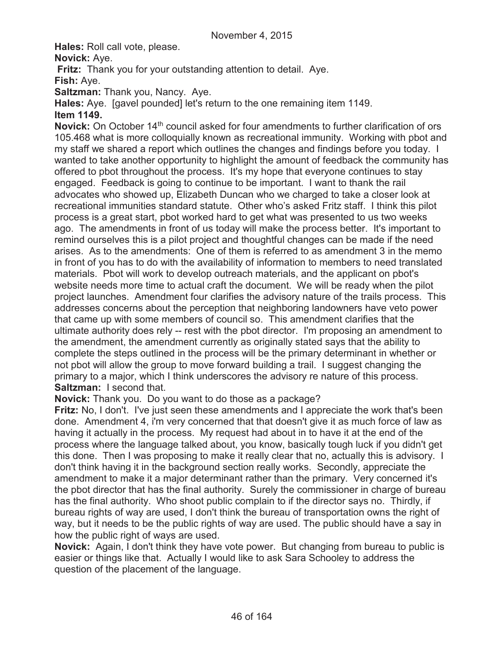**Hales:** Roll call vote, please.

**Novick:** Aye.

**Fritz:** Thank you for your outstanding attention to detail. Aye.

**Fish:** Aye.

**Saltzman:** Thank you, Nancy. Aye.

**Hales:** Aye. [gavel pounded] let's return to the one remaining item 1149.

### **Item 1149.**

**Novick:** On October 14<sup>th</sup> council asked for four amendments to further clarification of ors 105.468 what is more colloquially known as recreational immunity. Working with pbot and my staff we shared a report which outlines the changes and findings before you today. I wanted to take another opportunity to highlight the amount of feedback the community has offered to pbot throughout the process. It's my hope that everyone continues to stay engaged. Feedback is going to continue to be important. I want to thank the rail advocates who showed up, Elizabeth Duncan who we charged to take a closer look at recreational immunities standard statute. Other who's asked Fritz staff. I think this pilot process is a great start, pbot worked hard to get what was presented to us two weeks ago. The amendments in front of us today will make the process better. It's important to remind ourselves this is a pilot project and thoughtful changes can be made if the need arises. As to the amendments: One of them is referred to as amendment 3 in the memo in front of you has to do with the availability of information to members to need translated materials. Pbot will work to develop outreach materials, and the applicant on pbot's website needs more time to actual craft the document. We will be ready when the pilot project launches. Amendment four clarifies the advisory nature of the trails process. This addresses concerns about the perception that neighboring landowners have veto power that came up with some members of council so. This amendment clarifies that the ultimate authority does rely -- rest with the pbot director. I'm proposing an amendment to the amendment, the amendment currently as originally stated says that the ability to complete the steps outlined in the process will be the primary determinant in whether or not pbot will allow the group to move forward building a trail. I suggest changing the primary to a major, which I think underscores the advisory re nature of this process. **Saltzman:** I second that.

**Novick:** Thank you. Do you want to do those as a package?

**Fritz:** No, I don't. I've just seen these amendments and I appreciate the work that's been done. Amendment 4, i'm very concerned that that doesn't give it as much force of law as having it actually in the process. My request had about in to have it at the end of the process where the language talked about, you know, basically tough luck if you didn't get this done. Then I was proposing to make it really clear that no, actually this is advisory. I don't think having it in the background section really works. Secondly, appreciate the amendment to make it a major determinant rather than the primary. Very concerned it's the pbot director that has the final authority. Surely the commissioner in charge of bureau has the final authority. Who shoot public complain to if the director says no. Thirdly, if bureau rights of way are used, I don't think the bureau of transportation owns the right of way, but it needs to be the public rights of way are used. The public should have a say in how the public right of ways are used.

**Novick:** Again, I don't think they have vote power. But changing from bureau to public is easier or things like that. Actually I would like to ask Sara Schooley to address the question of the placement of the language.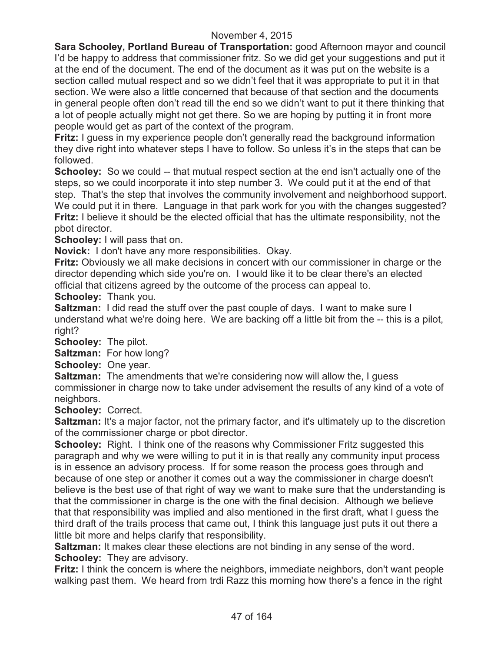**Sara Schooley, Portland Bureau of Transportation:** good Afternoon mayor and council I'd be happy to address that commissioner fritz. So we did get your suggestions and put it at the end of the document. The end of the document as it was put on the website is a section called mutual respect and so we didn't feel that it was appropriate to put it in that section. We were also a little concerned that because of that section and the documents in general people often don't read till the end so we didn't want to put it there thinking that a lot of people actually might not get there. So we are hoping by putting it in front more people would get as part of the context of the program.

**Fritz:** I guess in my experience people don't generally read the background information they dive right into whatever steps I have to follow. So unless it's in the steps that can be followed.

**Schooley:** So we could -- that mutual respect section at the end isn't actually one of the steps, so we could incorporate it into step number 3. We could put it at the end of that step. That's the step that involves the community involvement and neighborhood support. We could put it in there. Language in that park work for you with the changes suggested? **Fritz:** I believe it should be the elected official that has the ultimate responsibility, not the pbot director.

**Schooley:** I will pass that on.

**Novick:** I don't have any more responsibilities. Okay.

**Fritz:** Obviously we all make decisions in concert with our commissioner in charge or the director depending which side you're on. I would like it to be clear there's an elected official that citizens agreed by the outcome of the process can appeal to.

**Schooley:** Thank you.

**Saltzman:** I did read the stuff over the past couple of days. I want to make sure I understand what we're doing here. We are backing off a little bit from the -- this is a pilot, right?

**Schooley:** The pilot.

**Saltzman:** For how long?

**Schooley:** One year.

**Saltzman:** The amendments that we're considering now will allow the, I guess commissioner in charge now to take under advisement the results of any kind of a vote of neighbors.

**Schooley:** Correct.

**Saltzman:** It's a major factor, not the primary factor, and it's ultimately up to the discretion of the commissioner charge or pbot director.

**Schooley:** Right. I think one of the reasons why Commissioner Fritz suggested this paragraph and why we were willing to put it in is that really any community input process is in essence an advisory process. If for some reason the process goes through and because of one step or another it comes out a way the commissioner in charge doesn't believe is the best use of that right of way we want to make sure that the understanding is that the commissioner in charge is the one with the final decision. Although we believe that that responsibility was implied and also mentioned in the first draft, what I guess the third draft of the trails process that came out, I think this language just puts it out there a little bit more and helps clarify that responsibility.

**Saltzman:** It makes clear these elections are not binding in any sense of the word. **Schooley:** They are advisory.

**Fritz:** I think the concern is where the neighbors, immediate neighbors, don't want people walking past them. We heard from trdi Razz this morning how there's a fence in the right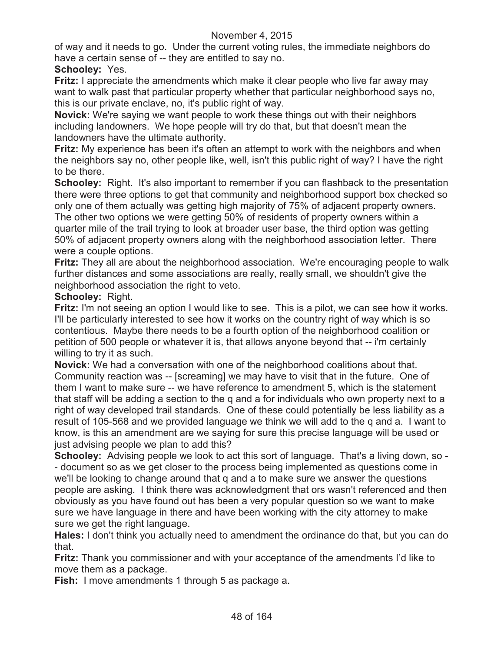of way and it needs to go. Under the current voting rules, the immediate neighbors do have a certain sense of -- they are entitled to say no.

### **Schooley:** Yes.

**Fritz:** I appreciate the amendments which make it clear people who live far away may want to walk past that particular property whether that particular neighborhood says no, this is our private enclave, no, it's public right of way.

**Novick:** We're saying we want people to work these things out with their neighbors including landowners. We hope people will try do that, but that doesn't mean the landowners have the ultimate authority.

**Fritz:** My experience has been it's often an attempt to work with the neighbors and when the neighbors say no, other people like, well, isn't this public right of way? I have the right to be there.

**Schooley:** Right. It's also important to remember if you can flashback to the presentation there were three options to get that community and neighborhood support box checked so only one of them actually was getting high majority of 75% of adjacent property owners. The other two options we were getting 50% of residents of property owners within a quarter mile of the trail trying to look at broader user base, the third option was getting 50% of adjacent property owners along with the neighborhood association letter. There were a couple options.

**Fritz:** They all are about the neighborhood association. We're encouraging people to walk further distances and some associations are really, really small, we shouldn't give the neighborhood association the right to veto.

#### **Schooley:** Right.

**Fritz:** I'm not seeing an option I would like to see. This is a pilot, we can see how it works. I'll be particularly interested to see how it works on the country right of way which is so contentious. Maybe there needs to be a fourth option of the neighborhood coalition or petition of 500 people or whatever it is, that allows anyone beyond that -- i'm certainly willing to try it as such.

**Novick:** We had a conversation with one of the neighborhood coalitions about that. Community reaction was -- [screaming] we may have to visit that in the future. One of them I want to make sure -- we have reference to amendment 5, which is the statement that staff will be adding a section to the q and a for individuals who own property next to a right of way developed trail standards. One of these could potentially be less liability as a result of 105-568 and we provided language we think we will add to the q and a. I want to know, is this an amendment are we saying for sure this precise language will be used or just advising people we plan to add this?

**Schooley:** Advising people we look to act this sort of language. That's a living down, so -- document so as we get closer to the process being implemented as questions come in we'll be looking to change around that q and a to make sure we answer the questions people are asking. I think there was acknowledgment that ors wasn't referenced and then obviously as you have found out has been a very popular question so we want to make sure we have language in there and have been working with the city attorney to make sure we get the right language.

**Hales:** I don't think you actually need to amendment the ordinance do that, but you can do that.

**Fritz:** Thank you commissioner and with your acceptance of the amendments I'd like to move them as a package.

**Fish:** I move amendments 1 through 5 as package a.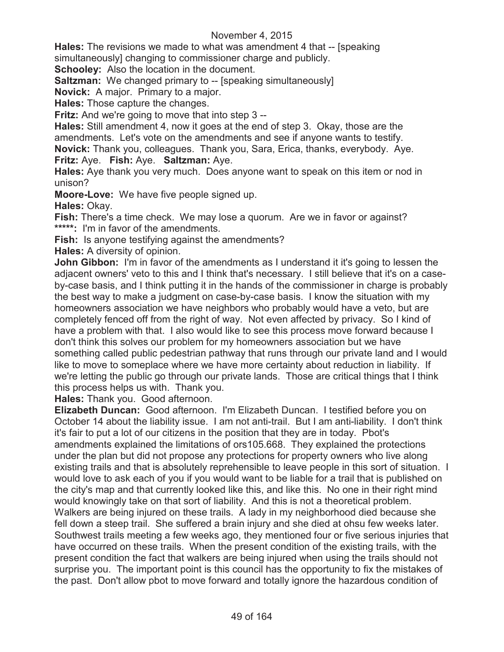**Hales:** The revisions we made to what was amendment 4 that -- [speaking simultaneously] changing to commissioner charge and publicly.

**Schooley:** Also the location in the document.

**Saltzman:** We changed primary to -- [speaking simultaneously]

**Novick:** A major. Primary to a major.

**Hales:** Those capture the changes.

**Fritz:** And we're going to move that into step 3 --

**Hales:** Still amendment 4, now it goes at the end of step 3. Okay, those are the amendments. Let's vote on the amendments and see if anyone wants to testify. **Novick:** Thank you, colleagues. Thank you, Sara, Erica, thanks, everybody. Aye. **Fritz:** Aye. **Fish:** Aye. **Saltzman:** Aye.

**Hales:** Aye thank you very much. Does anyone want to speak on this item or nod in unison?

**Moore-Love:** We have five people signed up.

**Hales:** Okay.

**Fish:** There's a time check. We may lose a quorum. Are we in favor or against? **\*\*\*\*\*:** I'm in favor of the amendments.

**Fish:** Is anyone testifying against the amendments?

**Hales:** A diversity of opinion.

**John Gibbon:** I'm in favor of the amendments as I understand it it's going to lessen the adjacent owners' veto to this and I think that's necessary. I still believe that it's on a caseby-case basis, and I think putting it in the hands of the commissioner in charge is probably the best way to make a judgment on case-by-case basis. I know the situation with my homeowners association we have neighbors who probably would have a veto, but are completely fenced off from the right of way. Not even affected by privacy. So I kind of have a problem with that. I also would like to see this process move forward because I don't think this solves our problem for my homeowners association but we have something called public pedestrian pathway that runs through our private land and I would like to move to someplace where we have more certainty about reduction in liability. If we're letting the public go through our private lands. Those are critical things that I think this process helps us with. Thank you.

**Hales:** Thank you. Good afternoon.

**Elizabeth Duncan:** Good afternoon. I'm Elizabeth Duncan. I testified before you on October 14 about the liability issue. I am not anti-trail. But I am anti-liability. I don't think it's fair to put a lot of our citizens in the position that they are in today. Pbot's amendments explained the limitations of ors105.668. They explained the protections under the plan but did not propose any protections for property owners who live along existing trails and that is absolutely reprehensible to leave people in this sort of situation. I would love to ask each of you if you would want to be liable for a trail that is published on the city's map and that currently looked like this, and like this. No one in their right mind would knowingly take on that sort of liability. And this is not a theoretical problem. Walkers are being injured on these trails. A lady in my neighborhood died because she fell down a steep trail. She suffered a brain injury and she died at ohsu few weeks later. Southwest trails meeting a few weeks ago, they mentioned four or five serious injuries that have occurred on these trails. When the present condition of the existing trails, with the present condition the fact that walkers are being injured when using the trails should not surprise you. The important point is this council has the opportunity to fix the mistakes of the past. Don't allow pbot to move forward and totally ignore the hazardous condition of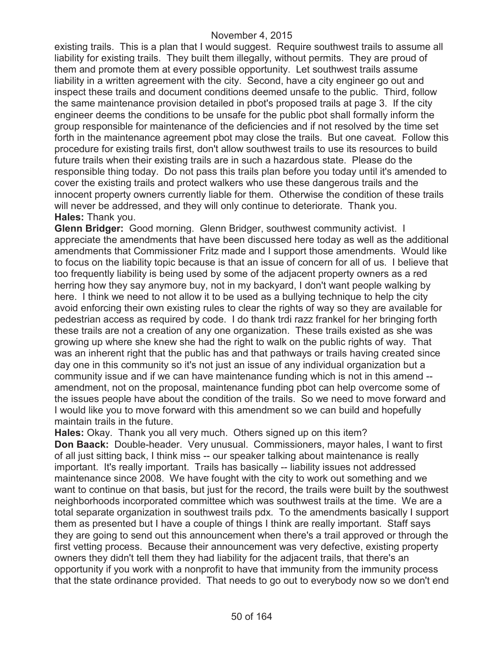existing trails. This is a plan that I would suggest. Require southwest trails to assume all liability for existing trails. They built them illegally, without permits. They are proud of them and promote them at every possible opportunity. Let southwest trails assume liability in a written agreement with the city. Second, have a city engineer go out and inspect these trails and document conditions deemed unsafe to the public. Third, follow the same maintenance provision detailed in pbot's proposed trails at page 3. If the city engineer deems the conditions to be unsafe for the public pbot shall formally inform the group responsible for maintenance of the deficiencies and if not resolved by the time set forth in the maintenance agreement pbot may close the trails. But one caveat. Follow this procedure for existing trails first, don't allow southwest trails to use its resources to build future trails when their existing trails are in such a hazardous state. Please do the responsible thing today. Do not pass this trails plan before you today until it's amended to cover the existing trails and protect walkers who use these dangerous trails and the innocent property owners currently liable for them. Otherwise the condition of these trails will never be addressed, and they will only continue to deteriorate. Thank you. **Hales:** Thank you.

**Glenn Bridger:** Good morning. Glenn Bridger, southwest community activist. I appreciate the amendments that have been discussed here today as well as the additional amendments that Commissioner Fritz made and I support those amendments. Would like to focus on the liability topic because is that an issue of concern for all of us. I believe that too frequently liability is being used by some of the adjacent property owners as a red herring how they say anymore buy, not in my backyard, I don't want people walking by here. I think we need to not allow it to be used as a bullying technique to help the city avoid enforcing their own existing rules to clear the rights of way so they are available for pedestrian access as required by code. I do thank trdi razz frankel for her bringing forth these trails are not a creation of any one organization. These trails existed as she was growing up where she knew she had the right to walk on the public rights of way. That was an inherent right that the public has and that pathways or trails having created since day one in this community so it's not just an issue of any individual organization but a community issue and if we can have maintenance funding which is not in this amend - amendment, not on the proposal, maintenance funding pbot can help overcome some of the issues people have about the condition of the trails. So we need to move forward and I would like you to move forward with this amendment so we can build and hopefully maintain trails in the future.

**Hales:** Okay. Thank you all very much. Others signed up on this item? **Don Baack:** Double-header. Very unusual. Commissioners, mayor hales, I want to first of all just sitting back, I think miss -- our speaker talking about maintenance is really important. It's really important. Trails has basically -- liability issues not addressed maintenance since 2008. We have fought with the city to work out something and we want to continue on that basis, but just for the record, the trails were built by the southwest neighborhoods incorporated committee which was southwest trails at the time. We are a total separate organization in southwest trails pdx. To the amendments basically I support them as presented but I have a couple of things I think are really important. Staff says they are going to send out this announcement when there's a trail approved or through the first vetting process. Because their announcement was very defective, existing property owners they didn't tell them they had liability for the adjacent trails, that there's an opportunity if you work with a nonprofit to have that immunity from the immunity process that the state ordinance provided. That needs to go out to everybody now so we don't end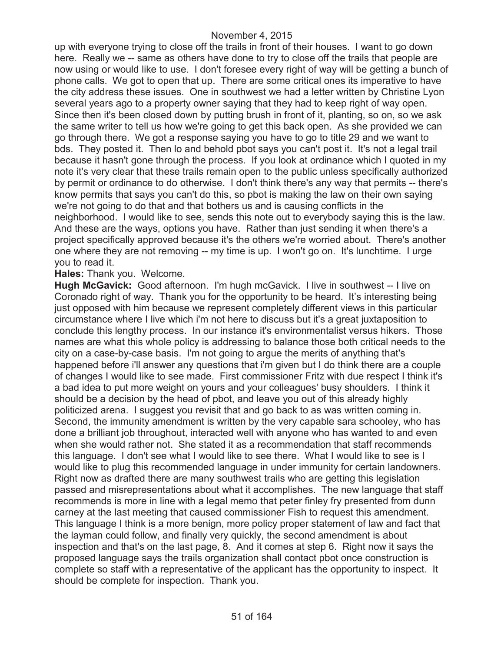up with everyone trying to close off the trails in front of their houses. I want to go down here. Really we -- same as others have done to try to close off the trails that people are now using or would like to use. I don't foresee every right of way will be getting a bunch of phone calls. We got to open that up. There are some critical ones its imperative to have the city address these issues. One in southwest we had a letter written by Christine Lyon several years ago to a property owner saying that they had to keep right of way open. Since then it's been closed down by putting brush in front of it, planting, so on, so we ask the same writer to tell us how we're going to get this back open. As she provided we can go through there. We got a response saying you have to go to title 29 and we want to bds. They posted it. Then lo and behold pbot says you can't post it. It's not a legal trail because it hasn't gone through the process. If you look at ordinance which I quoted in my note it's very clear that these trails remain open to the public unless specifically authorized by permit or ordinance to do otherwise. I don't think there's any way that permits -- there's know permits that says you can't do this, so pbot is making the law on their own saying we're not going to do that and that bothers us and is causing conflicts in the neighborhood. I would like to see, sends this note out to everybody saying this is the law. And these are the ways, options you have. Rather than just sending it when there's a project specifically approved because it's the others we're worried about. There's another one where they are not removing -- my time is up. I won't go on. It's lunchtime. I urge you to read it.

**Hales:** Thank you. Welcome.

**Hugh McGavick:** Good afternoon. I'm hugh mcGavick. I live in southwest -- I live on Coronado right of way. Thank you for the opportunity to be heard. It's interesting being just opposed with him because we represent completely different views in this particular circumstance where I live which i'm not here to discuss but it's a great juxtaposition to conclude this lengthy process. In our instance it's environmentalist versus hikers. Those names are what this whole policy is addressing to balance those both critical needs to the city on a case-by-case basis. I'm not going to argue the merits of anything that's happened before i'll answer any questions that i'm given but I do think there are a couple of changes I would like to see made. First commissioner Fritz with due respect I think it's a bad idea to put more weight on yours and your colleagues' busy shoulders. I think it should be a decision by the head of pbot, and leave you out of this already highly politicized arena. I suggest you revisit that and go back to as was written coming in. Second, the immunity amendment is written by the very capable sara schooley, who has done a brilliant job throughout, interacted well with anyone who has wanted to and even when she would rather not. She stated it as a recommendation that staff recommends this language. I don't see what I would like to see there. What I would like to see is I would like to plug this recommended language in under immunity for certain landowners. Right now as drafted there are many southwest trails who are getting this legislation passed and misrepresentations about what it accomplishes. The new language that staff recommends is more in line with a legal memo that peter finley fry presented from dunn carney at the last meeting that caused commissioner Fish to request this amendment. This language I think is a more benign, more policy proper statement of law and fact that the layman could follow, and finally very quickly, the second amendment is about inspection and that's on the last page, 8. And it comes at step 6. Right now it says the proposed language says the trails organization shall contact pbot once construction is complete so staff with a representative of the applicant has the opportunity to inspect. It should be complete for inspection. Thank you.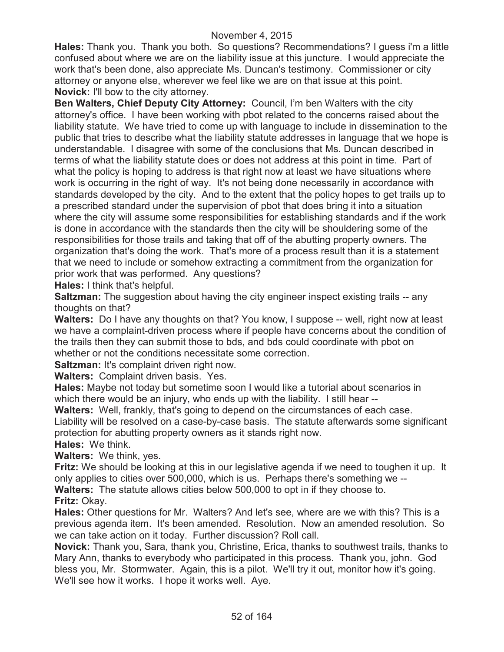**Hales:** Thank you. Thank you both. So questions? Recommendations? I guess i'm a little confused about where we are on the liability issue at this juncture. I would appreciate the work that's been done, also appreciate Ms. Duncan's testimony. Commissioner or city attorney or anyone else, wherever we feel like we are on that issue at this point. **Novick:** I'll bow to the city attorney.

**Ben Walters, Chief Deputy City Attorney:** Council, I'm ben Walters with the city attorney's office. I have been working with pbot related to the concerns raised about the liability statute. We have tried to come up with language to include in dissemination to the public that tries to describe what the liability statute addresses in language that we hope is understandable. I disagree with some of the conclusions that Ms. Duncan described in terms of what the liability statute does or does not address at this point in time. Part of what the policy is hoping to address is that right now at least we have situations where work is occurring in the right of way. It's not being done necessarily in accordance with standards developed by the city. And to the extent that the policy hopes to get trails up to a prescribed standard under the supervision of pbot that does bring it into a situation where the city will assume some responsibilities for establishing standards and if the work is done in accordance with the standards then the city will be shouldering some of the responsibilities for those trails and taking that off of the abutting property owners. The organization that's doing the work. That's more of a process result than it is a statement that we need to include or somehow extracting a commitment from the organization for prior work that was performed. Any questions?

**Hales:** I think that's helpful.

**Saltzman:** The suggestion about having the city engineer inspect existing trails -- any thoughts on that?

**Walters:** Do I have any thoughts on that? You know, I suppose -- well, right now at least we have a complaint-driven process where if people have concerns about the condition of the trails then they can submit those to bds, and bds could coordinate with pbot on whether or not the conditions necessitate some correction.

**Saltzman:** It's complaint driven right now.

**Walters:** Complaint driven basis. Yes.

**Hales:** Maybe not today but sometime soon I would like a tutorial about scenarios in which there would be an injury, who ends up with the liability. I still hear --

**Walters:** Well, frankly, that's going to depend on the circumstances of each case.

Liability will be resolved on a case-by-case basis. The statute afterwards some significant protection for abutting property owners as it stands right now.

**Hales:** We think.

**Walters:** We think, yes.

**Fritz:** We should be looking at this in our legislative agenda if we need to toughen it up. It only applies to cities over 500,000, which is us. Perhaps there's something we --

**Walters:** The statute allows cities below 500,000 to opt in if they choose to. **Fritz:** Okay.

**Hales:** Other questions for Mr. Walters? And let's see, where are we with this? This is a previous agenda item. It's been amended. Resolution. Now an amended resolution. So we can take action on it today. Further discussion? Roll call.

**Novick:** Thank you, Sara, thank you, Christine, Erica, thanks to southwest trails, thanks to Mary Ann, thanks to everybody who participated in this process. Thank you, john. God bless you, Mr. Stormwater. Again, this is a pilot. We'll try it out, monitor how it's going. We'll see how it works. I hope it works well. Aye.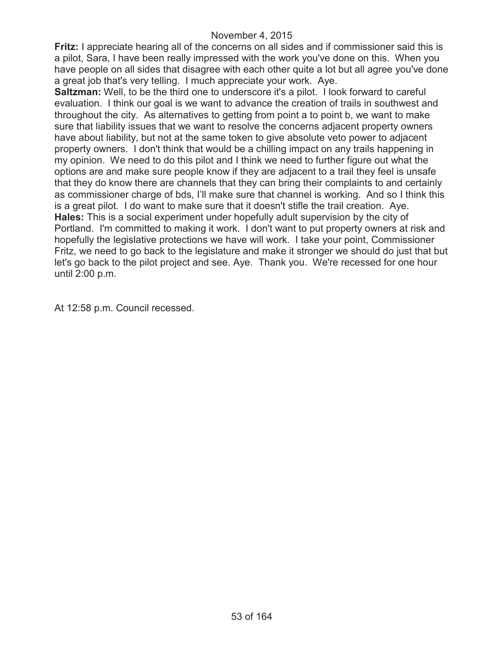**Fritz:** I appreciate hearing all of the concerns on all sides and if commissioner said this is a pilot, Sara, I have been really impressed with the work you've done on this. When you have people on all sides that disagree with each other quite a lot but all agree you've done a great job that's very telling. I much appreciate your work. Aye.

**Saltzman:** Well, to be the third one to underscore it's a pilot. I look forward to careful evaluation. I think our goal is we want to advance the creation of trails in southwest and throughout the city. As alternatives to getting from point a to point b, we want to make sure that liability issues that we want to resolve the concerns adjacent property owners have about liability, but not at the same token to give absolute veto power to adjacent property owners. I don't think that would be a chilling impact on any trails happening in my opinion. We need to do this pilot and I think we need to further figure out what the options are and make sure people know if they are adjacent to a trail they feel is unsafe that they do know there are channels that they can bring their complaints to and certainly as commissioner charge of bds, I'll make sure that channel is working. And so I think this is a great pilot. I do want to make sure that it doesn't stifle the trail creation. Aye. **Hales:** This is a social experiment under hopefully adult supervision by the city of Portland. I'm committed to making it work. I don't want to put property owners at risk and hopefully the legislative protections we have will work. I take your point, Commissioner Fritz, we need to go back to the legislature and make it stronger we should do just that but let's go back to the pilot project and see. Aye. Thank you. We're recessed for one hour until 2:00 p.m.

At 12:58 p.m. Council recessed.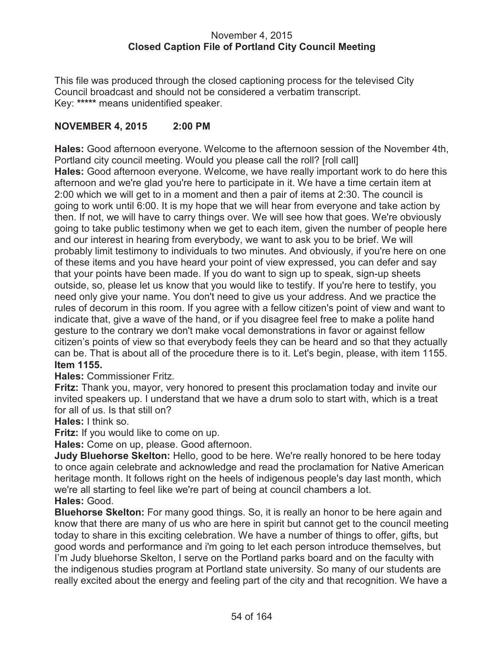### November 4, 2015 **Closed Caption File of Portland City Council Meeting**

This file was produced through the closed captioning process for the televised City Council broadcast and should not be considered a verbatim transcript. Key: **\*\*\*\*\*** means unidentified speaker.

## **NOVEMBER 4, 2015 2:00 PM**

**Hales:** Good afternoon everyone. Welcome to the afternoon session of the November 4th, Portland city council meeting. Would you please call the roll? [roll call] **Hales:** Good afternoon everyone. Welcome, we have really important work to do here this afternoon and we're glad you're here to participate in it. We have a time certain item at 2:00 which we will get to in a moment and then a pair of items at 2:30. The council is going to work until 6:00. It is my hope that we will hear from everyone and take action by then. If not, we will have to carry things over. We will see how that goes. We're obviously going to take public testimony when we get to each item, given the number of people here and our interest in hearing from everybody, we want to ask you to be brief. We will probably limit testimony to individuals to two minutes. And obviously, if you're here on one of these items and you have heard your point of view expressed, you can defer and say that your points have been made. If you do want to sign up to speak, sign-up sheets outside, so, please let us know that you would like to testify. If you're here to testify, you need only give your name. You don't need to give us your address. And we practice the rules of decorum in this room. If you agree with a fellow citizen's point of view and want to indicate that, give a wave of the hand, or if you disagree feel free to make a polite hand gesture to the contrary we don't make vocal demonstrations in favor or against fellow citizen's points of view so that everybody feels they can be heard and so that they actually can be. That is about all of the procedure there is to it. Let's begin, please, with item 1155. **Item 1155.**

**Hales:** Commissioner Fritz.

**Fritz:** Thank you, mayor, very honored to present this proclamation today and invite our invited speakers up. I understand that we have a drum solo to start with, which is a treat for all of us. Is that still on?

**Hales:** I think so.

**Fritz:** If you would like to come on up.

**Hales:** Come on up, please. Good afternoon.

**Judy Bluehorse Skelton:** Hello, good to be here. We're really honored to be here today to once again celebrate and acknowledge and read the proclamation for Native American heritage month. It follows right on the heels of indigenous people's day last month, which we're all starting to feel like we're part of being at council chambers a lot. **Hales:** Good.

**Bluehorse Skelton:** For many good things. So, it is really an honor to be here again and know that there are many of us who are here in spirit but cannot get to the council meeting today to share in this exciting celebration. We have a number of things to offer, gifts, but good words and performance and i'm going to let each person introduce themselves, but I'm Judy bluehorse Skelton, I serve on the Portland parks board and on the faculty with the indigenous studies program at Portland state university. So many of our students are really excited about the energy and feeling part of the city and that recognition. We have a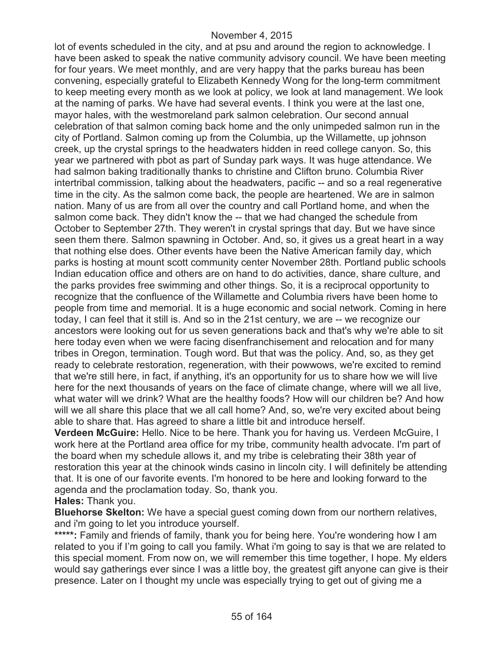lot of events scheduled in the city, and at psu and around the region to acknowledge. I have been asked to speak the native community advisory council. We have been meeting for four years. We meet monthly, and are very happy that the parks bureau has been convening, especially grateful to Elizabeth Kennedy Wong for the long-term commitment to keep meeting every month as we look at policy, we look at land management. We look at the naming of parks. We have had several events. I think you were at the last one, mayor hales, with the westmoreland park salmon celebration. Our second annual celebration of that salmon coming back home and the only unimpeded salmon run in the city of Portland. Salmon coming up from the Columbia, up the Willamette, up johnson creek, up the crystal springs to the headwaters hidden in reed college canyon. So, this year we partnered with pbot as part of Sunday park ways. It was huge attendance. We had salmon baking traditionally thanks to christine and Clifton bruno. Columbia River intertribal commission, talking about the headwaters, pacific -- and so a real regenerative time in the city. As the salmon come back, the people are heartened. We are in salmon nation. Many of us are from all over the country and call Portland home, and when the salmon come back. They didn't know the -- that we had changed the schedule from October to September 27th. They weren't in crystal springs that day. But we have since seen them there. Salmon spawning in October. And, so, it gives us a great heart in a way that nothing else does. Other events have been the Native American family day, which parks is hosting at mount scott community center November 28th. Portland public schools Indian education office and others are on hand to do activities, dance, share culture, and the parks provides free swimming and other things. So, it is a reciprocal opportunity to recognize that the confluence of the Willamette and Columbia rivers have been home to people from time and memorial. It is a huge economic and social network. Coming in here today, I can feel that it still is. And so in the 21st century, we are -- we recognize our ancestors were looking out for us seven generations back and that's why we're able to sit here today even when we were facing disenfranchisement and relocation and for many tribes in Oregon, termination. Tough word. But that was the policy. And, so, as they get ready to celebrate restoration, regeneration, with their powwows, we're excited to remind that we're still here, in fact, if anything, it's an opportunity for us to share how we will live here for the next thousands of years on the face of climate change, where will we all live, what water will we drink? What are the healthy foods? How will our children be? And how will we all share this place that we all call home? And, so, we're very excited about being able to share that. Has agreed to share a little bit and introduce herself.

**Verdeen McGuire:** Hello. Nice to be here. Thank you for having us. Verdeen McGuire, I work here at the Portland area office for my tribe, community health advocate. I'm part of the board when my schedule allows it, and my tribe is celebrating their 38th year of restoration this year at the chinook winds casino in lincoln city. I will definitely be attending that. It is one of our favorite events. I'm honored to be here and looking forward to the agenda and the proclamation today. So, thank you.

#### **Hales:** Thank you.

**Bluehorse Skelton:** We have a special guest coming down from our northern relatives, and i'm going to let you introduce yourself.

\*\*\*\*\*: Family and friends of family, thank you for being here. You're wondering how I am related to you if I'm going to call you family. What i'm going to say is that we are related to this special moment. From now on, we will remember this time together, I hope. My elders would say gatherings ever since I was a little boy, the greatest gift anyone can give is their presence. Later on I thought my uncle was especially trying to get out of giving me a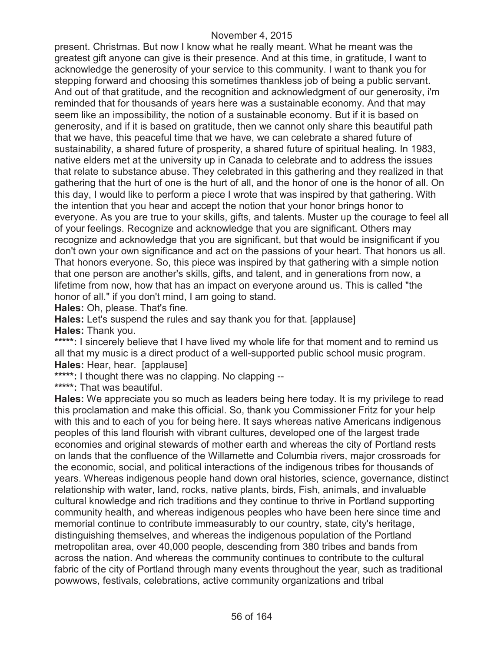present. Christmas. But now I know what he really meant. What he meant was the greatest gift anyone can give is their presence. And at this time, in gratitude, I want to acknowledge the generosity of your service to this community. I want to thank you for stepping forward and choosing this sometimes thankless job of being a public servant. And out of that gratitude, and the recognition and acknowledgment of our generosity, i'm reminded that for thousands of years here was a sustainable economy. And that may seem like an impossibility, the notion of a sustainable economy. But if it is based on generosity, and if it is based on gratitude, then we cannot only share this beautiful path that we have, this peaceful time that we have, we can celebrate a shared future of sustainability, a shared future of prosperity, a shared future of spiritual healing. In 1983, native elders met at the university up in Canada to celebrate and to address the issues that relate to substance abuse. They celebrated in this gathering and they realized in that gathering that the hurt of one is the hurt of all, and the honor of one is the honor of all. On this day, I would like to perform a piece I wrote that was inspired by that gathering. With the intention that you hear and accept the notion that your honor brings honor to everyone. As you are true to your skills, gifts, and talents. Muster up the courage to feel all of your feelings. Recognize and acknowledge that you are significant. Others may recognize and acknowledge that you are significant, but that would be insignificant if you don't own your own significance and act on the passions of your heart. That honors us all. That honors everyone. So, this piece was inspired by that gathering with a simple notion that one person are another's skills, gifts, and talent, and in generations from now, a lifetime from now, how that has an impact on everyone around us. This is called "the honor of all." if you don't mind, I am going to stand.

**Hales:** Oh, please. That's fine.

**Hales:** Let's suspend the rules and say thank you for that. [applause] **Hales:** Thank you.

\*\*\*\*\*: I sincerely believe that I have lived my whole life for that moment and to remind us all that my music is a direct product of a well-supported public school music program. **Hales:** Hear, hear. [applause]

**\*\*\*\*\*:** I thought there was no clapping. No clapping --

**\*\*\*\*\*:** That was beautiful.

**Hales:** We appreciate you so much as leaders being here today. It is my privilege to read this proclamation and make this official. So, thank you Commissioner Fritz for your help with this and to each of you for being here. It says whereas native Americans indigenous peoples of this land flourish with vibrant cultures, developed one of the largest trade economies and original stewards of mother earth and whereas the city of Portland rests on lands that the confluence of the Willamette and Columbia rivers, major crossroads for the economic, social, and political interactions of the indigenous tribes for thousands of years. Whereas indigenous people hand down oral histories, science, governance, distinct relationship with water, land, rocks, native plants, birds, Fish, animals, and invaluable cultural knowledge and rich traditions and they continue to thrive in Portland supporting community health, and whereas indigenous peoples who have been here since time and memorial continue to contribute immeasurably to our country, state, city's heritage, distinguishing themselves, and whereas the indigenous population of the Portland metropolitan area, over 40,000 people, descending from 380 tribes and bands from across the nation. And whereas the community continues to contribute to the cultural fabric of the city of Portland through many events throughout the year, such as traditional powwows, festivals, celebrations, active community organizations and tribal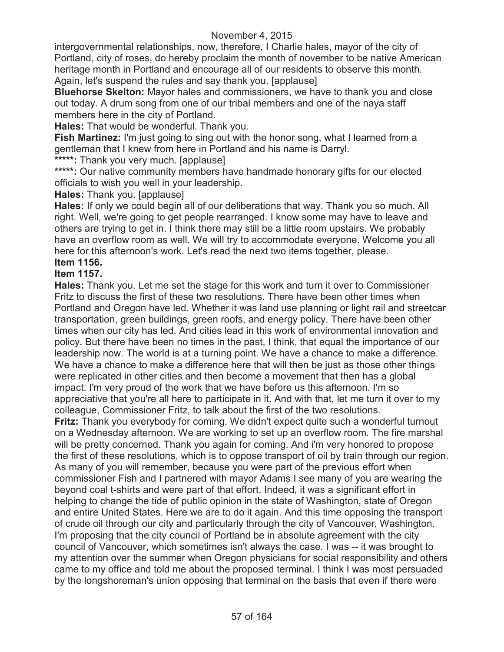intergovernmental relationships, now, therefore, I Charlie hales, mayor of the city of Portland, city of roses, do hereby proclaim the month of november to be native American heritage month in Portland and encourage all of our residents to observe this month. Again, let's suspend the rules and say thank you. [applause]

**Bluehorse Skelton:** Mayor hales and commissioners, we have to thank you and close out today. A drum song from one of our tribal members and one of the naya staff members here in the city of Portland.

**Hales:** That would be wonderful. Thank you.

**Fish Martinez:** I'm just going to sing out with the honor song, what I learned from a gentleman that I knew from here in Portland and his name is Darryl.

**\*\*\*\*\*:** Thank you very much. [applause]

**\*\*\*\*\*:** Our native community members have handmade honorary gifts for our elected officials to wish you well in your leadership.

**Hales:** Thank you. [applause]

**Hales:** If only we could begin all of our deliberations that way. Thank you so much. All right. Well, we're going to get people rearranged. I know some may have to leave and others are trying to get in. I think there may still be a little room upstairs. We probably have an overflow room as well. We will try to accommodate everyone. Welcome you all here for this afternoon's work. Let's read the next two items together, please.

## **Item 1156.**

### **Item 1157.**

**Hales:** Thank you. Let me set the stage for this work and turn it over to Commissioner Fritz to discuss the first of these two resolutions. There have been other times when Portland and Oregon have led. Whether it was land use planning or light rail and streetcar transportation, green buildings, green roofs, and energy policy. There have been other times when our city has led. And cities lead in this work of environmental innovation and policy. But there have been no times in the past, I think, that equal the importance of our leadership now. The world is at a turning point. We have a chance to make a difference. We have a chance to make a difference here that will then be just as those other things were replicated in other cities and then become a movement that then has a global impact. I'm very proud of the work that we have before us this afternoon. I'm so appreciative that you're all here to participate in it. And with that, let me turn it over to my colleague, Commissioner Fritz, to talk about the first of the two resolutions.

**Fritz:** Thank you everybody for coming. We didn't expect quite such a wonderful turnout on a Wednesday afternoon. We are working to set up an overflow room. The fire marshal will be pretty concerned. Thank you again for coming. And i'm very honored to propose the first of these resolutions, which is to oppose transport of oil by train through our region. As many of you will remember, because you were part of the previous effort when commissioner Fish and I partnered with mayor Adams I see many of you are wearing the beyond coal t-shirts and were part of that effort. Indeed, it was a significant effort in helping to change the tide of public opinion in the state of Washington, state of Oregon and entire United States. Here we are to do it again. And this time opposing the transport of crude oil through our city and particularly through the city of Vancouver, Washington. I'm proposing that the city council of Portland be in absolute agreement with the city council of Vancouver, which sometimes isn't always the case. I was -- it was brought to my attention over the summer when Oregon physicians for social responsibility and others came to my office and told me about the proposed terminal. I think I was most persuaded by the longshoreman's union opposing that terminal on the basis that even if there were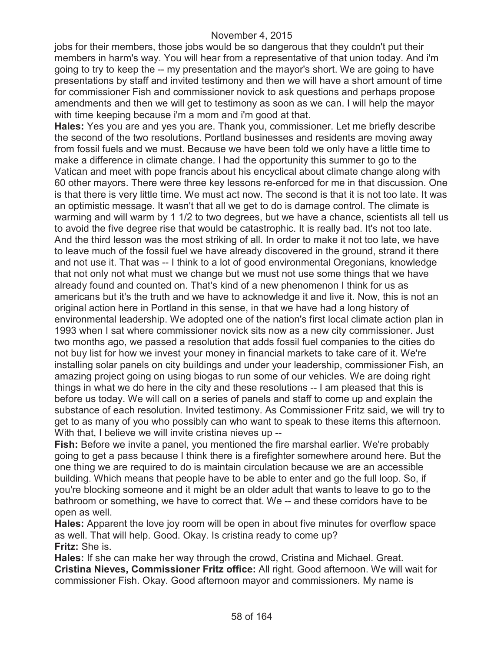jobs for their members, those jobs would be so dangerous that they couldn't put their members in harm's way. You will hear from a representative of that union today. And i'm going to try to keep the -- my presentation and the mayor's short. We are going to have presentations by staff and invited testimony and then we will have a short amount of time for commissioner Fish and commissioner novick to ask questions and perhaps propose amendments and then we will get to testimony as soon as we can. I will help the mayor with time keeping because i'm a mom and i'm good at that.

**Hales:** Yes you are and yes you are. Thank you, commissioner. Let me briefly describe the second of the two resolutions. Portland businesses and residents are moving away from fossil fuels and we must. Because we have been told we only have a little time to make a difference in climate change. I had the opportunity this summer to go to the Vatican and meet with pope francis about his encyclical about climate change along with 60 other mayors. There were three key lessons re-enforced for me in that discussion. One is that there is very little time. We must act now. The second is that it is not too late. It was an optimistic message. It wasn't that all we get to do is damage control. The climate is warming and will warm by 1 1/2 to two degrees, but we have a chance, scientists all tell us to avoid the five degree rise that would be catastrophic. It is really bad. It's not too late. And the third lesson was the most striking of all. In order to make it not too late, we have to leave much of the fossil fuel we have already discovered in the ground, strand it there and not use it. That was -- I think to a lot of good environmental Oregonians, knowledge that not only not what must we change but we must not use some things that we have already found and counted on. That's kind of a new phenomenon I think for us as americans but it's the truth and we have to acknowledge it and live it. Now, this is not an original action here in Portland in this sense, in that we have had a long history of environmental leadership. We adopted one of the nation's first local climate action plan in 1993 when I sat where commissioner novick sits now as a new city commissioner. Just two months ago, we passed a resolution that adds fossil fuel companies to the cities do not buy list for how we invest your money in financial markets to take care of it. We're installing solar panels on city buildings and under your leadership, commissioner Fish, an amazing project going on using biogas to run some of our vehicles. We are doing right things in what we do here in the city and these resolutions -- I am pleased that this is before us today. We will call on a series of panels and staff to come up and explain the substance of each resolution. Invited testimony. As Commissioner Fritz said, we will try to get to as many of you who possibly can who want to speak to these items this afternoon. With that, I believe we will invite cristina nieves up --

**Fish:** Before we invite a panel, you mentioned the fire marshal earlier. We're probably going to get a pass because I think there is a firefighter somewhere around here. But the one thing we are required to do is maintain circulation because we are an accessible building. Which means that people have to be able to enter and go the full loop. So, if you're blocking someone and it might be an older adult that wants to leave to go to the bathroom or something, we have to correct that. We -- and these corridors have to be open as well.

**Hales:** Apparent the love joy room will be open in about five minutes for overflow space as well. That will help. Good. Okay. Is cristina ready to come up? **Fritz:** She is.

**Hales:** If she can make her way through the crowd, Cristina and Michael. Great. **Cristina Nieves, Commissioner Fritz office:** All right. Good afternoon. We will wait for commissioner Fish. Okay. Good afternoon mayor and commissioners. My name is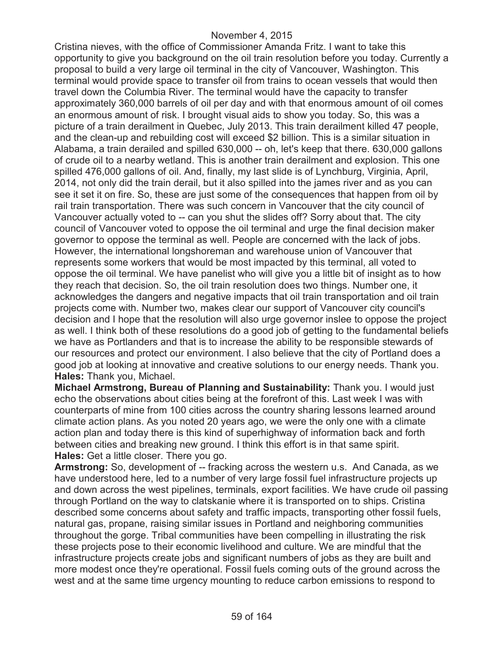Cristina nieves, with the office of Commissioner Amanda Fritz. I want to take this opportunity to give you background on the oil train resolution before you today. Currently a proposal to build a very large oil terminal in the city of Vancouver, Washington. This terminal would provide space to transfer oil from trains to ocean vessels that would then travel down the Columbia River. The terminal would have the capacity to transfer approximately 360,000 barrels of oil per day and with that enormous amount of oil comes an enormous amount of risk. I brought visual aids to show you today. So, this was a picture of a train derailment in Quebec, July 2013. This train derailment killed 47 people, and the clean-up and rebuilding cost will exceed \$2 billion. This is a similar situation in Alabama, a train derailed and spilled 630,000 -- oh, let's keep that there. 630,000 gallons of crude oil to a nearby wetland. This is another train derailment and explosion. This one spilled 476,000 gallons of oil. And, finally, my last slide is of Lynchburg, Virginia, April, 2014, not only did the train derail, but it also spilled into the james river and as you can see it set it on fire. So, these are just some of the consequences that happen from oil by rail train transportation. There was such concern in Vancouver that the city council of Vancouver actually voted to -- can you shut the slides off? Sorry about that. The city council of Vancouver voted to oppose the oil terminal and urge the final decision maker governor to oppose the terminal as well. People are concerned with the lack of jobs. However, the international longshoreman and warehouse union of Vancouver that represents some workers that would be most impacted by this terminal, all voted to oppose the oil terminal. We have panelist who will give you a little bit of insight as to how they reach that decision. So, the oil train resolution does two things. Number one, it acknowledges the dangers and negative impacts that oil train transportation and oil train projects come with. Number two, makes clear our support of Vancouver city council's decision and I hope that the resolution will also urge governor inslee to oppose the project as well. I think both of these resolutions do a good job of getting to the fundamental beliefs we have as Portlanders and that is to increase the ability to be responsible stewards of our resources and protect our environment. I also believe that the city of Portland does a good job at looking at innovative and creative solutions to our energy needs. Thank you. **Hales:** Thank you, Michael.

**Michael Armstrong, Bureau of Planning and Sustainability:** Thank you. I would just echo the observations about cities being at the forefront of this. Last week I was with counterparts of mine from 100 cities across the country sharing lessons learned around climate action plans. As you noted 20 years ago, we were the only one with a climate action plan and today there is this kind of superhighway of information back and forth between cities and breaking new ground. I think this effort is in that same spirit. **Hales:** Get a little closer. There you go.

**Armstrong:** So, development of -- fracking across the western u.s. And Canada, as we have understood here, led to a number of very large fossil fuel infrastructure projects up and down across the west pipelines, terminals, export facilities. We have crude oil passing through Portland on the way to clatskanie where it is transported on to ships. Cristina described some concerns about safety and traffic impacts, transporting other fossil fuels, natural gas, propane, raising similar issues in Portland and neighboring communities throughout the gorge. Tribal communities have been compelling in illustrating the risk these projects pose to their economic livelihood and culture. We are mindful that the infrastructure projects create jobs and significant numbers of jobs as they are built and more modest once they're operational. Fossil fuels coming outs of the ground across the west and at the same time urgency mounting to reduce carbon emissions to respond to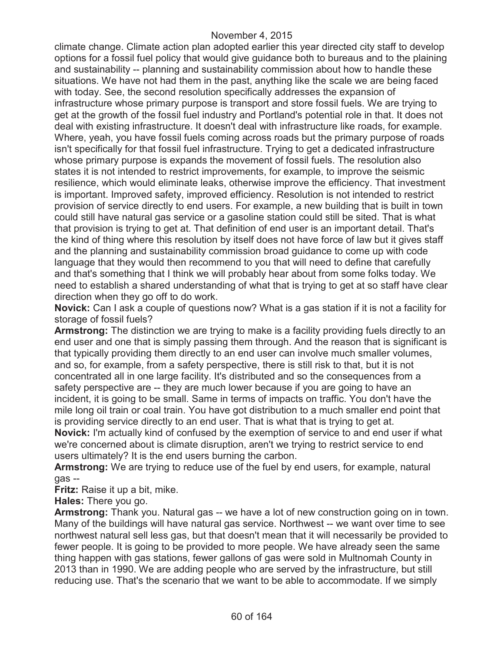climate change. Climate action plan adopted earlier this year directed city staff to develop options for a fossil fuel policy that would give guidance both to bureaus and to the plaining and sustainability -- planning and sustainability commission about how to handle these situations. We have not had them in the past, anything like the scale we are being faced with today. See, the second resolution specifically addresses the expansion of infrastructure whose primary purpose is transport and store fossil fuels. We are trying to get at the growth of the fossil fuel industry and Portland's potential role in that. It does not deal with existing infrastructure. It doesn't deal with infrastructure like roads, for example. Where, yeah, you have fossil fuels coming across roads but the primary purpose of roads isn't specifically for that fossil fuel infrastructure. Trying to get a dedicated infrastructure whose primary purpose is expands the movement of fossil fuels. The resolution also states it is not intended to restrict improvements, for example, to improve the seismic resilience, which would eliminate leaks, otherwise improve the efficiency. That investment is important. Improved safety, improved efficiency. Resolution is not intended to restrict provision of service directly to end users. For example, a new building that is built in town could still have natural gas service or a gasoline station could still be sited. That is what that provision is trying to get at. That definition of end user is an important detail. That's the kind of thing where this resolution by itself does not have force of law but it gives staff and the planning and sustainability commission broad guidance to come up with code language that they would then recommend to you that will need to define that carefully and that's something that I think we will probably hear about from some folks today. We need to establish a shared understanding of what that is trying to get at so staff have clear direction when they go off to do work.

**Novick:** Can I ask a couple of questions now? What is a gas station if it is not a facility for storage of fossil fuels?

**Armstrong:** The distinction we are trying to make is a facility providing fuels directly to an end user and one that is simply passing them through. And the reason that is significant is that typically providing them directly to an end user can involve much smaller volumes, and so, for example, from a safety perspective, there is still risk to that, but it is not concentrated all in one large facility. It's distributed and so the consequences from a safety perspective are -- they are much lower because if you are going to have an incident, it is going to be small. Same in terms of impacts on traffic. You don't have the mile long oil train or coal train. You have got distribution to a much smaller end point that is providing service directly to an end user. That is what that is trying to get at.

**Novick:** I'm actually kind of confused by the exemption of service to and end user if what we're concerned about is climate disruption, aren't we trying to restrict service to end users ultimately? It is the end users burning the carbon.

**Armstrong:** We are trying to reduce use of the fuel by end users, for example, natural gas --

**Fritz:** Raise it up a bit, mike.

**Hales:** There you go.

**Armstrong:** Thank you. Natural gas -- we have a lot of new construction going on in town. Many of the buildings will have natural gas service. Northwest -- we want over time to see northwest natural sell less gas, but that doesn't mean that it will necessarily be provided to fewer people. It is going to be provided to more people. We have already seen the same thing happen with gas stations, fewer gallons of gas were sold in Multnomah County in 2013 than in 1990. We are adding people who are served by the infrastructure, but still reducing use. That's the scenario that we want to be able to accommodate. If we simply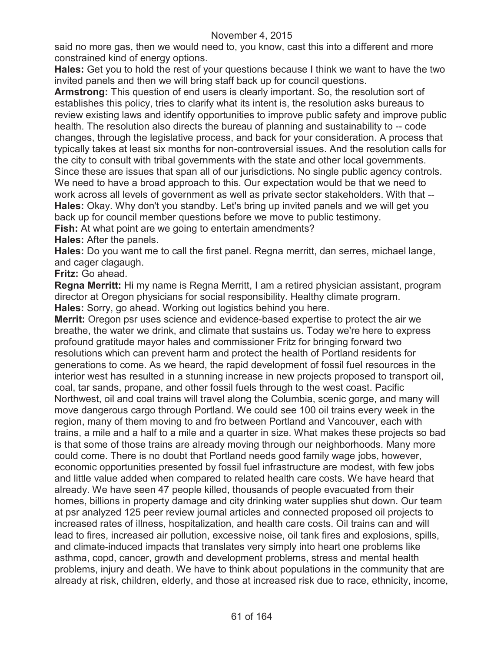said no more gas, then we would need to, you know, cast this into a different and more constrained kind of energy options.

**Hales:** Get you to hold the rest of your questions because I think we want to have the two invited panels and then we will bring staff back up for council questions.

**Armstrong:** This question of end users is clearly important. So, the resolution sort of establishes this policy, tries to clarify what its intent is, the resolution asks bureaus to review existing laws and identify opportunities to improve public safety and improve public health. The resolution also directs the bureau of planning and sustainability to -- code changes, through the legislative process, and back for your consideration. A process that typically takes at least six months for non-controversial issues. And the resolution calls for the city to consult with tribal governments with the state and other local governments. Since these are issues that span all of our jurisdictions. No single public agency controls. We need to have a broad approach to this. Our expectation would be that we need to work across all levels of government as well as private sector stakeholders. With that -- **Hales:** Okay. Why don't you standby. Let's bring up invited panels and we will get you back up for council member questions before we move to public testimony.

**Fish:** At what point are we going to entertain amendments?

### **Hales:** After the panels.

**Hales:** Do you want me to call the first panel. Regna merritt, dan serres, michael lange, and cager clagaugh.

**Fritz:** Go ahead.

**Regna Merritt:** Hi my name is Regna Merritt, I am a retired physician assistant, program director at Oregon physicians for social responsibility. Healthy climate program. **Hales:** Sorry, go ahead. Working out logistics behind you here.

**Merrit:** Oregon psr uses science and evidence-based expertise to protect the air we breathe, the water we drink, and climate that sustains us. Today we're here to express profound gratitude mayor hales and commissioner Fritz for bringing forward two resolutions which can prevent harm and protect the health of Portland residents for generations to come. As we heard, the rapid development of fossil fuel resources in the interior west has resulted in a stunning increase in new projects proposed to transport oil, coal, tar sands, propane, and other fossil fuels through to the west coast. Pacific Northwest, oil and coal trains will travel along the Columbia, scenic gorge, and many will move dangerous cargo through Portland. We could see 100 oil trains every week in the region, many of them moving to and fro between Portland and Vancouver, each with trains, a mile and a half to a mile and a quarter in size. What makes these projects so bad is that some of those trains are already moving through our neighborhoods. Many more could come. There is no doubt that Portland needs good family wage jobs, however, economic opportunities presented by fossil fuel infrastructure are modest, with few jobs and little value added when compared to related health care costs. We have heard that already. We have seen 47 people killed, thousands of people evacuated from their homes, billions in property damage and city drinking water supplies shut down. Our team at psr analyzed 125 peer review journal articles and connected proposed oil projects to increased rates of illness, hospitalization, and health care costs. Oil trains can and will lead to fires, increased air pollution, excessive noise, oil tank fires and explosions, spills, and climate-induced impacts that translates very simply into heart one problems like asthma, copd, cancer, growth and development problems, stress and mental health problems, injury and death. We have to think about populations in the community that are already at risk, children, elderly, and those at increased risk due to race, ethnicity, income,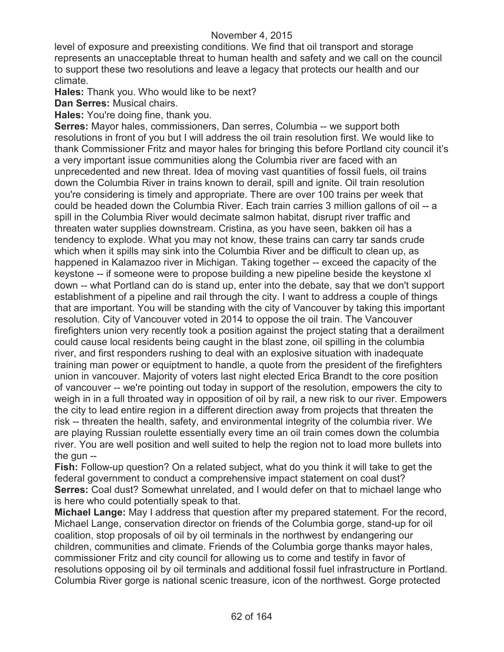level of exposure and preexisting conditions. We find that oil transport and storage represents an unacceptable threat to human health and safety and we call on the council to support these two resolutions and leave a legacy that protects our health and our climate.

**Hales:** Thank you. Who would like to be next?

**Dan Serres:** Musical chairs.

**Hales:** You're doing fine, thank you.

**Serres:** Mayor hales, commissioners, Dan serres, Columbia -- we support both resolutions in front of you but I will address the oil train resolution first. We would like to thank Commissioner Fritz and mayor hales for bringing this before Portland city council it's a very important issue communities along the Columbia river are faced with an unprecedented and new threat. Idea of moving vast quantities of fossil fuels, oil trains down the Columbia River in trains known to derail, spill and ignite. Oil train resolution you're considering is timely and appropriate. There are over 100 trains per week that could be headed down the Columbia River. Each train carries 3 million gallons of oil -- a spill in the Columbia River would decimate salmon habitat, disrupt river traffic and threaten water supplies downstream. Cristina, as you have seen, bakken oil has a tendency to explode. What you may not know, these trains can carry tar sands crude which when it spills may sink into the Columbia River and be difficult to clean up, as happened in Kalamazoo river in Michigan. Taking together -- exceed the capacity of the keystone -- if someone were to propose building a new pipeline beside the keystone xl down -- what Portland can do is stand up, enter into the debate, say that we don't support establishment of a pipeline and rail through the city. I want to address a couple of things that are important. You will be standing with the city of Vancouver by taking this important resolution. City of Vancouver voted in 2014 to oppose the oil train. The Vancouver firefighters union very recently took a position against the project stating that a derailment could cause local residents being caught in the blast zone, oil spilling in the columbia river, and first responders rushing to deal with an explosive situation with inadequate training man power or equiptment to handle, a quote from the president of the firefighters union in vancouver. Majority of voters last night elected Erica Brandt to the core position of vancouver -- we're pointing out today in support of the resolution, empowers the city to weigh in in a full throated way in opposition of oil by rail, a new risk to our river. Empowers the city to lead entire region in a different direction away from projects that threaten the risk -- threaten the health, safety, and environmental integrity of the columbia river. We are playing Russian roulette essentially every time an oil train comes down the columbia river. You are well position and well suited to help the region not to load more bullets into the gun --

**Fish:** Follow-up question? On a related subject, what do you think it will take to get the federal government to conduct a comprehensive impact statement on coal dust? **Serres:** Coal dust? Somewhat unrelated, and I would defer on that to michael lange who is here who could potentially speak to that.

**Michael Lange:** May I address that question after my prepared statement. For the record, Michael Lange, conservation director on friends of the Columbia gorge, stand-up for oil coalition, stop proposals of oil by oil terminals in the northwest by endangering our children, communities and climate. Friends of the Columbia gorge thanks mayor hales, commissioner Fritz and city council for allowing us to come and testify in favor of resolutions opposing oil by oil terminals and additional fossil fuel infrastructure in Portland. Columbia River gorge is national scenic treasure, icon of the northwest. Gorge protected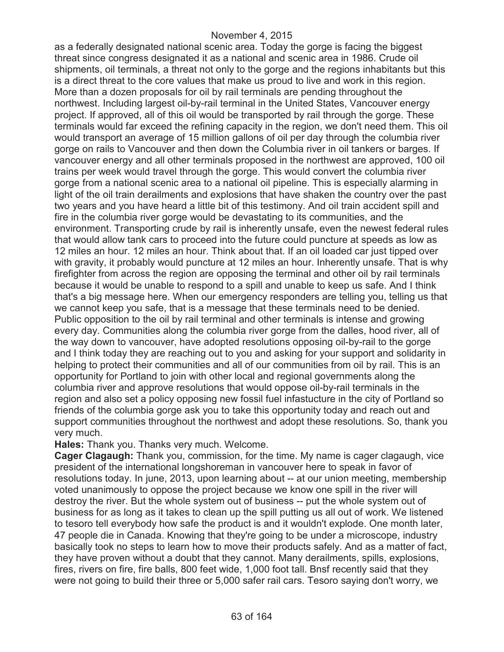as a federally designated national scenic area. Today the gorge is facing the biggest threat since congress designated it as a national and scenic area in 1986. Crude oil shipments, oil terminals, a threat not only to the gorge and the regions inhabitants but this is a direct threat to the core values that make us proud to live and work in this region. More than a dozen proposals for oil by rail terminals are pending throughout the northwest. Including largest oil-by-rail terminal in the United States, Vancouver energy project. If approved, all of this oil would be transported by rail through the gorge. These terminals would far exceed the refining capacity in the region, we don't need them. This oil would transport an average of 15 million gallons of oil per day through the columbia river gorge on rails to Vancouver and then down the Columbia river in oil tankers or barges. If vancouver energy and all other terminals proposed in the northwest are approved, 100 oil trains per week would travel through the gorge. This would convert the columbia river gorge from a national scenic area to a national oil pipeline. This is especially alarming in light of the oil train derailments and explosions that have shaken the country over the past two years and you have heard a little bit of this testimony. And oil train accident spill and fire in the columbia river gorge would be devastating to its communities, and the environment. Transporting crude by rail is inherently unsafe, even the newest federal rules that would allow tank cars to proceed into the future could puncture at speeds as low as 12 miles an hour. 12 miles an hour. Think about that. If an oil loaded car just tipped over with gravity, it probably would puncture at 12 miles an hour. Inherently unsafe. That is why firefighter from across the region are opposing the terminal and other oil by rail terminals because it would be unable to respond to a spill and unable to keep us safe. And I think that's a big message here. When our emergency responders are telling you, telling us that we cannot keep you safe, that is a message that these terminals need to be denied. Public opposition to the oil by rail terminal and other terminals is intense and growing every day. Communities along the columbia river gorge from the dalles, hood river, all of the way down to vancouver, have adopted resolutions opposing oil-by-rail to the gorge and I think today they are reaching out to you and asking for your support and solidarity in helping to protect their communities and all of our communities from oil by rail. This is an opportunity for Portland to join with other local and regional governments along the columbia river and approve resolutions that would oppose oil-by-rail terminals in the region and also set a policy opposing new fossil fuel infastucture in the city of Portland so friends of the columbia gorge ask you to take this opportunity today and reach out and support communities throughout the northwest and adopt these resolutions. So, thank you very much.

**Hales:** Thank you. Thanks very much. Welcome.

**Cager Clagaugh:** Thank you, commission, for the time. My name is cager clagaugh, vice president of the international longshoreman in vancouver here to speak in favor of resolutions today. In june, 2013, upon learning about -- at our union meeting, membership voted unanimously to oppose the project because we know one spill in the river will destroy the river. But the whole system out of business -- put the whole system out of business for as long as it takes to clean up the spill putting us all out of work. We listened to tesoro tell everybody how safe the product is and it wouldn't explode. One month later, 47 people die in Canada. Knowing that they're going to be under a microscope, industry basically took no steps to learn how to move their products safely. And as a matter of fact, they have proven without a doubt that they cannot. Many derailments, spills, explosions, fires, rivers on fire, fire balls, 800 feet wide, 1,000 foot tall. Bnsf recently said that they were not going to build their three or 5,000 safer rail cars. Tesoro saying don't worry, we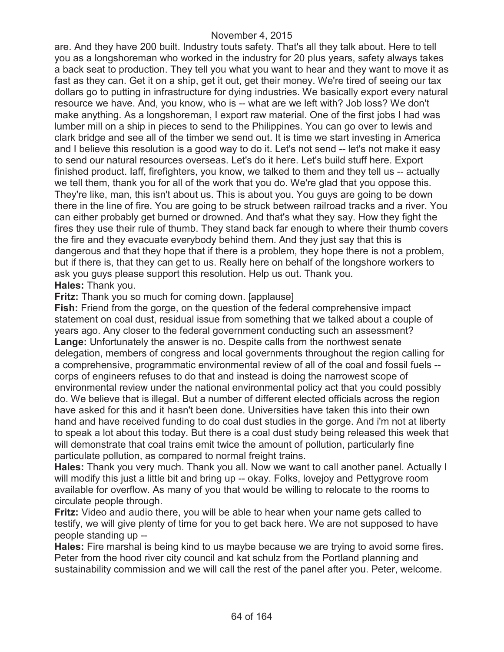are. And they have 200 built. Industry touts safety. That's all they talk about. Here to tell you as a longshoreman who worked in the industry for 20 plus years, safety always takes a back seat to production. They tell you what you want to hear and they want to move it as fast as they can. Get it on a ship, get it out, get their money. We're tired of seeing our tax dollars go to putting in infrastructure for dying industries. We basically export every natural resource we have. And, you know, who is -- what are we left with? Job loss? We don't make anything. As a longshoreman, I export raw material. One of the first jobs I had was lumber mill on a ship in pieces to send to the Philippines. You can go over to lewis and clark bridge and see all of the timber we send out. It is time we start investing in America and I believe this resolution is a good way to do it. Let's not send -- let's not make it easy to send our natural resources overseas. Let's do it here. Let's build stuff here. Export finished product. Iaff, firefighters, you know, we talked to them and they tell us -- actually we tell them, thank you for all of the work that you do. We're glad that you oppose this. They're like, man, this isn't about us. This is about you. You guys are going to be down there in the line of fire. You are going to be struck between railroad tracks and a river. You can either probably get burned or drowned. And that's what they say. How they fight the fires they use their rule of thumb. They stand back far enough to where their thumb covers the fire and they evacuate everybody behind them. And they just say that this is dangerous and that they hope that if there is a problem, they hope there is not a problem, but if there is, that they can get to us. Really here on behalf of the longshore workers to ask you guys please support this resolution. Help us out. Thank you. **Hales:** Thank you.

**Fritz:** Thank you so much for coming down. [applause]

**Fish:** Friend from the gorge, on the question of the federal comprehensive impact statement on coal dust, residual issue from something that we talked about a couple of years ago. Any closer to the federal government conducting such an assessment? **Lange:** Unfortunately the answer is no. Despite calls from the northwest senate delegation, members of congress and local governments throughout the region calling for a comprehensive, programmatic environmental review of all of the coal and fossil fuels - corps of engineers refuses to do that and instead is doing the narrowest scope of environmental review under the national environmental policy act that you could possibly do. We believe that is illegal. But a number of different elected officials across the region have asked for this and it hasn't been done. Universities have taken this into their own hand and have received funding to do coal dust studies in the gorge. And i'm not at liberty to speak a lot about this today. But there is a coal dust study being released this week that will demonstrate that coal trains emit twice the amount of pollution, particularly fine particulate pollution, as compared to normal freight trains.

**Hales:** Thank you very much. Thank you all. Now we want to call another panel. Actually I will modify this just a little bit and bring up -- okay. Folks, lovejoy and Pettygrove room available for overflow. As many of you that would be willing to relocate to the rooms to circulate people through.

**Fritz:** Video and audio there, you will be able to hear when your name gets called to testify, we will give plenty of time for you to get back here. We are not supposed to have people standing up --

**Hales:** Fire marshal is being kind to us maybe because we are trying to avoid some fires. Peter from the hood river city council and kat schulz from the Portland planning and sustainability commission and we will call the rest of the panel after you. Peter, welcome.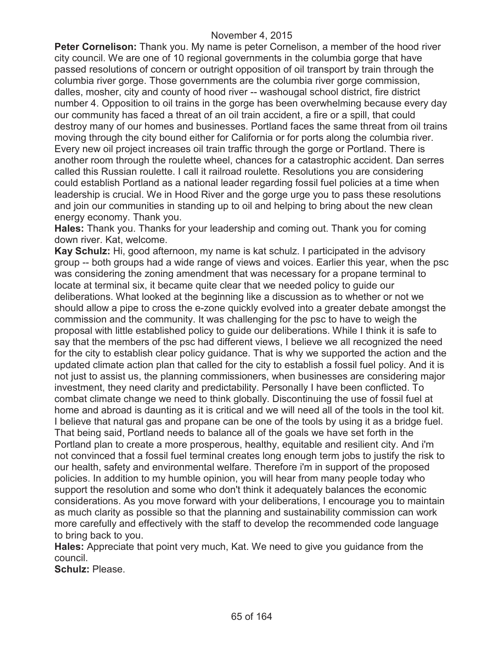**Peter Cornelison:** Thank you. My name is peter Cornelison, a member of the hood river city council. We are one of 10 regional governments in the columbia gorge that have passed resolutions of concern or outright opposition of oil transport by train through the columbia river gorge. Those governments are the columbia river gorge commission, dalles, mosher, city and county of hood river -- washougal school district, fire district number 4. Opposition to oil trains in the gorge has been overwhelming because every day our community has faced a threat of an oil train accident, a fire or a spill, that could destroy many of our homes and businesses. Portland faces the same threat from oil trains moving through the city bound either for California or for ports along the columbia river. Every new oil project increases oil train traffic through the gorge or Portland. There is another room through the roulette wheel, chances for a catastrophic accident. Dan serres called this Russian roulette. I call it railroad roulette. Resolutions you are considering could establish Portland as a national leader regarding fossil fuel policies at a time when leadership is crucial. We in Hood River and the gorge urge you to pass these resolutions and join our communities in standing up to oil and helping to bring about the new clean energy economy. Thank you.

**Hales:** Thank you. Thanks for your leadership and coming out. Thank you for coming down river. Kat, welcome.

**Kay Schulz:** Hi, good afternoon, my name is kat schulz. I participated in the advisory group -- both groups had a wide range of views and voices. Earlier this year, when the psc was considering the zoning amendment that was necessary for a propane terminal to locate at terminal six, it became quite clear that we needed policy to guide our deliberations. What looked at the beginning like a discussion as to whether or not we should allow a pipe to cross the e-zone quickly evolved into a greater debate amongst the commission and the community. It was challenging for the psc to have to weigh the proposal with little established policy to guide our deliberations. While I think it is safe to say that the members of the psc had different views, I believe we all recognized the need for the city to establish clear policy guidance. That is why we supported the action and the updated climate action plan that called for the city to establish a fossil fuel policy. And it is not just to assist us, the planning commissioners, when businesses are considering major investment, they need clarity and predictability. Personally I have been conflicted. To combat climate change we need to think globally. Discontinuing the use of fossil fuel at home and abroad is daunting as it is critical and we will need all of the tools in the tool kit. I believe that natural gas and propane can be one of the tools by using it as a bridge fuel. That being said, Portland needs to balance all of the goals we have set forth in the Portland plan to create a more prosperous, healthy, equitable and resilient city. And i'm not convinced that a fossil fuel terminal creates long enough term jobs to justify the risk to our health, safety and environmental welfare. Therefore i'm in support of the proposed policies. In addition to my humble opinion, you will hear from many people today who support the resolution and some who don't think it adequately balances the economic considerations. As you move forward with your deliberations, I encourage you to maintain as much clarity as possible so that the planning and sustainability commission can work more carefully and effectively with the staff to develop the recommended code language to bring back to you.

**Hales:** Appreciate that point very much, Kat. We need to give you guidance from the council.

**Schulz:** Please.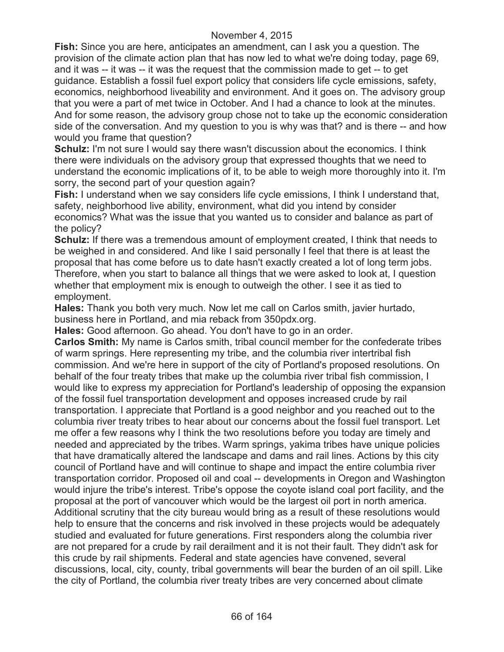**Fish:** Since you are here, anticipates an amendment, can I ask you a question. The provision of the climate action plan that has now led to what we're doing today, page 69, and it was -- it was -- it was the request that the commission made to get -- to get guidance. Establish a fossil fuel export policy that considers life cycle emissions, safety, economics, neighborhood liveability and environment. And it goes on. The advisory group that you were a part of met twice in October. And I had a chance to look at the minutes. And for some reason, the advisory group chose not to take up the economic consideration side of the conversation. And my question to you is why was that? and is there -- and how would you frame that question?

**Schulz:** I'm not sure I would say there wasn't discussion about the economics. I think there were individuals on the advisory group that expressed thoughts that we need to understand the economic implications of it, to be able to weigh more thoroughly into it. I'm sorry, the second part of your question again?

**Fish:** I understand when we say considers life cycle emissions, I think I understand that, safety, neighborhood live ability, environment, what did you intend by consider economics? What was the issue that you wanted us to consider and balance as part of the policy?

**Schulz:** If there was a tremendous amount of employment created, I think that needs to be weighed in and considered. And like I said personally I feel that there is at least the proposal that has come before us to date hasn't exactly created a lot of long term jobs. Therefore, when you start to balance all things that we were asked to look at, I question whether that employment mix is enough to outweigh the other. I see it as tied to employment.

**Hales:** Thank you both very much. Now let me call on Carlos smith, javier hurtado, business here in Portland, and mia reback from 350pdx.org.

**Hales:** Good afternoon. Go ahead. You don't have to go in an order.

**Carlos Smith:** My name is Carlos smith, tribal council member for the confederate tribes of warm springs. Here representing my tribe, and the columbia river intertribal fish commission. And we're here in support of the city of Portland's proposed resolutions. On behalf of the four treaty tribes that make up the columbia river tribal fish commission, I would like to express my appreciation for Portland's leadership of opposing the expansion of the fossil fuel transportation development and opposes increased crude by rail transportation. I appreciate that Portland is a good neighbor and you reached out to the columbia river treaty tribes to hear about our concerns about the fossil fuel transport. Let me offer a few reasons why I think the two resolutions before you today are timely and needed and appreciated by the tribes. Warm springs, yakima tribes have unique policies that have dramatically altered the landscape and dams and rail lines. Actions by this city council of Portland have and will continue to shape and impact the entire columbia river transportation corridor. Proposed oil and coal -- developments in Oregon and Washington would injure the tribe's interest. Tribe's oppose the coyote island coal port facility, and the proposal at the port of vancouver which would be the largest oil port in north america. Additional scrutiny that the city bureau would bring as a result of these resolutions would help to ensure that the concerns and risk involved in these projects would be adequately studied and evaluated for future generations. First responders along the columbia river are not prepared for a crude by rail derailment and it is not their fault. They didn't ask for this crude by rail shipments. Federal and state agencies have convened, several discussions, local, city, county, tribal governments will bear the burden of an oil spill. Like the city of Portland, the columbia river treaty tribes are very concerned about climate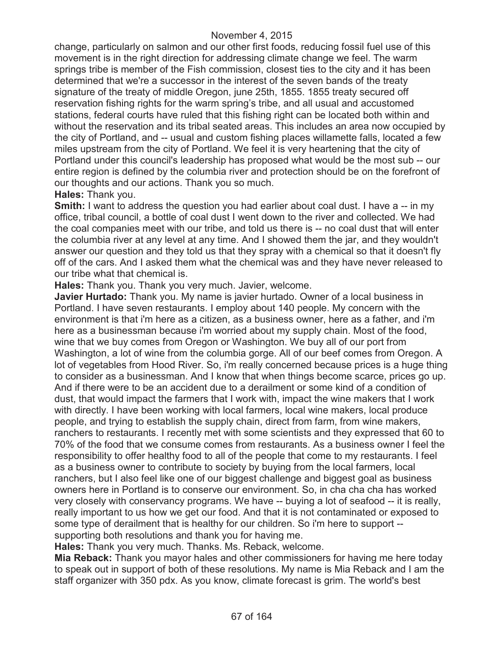change, particularly on salmon and our other first foods, reducing fossil fuel use of this movement is in the right direction for addressing climate change we feel. The warm springs tribe is member of the Fish commission, closest ties to the city and it has been determined that we're a successor in the interest of the seven bands of the treaty signature of the treaty of middle Oregon, june 25th, 1855. 1855 treaty secured off reservation fishing rights for the warm spring's tribe, and all usual and accustomed stations, federal courts have ruled that this fishing right can be located both within and without the reservation and its tribal seated areas. This includes an area now occupied by the city of Portland, and -- usual and custom fishing places willamette falls, located a few miles upstream from the city of Portland. We feel it is very heartening that the city of Portland under this council's leadership has proposed what would be the most sub -- our entire region is defined by the columbia river and protection should be on the forefront of our thoughts and our actions. Thank you so much.

#### **Hales:** Thank you.

**Smith:** I want to address the question you had earlier about coal dust. I have a -- in my office, tribal council, a bottle of coal dust I went down to the river and collected. We had the coal companies meet with our tribe, and told us there is -- no coal dust that will enter the columbia river at any level at any time. And I showed them the jar, and they wouldn't answer our question and they told us that they spray with a chemical so that it doesn't fly off of the cars. And I asked them what the chemical was and they have never released to our tribe what that chemical is.

**Hales:** Thank you. Thank you very much. Javier, welcome.

**Javier Hurtado:** Thank you. My name is javier hurtado. Owner of a local business in Portland. I have seven restaurants. I employ about 140 people. My concern with the environment is that i'm here as a citizen, as a business owner, here as a father, and i'm here as a businessman because i'm worried about my supply chain. Most of the food, wine that we buy comes from Oregon or Washington. We buy all of our port from Washington, a lot of wine from the columbia gorge. All of our beef comes from Oregon. A lot of vegetables from Hood River. So, i'm really concerned because prices is a huge thing to consider as a businessman. And I know that when things become scarce, prices go up. And if there were to be an accident due to a derailment or some kind of a condition of dust, that would impact the farmers that I work with, impact the wine makers that I work with directly. I have been working with local farmers, local wine makers, local produce people, and trying to establish the supply chain, direct from farm, from wine makers, ranchers to restaurants. I recently met with some scientists and they expressed that 60 to 70% of the food that we consume comes from restaurants. As a business owner I feel the responsibility to offer healthy food to all of the people that come to my restaurants. I feel as a business owner to contribute to society by buying from the local farmers, local ranchers, but I also feel like one of our biggest challenge and biggest goal as business owners here in Portland is to conserve our environment. So, in cha cha cha has worked very closely with conservancy programs. We have -- buying a lot of seafood -- it is really, really important to us how we get our food. And that it is not contaminated or exposed to some type of derailment that is healthy for our children. So i'm here to support - supporting both resolutions and thank you for having me.

**Hales:** Thank you very much. Thanks. Ms. Reback, welcome.

**Mia Reback:** Thank you mayor hales and other commissioners for having me here today to speak out in support of both of these resolutions. My name is Mia Reback and I am the staff organizer with 350 pdx. As you know, climate forecast is grim. The world's best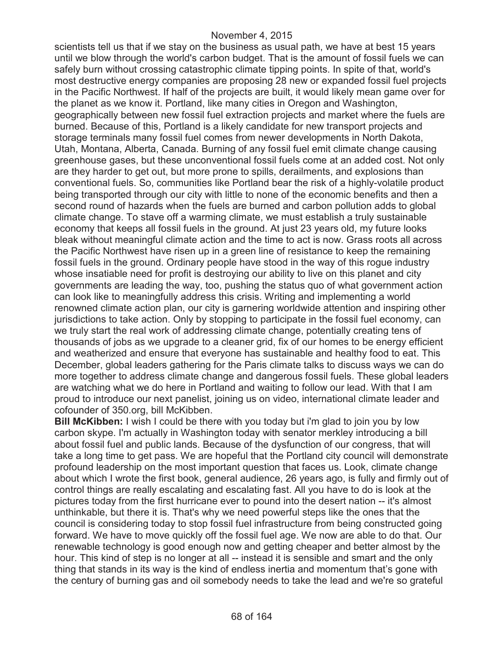scientists tell us that if we stay on the business as usual path, we have at best 15 years until we blow through the world's carbon budget. That is the amount of fossil fuels we can safely burn without crossing catastrophic climate tipping points. In spite of that, world's most destructive energy companies are proposing 28 new or expanded fossil fuel projects in the Pacific Northwest. If half of the projects are built, it would likely mean game over for the planet as we know it. Portland, like many cities in Oregon and Washington, geographically between new fossil fuel extraction projects and market where the fuels are burned. Because of this, Portland is a likely candidate for new transport projects and storage terminals many fossil fuel comes from newer developments in North Dakota, Utah, Montana, Alberta, Canada. Burning of any fossil fuel emit climate change causing greenhouse gases, but these unconventional fossil fuels come at an added cost. Not only are they harder to get out, but more prone to spills, derailments, and explosions than conventional fuels. So, communities like Portland bear the risk of a highly-volatile product being transported through our city with little to none of the economic benefits and then a second round of hazards when the fuels are burned and carbon pollution adds to global climate change. To stave off a warming climate, we must establish a truly sustainable economy that keeps all fossil fuels in the ground. At just 23 years old, my future looks bleak without meaningful climate action and the time to act is now. Grass roots all across the Pacific Northwest have risen up in a green line of resistance to keep the remaining fossil fuels in the ground. Ordinary people have stood in the way of this rogue industry whose insatiable need for profit is destroying our ability to live on this planet and city governments are leading the way, too, pushing the status quo of what government action can look like to meaningfully address this crisis. Writing and implementing a world renowned climate action plan, our city is garnering worldwide attention and inspiring other jurisdictions to take action. Only by stopping to participate in the fossil fuel economy, can we truly start the real work of addressing climate change, potentially creating tens of thousands of jobs as we upgrade to a cleaner grid, fix of our homes to be energy efficient and weatherized and ensure that everyone has sustainable and healthy food to eat. This December, global leaders gathering for the Paris climate talks to discuss ways we can do more together to address climate change and dangerous fossil fuels. These global leaders are watching what we do here in Portland and waiting to follow our lead. With that I am proud to introduce our next panelist, joining us on video, international climate leader and cofounder of 350.org, bill McKibben.

**Bill McKibben:** I wish I could be there with you today but i'm glad to join you by low carbon skype. I'm actually in Washington today with senator merkley introducing a bill about fossil fuel and public lands. Because of the dysfunction of our congress, that will take a long time to get pass. We are hopeful that the Portland city council will demonstrate profound leadership on the most important question that faces us. Look, climate change about which I wrote the first book, general audience, 26 years ago, is fully and firmly out of control things are really escalating and escalating fast. All you have to do is look at the pictures today from the first hurricane ever to pound into the desert nation -- it's almost unthinkable, but there it is. That's why we need powerful steps like the ones that the council is considering today to stop fossil fuel infrastructure from being constructed going forward. We have to move quickly off the fossil fuel age. We now are able to do that. Our renewable technology is good enough now and getting cheaper and better almost by the hour. This kind of step is no longer at all -- instead it is sensible and smart and the only thing that stands in its way is the kind of endless inertia and momentum that's gone with the century of burning gas and oil somebody needs to take the lead and we're so grateful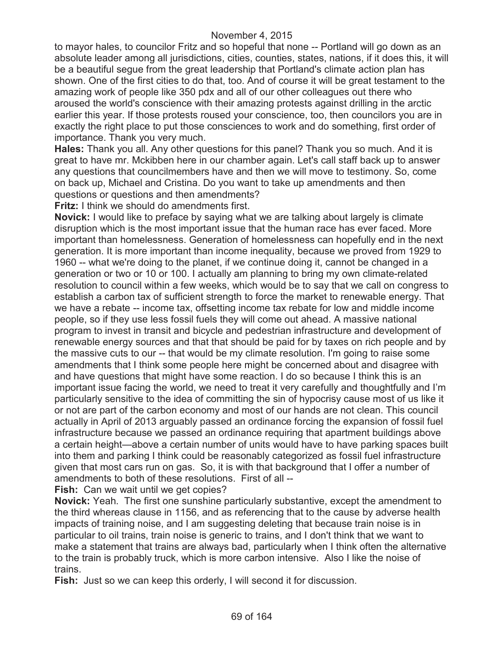to mayor hales, to councilor Fritz and so hopeful that none -- Portland will go down as an absolute leader among all jurisdictions, cities, counties, states, nations, if it does this, it will be a beautiful segue from the great leadership that Portland's climate action plan has shown. One of the first cities to do that, too. And of course it will be great testament to the amazing work of people like 350 pdx and all of our other colleagues out there who aroused the world's conscience with their amazing protests against drilling in the arctic earlier this year. If those protests roused your conscience, too, then councilors you are in exactly the right place to put those consciences to work and do something, first order of importance. Thank you very much.

**Hales:** Thank you all. Any other questions for this panel? Thank you so much. And it is great to have mr. Mckibben here in our chamber again. Let's call staff back up to answer any questions that councilmembers have and then we will move to testimony. So, come on back up, Michael and Cristina. Do you want to take up amendments and then questions or questions and then amendments?

**Fritz:** I think we should do amendments first.

**Novick:** I would like to preface by saying what we are talking about largely is climate disruption which is the most important issue that the human race has ever faced. More important than homelessness. Generation of homelessness can hopefully end in the next generation. It is more important than income inequality, because we proved from 1929 to 1960 -- what we're doing to the planet, if we continue doing it, cannot be changed in a generation or two or 10 or 100. I actually am planning to bring my own climate-related resolution to council within a few weeks, which would be to say that we call on congress to establish a carbon tax of sufficient strength to force the market to renewable energy. That we have a rebate -- income tax, offsetting income tax rebate for low and middle income people, so if they use less fossil fuels they will come out ahead. A massive national program to invest in transit and bicycle and pedestrian infrastructure and development of renewable energy sources and that that should be paid for by taxes on rich people and by the massive cuts to our -- that would be my climate resolution. I'm going to raise some amendments that I think some people here might be concerned about and disagree with and have questions that might have some reaction. I do so because I think this is an important issue facing the world, we need to treat it very carefully and thoughtfully and I'm particularly sensitive to the idea of committing the sin of hypocrisy cause most of us like it or not are part of the carbon economy and most of our hands are not clean. This council actually in April of 2013 arguably passed an ordinance forcing the expansion of fossil fuel infrastructure because we passed an ordinance requiring that apartment buildings above a certain height—above a certain number of units would have to have parking spaces built into them and parking I think could be reasonably categorized as fossil fuel infrastructure given that most cars run on gas. So, it is with that background that I offer a number of amendments to both of these resolutions. First of all --

**Fish:** Can we wait until we get copies?

**Novick:** Yeah. The first one sunshine particularly substantive, except the amendment to the third whereas clause in 1156, and as referencing that to the cause by adverse health impacts of training noise, and I am suggesting deleting that because train noise is in particular to oil trains, train noise is generic to trains, and I don't think that we want to make a statement that trains are always bad, particularly when I think often the alternative to the train is probably truck, which is more carbon intensive. Also I like the noise of trains.

**Fish:** Just so we can keep this orderly, I will second it for discussion.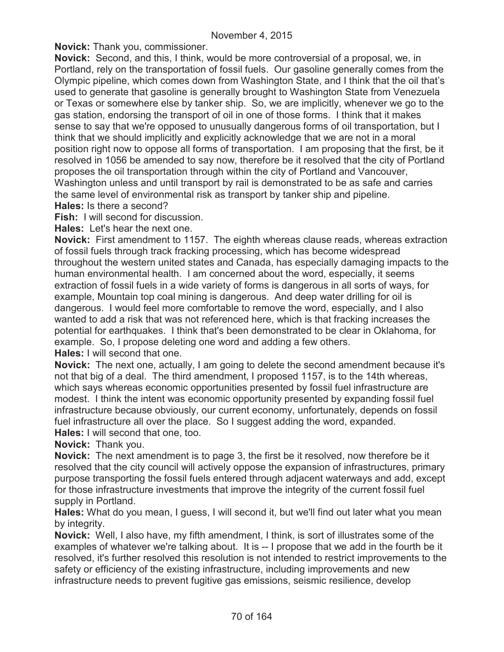**Novick:** Thank you, commissioner.

**Novick:** Second, and this, I think, would be more controversial of a proposal, we, in Portland, rely on the transportation of fossil fuels. Our gasoline generally comes from the Olympic pipeline, which comes down from Washington State, and I think that the oil that's used to generate that gasoline is generally brought to Washington State from Venezuela or Texas or somewhere else by tanker ship. So, we are implicitly, whenever we go to the gas station, endorsing the transport of oil in one of those forms. I think that it makes sense to say that we're opposed to unusually dangerous forms of oil transportation, but I think that we should implicitly and explicitly acknowledge that we are not in a moral position right now to oppose all forms of transportation. I am proposing that the first, be it resolved in 1056 be amended to say now, therefore be it resolved that the city of Portland proposes the oil transportation through within the city of Portland and Vancouver, Washington unless and until transport by rail is demonstrated to be as safe and carries the same level of environmental risk as transport by tanker ship and pipeline.

**Hales:** Is there a second?

**Fish:** I will second for discussion.

**Hales:** Let's hear the next one.

**Novick:** First amendment to 1157. The eighth whereas clause reads, whereas extraction of fossil fuels through track fracking processing, which has become widespread throughout the western united states and Canada, has especially damaging impacts to the human environmental health. I am concerned about the word, especially, it seems extraction of fossil fuels in a wide variety of forms is dangerous in all sorts of ways, for example, Mountain top coal mining is dangerous. And deep water drilling for oil is dangerous. I would feel more comfortable to remove the word, especially, and I also wanted to add a risk that was not referenced here, which is that fracking increases the potential for earthquakes. I think that's been demonstrated to be clear in Oklahoma, for example. So, I propose deleting one word and adding a few others.

**Hales:** I will second that one.

**Novick:** The next one, actually, I am going to delete the second amendment because it's not that big of a deal. The third amendment, I proposed 1157, is to the 14th whereas, which says whereas economic opportunities presented by fossil fuel infrastructure are modest. I think the intent was economic opportunity presented by expanding fossil fuel infrastructure because obviously, our current economy, unfortunately, depends on fossil fuel infrastructure all over the place. So I suggest adding the word, expanded. **Hales:** I will second that one, too.

**Novick:** Thank you.

**Novick:** The next amendment is to page 3, the first be it resolved, now therefore be it resolved that the city council will actively oppose the expansion of infrastructures, primary purpose transporting the fossil fuels entered through adjacent waterways and add, except for those infrastructure investments that improve the integrity of the current fossil fuel supply in Portland.

**Hales:** What do you mean, I guess, I will second it, but we'll find out later what you mean by integrity.

**Novick:** Well, I also have, my fifth amendment, I think, is sort of illustrates some of the examples of whatever we're talking about. It is -- I propose that we add in the fourth be it resolved, it's further resolved this resolution is not intended to restrict improvements to the safety or efficiency of the existing infrastructure, including improvements and new infrastructure needs to prevent fugitive gas emissions, seismic resilience, develop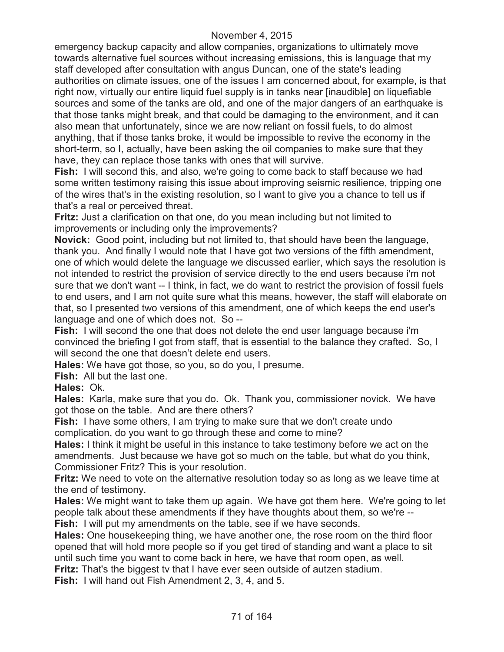emergency backup capacity and allow companies, organizations to ultimately move towards alternative fuel sources without increasing emissions, this is language that my staff developed after consultation with angus Duncan, one of the state's leading authorities on climate issues, one of the issues I am concerned about, for example, is that right now, virtually our entire liquid fuel supply is in tanks near [inaudible] on liquefiable sources and some of the tanks are old, and one of the major dangers of an earthquake is that those tanks might break, and that could be damaging to the environment, and it can also mean that unfortunately, since we are now reliant on fossil fuels, to do almost anything, that if those tanks broke, it would be impossible to revive the economy in the short-term, so I, actually, have been asking the oil companies to make sure that they have, they can replace those tanks with ones that will survive.

**Fish:** I will second this, and also, we're going to come back to staff because we had some written testimony raising this issue about improving seismic resilience, tripping one of the wires that's in the existing resolution, so I want to give you a chance to tell us if that's a real or perceived threat.

**Fritz:** Just a clarification on that one, do you mean including but not limited to improvements or including only the improvements?

**Novick:** Good point, including but not limited to, that should have been the language, thank you. And finally I would note that I have got two versions of the fifth amendment, one of which would delete the language we discussed earlier, which says the resolution is not intended to restrict the provision of service directly to the end users because i'm not sure that we don't want -- I think, in fact, we do want to restrict the provision of fossil fuels to end users, and I am not quite sure what this means, however, the staff will elaborate on that, so I presented two versions of this amendment, one of which keeps the end user's language and one of which does not. So --

**Fish:** I will second the one that does not delete the end user language because i'm convinced the briefing I got from staff, that is essential to the balance they crafted. So, I will second the one that doesn't delete end users.

**Hales:** We have got those, so you, so do you, I presume.

**Fish:** All but the last one.

**Hales:** Ok.

**Hales:** Karla, make sure that you do. Ok. Thank you, commissioner novick. We have got those on the table. And are there others?

**Fish:** I have some others, I am trying to make sure that we don't create undo complication, do you want to go through these and come to mine?

**Hales:** I think it might be useful in this instance to take testimony before we act on the amendments. Just because we have got so much on the table, but what do you think, Commissioner Fritz? This is your resolution.

**Fritz:** We need to vote on the alternative resolution today so as long as we leave time at the end of testimony.

**Hales:** We might want to take them up again. We have got them here. We're going to let people talk about these amendments if they have thoughts about them, so we're -- **Fish:** I will put my amendments on the table, see if we have seconds.

**Hales:** One housekeeping thing, we have another one, the rose room on the third floor opened that will hold more people so if you get tired of standing and want a place to sit until such time you want to come back in here, we have that room open, as well.

**Fritz:** That's the biggest tv that I have ever seen outside of autzen stadium.

**Fish:** I will hand out Fish Amendment 2, 3, 4, and 5.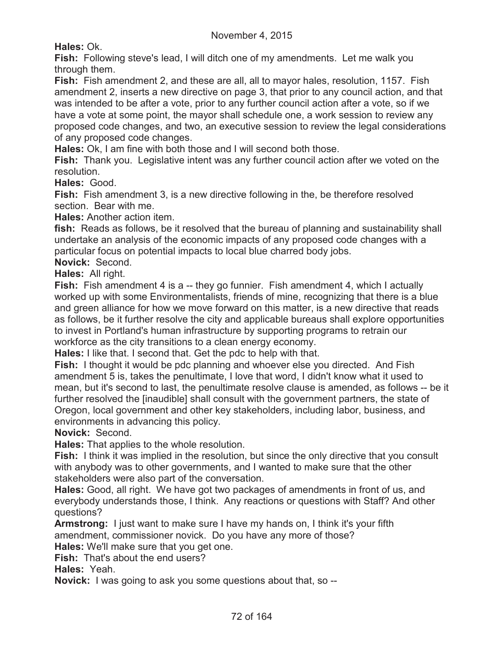**Hales:** Ok.

**Fish:** Following steve's lead, I will ditch one of my amendments. Let me walk you through them.

**Fish:** Fish amendment 2, and these are all, all to mayor hales, resolution, 1157. Fish amendment 2, inserts a new directive on page 3, that prior to any council action, and that was intended to be after a vote, prior to any further council action after a vote, so if we have a vote at some point, the mayor shall schedule one, a work session to review any proposed code changes, and two, an executive session to review the legal considerations of any proposed code changes.

**Hales:** Ok, I am fine with both those and I will second both those.

**Fish:** Thank you. Legislative intent was any further council action after we voted on the resolution.

**Hales:** Good.

**Fish:** Fish amendment 3, is a new directive following in the, be therefore resolved section. Bear with me.

**Hales:** Another action item.

fish: Reads as follows, be it resolved that the bureau of planning and sustainability shall undertake an analysis of the economic impacts of any proposed code changes with a particular focus on potential impacts to local blue charred body jobs.

**Novick:** Second.

**Hales:** All right.

**Fish:** Fish amendment 4 is a -- they go funnier. Fish amendment 4, which I actually worked up with some Environmentalists, friends of mine, recognizing that there is a blue and green alliance for how we move forward on this matter, is a new directive that reads as follows, be it further resolve the city and applicable bureaus shall explore opportunities to invest in Portland's human infrastructure by supporting programs to retrain our workforce as the city transitions to a clean energy economy.

**Hales:** I like that. I second that. Get the pdc to help with that.

**Fish:** I thought it would be pdc planning and whoever else you directed. And Fish amendment 5 is, takes the penultimate, I love that word, I didn't know what it used to mean, but it's second to last, the penultimate resolve clause is amended, as follows -- be it further resolved the [inaudible] shall consult with the government partners, the state of Oregon, local government and other key stakeholders, including labor, business, and environments in advancing this policy.

**Novick:** Second.

**Hales:** That applies to the whole resolution.

**Fish:** I think it was implied in the resolution, but since the only directive that you consult with anybody was to other governments, and I wanted to make sure that the other stakeholders were also part of the conversation.

**Hales:** Good, all right. We have got two packages of amendments in front of us, and everybody understands those, I think. Any reactions or questions with Staff? And other questions?

**Armstrong:** I just want to make sure I have my hands on, I think it's your fifth amendment, commissioner novick. Do you have any more of those?

**Hales:** We'll make sure that you get one.

**Fish:** That's about the end users?

**Hales:** Yeah.

**Novick:** I was going to ask you some questions about that, so --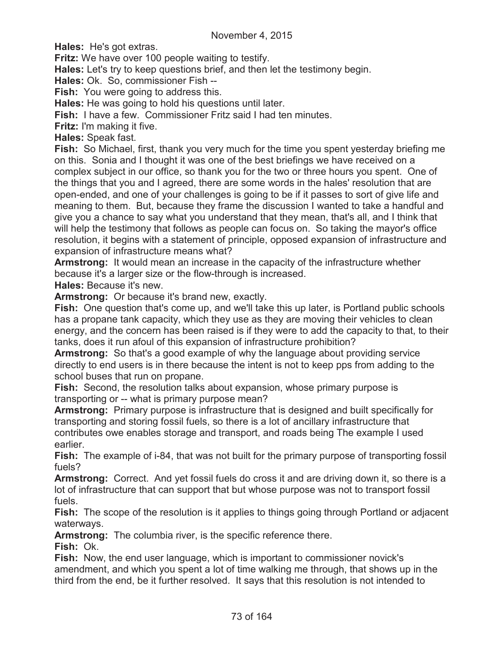**Hales:** He's got extras.

**Fritz:** We have over 100 people waiting to testify.

**Hales:** Let's try to keep questions brief, and then let the testimony begin.

**Hales:** Ok. So, commissioner Fish --

**Fish:** You were going to address this.

**Hales:** He was going to hold his questions until later.

**Fish:** I have a few. Commissioner Fritz said I had ten minutes.

**Fritz:** I'm making it five.

**Hales:** Speak fast.

**Fish:** So Michael, first, thank you very much for the time you spent yesterday briefing me on this. Sonia and I thought it was one of the best briefings we have received on a complex subject in our office, so thank you for the two or three hours you spent. One of the things that you and I agreed, there are some words in the hales' resolution that are open-ended, and one of your challenges is going to be if it passes to sort of give life and meaning to them. But, because they frame the discussion I wanted to take a handful and give you a chance to say what you understand that they mean, that's all, and I think that will help the testimony that follows as people can focus on. So taking the mayor's office resolution, it begins with a statement of principle, opposed expansion of infrastructure and expansion of infrastructure means what?

**Armstrong:** It would mean an increase in the capacity of the infrastructure whether because it's a larger size or the flow-through is increased.

**Hales:** Because it's new.

**Armstrong:** Or because it's brand new, exactly.

Fish: One question that's come up, and we'll take this up later, is Portland public schools has a propane tank capacity, which they use as they are moving their vehicles to clean energy, and the concern has been raised is if they were to add the capacity to that, to their tanks, does it run afoul of this expansion of infrastructure prohibition?

**Armstrong:** So that's a good example of why the language about providing service directly to end users is in there because the intent is not to keep pps from adding to the school buses that run on propane.

**Fish:** Second, the resolution talks about expansion, whose primary purpose is transporting or -- what is primary purpose mean?

**Armstrong:** Primary purpose is infrastructure that is designed and built specifically for transporting and storing fossil fuels, so there is a lot of ancillary infrastructure that contributes owe enables storage and transport, and roads being The example I used earlier.

**Fish:** The example of i-84, that was not built for the primary purpose of transporting fossil fuels?

**Armstrong:** Correct. And yet fossil fuels do cross it and are driving down it, so there is a lot of infrastructure that can support that but whose purpose was not to transport fossil fuels.

**Fish:** The scope of the resolution is it applies to things going through Portland or adjacent waterways.

**Armstrong:** The columbia river, is the specific reference there.

**Fish:** Ok.

**Fish:** Now, the end user language, which is important to commissioner novick's amendment, and which you spent a lot of time walking me through, that shows up in the third from the end, be it further resolved. It says that this resolution is not intended to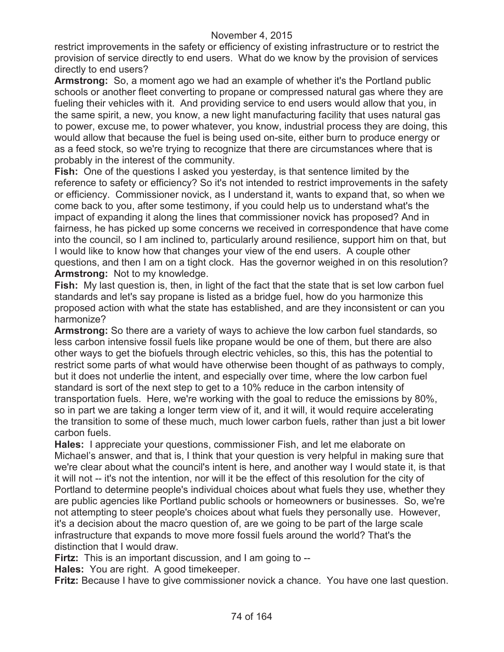restrict improvements in the safety or efficiency of existing infrastructure or to restrict the provision of service directly to end users. What do we know by the provision of services directly to end users?

**Armstrong:** So, a moment ago we had an example of whether it's the Portland public schools or another fleet converting to propane or compressed natural gas where they are fueling their vehicles with it. And providing service to end users would allow that you, in the same spirit, a new, you know, a new light manufacturing facility that uses natural gas to power, excuse me, to power whatever, you know, industrial process they are doing, this would allow that because the fuel is being used on-site, either burn to produce energy or as a feed stock, so we're trying to recognize that there are circumstances where that is probably in the interest of the community.

**Fish:** One of the questions I asked you yesterday, is that sentence limited by the reference to safety or efficiency? So it's not intended to restrict improvements in the safety or efficiency. Commissioner novick, as I understand it, wants to expand that, so when we come back to you, after some testimony, if you could help us to understand what's the impact of expanding it along the lines that commissioner novick has proposed? And in fairness, he has picked up some concerns we received in correspondence that have come into the council, so I am inclined to, particularly around resilience, support him on that, but I would like to know how that changes your view of the end users. A couple other questions, and then I am on a tight clock. Has the governor weighed in on this resolution? **Armstrong:** Not to my knowledge.

**Fish:** My last question is, then, in light of the fact that the state that is set low carbon fuel standards and let's say propane is listed as a bridge fuel, how do you harmonize this proposed action with what the state has established, and are they inconsistent or can you harmonize?

**Armstrong:** So there are a variety of ways to achieve the low carbon fuel standards, so less carbon intensive fossil fuels like propane would be one of them, but there are also other ways to get the biofuels through electric vehicles, so this, this has the potential to restrict some parts of what would have otherwise been thought of as pathways to comply, but it does not underlie the intent, and especially over time, where the low carbon fuel standard is sort of the next step to get to a 10% reduce in the carbon intensity of transportation fuels. Here, we're working with the goal to reduce the emissions by 80%, so in part we are taking a longer term view of it, and it will, it would require accelerating the transition to some of these much, much lower carbon fuels, rather than just a bit lower carbon fuels.

**Hales:** I appreciate your questions, commissioner Fish, and let me elaborate on Michael's answer, and that is, I think that your question is very helpful in making sure that we're clear about what the council's intent is here, and another way I would state it, is that it will not -- it's not the intention, nor will it be the effect of this resolution for the city of Portland to determine people's individual choices about what fuels they use, whether they are public agencies like Portland public schools or homeowners or businesses. So, we're not attempting to steer people's choices about what fuels they personally use. However, it's a decision about the macro question of, are we going to be part of the large scale infrastructure that expands to move more fossil fuels around the world? That's the distinction that I would draw.

**Firtz:** This is an important discussion, and I am going to --

**Hales:** You are right. A good timekeeper.

**Fritz:** Because I have to give commissioner novick a chance. You have one last question.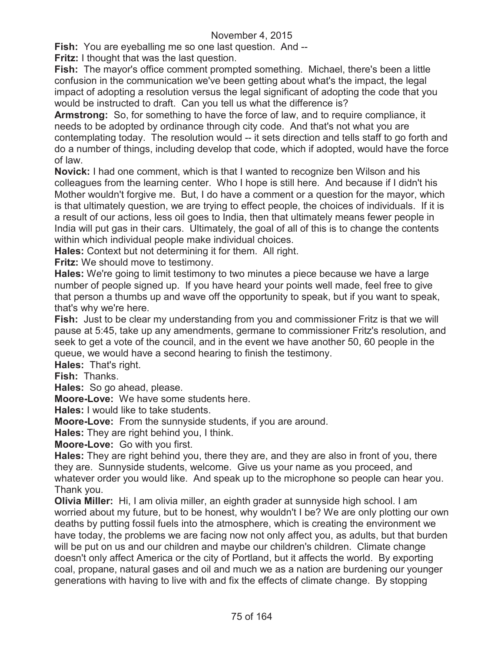**Fish:** You are eyeballing me so one last question. And --

**Fritz:** I thought that was the last question.

**Fish:** The mayor's office comment prompted something. Michael, there's been a little confusion in the communication we've been getting about what's the impact, the legal impact of adopting a resolution versus the legal significant of adopting the code that you would be instructed to draft. Can you tell us what the difference is?

**Armstrong:** So, for something to have the force of law, and to require compliance, it needs to be adopted by ordinance through city code. And that's not what you are contemplating today. The resolution would -- it sets direction and tells staff to go forth and do a number of things, including develop that code, which if adopted, would have the force of law.

**Novick:** I had one comment, which is that I wanted to recognize ben Wilson and his colleagues from the learning center. Who I hope is still here. And because if I didn't his Mother wouldn't forgive me. But, I do have a comment or a question for the mayor, which is that ultimately question, we are trying to effect people, the choices of individuals. If it is a result of our actions, less oil goes to India, then that ultimately means fewer people in India will put gas in their cars. Ultimately, the goal of all of this is to change the contents within which individual people make individual choices.

**Hales:** Context but not determining it for them. All right.

**Fritz:** We should move to testimony.

**Hales:** We're going to limit testimony to two minutes a piece because we have a large number of people signed up. If you have heard your points well made, feel free to give that person a thumbs up and wave off the opportunity to speak, but if you want to speak, that's why we're here.

**Fish:** Just to be clear my understanding from you and commissioner Fritz is that we will pause at 5:45, take up any amendments, germane to commissioner Fritz's resolution, and seek to get a vote of the council, and in the event we have another 50, 60 people in the queue, we would have a second hearing to finish the testimony.

**Hales:** That's right.

**Fish:** Thanks.

**Hales:** So go ahead, please.

**Moore-Love:** We have some students here.

**Hales:** I would like to take students.

**Moore-Love:** From the sunnyside students, if you are around.

**Hales:** They are right behind you, I think.

**Moore-Love:** Go with you first.

**Hales:** They are right behind you, there they are, and they are also in front of you, there they are. Sunnyside students, welcome. Give us your name as you proceed, and whatever order you would like. And speak up to the microphone so people can hear you. Thank you.

**Olivia Miller:** Hi, I am olivia miller, an eighth grader at sunnyside high school. I am worried about my future, but to be honest, why wouldn't I be? We are only plotting our own deaths by putting fossil fuels into the atmosphere, which is creating the environment we have today, the problems we are facing now not only affect you, as adults, but that burden will be put on us and our children and maybe our children's children. Climate change doesn't only affect America or the city of Portland, but it affects the world. By exporting coal, propane, natural gases and oil and much we as a nation are burdening our younger generations with having to live with and fix the effects of climate change. By stopping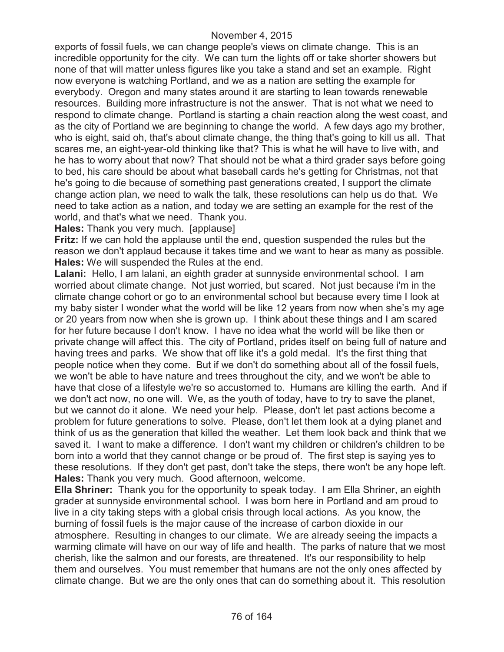exports of fossil fuels, we can change people's views on climate change. This is an incredible opportunity for the city. We can turn the lights off or take shorter showers but none of that will matter unless figures like you take a stand and set an example. Right now everyone is watching Portland, and we as a nation are setting the example for everybody. Oregon and many states around it are starting to lean towards renewable resources. Building more infrastructure is not the answer. That is not what we need to respond to climate change. Portland is starting a chain reaction along the west coast, and as the city of Portland we are beginning to change the world. A few days ago my brother, who is eight, said oh, that's about climate change, the thing that's going to kill us all. That scares me, an eight-year-old thinking like that? This is what he will have to live with, and he has to worry about that now? That should not be what a third grader says before going to bed, his care should be about what baseball cards he's getting for Christmas, not that he's going to die because of something past generations created, I support the climate change action plan, we need to walk the talk, these resolutions can help us do that. We need to take action as a nation, and today we are setting an example for the rest of the world, and that's what we need. Thank you.

#### **Hales:** Thank you very much. [applause]

**Fritz:** If we can hold the applause until the end, question suspended the rules but the reason we don't applaud because it takes time and we want to hear as many as possible. **Hales:** We will suspended the Rules at the end.

**Lalani:** Hello, I am lalani, an eighth grader at sunnyside environmental school. I am worried about climate change. Not just worried, but scared. Not just because i'm in the climate change cohort or go to an environmental school but because every time I look at my baby sister I wonder what the world will be like 12 years from now when she's my age or 20 years from now when she is grown up. I think about these things and I am scared for her future because I don't know. I have no idea what the world will be like then or private change will affect this. The city of Portland, prides itself on being full of nature and having trees and parks. We show that off like it's a gold medal. It's the first thing that people notice when they come. But if we don't do something about all of the fossil fuels, we won't be able to have nature and trees throughout the city, and we won't be able to have that close of a lifestyle we're so accustomed to. Humans are killing the earth. And if we don't act now, no one will. We, as the youth of today, have to try to save the planet, but we cannot do it alone. We need your help. Please, don't let past actions become a problem for future generations to solve. Please, don't let them look at a dying planet and think of us as the generation that killed the weather. Let them look back and think that we saved it. I want to make a difference. I don't want my children or children's children to be born into a world that they cannot change or be proud of. The first step is saying yes to these resolutions. If they don't get past, don't take the steps, there won't be any hope left. **Hales:** Thank you very much. Good afternoon, welcome.

**Ella Shriner:** Thank you for the opportunity to speak today. I am Ella Shriner, an eighth grader at sunnyside environmental school. I was born here in Portland and am proud to live in a city taking steps with a global crisis through local actions. As you know, the burning of fossil fuels is the major cause of the increase of carbon dioxide in our atmosphere. Resulting in changes to our climate. We are already seeing the impacts a warming climate will have on our way of life and health. The parks of nature that we most cherish, like the salmon and our forests, are threatened. It's our responsibility to help them and ourselves. You must remember that humans are not the only ones affected by climate change. But we are the only ones that can do something about it. This resolution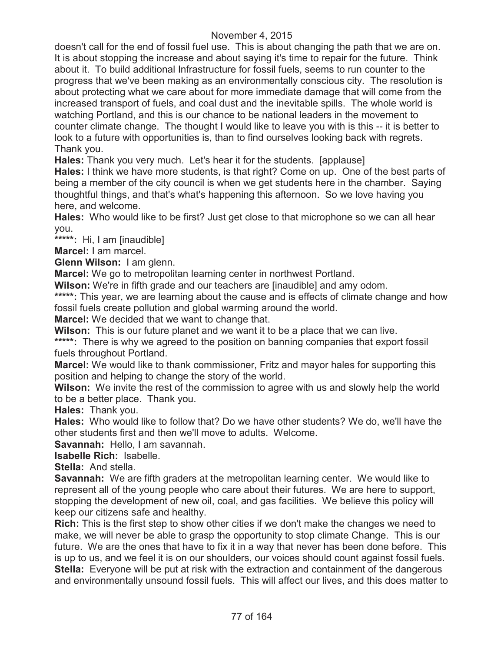doesn't call for the end of fossil fuel use. This is about changing the path that we are on. It is about stopping the increase and about saying it's time to repair for the future. Think about it. To build additional Infrastructure for fossil fuels, seems to run counter to the progress that we've been making as an environmentally conscious city. The resolution is about protecting what we care about for more immediate damage that will come from the increased transport of fuels, and coal dust and the inevitable spills. The whole world is watching Portland, and this is our chance to be national leaders in the movement to counter climate change. The thought I would like to leave you with is this -- it is better to look to a future with opportunities is, than to find ourselves looking back with regrets. Thank you.

**Hales:** Thank you very much. Let's hear it for the students. [applause]

**Hales:** I think we have more students, is that right? Come on up. One of the best parts of being a member of the city council is when we get students here in the chamber. Saying thoughtful things, and that's what's happening this afternoon. So we love having you here, and welcome.

**Hales:** Who would like to be first? Just get close to that microphone so we can all hear you.

**\*\*\*\*\*:** Hi, I am [inaudible]

**Marcel:** I am marcel.

**Glenn Wilson:** I am glenn.

**Marcel:** We go to metropolitan learning center in northwest Portland.

**Wilson:** We're in fifth grade and our teachers are [inaudible] and amy odom.

\*\*\*\*\*: This year, we are learning about the cause and is effects of climate change and how fossil fuels create pollution and global warming around the world.

**Marcel:** We decided that we want to change that.

**Wilson:** This is our future planet and we want it to be a place that we can live.

\*\*\*\*\*: There is why we agreed to the position on banning companies that export fossil fuels throughout Portland.

**Marcel:** We would like to thank commissioner, Fritz and mayor hales for supporting this position and helping to change the story of the world.

**Wilson:** We invite the rest of the commission to agree with us and slowly help the world to be a better place. Thank you.

**Hales:** Thank you.

**Hales:** Who would like to follow that? Do we have other students? We do, we'll have the other students first and then we'll move to adults. Welcome.

**Savannah:** Hello, I am savannah.

**Isabelle Rich:** Isabelle.

**Stella:** And stella.

**Savannah:** We are fifth graders at the metropolitan learning center. We would like to represent all of the young people who care about their futures. We are here to support, stopping the development of new oil, coal, and gas facilities. We believe this policy will keep our citizens safe and healthy.

**Rich:** This is the first step to show other cities if we don't make the changes we need to make, we will never be able to grasp the opportunity to stop climate Change. This is our future. We are the ones that have to fix it in a way that never has been done before. This is up to us, and we feel it is on our shoulders, our voices should count against fossil fuels. **Stella:** Everyone will be put at risk with the extraction and containment of the dangerous and environmentally unsound fossil fuels. This will affect our lives, and this does matter to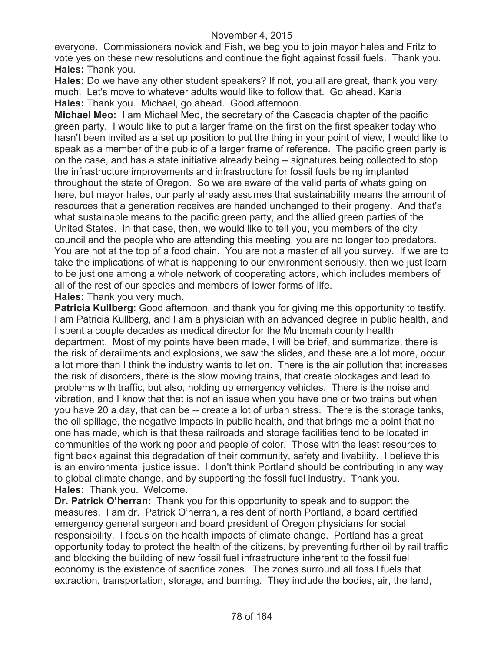everyone. Commissioners novick and Fish, we beg you to join mayor hales and Fritz to vote yes on these new resolutions and continue the fight against fossil fuels. Thank you. **Hales:** Thank you.

**Hales:** Do we have any other student speakers? If not, you all are great, thank you very much. Let's move to whatever adults would like to follow that. Go ahead, Karla **Hales:** Thank you. Michael, go ahead. Good afternoon.

**Michael Meo:** I am Michael Meo, the secretary of the Cascadia chapter of the pacific green party. I would like to put a larger frame on the first on the first speaker today who hasn't been invited as a set up position to put the thing in your point of view, I would like to speak as a member of the public of a larger frame of reference. The pacific green party is on the case, and has a state initiative already being -- signatures being collected to stop the infrastructure improvements and infrastructure for fossil fuels being implanted throughout the state of Oregon. So we are aware of the valid parts of whats going on here, but mayor hales, our party already assumes that sustainability means the amount of resources that a generation receives are handed unchanged to their progeny. And that's what sustainable means to the pacific green party, and the allied green parties of the United States. In that case, then, we would like to tell you, you members of the city council and the people who are attending this meeting, you are no longer top predators. You are not at the top of a food chain. You are not a master of all you survey. If we are to take the implications of what is happening to our environment seriously, then we just learn to be just one among a whole network of cooperating actors, which includes members of all of the rest of our species and members of lower forms of life.

**Hales:** Thank you very much.

**Patricia Kullberg:** Good afternoon, and thank you for giving me this opportunity to testify. I am Patricia Kullberg, and I am a physician with an advanced degree in public health, and I spent a couple decades as medical director for the Multnomah county health department. Most of my points have been made, I will be brief, and summarize, there is the risk of derailments and explosions, we saw the slides, and these are a lot more, occur a lot more than I think the industry wants to let on. There is the air pollution that increases the risk of disorders, there is the slow moving trains, that create blockages and lead to problems with traffic, but also, holding up emergency vehicles. There is the noise and vibration, and I know that that is not an issue when you have one or two trains but when you have 20 a day, that can be -- create a lot of urban stress. There is the storage tanks, the oil spillage, the negative impacts in public health, and that brings me a point that no one has made, which is that these railroads and storage facilities tend to be located in communities of the working poor and people of color. Those with the least resources to fight back against this degradation of their community, safety and livability. I believe this is an environmental justice issue. I don't think Portland should be contributing in any way to global climate change, and by supporting the fossil fuel industry. Thank you. **Hales:** Thank you. Welcome.

**Dr. Patrick O'herran:** Thank you for this opportunity to speak and to support the measures. I am dr. Patrick O'herran, a resident of north Portland, a board certified emergency general surgeon and board president of Oregon physicians for social responsibility. I focus on the health impacts of climate change. Portland has a great opportunity today to protect the health of the citizens, by preventing further oil by rail traffic and blocking the building of new fossil fuel infrastructure inherent to the fossil fuel economy is the existence of sacrifice zones. The zones surround all fossil fuels that extraction, transportation, storage, and burning. They include the bodies, air, the land,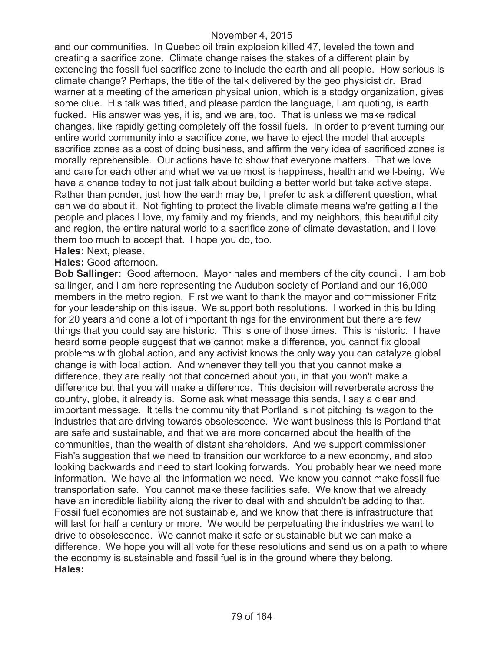and our communities. In Quebec oil train explosion killed 47, leveled the town and creating a sacrifice zone. Climate change raises the stakes of a different plain by extending the fossil fuel sacrifice zone to include the earth and all people. How serious is climate change? Perhaps, the title of the talk delivered by the geo physicist dr. Brad warner at a meeting of the american physical union, which is a stodgy organization, gives some clue. His talk was titled, and please pardon the language, I am quoting, is earth fucked. His answer was yes, it is, and we are, too. That is unless we make radical changes, like rapidly getting completely off the fossil fuels. In order to prevent turning our entire world community into a sacrifice zone, we have to eject the model that accepts sacrifice zones as a cost of doing business, and affirm the very idea of sacrificed zones is morally reprehensible. Our actions have to show that everyone matters. That we love and care for each other and what we value most is happiness, health and well-being. We have a chance today to not just talk about building a better world but take active steps. Rather than ponder, just how the earth may be, I prefer to ask a different question, what can we do about it. Not fighting to protect the livable climate means we're getting all the people and places I love, my family and my friends, and my neighbors, this beautiful city and region, the entire natural world to a sacrifice zone of climate devastation, and I love them too much to accept that. I hope you do, too.

## **Hales:** Next, please.

#### **Hales:** Good afternoon.

**Bob Sallinger:** Good afternoon. Mayor hales and members of the city council. I am bob sallinger, and I am here representing the Audubon society of Portland and our 16,000 members in the metro region. First we want to thank the mayor and commissioner Fritz for your leadership on this issue. We support both resolutions. I worked in this building for 20 years and done a lot of important things for the environment but there are few things that you could say are historic. This is one of those times. This is historic. I have heard some people suggest that we cannot make a difference, you cannot fix global problems with global action, and any activist knows the only way you can catalyze global change is with local action. And whenever they tell you that you cannot make a difference, they are really not that concerned about you, in that you won't make a difference but that you will make a difference. This decision will reverberate across the country, globe, it already is. Some ask what message this sends, I say a clear and important message. It tells the community that Portland is not pitching its wagon to the industries that are driving towards obsolescence. We want business this is Portland that are safe and sustainable, and that we are more concerned about the health of the communities, than the wealth of distant shareholders. And we support commissioner Fish's suggestion that we need to transition our workforce to a new economy, and stop looking backwards and need to start looking forwards. You probably hear we need more information. We have all the information we need. We know you cannot make fossil fuel transportation safe. You cannot make these facilities safe. We know that we already have an incredible liability along the river to deal with and shouldn't be adding to that. Fossil fuel economies are not sustainable, and we know that there is infrastructure that will last for half a century or more. We would be perpetuating the industries we want to drive to obsolescence. We cannot make it safe or sustainable but we can make a difference. We hope you will all vote for these resolutions and send us on a path to where the economy is sustainable and fossil fuel is in the ground where they belong. **Hales:**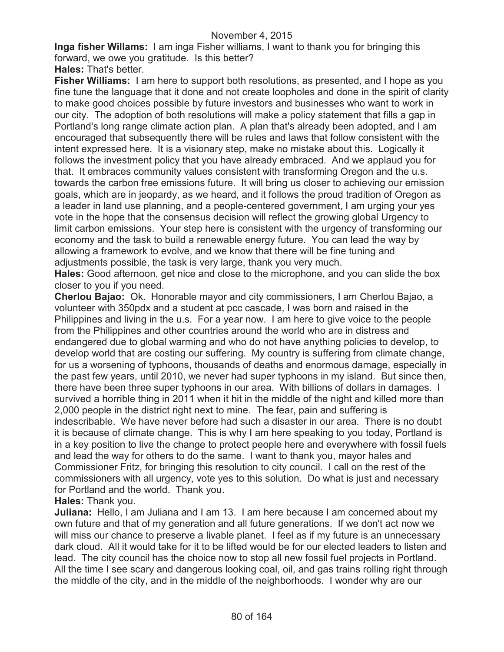**Inga fisher Willams:** I am inga Fisher williams, I want to thank you for bringing this forward, we owe you gratitude. Is this better?

**Hales:** That's better.

**Fisher Williams:** I am here to support both resolutions, as presented, and I hope as you fine tune the language that it done and not create loopholes and done in the spirit of clarity to make good choices possible by future investors and businesses who want to work in our city. The adoption of both resolutions will make a policy statement that fills a gap in Portland's long range climate action plan. A plan that's already been adopted, and I am encouraged that subsequently there will be rules and laws that follow consistent with the intent expressed here. It is a visionary step, make no mistake about this. Logically it follows the investment policy that you have already embraced. And we applaud you for that. It embraces community values consistent with transforming Oregon and the u.s. towards the carbon free emissions future. It will bring us closer to achieving our emission goals, which are in jeopardy, as we heard, and it follows the proud tradition of Oregon as a leader in land use planning, and a people-centered government, I am urging your yes vote in the hope that the consensus decision will reflect the growing global Urgency to limit carbon emissions. Your step here is consistent with the urgency of transforming our economy and the task to build a renewable energy future. You can lead the way by allowing a framework to evolve, and we know that there will be fine tuning and adjustments possible, the task is very large, thank you very much.

**Hales:** Good afternoon, get nice and close to the microphone, and you can slide the box closer to you if you need.

**Cherlou Bajao:** Ok. Honorable mayor and city commissioners, I am Cherlou Bajao, a volunteer with 350pdx and a student at pcc cascade, I was born and raised in the Philippines and living in the u.s. For a year now. I am here to give voice to the people from the Philippines and other countries around the world who are in distress and endangered due to global warming and who do not have anything policies to develop, to develop world that are costing our suffering. My country is suffering from climate change, for us a worsening of typhoons, thousands of deaths and enormous damage, especially in the past few years, until 2010, we never had super typhoons in my island. But since then, there have been three super typhoons in our area. With billions of dollars in damages. I survived a horrible thing in 2011 when it hit in the middle of the night and killed more than 2,000 people in the district right next to mine. The fear, pain and suffering is indescribable. We have never before had such a disaster in our area. There is no doubt it is because of climate change. This is why I am here speaking to you today, Portland is in a key position to live the change to protect people here and everywhere with fossil fuels and lead the way for others to do the same. I want to thank you, mayor hales and Commissioner Fritz, for bringing this resolution to city council. I call on the rest of the commissioners with all urgency, vote yes to this solution. Do what is just and necessary for Portland and the world. Thank you.

## **Hales:** Thank you.

**Juliana:** Hello, I am Juliana and I am 13. I am here because I am concerned about my own future and that of my generation and all future generations. If we don't act now we will miss our chance to preserve a livable planet. I feel as if my future is an unnecessary dark cloud. All it would take for it to be lifted would be for our elected leaders to listen and lead. The city council has the choice now to stop all new fossil fuel projects in Portland. All the time I see scary and dangerous looking coal, oil, and gas trains rolling right through the middle of the city, and in the middle of the neighborhoods. I wonder why are our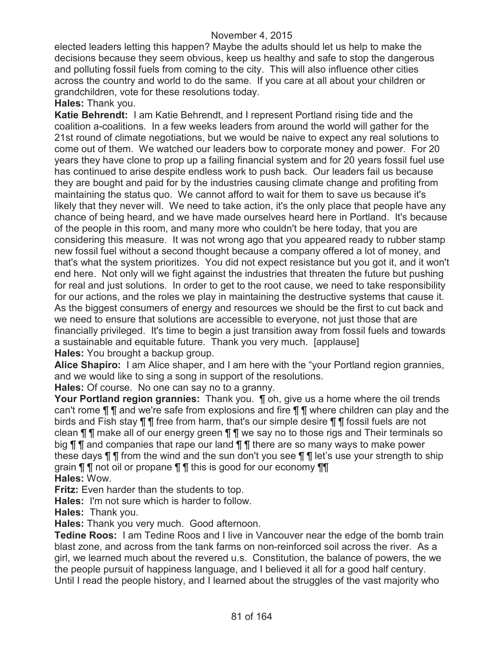elected leaders letting this happen? Maybe the adults should let us help to make the decisions because they seem obvious, keep us healthy and safe to stop the dangerous and polluting fossil fuels from coming to the city. This will also influence other cities across the country and world to do the same. If you care at all about your children or grandchildren, vote for these resolutions today.

#### **Hales:** Thank you.

**Katie Behrendt:** I am Katie Behrendt, and I represent Portland rising tide and the coalition a-coalitions. In a few weeks leaders from around the world will gather for the 21st round of climate negotiations, but we would be naive to expect any real solutions to come out of them. We watched our leaders bow to corporate money and power. For 20 years they have clone to prop up a failing financial system and for 20 years fossil fuel use has continued to arise despite endless work to push back. Our leaders fail us because they are bought and paid for by the industries causing climate change and profiting from maintaining the status quo. We cannot afford to wait for them to save us because it's likely that they never will. We need to take action, it's the only place that people have any chance of being heard, and we have made ourselves heard here in Portland. It's because of the people in this room, and many more who couldn't be here today, that you are considering this measure. It was not wrong ago that you appeared ready to rubber stamp new fossil fuel without a second thought because a company offered a lot of money, and that's what the system prioritizes. You did not expect resistance but you got it, and it won't end here. Not only will we fight against the industries that threaten the future but pushing for real and just solutions. In order to get to the root cause, we need to take responsibility for our actions, and the roles we play in maintaining the destructive systems that cause it. As the biggest consumers of energy and resources we should be the first to cut back and we need to ensure that solutions are accessible to everyone, not just those that are financially privileged. It's time to begin a just transition away from fossil fuels and towards a sustainable and equitable future. Thank you very much. [applause] **Hales:** You brought a backup group.

**Alice Shapiro:** I am Alice shaper, and I am here with the "your Portland region grannies, and we would like to sing a song in support of the resolutions.

**Hales:** Of course. No one can say no to a granny.

**Your Portland region grannies:** Thank you. ¶ oh, give us a home where the oil trends can't rome ¶ ¶ and we're safe from explosions and fire ¶ ¶ where children can play and the birds and Fish stay ¶ ¶ free from harm, that's our simple desire ¶ ¶ fossil fuels are not clean ¶ ¶ make all of our energy green ¶ ¶ we say no to those rigs and Their terminals so big **¶ ¶** and companies that rape our land **¶ ¶** there are so many ways to make power these days ¶ ¶ from the wind and the sun don't you see ¶ ¶ let's use your strength to ship grain ¶ ¶ not oil or propane ¶ ¶ this is good for our economy ¶¶ **Hales:** Wow.

**Fritz:** Even harder than the students to top.

**Hales:** I'm not sure which is harder to follow.

**Hales:** Thank you.

**Hales:** Thank you very much. Good afternoon.

**Tedine Roos:** I am Tedine Roos and I live in Vancouver near the edge of the bomb train blast zone, and across from the tank farms on non-reinforced soil across the river. As a girl, we learned much about the revered u.s. Constitution, the balance of powers, the we the people pursuit of happiness language, and I believed it all for a good half century. Until I read the people history, and I learned about the struggles of the vast majority who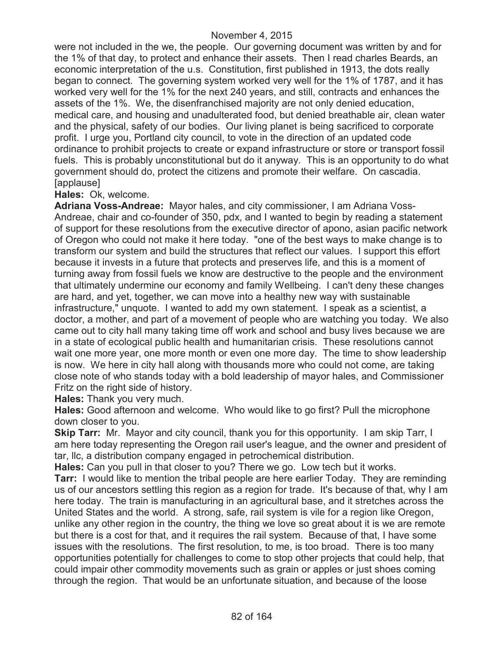were not included in the we, the people. Our governing document was written by and for the 1% of that day, to protect and enhance their assets. Then I read charles Beards, an economic interpretation of the u.s. Constitution, first published in 1913, the dots really began to connect. The governing system worked very well for the 1% of 1787, and it has worked very well for the 1% for the next 240 years, and still, contracts and enhances the assets of the 1%. We, the disenfranchised majority are not only denied education, medical care, and housing and unadulterated food, but denied breathable air, clean water and the physical, safety of our bodies. Our living planet is being sacrificed to corporate profit. I urge you, Portland city council, to vote in the direction of an updated code ordinance to prohibit projects to create or expand infrastructure or store or transport fossil fuels. This is probably unconstitutional but do it anyway. This is an opportunity to do what government should do, protect the citizens and promote their welfare. On cascadia. [applause]

**Hales:** Ok, welcome.

**Adriana Voss-Andreae:** Mayor hales, and city commissioner, I am Adriana Voss-Andreae, chair and co-founder of 350, pdx, and I wanted to begin by reading a statement of support for these resolutions from the executive director of apono, asian pacific network of Oregon who could not make it here today. "one of the best ways to make change is to transform our system and build the structures that reflect our values. I support this effort because it invests in a future that protects and preserves life, and this is a moment of turning away from fossil fuels we know are destructive to the people and the environment that ultimately undermine our economy and family Wellbeing. I can't deny these changes are hard, and yet, together, we can move into a healthy new way with sustainable infrastructure," unquote. I wanted to add my own statement. I speak as a scientist, a doctor, a mother, and part of a movement of people who are watching you today. We also came out to city hall many taking time off work and school and busy lives because we are in a state of ecological public health and humanitarian crisis. These resolutions cannot wait one more year, one more month or even one more day. The time to show leadership is now. We here in city hall along with thousands more who could not come, are taking close note of who stands today with a bold leadership of mayor hales, and Commissioner Fritz on the right side of history.

**Hales:** Thank you very much.

**Hales:** Good afternoon and welcome. Who would like to go first? Pull the microphone down closer to you.

**Skip Tarr:** Mr. Mayor and city council, thank you for this opportunity. I am skip Tarr, I am here today representing the Oregon rail user's league, and the owner and president of tar, llc, a distribution company engaged in petrochemical distribution.

**Hales:** Can you pull in that closer to you? There we go. Low tech but it works.

**Tarr:** I would like to mention the tribal people are here earlier Today. They are reminding us of our ancestors settling this region as a region for trade. It's because of that, why I am here today. The train is manufacturing in an agricultural base, and it stretches across the United States and the world. A strong, safe, rail system is vile for a region like Oregon, unlike any other region in the country, the thing we love so great about it is we are remote but there is a cost for that, and it requires the rail system. Because of that, I have some issues with the resolutions. The first resolution, to me, is too broad. There is too many opportunities potentially for challenges to come to stop other projects that could help, that could impair other commodity movements such as grain or apples or just shoes coming through the region. That would be an unfortunate situation, and because of the loose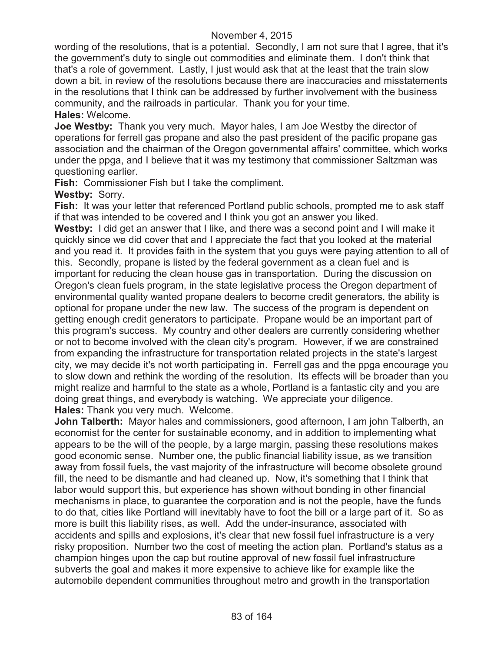wording of the resolutions, that is a potential. Secondly, I am not sure that I agree, that it's the government's duty to single out commodities and eliminate them. I don't think that that's a role of government. Lastly, I just would ask that at the least that the train slow down a bit, in review of the resolutions because there are inaccuracies and misstatements in the resolutions that I think can be addressed by further involvement with the business community, and the railroads in particular. Thank you for your time. **Hales:** Welcome.

**Joe Westby:** Thank you very much. Mayor hales, I am Joe Westby the director of operations for ferrell gas propane and also the past president of the pacific propane gas association and the chairman of the Oregon governmental affairs' committee, which works under the ppga, and I believe that it was my testimony that commissioner Saltzman was questioning earlier.

**Fish:** Commissioner Fish but I take the compliment.

**Westby:** Sorry.

**Fish:** It was your letter that referenced Portland public schools, prompted me to ask staff if that was intended to be covered and I think you got an answer you liked.

**Westby:** I did get an answer that I like, and there was a second point and I will make it quickly since we did cover that and I appreciate the fact that you looked at the material and you read it. It provides faith in the system that you guys were paying attention to all of this. Secondly, propane is listed by the federal government as a clean fuel and is important for reducing the clean house gas in transportation. During the discussion on Oregon's clean fuels program, in the state legislative process the Oregon department of environmental quality wanted propane dealers to become credit generators, the ability is optional for propane under the new law. The success of the program is dependent on getting enough credit generators to participate. Propane would be an important part of this program's success. My country and other dealers are currently considering whether or not to become involved with the clean city's program. However, if we are constrained from expanding the infrastructure for transportation related projects in the state's largest city, we may decide it's not worth participating in. Ferrell gas and the ppga encourage you to slow down and rethink the wording of the resolution. Its effects will be broader than you might realize and harmful to the state as a whole, Portland is a fantastic city and you are doing great things, and everybody is watching. We appreciate your diligence. **Hales:** Thank you very much. Welcome.

**John Talberth:** Mayor hales and commissioners, good afternoon, I am john Talberth, an economist for the center for sustainable economy, and in addition to implementing what appears to be the will of the people, by a large margin, passing these resolutions makes good economic sense. Number one, the public financial liability issue, as we transition away from fossil fuels, the vast majority of the infrastructure will become obsolete ground fill, the need to be dismantle and had cleaned up. Now, it's something that I think that labor would support this, but experience has shown without bonding in other financial mechanisms in place, to guarantee the corporation and is not the people, have the funds to do that, cities like Portland will inevitably have to foot the bill or a large part of it. So as more is built this liability rises, as well. Add the under-insurance, associated with accidents and spills and explosions, it's clear that new fossil fuel infrastructure is a very risky proposition. Number two the cost of meeting the action plan. Portland's status as a champion hinges upon the cap but routine approval of new fossil fuel infrastructure subverts the goal and makes it more expensive to achieve like for example like the automobile dependent communities throughout metro and growth in the transportation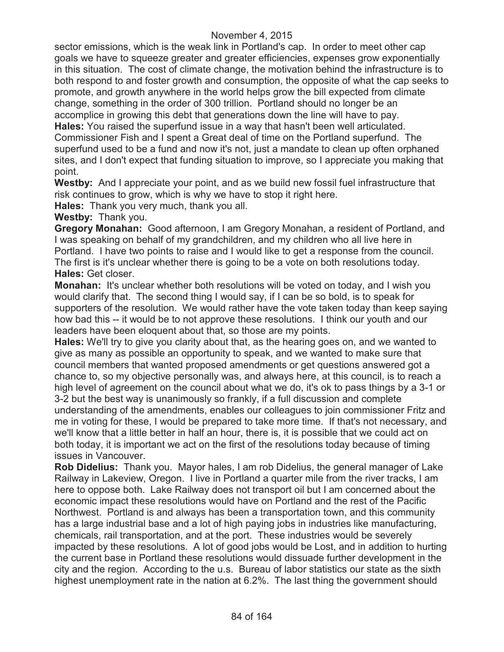sector emissions, which is the weak link in Portland's cap. In order to meet other cap goals we have to squeeze greater and greater efficiencies, expenses grow exponentially in this situation. The cost of climate change, the motivation behind the infrastructure is to both respond to and foster growth and consumption, the opposite of what the cap seeks to promote, and growth anywhere in the world helps grow the bill expected from climate change, something in the order of 300 trillion. Portland should no longer be an accomplice in growing this debt that generations down the line will have to pay. **Hales:** You raised the superfund issue in a way that hasn't been well articulated. Commissioner Fish and I spent a Great deal of time on the Portland superfund. The superfund used to be a fund and now it's not, just a mandate to clean up often orphaned sites, and I don't expect that funding situation to improve, so I appreciate you making that point.

**Westby:** And I appreciate your point, and as we build new fossil fuel infrastructure that risk continues to grow, which is why we have to stop it right here.

**Hales:** Thank you very much, thank you all.

**Westby:** Thank you.

**Gregory Monahan:** Good afternoon, I am Gregory Monahan, a resident of Portland, and I was speaking on behalf of my grandchildren, and my children who all live here in Portland. I have two points to raise and I would like to get a response from the council. The first is it's unclear whether there is going to be a vote on both resolutions today. **Hales:** Get closer.

**Monahan:** It's unclear whether both resolutions will be voted on today, and I wish you would clarify that. The second thing I would say, if I can be so bold, is to speak for supporters of the resolution. We would rather have the vote taken today than keep saying how bad this -- it would be to not approve these resolutions. I think our youth and our leaders have been eloquent about that, so those are my points.

**Hales:** We'll try to give you clarity about that, as the hearing goes on, and we wanted to give as many as possible an opportunity to speak, and we wanted to make sure that council members that wanted proposed amendments or get questions answered got a chance to, so my objective personally was, and always here, at this council, is to reach a high level of agreement on the council about what we do, it's ok to pass things by a 3-1 or 3-2 but the best way is unanimously so frankly, if a full discussion and complete understanding of the amendments, enables our colleagues to join commissioner Fritz and me in voting for these, I would be prepared to take more time. If that's not necessary, and we'll know that a little better in half an hour, there is, it is possible that we could act on both today, it is important we act on the first of the resolutions today because of timing issues in Vancouver.

**Rob Didelius:** Thank you. Mayor hales, I am rob Didelius, the general manager of Lake Railway in Lakeview, Oregon. I live in Portland a quarter mile from the river tracks, I am here to oppose both. Lake Railway does not transport oil but I am concerned about the economic impact these resolutions would have on Portland and the rest of the Pacific Northwest. Portland is and always has been a transportation town, and this community has a large industrial base and a lot of high paying jobs in industries like manufacturing, chemicals, rail transportation, and at the port. These industries would be severely impacted by these resolutions. A lot of good jobs would be Lost, and in addition to hurting the current base in Portland these resolutions would dissuade further development in the city and the region. According to the u.s. Bureau of labor statistics our state as the sixth highest unemployment rate in the nation at 6.2%. The last thing the government should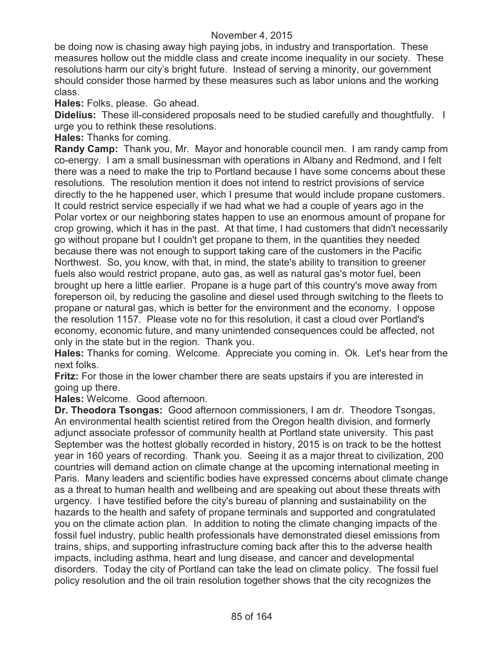be doing now is chasing away high paying jobs, in industry and transportation. These measures hollow out the middle class and create income inequality in our society. These resolutions harm our city's bright future. Instead of serving a minority, our government should consider those harmed by these measures such as labor unions and the working class.

**Hales:** Folks, please. Go ahead.

**Didelius:** These ill-considered proposals need to be studied carefully and thoughtfully. I urge you to rethink these resolutions.

**Hales:** Thanks for coming.

**Randy Camp:** Thank you, Mr. Mayor and honorable council men. I am randy camp from co-energy. I am a small businessman with operations in Albany and Redmond, and I felt there was a need to make the trip to Portland because I have some concerns about these resolutions. The resolution mention it does not intend to restrict provisions of service directly to the he happened user, which I presume that would include propane customers. It could restrict service especially if we had what we had a couple of years ago in the Polar vortex or our neighboring states happen to use an enormous amount of propane for crop growing, which it has in the past. At that time, I had customers that didn't necessarily go without propane but I couldn't get propane to them, in the quantities they needed because there was not enough to support taking care of the customers in the Pacific Northwest. So, you know, with that, in mind, the state's ability to transition to greener fuels also would restrict propane, auto gas, as well as natural gas's motor fuel, been brought up here a little earlier. Propane is a huge part of this country's move away from foreperson oil, by reducing the gasoline and diesel used through switching to the fleets to propane or natural gas, which is better for the environment and the economy. I oppose the resolution 1157. Please vote no for this resolution, it cast a cloud over Portland's economy, economic future, and many unintended consequences could be affected, not only in the state but in the region. Thank you.

**Hales:** Thanks for coming. Welcome. Appreciate you coming in. Ok. Let's hear from the next folks.

**Fritz:** For those in the lower chamber there are seats upstairs if you are interested in going up there.

**Hales:** Welcome. Good afternoon.

**Dr. Theodora Tsongas:** Good afternoon commissioners, I am dr. Theodore Tsongas, An environmental health scientist retired from the Oregon health division, and formerly adjunct associate professor of community health at Portland state university. This past September was the hottest globally recorded in history, 2015 is on track to be the hottest year in 160 years of recording. Thank you. Seeing it as a major threat to civilization, 200 countries will demand action on climate change at the upcoming international meeting in Paris. Many leaders and scientific bodies have expressed concerns about climate change as a threat to human health and wellbeing and are speaking out about these threats with urgency. I have testified before the city's bureau of planning and sustainability on the hazards to the health and safety of propane terminals and supported and congratulated you on the climate action plan. In addition to noting the climate changing impacts of the fossil fuel industry, public health professionals have demonstrated diesel emissions from trains, ships, and supporting infrastructure coming back after this to the adverse health impacts, including asthma, heart and lung disease, and cancer and developmental disorders. Today the city of Portland can take the lead on climate policy. The fossil fuel policy resolution and the oil train resolution together shows that the city recognizes the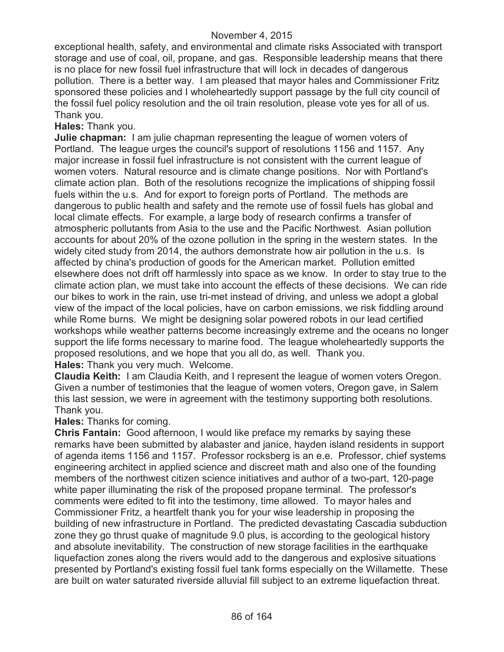exceptional health, safety, and environmental and climate risks Associated with transport storage and use of coal, oil, propane, and gas. Responsible leadership means that there is no place for new fossil fuel infrastructure that will lock in decades of dangerous pollution. There is a better way. I am pleased that mayor hales and Commissioner Fritz sponsored these policies and I wholeheartedly support passage by the full city council of the fossil fuel policy resolution and the oil train resolution, please vote yes for all of us. Thank you.

**Hales:** Thank you.

**Julie chapman:** I am julie chapman representing the league of women voters of Portland. The league urges the council's support of resolutions 1156 and 1157. Any major increase in fossil fuel infrastructure is not consistent with the current league of women voters. Natural resource and is climate change positions. Nor with Portland's climate action plan. Both of the resolutions recognize the implications of shipping fossil fuels within the u.s. And for export to foreign ports of Portland. The methods are dangerous to public health and safety and the remote use of fossil fuels has global and local climate effects. For example, a large body of research confirms a transfer of atmospheric pollutants from Asia to the use and the Pacific Northwest. Asian pollution accounts for about 20% of the ozone pollution in the spring in the western states. In the widely cited study from 2014, the authors demonstrate how air pollution in the u.s. Is affected by china's production of goods for the American market. Pollution emitted elsewhere does not drift off harmlessly into space as we know. In order to stay true to the climate action plan, we must take into account the effects of these decisions. We can ride our bikes to work in the rain, use tri-met instead of driving, and unless we adopt a global view of the impact of the local policies, have on carbon emissions, we risk fiddling around while Rome burns. We might be designing solar powered robots in our lead certified workshops while weather patterns become increasingly extreme and the oceans no longer support the life forms necessary to marine food. The league wholeheartedly supports the proposed resolutions, and we hope that you all do, as well. Thank you. **Hales:** Thank you very much. Welcome.

**Claudia Keith:** I am Claudia Keith, and I represent the league of women voters Oregon. Given a number of testimonies that the league of women voters, Oregon gave, in Salem this last session, we were in agreement with the testimony supporting both resolutions. Thank you.

**Hales:** Thanks for coming.

**Chris Fantain:** Good afternoon, I would like preface my remarks by saying these remarks have been submitted by alabaster and janice, hayden island residents in support of agenda items 1156 and 1157. Professor rocksberg is an e.e. Professor, chief systems engineering architect in applied science and discreet math and also one of the founding members of the northwest citizen science initiatives and author of a two-part, 120-page white paper illuminating the risk of the proposed propane terminal. The professor's comments were edited to fit into the testimony, time allowed. To mayor hales and Commissioner Fritz, a heartfelt thank you for your wise leadership in proposing the building of new infrastructure in Portland. The predicted devastating Cascadia subduction zone they go thrust quake of magnitude 9.0 plus, is according to the geological history and absolute inevitability. The construction of new storage facilities in the earthquake liquefaction zones along the rivers would add to the dangerous and explosive situations presented by Portland's existing fossil fuel tank forms especially on the Willamette. These are built on water saturated riverside alluvial fill subject to an extreme liquefaction threat.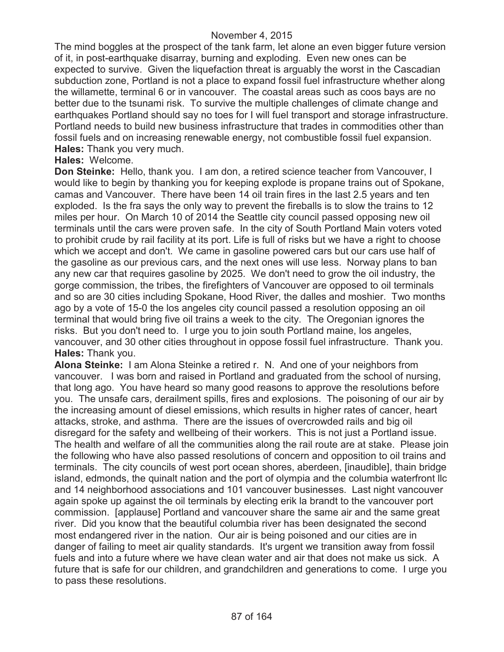The mind boggles at the prospect of the tank farm, let alone an even bigger future version of it, in post-earthquake disarray, burning and exploding. Even new ones can be expected to survive. Given the liquefaction threat is arguably the worst in the Cascadian subduction zone, Portland is not a place to expand fossil fuel infrastructure whether along the willamette, terminal 6 or in vancouver. The coastal areas such as coos bays are no better due to the tsunami risk. To survive the multiple challenges of climate change and earthquakes Portland should say no toes for I will fuel transport and storage infrastructure. Portland needs to build new business infrastructure that trades in commodities other than fossil fuels and on increasing renewable energy, not combustible fossil fuel expansion. **Hales:** Thank you very much.

## **Hales:** Welcome.

**Don Steinke:** Hello, thank you. I am don, a retired science teacher from Vancouver, I would like to begin by thanking you for keeping explode is propane trains out of Spokane, camas and Vancouver. There have been 14 oil train fires in the last 2.5 years and ten exploded. Is the fra says the only way to prevent the fireballs is to slow the trains to 12 miles per hour. On March 10 of 2014 the Seattle city council passed opposing new oil terminals until the cars were proven safe. In the city of South Portland Main voters voted to prohibit crude by rail facility at its port. Life is full of risks but we have a right to choose which we accept and don't. We came in gasoline powered cars but our cars use half of the gasoline as our previous cars, and the next ones will use less. Norway plans to ban any new car that requires gasoline by 2025. We don't need to grow the oil industry, the gorge commission, the tribes, the firefighters of Vancouver are opposed to oil terminals and so are 30 cities including Spokane, Hood River, the dalles and moshier. Two months ago by a vote of 15-0 the los angeles city council passed a resolution opposing an oil terminal that would bring five oil trains a week to the city. The Oregonian ignores the risks. But you don't need to. I urge you to join south Portland maine, los angeles, vancouver, and 30 other cities throughout in oppose fossil fuel infrastructure. Thank you. **Hales:** Thank you.

**Alona Steinke:** I am Alona Steinke a retired r. N. And one of your neighbors from vancouver. I was born and raised in Portland and graduated from the school of nursing, that long ago. You have heard so many good reasons to approve the resolutions before you. The unsafe cars, derailment spills, fires and explosions. The poisoning of our air by the increasing amount of diesel emissions, which results in higher rates of cancer, heart attacks, stroke, and asthma. There are the issues of overcrowded rails and big oil disregard for the safety and wellbeing of their workers. This is not just a Portland issue. The health and welfare of all the communities along the rail route are at stake. Please join the following who have also passed resolutions of concern and opposition to oil trains and terminals. The city councils of west port ocean shores, aberdeen, [inaudible], thain bridge island, edmonds, the quinalt nation and the port of olympia and the columbia waterfront llc and 14 neighborhood associations and 101 vancouver businesses. Last night vancouver again spoke up against the oil terminals by electing erik la brandt to the vancouver port commission. [applause] Portland and vancouver share the same air and the same great river. Did you know that the beautiful columbia river has been designated the second most endangered river in the nation. Our air is being poisoned and our cities are in danger of failing to meet air quality standards. It's urgent we transition away from fossil fuels and into a future where we have clean water and air that does not make us sick. A future that is safe for our children, and grandchildren and generations to come. I urge you to pass these resolutions.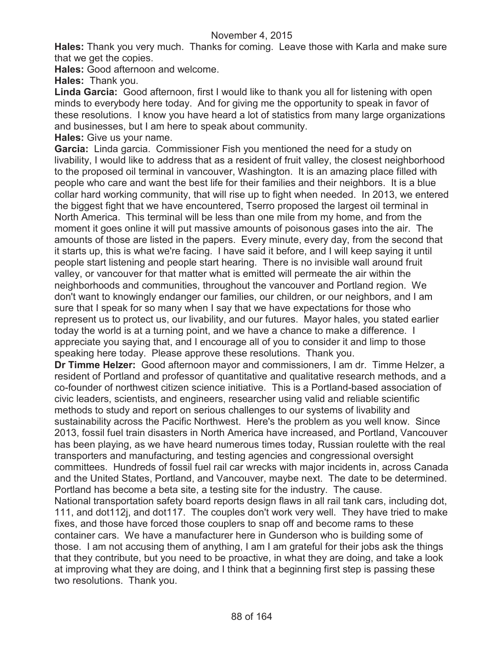**Hales:** Thank you very much. Thanks for coming. Leave those with Karla and make sure that we get the copies.

**Hales:** Good afternoon and welcome.

**Hales:** Thank you.

**Linda Garcia:** Good afternoon, first I would like to thank you all for listening with open minds to everybody here today. And for giving me the opportunity to speak in favor of these resolutions. I know you have heard a lot of statistics from many large organizations and businesses, but I am here to speak about community.

**Hales:** Give us your name.

**Garcia:** Linda garcia. Commissioner Fish you mentioned the need for a study on livability, I would like to address that as a resident of fruit valley, the closest neighborhood to the proposed oil terminal in vancouver, Washington. It is an amazing place filled with people who care and want the best life for their families and their neighbors. It is a blue collar hard working community, that will rise up to fight when needed. In 2013, we entered the biggest fight that we have encountered, Tserro proposed the largest oil terminal in North America. This terminal will be less than one mile from my home, and from the moment it goes online it will put massive amounts of poisonous gases into the air. The amounts of those are listed in the papers. Every minute, every day, from the second that it starts up, this is what we're facing. I have said it before, and I will keep saying it until people start listening and people start hearing. There is no invisible wall around fruit valley, or vancouver for that matter what is emitted will permeate the air within the neighborhoods and communities, throughout the vancouver and Portland region. We don't want to knowingly endanger our families, our children, or our neighbors, and I am sure that I speak for so many when I say that we have expectations for those who represent us to protect us, our livability, and our futures. Mayor hales, you stated earlier today the world is at a turning point, and we have a chance to make a difference. I appreciate you saying that, and I encourage all of you to consider it and limp to those speaking here today. Please approve these resolutions. Thank you.

**Dr Timme Helzer:** Good afternoon mayor and commissioners, I am dr. Timme Helzer, a resident of Portland and professor of quantitative and qualitative research methods, and a co-founder of northwest citizen science initiative. This is a Portland-based association of civic leaders, scientists, and engineers, researcher using valid and reliable scientific methods to study and report on serious challenges to our systems of livability and sustainability across the Pacific Northwest. Here's the problem as you well know. Since 2013, fossil fuel train disasters in North America have increased, and Portland, Vancouver has been playing, as we have heard numerous times today, Russian roulette with the real transporters and manufacturing, and testing agencies and congressional oversight committees. Hundreds of fossil fuel rail car wrecks with major incidents in, across Canada and the United States, Portland, and Vancouver, maybe next. The date to be determined. Portland has become a beta site, a testing site for the industry. The cause.

National transportation safety board reports design flaws in all rail tank cars, including dot, 111, and dot112j, and dot117. The couples don't work very well. They have tried to make fixes, and those have forced those couplers to snap off and become rams to these container cars. We have a manufacturer here in Gunderson who is building some of those. I am not accusing them of anything, I am I am grateful for their jobs ask the things that they contribute, but you need to be proactive, in what they are doing, and take a look at improving what they are doing, and I think that a beginning first step is passing these two resolutions. Thank you.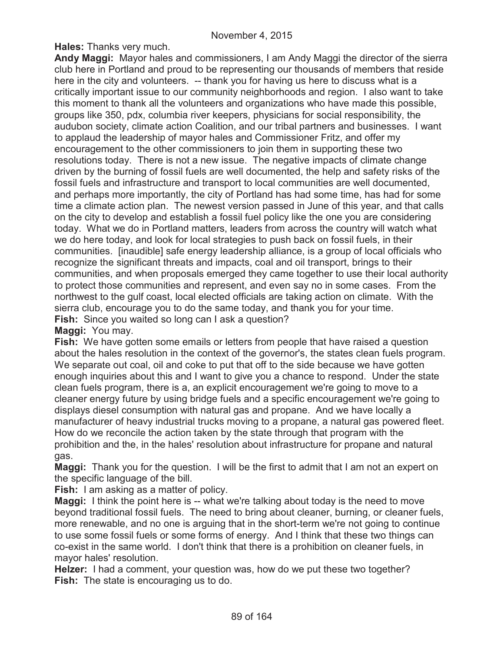**Hales:** Thanks very much.

**Andy Maggi:** Mayor hales and commissioners, I am Andy Maggi the director of the sierra club here in Portland and proud to be representing our thousands of members that reside here in the city and volunteers. -- thank you for having us here to discuss what is a critically important issue to our community neighborhoods and region. I also want to take this moment to thank all the volunteers and organizations who have made this possible, groups like 350, pdx, columbia river keepers, physicians for social responsibility, the audubon society, climate action Coalition, and our tribal partners and businesses. I want to applaud the leadership of mayor hales and Commissioner Fritz, and offer my encouragement to the other commissioners to join them in supporting these two resolutions today. There is not a new issue. The negative impacts of climate change driven by the burning of fossil fuels are well documented, the help and safety risks of the fossil fuels and infrastructure and transport to local communities are well documented, and perhaps more importantly, the city of Portland has had some time, has had for some time a climate action plan. The newest version passed in June of this year, and that calls on the city to develop and establish a fossil fuel policy like the one you are considering today. What we do in Portland matters, leaders from across the country will watch what we do here today, and look for local strategies to push back on fossil fuels, in their communities. [inaudible] safe energy leadership alliance, is a group of local officials who recognize the significant threats and impacts, coal and oil transport, brings to their communities, and when proposals emerged they came together to use their local authority to protect those communities and represent, and even say no in some cases. From the northwest to the gulf coast, local elected officials are taking action on climate. With the sierra club, encourage you to do the same today, and thank you for your time. **Fish:** Since you waited so long can I ask a question?

**Maggi:** You may.

**Fish:** We have gotten some emails or letters from people that have raised a question about the hales resolution in the context of the governor's, the states clean fuels program. We separate out coal, oil and coke to put that off to the side because we have gotten enough inquiries about this and I want to give you a chance to respond. Under the state clean fuels program, there is a, an explicit encouragement we're going to move to a cleaner energy future by using bridge fuels and a specific encouragement we're going to displays diesel consumption with natural gas and propane. And we have locally a manufacturer of heavy industrial trucks moving to a propane, a natural gas powered fleet. How do we reconcile the action taken by the state through that program with the prohibition and the, in the hales' resolution about infrastructure for propane and natural gas.

**Maggi:** Thank you for the question. I will be the first to admit that I am not an expert on the specific language of the bill.

**Fish:** I am asking as a matter of policy.

**Maggi:** I think the point here is -- what we're talking about today is the need to move beyond traditional fossil fuels. The need to bring about cleaner, burning, or cleaner fuels, more renewable, and no one is arguing that in the short-term we're not going to continue to use some fossil fuels or some forms of energy. And I think that these two things can co-exist in the same world. I don't think that there is a prohibition on cleaner fuels, in mayor hales' resolution.

**Helzer:** I had a comment, your question was, how do we put these two together? **Fish:** The state is encouraging us to do.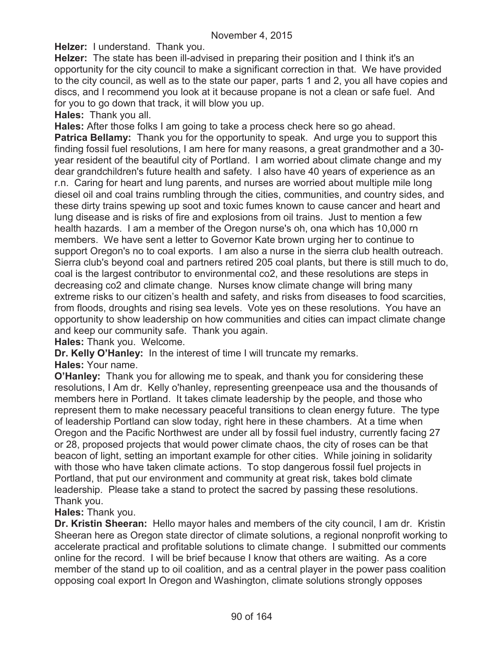**Helzer:** I understand. Thank you.

**Helzer:** The state has been ill-advised in preparing their position and I think it's an opportunity for the city council to make a significant correction in that. We have provided to the city council, as well as to the state our paper, parts 1 and 2, you all have copies and discs, and I recommend you look at it because propane is not a clean or safe fuel. And for you to go down that track, it will blow you up.

**Hales:** Thank you all.

**Hales:** After those folks I am going to take a process check here so go ahead.

**Patrica Bellamy:** Thank you for the opportunity to speak. And urge you to support this finding fossil fuel resolutions, I am here for many reasons, a great grandmother and a 30 year resident of the beautiful city of Portland. I am worried about climate change and my dear grandchildren's future health and safety. I also have 40 years of experience as an r.n. Caring for heart and lung parents, and nurses are worried about multiple mile long diesel oil and coal trains rumbling through the cities, communities, and country sides, and these dirty trains spewing up soot and toxic fumes known to cause cancer and heart and lung disease and is risks of fire and explosions from oil trains. Just to mention a few health hazards. I am a member of the Oregon nurse's oh, ona which has 10,000 rn members. We have sent a letter to Governor Kate brown urging her to continue to support Oregon's no to coal exports. I am also a nurse in the sierra club health outreach. Sierra club's beyond coal and partners retired 205 coal plants, but there is still much to do, coal is the largest contributor to environmental co2, and these resolutions are steps in decreasing co2 and climate change. Nurses know climate change will bring many extreme risks to our citizen's health and safety, and risks from diseases to food scarcities, from floods, droughts and rising sea levels. Vote yes on these resolutions. You have an opportunity to show leadership on how communities and cities can impact climate change and keep our community safe. Thank you again.

**Hales:** Thank you. Welcome.

**Dr. Kelly O'Hanley:** In the interest of time I will truncate my remarks.

#### **Hales:** Your name.

**O'Hanley:** Thank you for allowing me to speak, and thank you for considering these resolutions, I Am dr. Kelly o'hanley, representing greenpeace usa and the thousands of members here in Portland. It takes climate leadership by the people, and those who represent them to make necessary peaceful transitions to clean energy future. The type of leadership Portland can slow today, right here in these chambers. At a time when Oregon and the Pacific Northwest are under all by fossil fuel industry, currently facing 27 or 28, proposed projects that would power climate chaos, the city of roses can be that beacon of light, setting an important example for other cities. While joining in solidarity with those who have taken climate actions. To stop dangerous fossil fuel projects in Portland, that put our environment and community at great risk, takes bold climate leadership. Please take a stand to protect the sacred by passing these resolutions. Thank you.

## **Hales:** Thank you.

**Dr. Kristin Sheeran:** Hello mayor hales and members of the city council, I am dr. Kristin Sheeran here as Oregon state director of climate solutions, a regional nonprofit working to accelerate practical and profitable solutions to climate change. I submitted our comments online for the record. I will be brief because I know that others are waiting. As a core member of the stand up to oil coalition, and as a central player in the power pass coalition opposing coal export In Oregon and Washington, climate solutions strongly opposes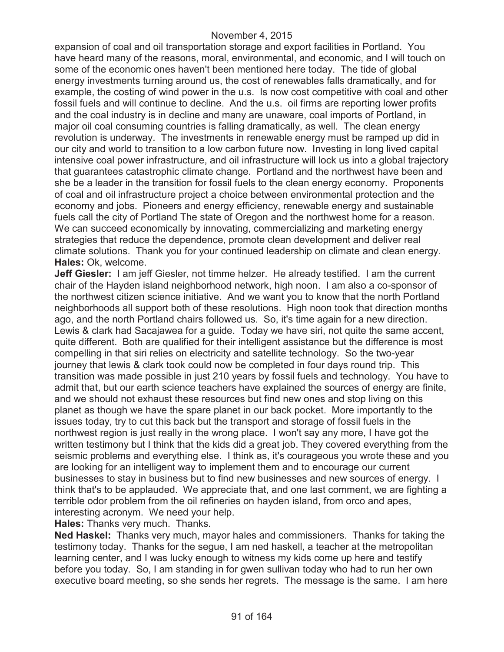expansion of coal and oil transportation storage and export facilities in Portland. You have heard many of the reasons, moral, environmental, and economic, and I will touch on some of the economic ones haven't been mentioned here today. The tide of global energy investments turning around us, the cost of renewables falls dramatically, and for example, the costing of wind power in the u.s. Is now cost competitive with coal and other fossil fuels and will continue to decline. And the u.s. oil firms are reporting lower profits and the coal industry is in decline and many are unaware, coal imports of Portland, in major oil coal consuming countries is falling dramatically, as well. The clean energy revolution is underway. The investments in renewable energy must be ramped up did in our city and world to transition to a low carbon future now. Investing in long lived capital intensive coal power infrastructure, and oil infrastructure will lock us into a global trajectory that guarantees catastrophic climate change. Portland and the northwest have been and she be a leader in the transition for fossil fuels to the clean energy economy. Proponents of coal and oil infrastructure project a choice between environmental protection and the economy and jobs. Pioneers and energy efficiency, renewable energy and sustainable fuels call the city of Portland The state of Oregon and the northwest home for a reason. We can succeed economically by innovating, commercializing and marketing energy strategies that reduce the dependence, promote clean development and deliver real climate solutions. Thank you for your continued leadership on climate and clean energy. **Hales:** Ok, welcome.

**Jeff Giesler:** I am jeff Giesler, not timme helzer. He already testified. I am the current chair of the Hayden island neighborhood network, high noon. I am also a co-sponsor of the northwest citizen science initiative. And we want you to know that the north Portland neighborhoods all support both of these resolutions. High noon took that direction months ago, and the north Portland chairs followed us. So, it's time again for a new direction. Lewis & clark had Sacajawea for a guide. Today we have siri, not quite the same accent, quite different. Both are qualified for their intelligent assistance but the difference is most compelling in that siri relies on electricity and satellite technology. So the two-year journey that lewis & clark took could now be completed in four days round trip. This transition was made possible in just 210 years by fossil fuels and technology. You have to admit that, but our earth science teachers have explained the sources of energy are finite, and we should not exhaust these resources but find new ones and stop living on this planet as though we have the spare planet in our back pocket. More importantly to the issues today, try to cut this back but the transport and storage of fossil fuels in the northwest region is just really in the wrong place. I won't say any more, I have got the written testimony but I think that the kids did a great job. They covered everything from the seismic problems and everything else. I think as, it's courageous you wrote these and you are looking for an intelligent way to implement them and to encourage our current businesses to stay in business but to find new businesses and new sources of energy. I think that's to be applauded. We appreciate that, and one last comment, we are fighting a terrible odor problem from the oil refineries on hayden island, from orco and apes, interesting acronym. We need your help.

**Hales:** Thanks very much. Thanks.

**Ned Haskel:** Thanks very much, mayor hales and commissioners. Thanks for taking the testimony today. Thanks for the segue, I am ned haskell, a teacher at the metropolitan learning center, and I was lucky enough to witness my kids come up here and testify before you today. So, I am standing in for gwen sullivan today who had to run her own executive board meeting, so she sends her regrets. The message is the same. I am here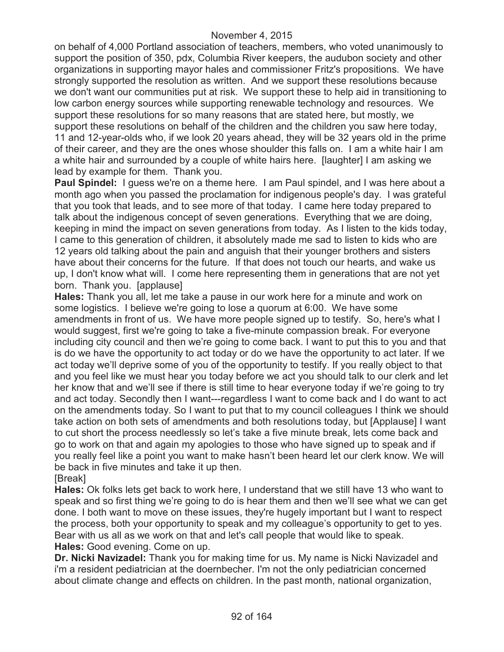on behalf of 4,000 Portland association of teachers, members, who voted unanimously to support the position of 350, pdx, Columbia River keepers, the audubon society and other organizations in supporting mayor hales and commissioner Fritz's propositions. We have strongly supported the resolution as written. And we support these resolutions because we don't want our communities put at risk. We support these to help aid in transitioning to low carbon energy sources while supporting renewable technology and resources. We support these resolutions for so many reasons that are stated here, but mostly, we support these resolutions on behalf of the children and the children you saw here today, 11 and 12-year-olds who, if we look 20 years ahead, they will be 32 years old in the prime of their career, and they are the ones whose shoulder this falls on. I am a white hair I am a white hair and surrounded by a couple of white hairs here. [laughter] I am asking we lead by example for them. Thank you.

**Paul Spindel:** I guess we're on a theme here. I am Paul spindel, and I was here about a month ago when you passed the proclamation for indigenous people's day. I was grateful that you took that leads, and to see more of that today. I came here today prepared to talk about the indigenous concept of seven generations. Everything that we are doing, keeping in mind the impact on seven generations from today. As I listen to the kids today, I came to this generation of children, it absolutely made me sad to listen to kids who are 12 years old talking about the pain and anguish that their younger brothers and sisters have about their concerns for the future. If that does not touch our hearts, and wake us up, I don't know what will. I come here representing them in generations that are not yet born. Thank you. [applause]

**Hales:** Thank you all, let me take a pause in our work here for a minute and work on some logistics. I believe we're going to lose a quorum at 6:00. We have some amendments in front of us. We have more people signed up to testify. So, here's what I would suggest, first we're going to take a five-minute compassion break. For everyone including city council and then we're going to come back. I want to put this to you and that is do we have the opportunity to act today or do we have the opportunity to act later. If we act today we'll deprive some of you of the opportunity to testify. If you really object to that and you feel like we must hear you today before we act you should talk to our clerk and let her know that and we'll see if there is still time to hear everyone today if we're going to try and act today. Secondly then I want---regardless I want to come back and I do want to act on the amendments today. So I want to put that to my council colleagues I think we should take action on both sets of amendments and both resolutions today, but [Applause] I want to cut short the process needlessly so let's take a five minute break, lets come back and go to work on that and again my apologies to those who have signed up to speak and if you really feel like a point you want to make hasn't been heard let our clerk know. We will be back in five minutes and take it up then. [Break]

**Hales:** Ok folks lets get back to work here, I understand that we still have 13 who want to speak and so first thing we're going to do is hear them and then we'll see what we can get done. I both want to move on these issues, they're hugely important but I want to respect the process, both your opportunity to speak and my colleague's opportunity to get to yes. Bear with us all as we work on that and let's call people that would like to speak. **Hales:** Good evening. Come on up.

**Dr. Nicki Navizadel:** Thank you for making time for us. My name is Nicki Navizadel and i'm a resident pediatrician at the doernbecher. I'm not the only pediatrician concerned about climate change and effects on children. In the past month, national organization,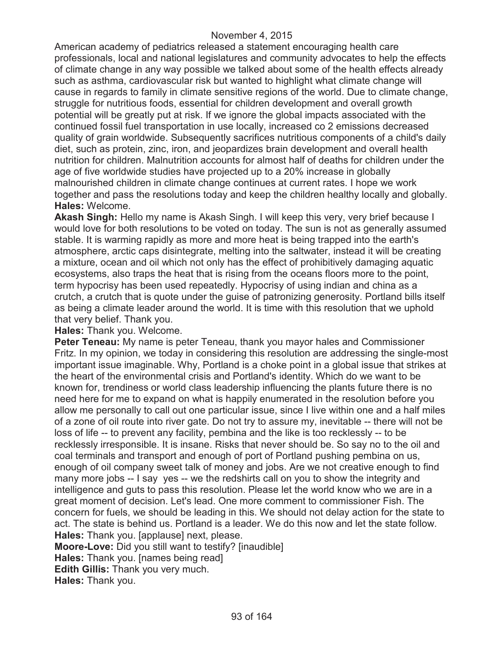American academy of pediatrics released a statement encouraging health care professionals, local and national legislatures and community advocates to help the effects of climate change in any way possible we talked about some of the health effects already such as asthma, cardiovascular risk but wanted to highlight what climate change will cause in regards to family in climate sensitive regions of the world. Due to climate change, struggle for nutritious foods, essential for children development and overall growth potential will be greatly put at risk. If we ignore the global impacts associated with the continued fossil fuel transportation in use locally, increased co 2 emissions decreased quality of grain worldwide. Subsequently sacrifices nutritious components of a child's daily diet, such as protein, zinc, iron, and jeopardizes brain development and overall health nutrition for children. Malnutrition accounts for almost half of deaths for children under the age of five worldwide studies have projected up to a 20% increase in globally malnourished children in climate change continues at current rates. I hope we work together and pass the resolutions today and keep the children healthy locally and globally. **Hales:** Welcome.

**Akash Singh:** Hello my name is Akash Singh. I will keep this very, very brief because I would love for both resolutions to be voted on today. The sun is not as generally assumed stable. It is warming rapidly as more and more heat is being trapped into the earth's atmosphere, arctic caps disintegrate, melting into the saltwater, instead it will be creating a mixture, ocean and oil which not only has the effect of prohibitively damaging aquatic ecosystems, also traps the heat that is rising from the oceans floors more to the point, term hypocrisy has been used repeatedly. Hypocrisy of using indian and china as a crutch, a crutch that is quote under the guise of patronizing generosity. Portland bills itself as being a climate leader around the world. It is time with this resolution that we uphold that very belief. Thank you.

**Hales:** Thank you. Welcome.

**Peter Teneau:** My name is peter Teneau, thank you mayor hales and Commissioner Fritz. In my opinion, we today in considering this resolution are addressing the single-most important issue imaginable. Why, Portland is a choke point in a global issue that strikes at the heart of the environmental crisis and Portland's identity. Which do we want to be known for, trendiness or world class leadership influencing the plants future there is no need here for me to expand on what is happily enumerated in the resolution before you allow me personally to call out one particular issue, since I live within one and a half miles of a zone of oil route into river gate. Do not try to assure my, inevitable -- there will not be loss of life -- to prevent any facility, pembina and the like is too recklessly -- to be recklessly irresponsible. It is insane. Risks that never should be. So say no to the oil and coal terminals and transport and enough of port of Portland pushing pembina on us, enough of oil company sweet talk of money and jobs. Are we not creative enough to find many more jobs -- I say yes -- we the redshirts call on you to show the integrity and intelligence and guts to pass this resolution. Please let the world know who we are in a great moment of decision. Let's lead. One more comment to commissioner Fish. The concern for fuels, we should be leading in this. We should not delay action for the state to act. The state is behind us. Portland is a leader. We do this now and let the state follow. **Hales:** Thank you. [applause] next, please.

**Moore-Love:** Did you still want to testify? [inaudible]

**Hales:** Thank you. [names being read]

**Edith Gillis:** Thank you very much.

**Hales:** Thank you.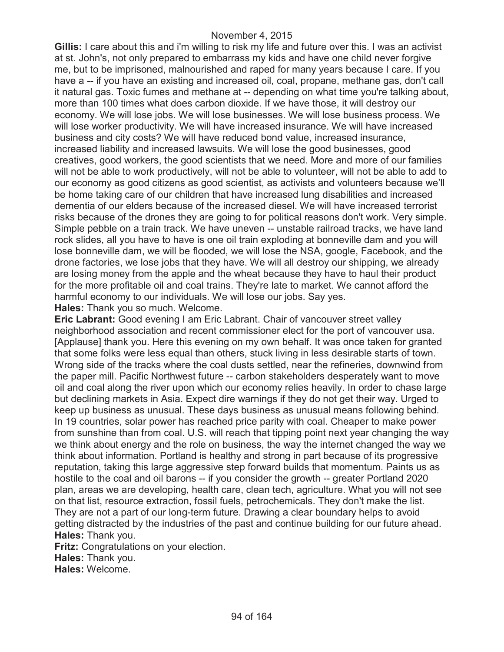**Gillis:** I care about this and i'm willing to risk my life and future over this. I was an activist at st. John's, not only prepared to embarrass my kids and have one child never forgive me, but to be imprisoned, malnourished and raped for many years because I care. If you have a -- if you have an existing and increased oil, coal, propane, methane gas, don't call it natural gas. Toxic fumes and methane at -- depending on what time you're talking about, more than 100 times what does carbon dioxide. If we have those, it will destroy our economy. We will lose jobs. We will lose businesses. We will lose business process. We will lose worker productivity. We will have increased insurance. We will have increased business and city costs? We will have reduced bond value, increased insurance, increased liability and increased lawsuits. We will lose the good businesses, good creatives, good workers, the good scientists that we need. More and more of our families will not be able to work productively, will not be able to volunteer, will not be able to add to our economy as good citizens as good scientist, as activists and volunteers because we'll be home taking care of our children that have increased lung disabilities and increased dementia of our elders because of the increased diesel. We will have increased terrorist risks because of the drones they are going to for political reasons don't work. Very simple. Simple pebble on a train track. We have uneven -- unstable railroad tracks, we have land rock slides, all you have to have is one oil train exploding at bonneville dam and you will lose bonneville dam, we will be flooded, we will lose the NSA, google, Facebook, and the drone factories, we lose jobs that they have. We will all destroy our shipping, we already are losing money from the apple and the wheat because they have to haul their product for the more profitable oil and coal trains. They're late to market. We cannot afford the harmful economy to our individuals. We will lose our jobs. Say yes.

**Hales:** Thank you so much. Welcome.

**Eric Labrant:** Good evening I am Eric Labrant. Chair of vancouver street valley neighborhood association and recent commissioner elect for the port of vancouver usa. [Applause] thank you. Here this evening on my own behalf. It was once taken for granted that some folks were less equal than others, stuck living in less desirable starts of town. Wrong side of the tracks where the coal dusts settled, near the refineries, downwind from the paper mill. Pacific Northwest future -- carbon stakeholders desperately want to move oil and coal along the river upon which our economy relies heavily. In order to chase large but declining markets in Asia. Expect dire warnings if they do not get their way. Urged to keep up business as unusual. These days business as unusual means following behind. In 19 countries, solar power has reached price parity with coal. Cheaper to make power from sunshine than from coal. U.S. will reach that tipping point next year changing the way we think about energy and the role on business, the way the internet changed the way we think about information. Portland is healthy and strong in part because of its progressive reputation, taking this large aggressive step forward builds that momentum. Paints us as hostile to the coal and oil barons -- if you consider the growth -- greater Portland 2020 plan, areas we are developing, health care, clean tech, agriculture. What you will not see on that list, resource extraction, fossil fuels, petrochemicals. They don't make the list. They are not a part of our long-term future. Drawing a clear boundary helps to avoid getting distracted by the industries of the past and continue building for our future ahead. **Hales:** Thank you.

**Fritz:** Congratulations on your election.

**Hales:** Thank you.

**Hales:** Welcome.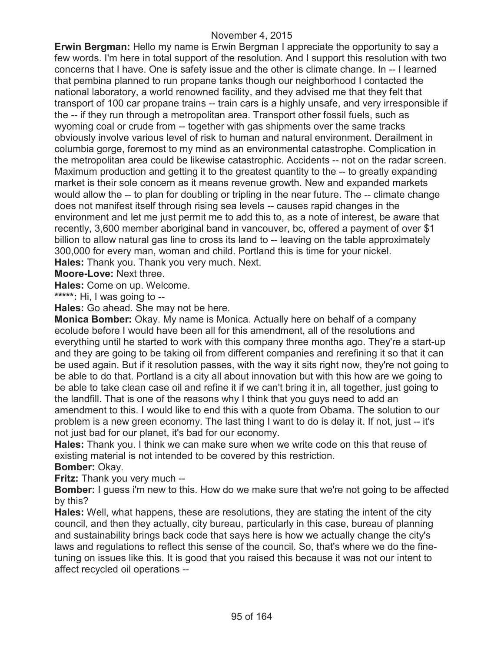**Erwin Bergman:** Hello my name is Erwin Bergman I appreciate the opportunity to say a few words. I'm here in total support of the resolution. And I support this resolution with two concerns that I have. One is safety issue and the other is climate change. In -- I learned that pembina planned to run propane tanks though our neighborhood I contacted the national laboratory, a world renowned facility, and they advised me that they felt that transport of 100 car propane trains -- train cars is a highly unsafe, and very irresponsible if the -- if they run through a metropolitan area. Transport other fossil fuels, such as wyoming coal or crude from -- together with gas shipments over the same tracks obviously involve various level of risk to human and natural environment. Derailment in columbia gorge, foremost to my mind as an environmental catastrophe. Complication in the metropolitan area could be likewise catastrophic. Accidents -- not on the radar screen. Maximum production and getting it to the greatest quantity to the -- to greatly expanding market is their sole concern as it means revenue growth. New and expanded markets would allow the -- to plan for doubling or tripling in the near future. The -- climate change does not manifest itself through rising sea levels -- causes rapid changes in the environment and let me just permit me to add this to, as a note of interest, be aware that recently, 3,600 member aboriginal band in vancouver, bc, offered a payment of over \$1 billion to allow natural gas line to cross its land to -- leaving on the table approximately 300,000 for every man, woman and child. Portland this is time for your nickel. **Hales:** Thank you. Thank you very much. Next.

**Moore-Love:** Next three.

**Hales:** Come on up. Welcome.

**\*\*\*\*\*:** Hi, I was going to --

**Hales:** Go ahead. She may not be here.

**Monica Bomber:** Okay. My name is Monica. Actually here on behalf of a company ecolude before I would have been all for this amendment, all of the resolutions and everything until he started to work with this company three months ago. They're a start-up and they are going to be taking oil from different companies and rerefining it so that it can be used again. But if it resolution passes, with the way it sits right now, they're not going to be able to do that. Portland is a city all about innovation but with this how are we going to be able to take clean case oil and refine it if we can't bring it in, all together, just going to the landfill. That is one of the reasons why I think that you guys need to add an amendment to this. I would like to end this with a quote from Obama. The solution to our problem is a new green economy. The last thing I want to do is delay it. If not, just -- it's not just bad for our planet, it's bad for our economy.

**Hales:** Thank you. I think we can make sure when we write code on this that reuse of existing material is not intended to be covered by this restriction.

## **Bomber:** Okay.

**Fritz:** Thank you very much --

**Bomber:** I guess i'm new to this. How do we make sure that we're not going to be affected by this?

**Hales:** Well, what happens, these are resolutions, they are stating the intent of the city council, and then they actually, city bureau, particularly in this case, bureau of planning and sustainability brings back code that says here is how we actually change the city's laws and regulations to reflect this sense of the council. So, that's where we do the finetuning on issues like this. It is good that you raised this because it was not our intent to affect recycled oil operations --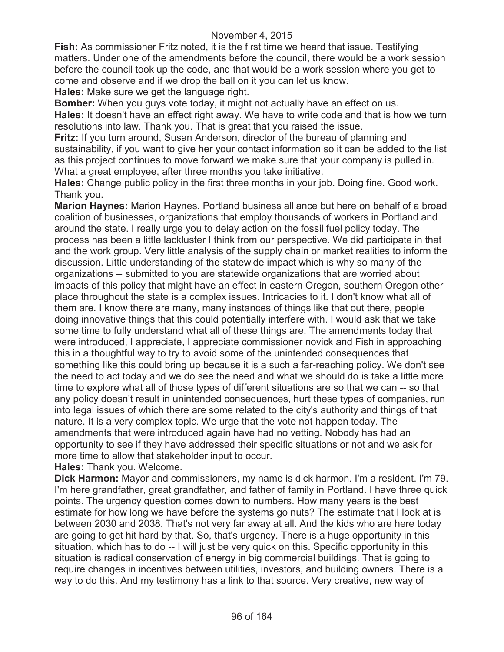**Fish:** As commissioner Fritz noted, it is the first time we heard that issue. Testifying matters. Under one of the amendments before the council, there would be a work session before the council took up the code, and that would be a work session where you get to come and observe and if we drop the ball on it you can let us know.

**Hales:** Make sure we get the language right.

**Bomber:** When you guys vote today, it might not actually have an effect on us.

**Hales:** It doesn't have an effect right away. We have to write code and that is how we turn resolutions into law. Thank you. That is great that you raised the issue.

**Fritz:** If you turn around, Susan Anderson, director of the bureau of planning and sustainability, if you want to give her your contact information so it can be added to the list as this project continues to move forward we make sure that your company is pulled in. What a great employee, after three months you take initiative.

**Hales:** Change public policy in the first three months in your job. Doing fine. Good work. Thank you.

**Marion Haynes:** Marion Haynes, Portland business alliance but here on behalf of a broad coalition of businesses, organizations that employ thousands of workers in Portland and around the state. I really urge you to delay action on the fossil fuel policy today. The process has been a little lackluster I think from our perspective. We did participate in that and the work group. Very little analysis of the supply chain or market realities to inform the discussion. Little understanding of the statewide impact which is why so many of the organizations -- submitted to you are statewide organizations that are worried about impacts of this policy that might have an effect in eastern Oregon, southern Oregon other place throughout the state is a complex issues. Intricacies to it. I don't know what all of them are. I know there are many, many instances of things like that out there, people doing innovative things that this could potentially interfere with. I would ask that we take some time to fully understand what all of these things are. The amendments today that were introduced, I appreciate, I appreciate commissioner novick and Fish in approaching this in a thoughtful way to try to avoid some of the unintended consequences that something like this could bring up because it is a such a far-reaching policy. We don't see the need to act today and we do see the need and what we should do is take a little more time to explore what all of those types of different situations are so that we can -- so that any policy doesn't result in unintended consequences, hurt these types of companies, run into legal issues of which there are some related to the city's authority and things of that nature. It is a very complex topic. We urge that the vote not happen today. The amendments that were introduced again have had no vetting. Nobody has had an opportunity to see if they have addressed their specific situations or not and we ask for more time to allow that stakeholder input to occur.

**Hales:** Thank you. Welcome.

**Dick Harmon:** Mayor and commissioners, my name is dick harmon. I'm a resident. I'm 79. I'm here grandfather, great grandfather, and father of family in Portland. I have three quick points. The urgency question comes down to numbers. How many years is the best estimate for how long we have before the systems go nuts? The estimate that I look at is between 2030 and 2038. That's not very far away at all. And the kids who are here today are going to get hit hard by that. So, that's urgency. There is a huge opportunity in this situation, which has to do -- I will just be very quick on this. Specific opportunity in this situation is radical conservation of energy in big commercial buildings. That is going to require changes in incentives between utilities, investors, and building owners. There is a way to do this. And my testimony has a link to that source. Very creative, new way of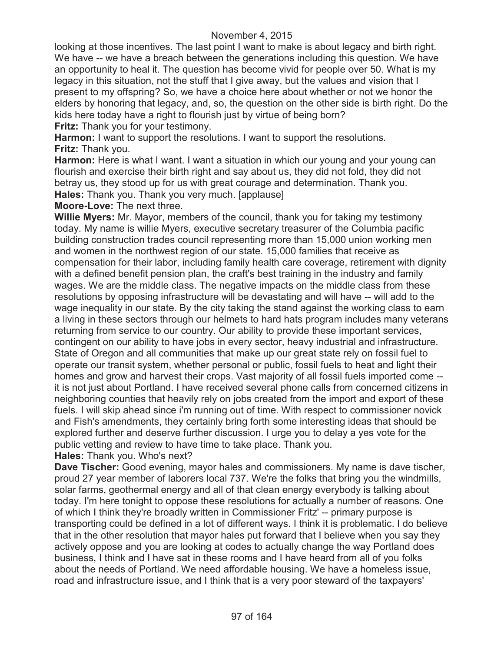looking at those incentives. The last point I want to make is about legacy and birth right. We have -- we have a breach between the generations including this question. We have an opportunity to heal it. The question has become vivid for people over 50. What is my legacy in this situation, not the stuff that I give away, but the values and vision that I present to my offspring? So, we have a choice here about whether or not we honor the elders by honoring that legacy, and, so, the question on the other side is birth right. Do the kids here today have a right to flourish just by virtue of being born?

**Fritz:** Thank you for your testimony.

**Harmon:** I want to support the resolutions. I want to support the resolutions. **Fritz:** Thank you.

**Harmon:** Here is what I want. I want a situation in which our young and your young can flourish and exercise their birth right and say about us, they did not fold, they did not betray us, they stood up for us with great courage and determination. Thank you.

**Hales:** Thank you. Thank you very much. [applause]

**Moore-Love:** The next three.

**Willie Myers:** Mr. Mayor, members of the council, thank you for taking my testimony today. My name is willie Myers, executive secretary treasurer of the Columbia pacific building construction trades council representing more than 15,000 union working men and women in the northwest region of our state. 15,000 families that receive as compensation for their labor, including family health care coverage, retirement with dignity with a defined benefit pension plan, the craft's best training in the industry and family wages. We are the middle class. The negative impacts on the middle class from these resolutions by opposing infrastructure will be devastating and will have -- will add to the wage inequality in our state. By the city taking the stand against the working class to earn a living in these sectors through our helmets to hard hats program includes many veterans returning from service to our country. Our ability to provide these important services, contingent on our ability to have jobs in every sector, heavy industrial and infrastructure. State of Oregon and all communities that make up our great state rely on fossil fuel to operate our transit system, whether personal or public, fossil fuels to heat and light their homes and grow and harvest their crops. Vast majority of all fossil fuels imported come - it is not just about Portland. I have received several phone calls from concerned citizens in neighboring counties that heavily rely on jobs created from the import and export of these fuels. I will skip ahead since i'm running out of time. With respect to commissioner novick and Fish's amendments, they certainly bring forth some interesting ideas that should be explored further and deserve further discussion. I urge you to delay a yes vote for the public vetting and review to have time to take place. Thank you.

**Hales:** Thank you. Who's next?

**Dave Tischer:** Good evening, mayor hales and commissioners. My name is dave tischer, proud 27 year member of laborers local 737. We're the folks that bring you the windmills, solar farms, geothermal energy and all of that clean energy everybody is talking about today. I'm here tonight to oppose these resolutions for actually a number of reasons. One of which I think they're broadly written in Commissioner Fritz' -- primary purpose is transporting could be defined in a lot of different ways. I think it is problematic. I do believe that in the other resolution that mayor hales put forward that I believe when you say they actively oppose and you are looking at codes to actually change the way Portland does business, I think and I have sat in these rooms and I have heard from all of you folks about the needs of Portland. We need affordable housing. We have a homeless issue, road and infrastructure issue, and I think that is a very poor steward of the taxpayers'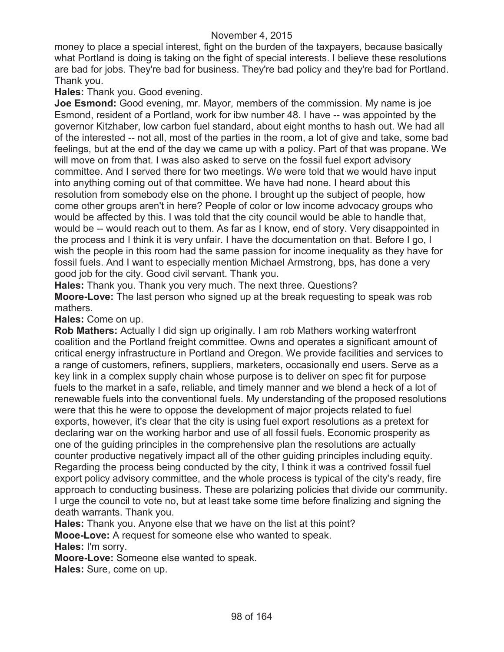money to place a special interest, fight on the burden of the taxpayers, because basically what Portland is doing is taking on the fight of special interests. I believe these resolutions are bad for jobs. They're bad for business. They're bad policy and they're bad for Portland. Thank you.

### **Hales:** Thank you. Good evening.

**Joe Esmond:** Good evening, mr. Mayor, members of the commission. My name is joe Esmond, resident of a Portland, work for ibw number 48. I have -- was appointed by the governor Kitzhaber, low carbon fuel standard, about eight months to hash out. We had all of the interested -- not all, most of the parties in the room, a lot of give and take, some bad feelings, but at the end of the day we came up with a policy. Part of that was propane. We will move on from that. I was also asked to serve on the fossil fuel export advisory committee. And I served there for two meetings. We were told that we would have input into anything coming out of that committee. We have had none. I heard about this resolution from somebody else on the phone. I brought up the subject of people, how come other groups aren't in here? People of color or low income advocacy groups who would be affected by this. I was told that the city council would be able to handle that, would be -- would reach out to them. As far as I know, end of story. Very disappointed in the process and I think it is very unfair. I have the documentation on that. Before I go, I wish the people in this room had the same passion for income inequality as they have for fossil fuels. And I want to especially mention Michael Armstrong, bps, has done a very good job for the city. Good civil servant. Thank you.

**Hales:** Thank you. Thank you very much. The next three. Questions? **Moore-Love:** The last person who signed up at the break requesting to speak was rob mathers.

#### **Hales:** Come on up.

**Rob Mathers:** Actually I did sign up originally. I am rob Mathers working waterfront coalition and the Portland freight committee. Owns and operates a significant amount of critical energy infrastructure in Portland and Oregon. We provide facilities and services to a range of customers, refiners, suppliers, marketers, occasionally end users. Serve as a key link in a complex supply chain whose purpose is to deliver on spec fit for purpose fuels to the market in a safe, reliable, and timely manner and we blend a heck of a lot of renewable fuels into the conventional fuels. My understanding of the proposed resolutions were that this he were to oppose the development of major projects related to fuel exports, however, it's clear that the city is using fuel export resolutions as a pretext for declaring war on the working harbor and use of all fossil fuels. Economic prosperity as one of the guiding principles in the comprehensive plan the resolutions are actually counter productive negatively impact all of the other guiding principles including equity. Regarding the process being conducted by the city, I think it was a contrived fossil fuel export policy advisory committee, and the whole process is typical of the city's ready, fire approach to conducting business. These are polarizing policies that divide our community. I urge the council to vote no, but at least take some time before finalizing and signing the death warrants. Thank you.

**Hales:** Thank you. Anyone else that we have on the list at this point?

**Mooe-Love:** A request for someone else who wanted to speak.

**Hales:** I'm sorry.

**Moore-Love:** Someone else wanted to speak.

**Hales:** Sure, come on up.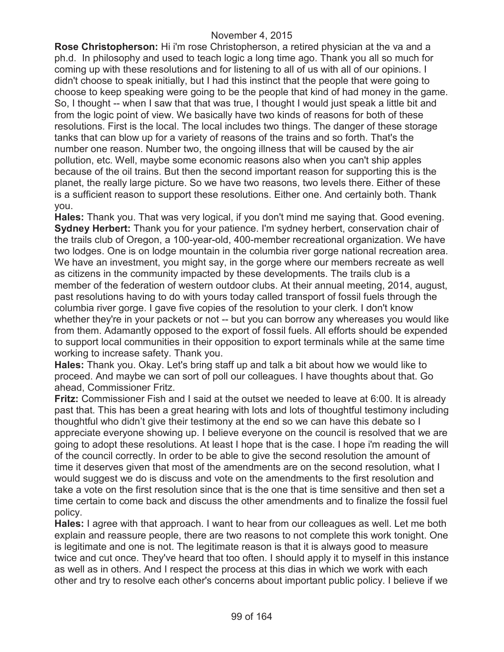**Rose Christopherson:** Hi i'm rose Christopherson, a retired physician at the va and a ph.d. In philosophy and used to teach logic a long time ago. Thank you all so much for coming up with these resolutions and for listening to all of us with all of our opinions. I didn't choose to speak initially, but I had this instinct that the people that were going to choose to keep speaking were going to be the people that kind of had money in the game. So, I thought -- when I saw that that was true, I thought I would just speak a little bit and from the logic point of view. We basically have two kinds of reasons for both of these resolutions. First is the local. The local includes two things. The danger of these storage tanks that can blow up for a variety of reasons of the trains and so forth. That's the number one reason. Number two, the ongoing illness that will be caused by the air pollution, etc. Well, maybe some economic reasons also when you can't ship apples because of the oil trains. But then the second important reason for supporting this is the planet, the really large picture. So we have two reasons, two levels there. Either of these is a sufficient reason to support these resolutions. Either one. And certainly both. Thank you.

**Hales:** Thank you. That was very logical, if you don't mind me saying that. Good evening. **Sydney Herbert:** Thank you for your patience. I'm sydney herbert, conservation chair of the trails club of Oregon, a 100-year-old, 400-member recreational organization. We have two lodges. One is on lodge mountain in the columbia river gorge national recreation area. We have an investment, you might say, in the gorge where our members recreate as well as citizens in the community impacted by these developments. The trails club is a member of the federation of western outdoor clubs. At their annual meeting, 2014, august, past resolutions having to do with yours today called transport of fossil fuels through the columbia river gorge. I gave five copies of the resolution to your clerk. I don't know whether they're in your packets or not -- but you can borrow any whereases you would like from them. Adamantly opposed to the export of fossil fuels. All efforts should be expended to support local communities in their opposition to export terminals while at the same time working to increase safety. Thank you.

**Hales:** Thank you. Okay. Let's bring staff up and talk a bit about how we would like to proceed. And maybe we can sort of poll our colleagues. I have thoughts about that. Go ahead, Commissioner Fritz.

**Fritz:** Commissioner Fish and I said at the outset we needed to leave at 6:00. It is already past that. This has been a great hearing with lots and lots of thoughtful testimony including thoughtful who didn't give their testimony at the end so we can have this debate so I appreciate everyone showing up. I believe everyone on the council is resolved that we are going to adopt these resolutions. At least I hope that is the case. I hope i'm reading the will of the council correctly. In order to be able to give the second resolution the amount of time it deserves given that most of the amendments are on the second resolution, what I would suggest we do is discuss and vote on the amendments to the first resolution and take a vote on the first resolution since that is the one that is time sensitive and then set a time certain to come back and discuss the other amendments and to finalize the fossil fuel policy.

**Hales:** I agree with that approach. I want to hear from our colleagues as well. Let me both explain and reassure people, there are two reasons to not complete this work tonight. One is legitimate and one is not. The legitimate reason is that it is always good to measure twice and cut once. They've heard that too often. I should apply it to myself in this instance as well as in others. And I respect the process at this dias in which we work with each other and try to resolve each other's concerns about important public policy. I believe if we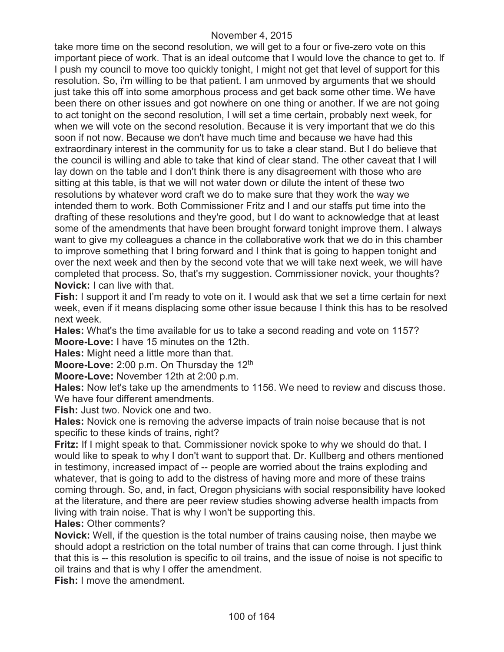take more time on the second resolution, we will get to a four or five-zero vote on this important piece of work. That is an ideal outcome that I would love the chance to get to. If I push my council to move too quickly tonight, I might not get that level of support for this resolution. So, i'm willing to be that patient. I am unmoved by arguments that we should just take this off into some amorphous process and get back some other time. We have been there on other issues and got nowhere on one thing or another. If we are not going to act tonight on the second resolution, I will set a time certain, probably next week, for when we will vote on the second resolution. Because it is very important that we do this soon if not now. Because we don't have much time and because we have had this extraordinary interest in the community for us to take a clear stand. But I do believe that the council is willing and able to take that kind of clear stand. The other caveat that I will lay down on the table and I don't think there is any disagreement with those who are sitting at this table, is that we will not water down or dilute the intent of these two resolutions by whatever word craft we do to make sure that they work the way we intended them to work. Both Commissioner Fritz and I and our staffs put time into the drafting of these resolutions and they're good, but I do want to acknowledge that at least some of the amendments that have been brought forward tonight improve them. I always want to give my colleagues a chance in the collaborative work that we do in this chamber to improve something that I bring forward and I think that is going to happen tonight and over the next week and then by the second vote that we will take next week, we will have completed that process. So, that's my suggestion. Commissioner novick, your thoughts? **Novick:** I can live with that.

**Fish:** I support it and I'm ready to vote on it. I would ask that we set a time certain for next week, even if it means displacing some other issue because I think this has to be resolved next week.

**Hales:** What's the time available for us to take a second reading and vote on 1157? **Moore-Love:** I have 15 minutes on the 12th.

**Hales:** Might need a little more than that.

Moore-Love: 2:00 p.m. On Thursday the 12<sup>th</sup>

**Moore-Love:** November 12th at 2:00 p.m.

**Hales:** Now let's take up the amendments to 1156. We need to review and discuss those. We have four different amendments.

**Fish:** Just two. Novick one and two.

**Hales:** Novick one is removing the adverse impacts of train noise because that is not specific to these kinds of trains, right?

**Fritz:** If I might speak to that. Commissioner novick spoke to why we should do that. I would like to speak to why I don't want to support that. Dr. Kullberg and others mentioned in testimony, increased impact of -- people are worried about the trains exploding and whatever, that is going to add to the distress of having more and more of these trains coming through. So, and, in fact, Oregon physicians with social responsibility have looked at the literature, and there are peer review studies showing adverse health impacts from living with train noise. That is why I won't be supporting this.

**Hales:** Other comments?

**Novick:** Well, if the question is the total number of trains causing noise, then maybe we should adopt a restriction on the total number of trains that can come through. I just think that this is -- this resolution is specific to oil trains, and the issue of noise is not specific to oil trains and that is why I offer the amendment.

**Fish:** I move the amendment.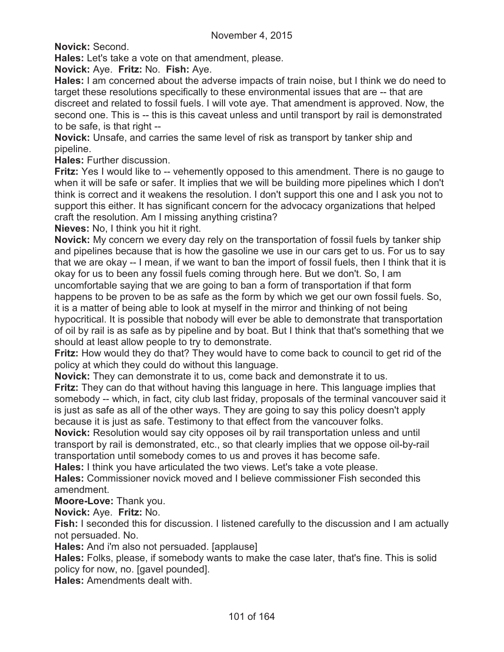**Novick:** Second.

**Hales:** Let's take a vote on that amendment, please.

**Novick:** Aye. **Fritz:** No. **Fish:** Aye.

**Hales:** I am concerned about the adverse impacts of train noise, but I think we do need to target these resolutions specifically to these environmental issues that are -- that are discreet and related to fossil fuels. I will vote aye. That amendment is approved. Now, the second one. This is -- this is this caveat unless and until transport by rail is demonstrated to be safe, is that right --

**Novick:** Unsafe, and carries the same level of risk as transport by tanker ship and pipeline.

**Hales:** Further discussion.

**Fritz:** Yes I would like to -- vehemently opposed to this amendment. There is no gauge to when it will be safe or safer. It implies that we will be building more pipelines which I don't think is correct and it weakens the resolution. I don't support this one and I ask you not to support this either. It has significant concern for the advocacy organizations that helped craft the resolution. Am I missing anything cristina?

**Nieves:** No, I think you hit it right.

**Novick:** My concern we every day rely on the transportation of fossil fuels by tanker ship and pipelines because that is how the gasoline we use in our cars get to us. For us to say that we are okay -- I mean, if we want to ban the import of fossil fuels, then I think that it is okay for us to been any fossil fuels coming through here. But we don't. So, I am uncomfortable saying that we are going to ban a form of transportation if that form happens to be proven to be as safe as the form by which we get our own fossil fuels. So, it is a matter of being able to look at myself in the mirror and thinking of not being hypocritical. It is possible that nobody will ever be able to demonstrate that transportation of oil by rail is as safe as by pipeline and by boat. But I think that that's something that we

should at least allow people to try to demonstrate. **Fritz:** How would they do that? They would have to come back to council to get rid of the policy at which they could do without this language.

**Novick:** They can demonstrate it to us, come back and demonstrate it to us.

**Fritz:** They can do that without having this language in here. This language implies that somebody -- which, in fact, city club last friday, proposals of the terminal vancouver said it is just as safe as all of the other ways. They are going to say this policy doesn't apply because it is just as safe. Testimony to that effect from the vancouver folks.

**Novick:** Resolution would say city opposes oil by rail transportation unless and until transport by rail is demonstrated, etc., so that clearly implies that we oppose oil-by-rail transportation until somebody comes to us and proves it has become safe.

**Hales:** I think you have articulated the two views. Let's take a vote please.

**Hales:** Commissioner novick moved and I believe commissioner Fish seconded this amendment.

**Moore-Love:** Thank you.

## **Novick:** Aye. **Fritz:** No.

**Fish:** I seconded this for discussion. I listened carefully to the discussion and I am actually not persuaded. No.

**Hales:** And i'm also not persuaded. [applause]

**Hales:** Folks, please, if somebody wants to make the case later, that's fine. This is solid policy for now, no. [gavel pounded].

**Hales:** Amendments dealt with.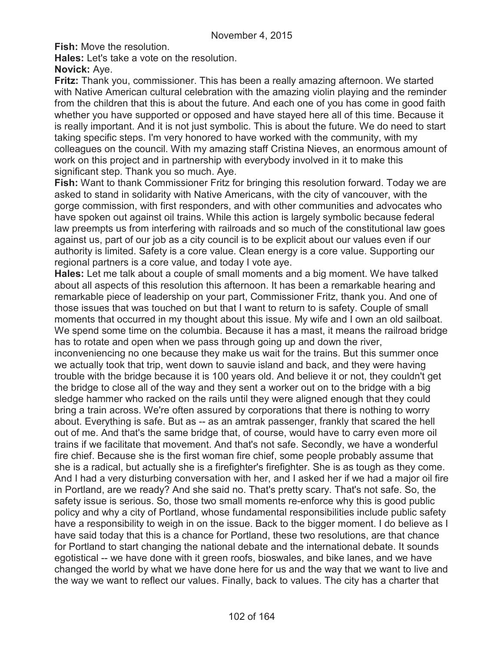**Fish:** Move the resolution.

**Hales:** Let's take a vote on the resolution.

**Novick:** Aye.

**Fritz:** Thank you, commissioner. This has been a really amazing afternoon. We started with Native American cultural celebration with the amazing violin playing and the reminder from the children that this is about the future. And each one of you has come in good faith whether you have supported or opposed and have stayed here all of this time. Because it is really important. And it is not just symbolic. This is about the future. We do need to start taking specific steps. I'm very honored to have worked with the community, with my colleagues on the council. With my amazing staff Cristina Nieves, an enormous amount of work on this project and in partnership with everybody involved in it to make this significant step. Thank you so much. Aye.

**Fish:** Want to thank Commissioner Fritz for bringing this resolution forward. Today we are asked to stand in solidarity with Native Americans, with the city of vancouver, with the gorge commission, with first responders, and with other communities and advocates who have spoken out against oil trains. While this action is largely symbolic because federal law preempts us from interfering with railroads and so much of the constitutional law goes against us, part of our job as a city council is to be explicit about our values even if our authority is limited. Safety is a core value. Clean energy is a core value. Supporting our regional partners is a core value, and today I vote aye.

**Hales:** Let me talk about a couple of small moments and a big moment. We have talked about all aspects of this resolution this afternoon. It has been a remarkable hearing and remarkable piece of leadership on your part, Commissioner Fritz, thank you. And one of those issues that was touched on but that I want to return to is safety. Couple of small moments that occurred in my thought about this issue. My wife and I own an old sailboat. We spend some time on the columbia. Because it has a mast, it means the railroad bridge has to rotate and open when we pass through going up and down the river,

inconveniencing no one because they make us wait for the trains. But this summer once we actually took that trip, went down to sauvie island and back, and they were having trouble with the bridge because it is 100 years old. And believe it or not, they couldn't get the bridge to close all of the way and they sent a worker out on to the bridge with a big sledge hammer who racked on the rails until they were aligned enough that they could bring a train across. We're often assured by corporations that there is nothing to worry about. Everything is safe. But as -- as an amtrak passenger, frankly that scared the hell out of me. And that's the same bridge that, of course, would have to carry even more oil trains if we facilitate that movement. And that's not safe. Secondly, we have a wonderful fire chief. Because she is the first woman fire chief, some people probably assume that she is a radical, but actually she is a firefighter's firefighter. She is as tough as they come. And I had a very disturbing conversation with her, and I asked her if we had a major oil fire in Portland, are we ready? And she said no. That's pretty scary. That's not safe. So, the safety issue is serious. So, those two small moments re-enforce why this is good public policy and why a city of Portland, whose fundamental responsibilities include public safety have a responsibility to weigh in on the issue. Back to the bigger moment. I do believe as I have said today that this is a chance for Portland, these two resolutions, are that chance for Portland to start changing the national debate and the international debate. It sounds egotistical -- we have done with it green roofs, bioswales, and bike lanes, and we have changed the world by what we have done here for us and the way that we want to live and the way we want to reflect our values. Finally, back to values. The city has a charter that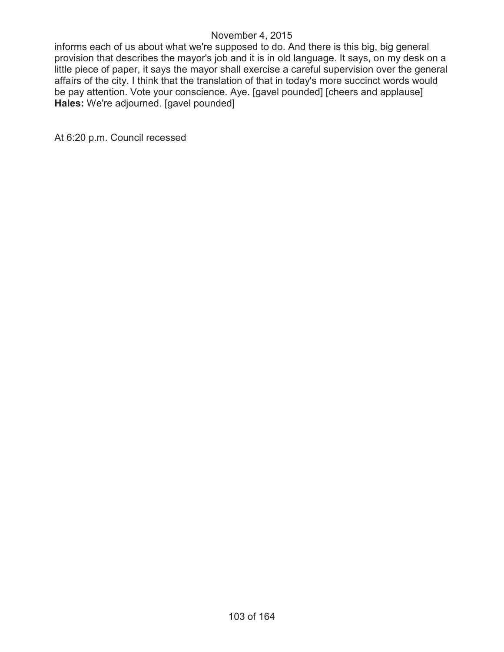informs each of us about what we're supposed to do. And there is this big, big general provision that describes the mayor's job and it is in old language. It says, on my desk on a little piece of paper, it says the mayor shall exercise a careful supervision over the general affairs of the city. I think that the translation of that in today's more succinct words would be pay attention. Vote your conscience. Aye. [gavel pounded] [cheers and applause] **Hales:** We're adjourned. [gavel pounded]

At 6:20 p.m. Council recessed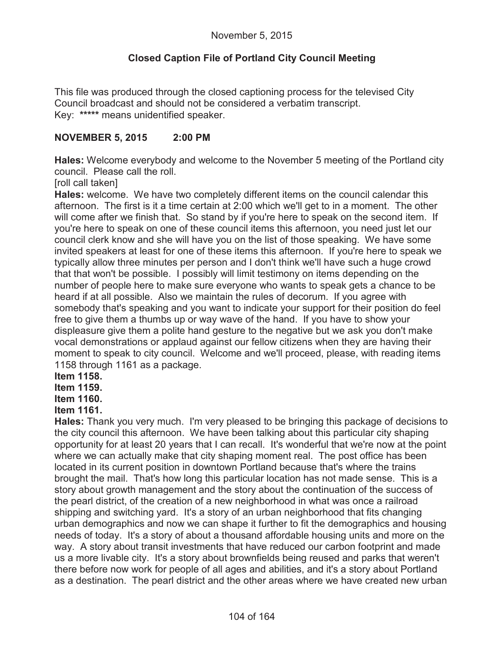# **Closed Caption File of Portland City Council Meeting**

This file was produced through the closed captioning process for the televised City Council broadcast and should not be considered a verbatim transcript. Key: **\*\*\*\*\*** means unidentified speaker.

## **NOVEMBER 5, 2015 2:00 PM**

**Hales:** Welcome everybody and welcome to the November 5 meeting of the Portland city council. Please call the roll.

[roll call taken]

**Hales:** welcome. We have two completely different items on the council calendar this afternoon. The first is it a time certain at 2:00 which we'll get to in a moment. The other will come after we finish that. So stand by if you're here to speak on the second item. If you're here to speak on one of these council items this afternoon, you need just let our council clerk know and she will have you on the list of those speaking. We have some invited speakers at least for one of these items this afternoon. If you're here to speak we typically allow three minutes per person and I don't think we'll have such a huge crowd that that won't be possible. I possibly will limit testimony on items depending on the number of people here to make sure everyone who wants to speak gets a chance to be heard if at all possible. Also we maintain the rules of decorum. If you agree with somebody that's speaking and you want to indicate your support for their position do feel free to give them a thumbs up or way wave of the hand. If you have to show your displeasure give them a polite hand gesture to the negative but we ask you don't make vocal demonstrations or applaud against our fellow citizens when they are having their moment to speak to city council. Welcome and we'll proceed, please, with reading items 1158 through 1161 as a package.

**Item 1158.**

**Item 1159.**

**Item 1160.**

## **Item 1161.**

**Hales:** Thank you very much. I'm very pleased to be bringing this package of decisions to the city council this afternoon. We have been talking about this particular city shaping opportunity for at least 20 years that I can recall. It's wonderful that we're now at the point where we can actually make that city shaping moment real. The post office has been located in its current position in downtown Portland because that's where the trains brought the mail. That's how long this particular location has not made sense. This is a story about growth management and the story about the continuation of the success of the pearl district, of the creation of a new neighborhood in what was once a railroad shipping and switching yard. It's a story of an urban neighborhood that fits changing urban demographics and now we can shape it further to fit the demographics and housing needs of today. It's a story of about a thousand affordable housing units and more on the way. A story about transit investments that have reduced our carbon footprint and made us a more livable city. It's a story about brownfields being reused and parks that weren't there before now work for people of all ages and abilities, and it's a story about Portland as a destination. The pearl district and the other areas where we have created new urban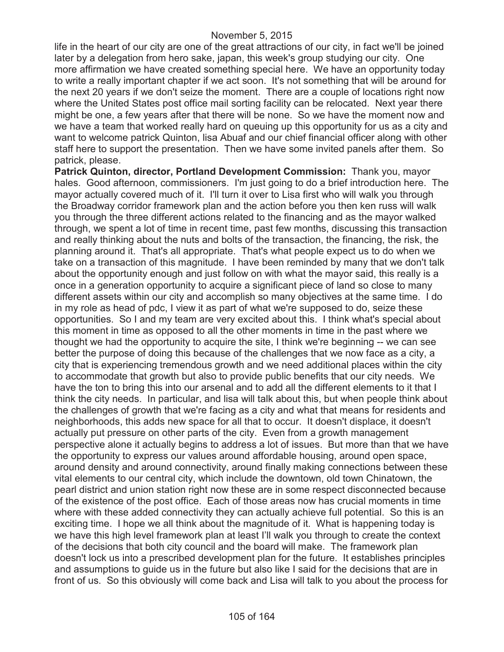life in the heart of our city are one of the great attractions of our city, in fact we'll be joined later by a delegation from hero sake, japan, this week's group studying our city. One more affirmation we have created something special here. We have an opportunity today to write a really important chapter if we act soon. It's not something that will be around for the next 20 years if we don't seize the moment. There are a couple of locations right now where the United States post office mail sorting facility can be relocated. Next year there might be one, a few years after that there will be none. So we have the moment now and we have a team that worked really hard on queuing up this opportunity for us as a city and want to welcome patrick Quinton, lisa Abuaf and our chief financial officer along with other staff here to support the presentation. Then we have some invited panels after them. So patrick, please.

**Patrick Quinton, director, Portland Development Commission:** Thank you, mayor hales. Good afternoon, commissioners. I'm just going to do a brief introduction here. The mayor actually covered much of it. I'll turn it over to Lisa first who will walk you through the Broadway corridor framework plan and the action before you then ken russ will walk you through the three different actions related to the financing and as the mayor walked through, we spent a lot of time in recent time, past few months, discussing this transaction and really thinking about the nuts and bolts of the transaction, the financing, the risk, the planning around it. That's all appropriate. That's what people expect us to do when we take on a transaction of this magnitude. I have been reminded by many that we don't talk about the opportunity enough and just follow on with what the mayor said, this really is a once in a generation opportunity to acquire a significant piece of land so close to many different assets within our city and accomplish so many objectives at the same time. I do in my role as head of pdc, I view it as part of what we're supposed to do, seize these opportunities. So I and my team are very excited about this. I think what's special about this moment in time as opposed to all the other moments in time in the past where we thought we had the opportunity to acquire the site, I think we're beginning -- we can see better the purpose of doing this because of the challenges that we now face as a city, a city that is experiencing tremendous growth and we need additional places within the city to accommodate that growth but also to provide public benefits that our city needs. We have the ton to bring this into our arsenal and to add all the different elements to it that I think the city needs. In particular, and lisa will talk about this, but when people think about the challenges of growth that we're facing as a city and what that means for residents and neighborhoods, this adds new space for all that to occur. It doesn't displace, it doesn't actually put pressure on other parts of the city. Even from a growth management perspective alone it actually begins to address a lot of issues. But more than that we have the opportunity to express our values around affordable housing, around open space, around density and around connectivity, around finally making connections between these vital elements to our central city, which include the downtown, old town Chinatown, the pearl district and union station right now these are in some respect disconnected because of the existence of the post office. Each of those areas now has crucial moments in time where with these added connectivity they can actually achieve full potential. So this is an exciting time. I hope we all think about the magnitude of it. What is happening today is we have this high level framework plan at least I'll walk you through to create the context of the decisions that both city council and the board will make. The framework plan doesn't lock us into a prescribed development plan for the future. It establishes principles and assumptions to guide us in the future but also like I said for the decisions that are in front of us. So this obviously will come back and Lisa will talk to you about the process for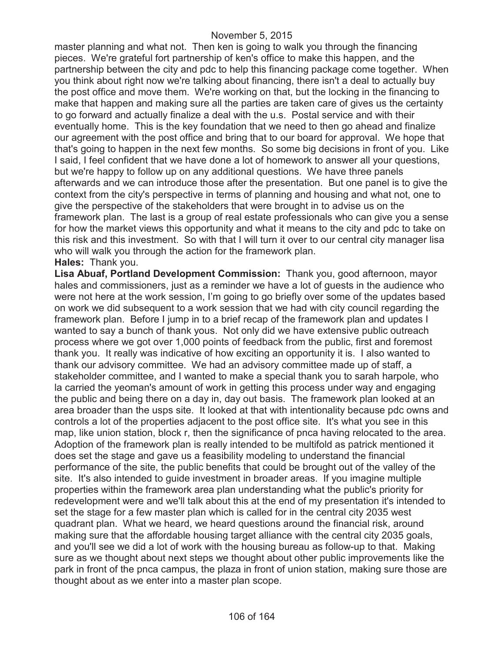master planning and what not. Then ken is going to walk you through the financing pieces. We're grateful fort partnership of ken's office to make this happen, and the partnership between the city and pdc to help this financing package come together. When you think about right now we're talking about financing, there isn't a deal to actually buy the post office and move them. We're working on that, but the locking in the financing to make that happen and making sure all the parties are taken care of gives us the certainty to go forward and actually finalize a deal with the u.s. Postal service and with their eventually home. This is the key foundation that we need to then go ahead and finalize our agreement with the post office and bring that to our board for approval. We hope that that's going to happen in the next few months. So some big decisions in front of you. Like I said, I feel confident that we have done a lot of homework to answer all your questions, but we're happy to follow up on any additional questions. We have three panels afterwards and we can introduce those after the presentation. But one panel is to give the context from the city's perspective in terms of planning and housing and what not, one to give the perspective of the stakeholders that were brought in to advise us on the framework plan. The last is a group of real estate professionals who can give you a sense for how the market views this opportunity and what it means to the city and pdc to take on this risk and this investment. So with that I will turn it over to our central city manager lisa who will walk you through the action for the framework plan. **Hales:** Thank you.

**Lisa Abuaf, Portland Development Commission:** Thank you, good afternoon, mayor hales and commissioners, just as a reminder we have a lot of guests in the audience who were not here at the work session, I'm going to go briefly over some of the updates based on work we did subsequent to a work session that we had with city council regarding the framework plan. Before I jump in to a brief recap of the framework plan and updates I wanted to say a bunch of thank yous. Not only did we have extensive public outreach process where we got over 1,000 points of feedback from the public, first and foremost thank you. It really was indicative of how exciting an opportunity it is. I also wanted to thank our advisory committee. We had an advisory committee made up of staff, a stakeholder committee, and I wanted to make a special thank you to sarah harpole, who la carried the yeoman's amount of work in getting this process under way and engaging the public and being there on a day in, day out basis. The framework plan looked at an area broader than the usps site. It looked at that with intentionality because pdc owns and controls a lot of the properties adjacent to the post office site. It's what you see in this map, like union station, block r, then the significance of pnca having relocated to the area. Adoption of the framework plan is really intended to be multifold as patrick mentioned it does set the stage and gave us a feasibility modeling to understand the financial performance of the site, the public benefits that could be brought out of the valley of the site. It's also intended to guide investment in broader areas. If you imagine multiple properties within the framework area plan understanding what the public's priority for redevelopment were and we'll talk about this at the end of my presentation it's intended to set the stage for a few master plan which is called for in the central city 2035 west quadrant plan. What we heard, we heard questions around the financial risk, around making sure that the affordable housing target alliance with the central city 2035 goals, and you'll see we did a lot of work with the housing bureau as follow-up to that. Making sure as we thought about next steps we thought about other public improvements like the park in front of the pnca campus, the plaza in front of union station, making sure those are thought about as we enter into a master plan scope.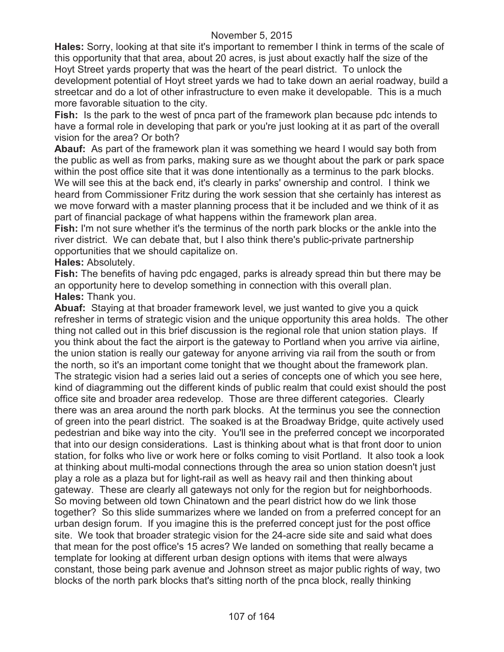**Hales:** Sorry, looking at that site it's important to remember I think in terms of the scale of this opportunity that that area, about 20 acres, is just about exactly half the size of the Hoyt Street yards property that was the heart of the pearl district. To unlock the development potential of Hoyt street yards we had to take down an aerial roadway, build a streetcar and do a lot of other infrastructure to even make it developable. This is a much more favorable situation to the city.

**Fish:** Is the park to the west of pnca part of the framework plan because pdc intends to have a formal role in developing that park or you're just looking at it as part of the overall vision for the area? Or both?

**Abauf:** As part of the framework plan it was something we heard I would say both from the public as well as from parks, making sure as we thought about the park or park space within the post office site that it was done intentionally as a terminus to the park blocks. We will see this at the back end, it's clearly in parks' ownership and control. I think we heard from Commissioner Fritz during the work session that she certainly has interest as we move forward with a master planning process that it be included and we think of it as part of financial package of what happens within the framework plan area.

**Fish:** I'm not sure whether it's the terminus of the north park blocks or the ankle into the river district. We can debate that, but I also think there's public-private partnership opportunities that we should capitalize on.

## **Hales:** Absolutely.

**Fish:** The benefits of having pdc engaged, parks is already spread thin but there may be an opportunity here to develop something in connection with this overall plan. **Hales:** Thank you.

**Abuaf:** Staying at that broader framework level, we just wanted to give you a quick refresher in terms of strategic vision and the unique opportunity this area holds. The other thing not called out in this brief discussion is the regional role that union station plays. If you think about the fact the airport is the gateway to Portland when you arrive via airline, the union station is really our gateway for anyone arriving via rail from the south or from the north, so it's an important come tonight that we thought about the framework plan. The strategic vision had a series laid out a series of concepts one of which you see here, kind of diagramming out the different kinds of public realm that could exist should the post office site and broader area redevelop. Those are three different categories. Clearly there was an area around the north park blocks. At the terminus you see the connection of green into the pearl district. The soaked is at the Broadway Bridge, quite actively used pedestrian and bike way into the city. You'll see in the preferred concept we incorporated that into our design considerations. Last is thinking about what is that front door to union station, for folks who live or work here or folks coming to visit Portland. It also took a look at thinking about multi-modal connections through the area so union station doesn't just play a role as a plaza but for light-rail as well as heavy rail and then thinking about gateway. These are clearly all gateways not only for the region but for neighborhoods. So moving between old town Chinatown and the pearl district how do we link those together? So this slide summarizes where we landed on from a preferred concept for an urban design forum. If you imagine this is the preferred concept just for the post office site. We took that broader strategic vision for the 24-acre side site and said what does that mean for the post office's 15 acres? We landed on something that really became a template for looking at different urban design options with items that were always constant, those being park avenue and Johnson street as major public rights of way, two blocks of the north park blocks that's sitting north of the pnca block, really thinking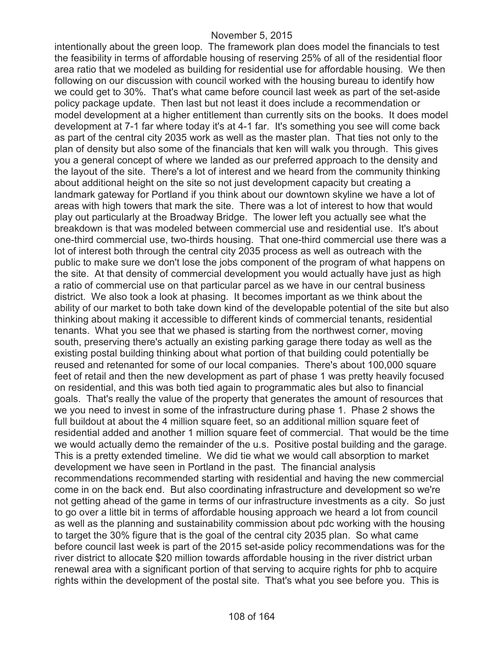intentionally about the green loop. The framework plan does model the financials to test the feasibility in terms of affordable housing of reserving 25% of all of the residential floor area ratio that we modeled as building for residential use for affordable housing. We then following on our discussion with council worked with the housing bureau to identify how we could get to 30%. That's what came before council last week as part of the set-aside policy package update. Then last but not least it does include a recommendation or model development at a higher entitlement than currently sits on the books. It does model development at 7-1 far where today it's at 4-1 far. It's something you see will come back as part of the central city 2035 work as well as the master plan. That ties not only to the plan of density but also some of the financials that ken will walk you through. This gives you a general concept of where we landed as our preferred approach to the density and the layout of the site. There's a lot of interest and we heard from the community thinking about additional height on the site so not just development capacity but creating a landmark gateway for Portland if you think about our downtown skyline we have a lot of areas with high towers that mark the site. There was a lot of interest to how that would play out particularly at the Broadway Bridge. The lower left you actually see what the breakdown is that was modeled between commercial use and residential use. It's about one-third commercial use, two-thirds housing. That one-third commercial use there was a lot of interest both through the central city 2035 process as well as outreach with the public to make sure we don't lose the jobs component of the program of what happens on the site. At that density of commercial development you would actually have just as high a ratio of commercial use on that particular parcel as we have in our central business district. We also took a look at phasing. It becomes important as we think about the ability of our market to both take down kind of the developable potential of the site but also thinking about making it accessible to different kinds of commercial tenants, residential tenants. What you see that we phased is starting from the northwest corner, moving south, preserving there's actually an existing parking garage there today as well as the existing postal building thinking about what portion of that building could potentially be reused and retenanted for some of our local companies. There's about 100,000 square feet of retail and then the new development as part of phase 1 was pretty heavily focused on residential, and this was both tied again to programmatic ales but also to financial goals. That's really the value of the property that generates the amount of resources that we you need to invest in some of the infrastructure during phase 1. Phase 2 shows the full buildout at about the 4 million square feet, so an additional million square feet of residential added and another 1 million square feet of commercial. That would be the time we would actually demo the remainder of the u.s. Positive postal building and the garage. This is a pretty extended timeline. We did tie what we would call absorption to market development we have seen in Portland in the past. The financial analysis recommendations recommended starting with residential and having the new commercial come in on the back end. But also coordinating infrastructure and development so we're not getting ahead of the game in terms of our infrastructure investments as a city. So just to go over a little bit in terms of affordable housing approach we heard a lot from council as well as the planning and sustainability commission about pdc working with the housing to target the 30% figure that is the goal of the central city 2035 plan. So what came before council last week is part of the 2015 set-aside policy recommendations was for the river district to allocate \$20 million towards affordable housing in the river district urban renewal area with a significant portion of that serving to acquire rights for phb to acquire rights within the development of the postal site. That's what you see before you. This is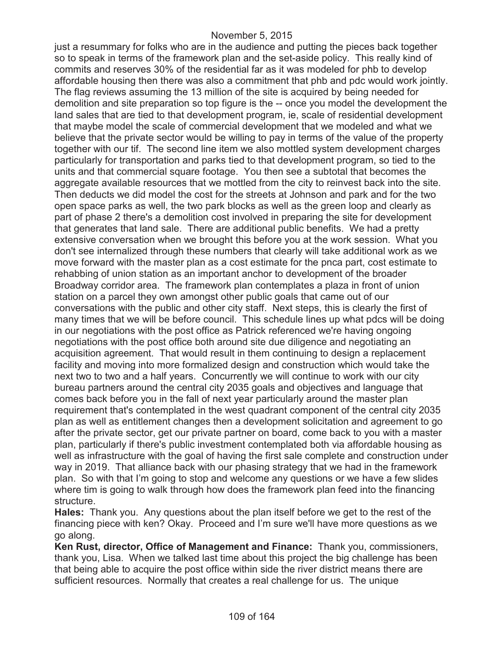just a resummary for folks who are in the audience and putting the pieces back together so to speak in terms of the framework plan and the set-aside policy. This really kind of commits and reserves 30% of the residential far as it was modeled for phb to develop affordable housing then there was also a commitment that phb and pdc would work jointly. The flag reviews assuming the 13 million of the site is acquired by being needed for demolition and site preparation so top figure is the -- once you model the development the land sales that are tied to that development program, ie, scale of residential development that maybe model the scale of commercial development that we modeled and what we believe that the private sector would be willing to pay in terms of the value of the property together with our tif. The second line item we also mottled system development charges particularly for transportation and parks tied to that development program, so tied to the units and that commercial square footage. You then see a subtotal that becomes the aggregate available resources that we mottled from the city to reinvest back into the site. Then deducts we did model the cost for the streets at Johnson and park and for the two open space parks as well, the two park blocks as well as the green loop and clearly as part of phase 2 there's a demolition cost involved in preparing the site for development that generates that land sale. There are additional public benefits. We had a pretty extensive conversation when we brought this before you at the work session. What you don't see internalized through these numbers that clearly will take additional work as we move forward with the master plan as a cost estimate for the pnca part, cost estimate to rehabbing of union station as an important anchor to development of the broader Broadway corridor area. The framework plan contemplates a plaza in front of union station on a parcel they own amongst other public goals that came out of our conversations with the public and other city staff. Next steps, this is clearly the first of many times that we will be before council. This schedule lines up what pdcs will be doing in our negotiations with the post office as Patrick referenced we're having ongoing negotiations with the post office both around site due diligence and negotiating an acquisition agreement. That would result in them continuing to design a replacement facility and moving into more formalized design and construction which would take the next two to two and a half years. Concurrently we will continue to work with our city bureau partners around the central city 2035 goals and objectives and language that comes back before you in the fall of next year particularly around the master plan requirement that's contemplated in the west quadrant component of the central city 2035 plan as well as entitlement changes then a development solicitation and agreement to go after the private sector, get our private partner on board, come back to you with a master plan, particularly if there's public investment contemplated both via affordable housing as well as infrastructure with the goal of having the first sale complete and construction under way in 2019. That alliance back with our phasing strategy that we had in the framework plan. So with that I'm going to stop and welcome any questions or we have a few slides where tim is going to walk through how does the framework plan feed into the financing structure.

**Hales:** Thank you. Any questions about the plan itself before we get to the rest of the financing piece with ken? Okay. Proceed and I'm sure we'll have more questions as we go along.

**Ken Rust, director, Office of Management and Finance:** Thank you, commissioners, thank you, Lisa. When we talked last time about this project the big challenge has been that being able to acquire the post office within side the river district means there are sufficient resources. Normally that creates a real challenge for us. The unique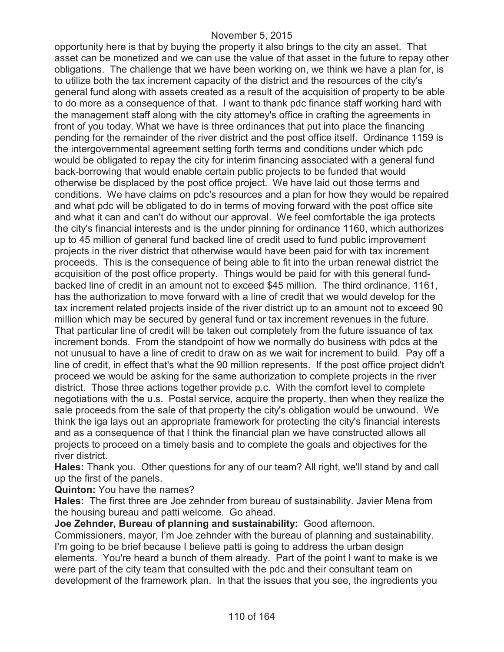opportunity here is that by buying the property it also brings to the city an asset. That asset can be monetized and we can use the value of that asset in the future to repay other obligations. The challenge that we have been working on, we think we have a plan for, is to utilize both the tax increment capacity of the district and the resources of the city's general fund along with assets created as a result of the acquisition of property to be able to do more as a consequence of that. I want to thank pdc finance staff working hard with the management staff along with the city attorney's office in crafting the agreements in front of you today. What we have is three ordinances that put into place the financing pending for the remainder of the river district and the post office itself. Ordinance 1159 is the intergovernmental agreement setting forth terms and conditions under which pdc would be obligated to repay the city for interim financing associated with a general fund back-borrowing that would enable certain public projects to be funded that would otherwise be displaced by the post office project. We have laid out those terms and conditions. We have claims on pdc's resources and a plan for how they would be repaired and what pdc will be obligated to do in terms of moving forward with the post office site and what it can and can't do without our approval. We feel comfortable the iga protects the city's financial interests and is the under pinning for ordinance 1160, which authorizes up to 45 million of general fund backed line of credit used to fund public improvement projects in the river district that otherwise would have been paid for with tax increment proceeds. This is the consequence of being able to fit into the urban renewal district the acquisition of the post office property. Things would be paid for with this general fundbacked line of credit in an amount not to exceed \$45 million. The third ordinance, 1161, has the authorization to move forward with a line of credit that we would develop for the tax increment related projects inside of the river district up to an amount not to exceed 90 million which may be secured by general fund or tax increment revenues in the future. That particular line of credit will be taken out completely from the future issuance of tax increment bonds. From the standpoint of how we normally do business with pdcs at the not unusual to have a line of credit to draw on as we wait for increment to build. Pay off a line of credit, in effect that's what the 90 million represents. If the post office project didn't proceed we would be asking for the same authorization to complete projects in the river district. Those three actions together provide p.c. With the comfort level to complete negotiations with the u.s. Postal service, acquire the property, then when they realize the sale proceeds from the sale of that property the city's obligation would be unwound. We think the iga lays out an appropriate framework for protecting the city's financial interests and as a consequence of that I think the financial plan we have constructed allows all projects to proceed on a timely basis and to complete the goals and objectives for the river district.

**Hales:** Thank you. Other questions for any of our team? All right, we'll stand by and call up the first of the panels.

**Quinton:** You have the names?

**Hales:** The first three are Joe zehnder from bureau of sustainability. Javier Mena from the housing bureau and patti welcome. Go ahead.

**Joe Zehnder, Bureau of planning and sustainability:** Good afternoon.

Commissioners, mayor, I'm Joe zehnder with the bureau of planning and sustainability. I'm going to be brief because I believe patti is going to address the urban design elements. You're heard a bunch of them already. Part of the point I want to make is we were part of the city team that consulted with the pdc and their consultant team on development of the framework plan. In that the issues that you see, the ingredients you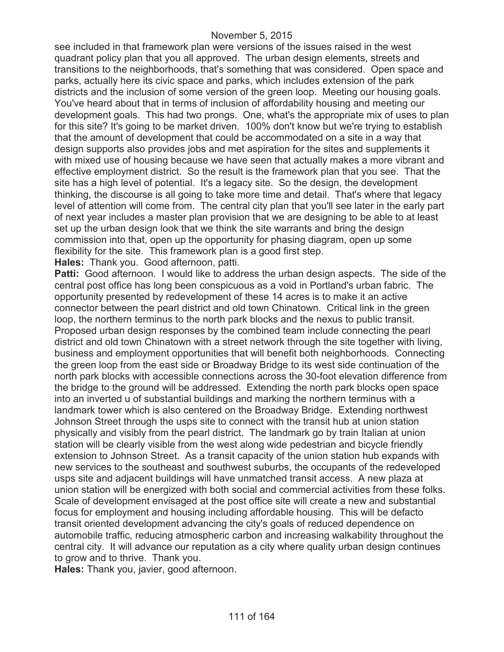see included in that framework plan were versions of the issues raised in the west quadrant policy plan that you all approved. The urban design elements, streets and transitions to the neighborhoods, that's something that was considered. Open space and parks, actually here its civic space and parks, which includes extension of the park districts and the inclusion of some version of the green loop. Meeting our housing goals. You've heard about that in terms of inclusion of affordability housing and meeting our development goals. This had two prongs. One, what's the appropriate mix of uses to plan for this site? It's going to be market driven. 100% don't know but we're trying to establish that the amount of development that could be accommodated on a site in a way that design supports also provides jobs and met aspiration for the sites and supplements it with mixed use of housing because we have seen that actually makes a more vibrant and effective employment district. So the result is the framework plan that you see. That the site has a high level of potential. It's a legacy site. So the design, the development thinking, the discourse is all going to take more time and detail. That's where that legacy level of attention will come from. The central city plan that you'll see later in the early part of next year includes a master plan provision that we are designing to be able to at least set up the urban design look that we think the site warrants and bring the design commission into that, open up the opportunity for phasing diagram, open up some flexibility for the site. This framework plan is a good first step.

**Hales:** Thank you. Good afternoon, patti.

**Patti:** Good afternoon. I would like to address the urban design aspects. The side of the central post office has long been conspicuous as a void in Portland's urban fabric. The opportunity presented by redevelopment of these 14 acres is to make it an active connector between the pearl district and old town Chinatown. Critical link in the green loop, the northern terminus to the north park blocks and the nexus to public transit. Proposed urban design responses by the combined team include connecting the pearl district and old town Chinatown with a street network through the site together with living, business and employment opportunities that will benefit both neighborhoods. Connecting the green loop from the east side or Broadway Bridge to its west side continuation of the north park blocks with accessible connections across the 30-foot elevation difference from the bridge to the ground will be addressed. Extending the north park blocks open space into an inverted u of substantial buildings and marking the northern terminus with a landmark tower which is also centered on the Broadway Bridge. Extending northwest Johnson Street through the usps site to connect with the transit hub at union station physically and visibly from the pearl district. The landmark go by train Italian at union station will be clearly visible from the west along wide pedestrian and bicycle friendly extension to Johnson Street. As a transit capacity of the union station hub expands with new services to the southeast and southwest suburbs, the occupants of the redeveloped usps site and adjacent buildings will have unmatched transit access. A new plaza at union station will be energized with both social and commercial activities from these folks. Scale of development envisaged at the post office site will create a new and substantial focus for employment and housing including affordable housing. This will be defacto transit oriented development advancing the city's goals of reduced dependence on automobile traffic, reducing atmospheric carbon and increasing walkability throughout the central city. It will advance our reputation as a city where quality urban design continues to grow and to thrive. Thank you.

**Hales:** Thank you, javier, good afternoon.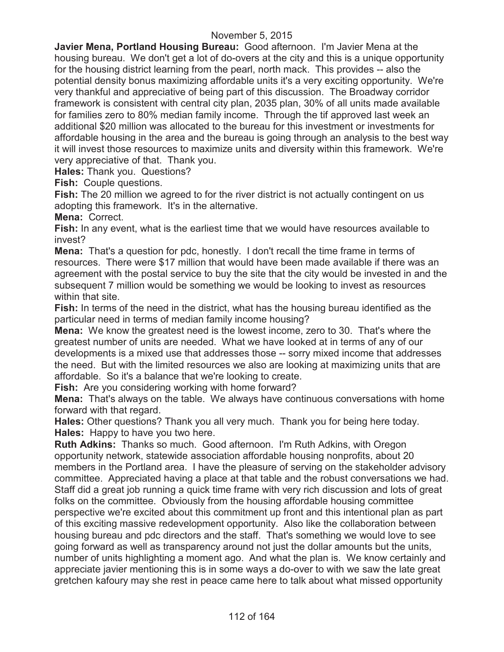**Javier Mena, Portland Housing Bureau:** Good afternoon. I'm Javier Mena at the housing bureau. We don't get a lot of do-overs at the city and this is a unique opportunity for the housing district learning from the pearl, north mack. This provides -- also the potential density bonus maximizing affordable units it's a very exciting opportunity. We're very thankful and appreciative of being part of this discussion. The Broadway corridor framework is consistent with central city plan, 2035 plan, 30% of all units made available for families zero to 80% median family income. Through the tif approved last week an additional \$20 million was allocated to the bureau for this investment or investments for affordable housing in the area and the bureau is going through an analysis to the best way it will invest those resources to maximize units and diversity within this framework. We're very appreciative of that. Thank you.

**Hales:** Thank you. Questions?

**Fish:** Couple questions.

**Fish:** The 20 million we agreed to for the river district is not actually contingent on us adopting this framework. It's in the alternative.

**Mena:** Correct.

**Fish:** In any event, what is the earliest time that we would have resources available to invest?

**Mena:** That's a question for pdc, honestly. I don't recall the time frame in terms of resources. There were \$17 million that would have been made available if there was an agreement with the postal service to buy the site that the city would be invested in and the subsequent 7 million would be something we would be looking to invest as resources within that site.

**Fish:** In terms of the need in the district, what has the housing bureau identified as the particular need in terms of median family income housing?

**Mena:** We know the greatest need is the lowest income, zero to 30. That's where the greatest number of units are needed. What we have looked at in terms of any of our developments is a mixed use that addresses those -- sorry mixed income that addresses the need. But with the limited resources we also are looking at maximizing units that are affordable. So it's a balance that we're looking to create.

**Fish:** Are you considering working with home forward?

**Mena:** That's always on the table. We always have continuous conversations with home forward with that regard.

**Hales:** Other questions? Thank you all very much. Thank you for being here today. **Hales:** Happy to have you two here.

**Ruth Adkins:** Thanks so much. Good afternoon. I'm Ruth Adkins, with Oregon opportunity network, statewide association affordable housing nonprofits, about 20 members in the Portland area. I have the pleasure of serving on the stakeholder advisory committee. Appreciated having a place at that table and the robust conversations we had. Staff did a great job running a quick time frame with very rich discussion and lots of great folks on the committee. Obviously from the housing affordable housing committee perspective we're excited about this commitment up front and this intentional plan as part of this exciting massive redevelopment opportunity. Also like the collaboration between housing bureau and pdc directors and the staff. That's something we would love to see going forward as well as transparency around not just the dollar amounts but the units, number of units highlighting a moment ago. And what the plan is. We know certainly and appreciate javier mentioning this is in some ways a do-over to with we saw the late great gretchen kafoury may she rest in peace came here to talk about what missed opportunity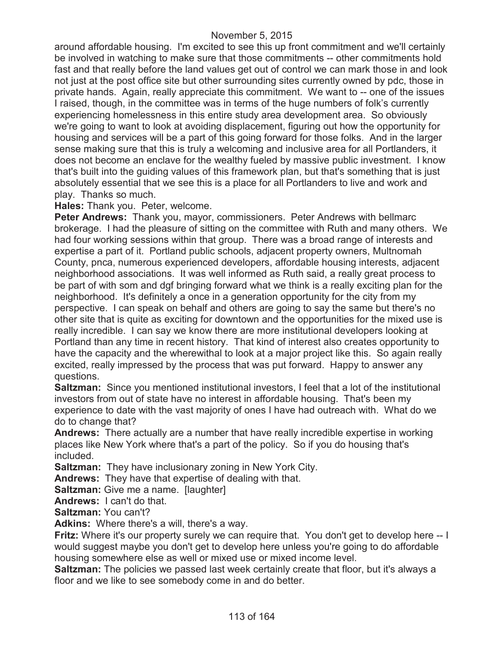around affordable housing. I'm excited to see this up front commitment and we'll certainly be involved in watching to make sure that those commitments -- other commitments hold fast and that really before the land values get out of control we can mark those in and look not just at the post office site but other surrounding sites currently owned by pdc, those in private hands. Again, really appreciate this commitment. We want to -- one of the issues I raised, though, in the committee was in terms of the huge numbers of folk's currently experiencing homelessness in this entire study area development area. So obviously we're going to want to look at avoiding displacement, figuring out how the opportunity for housing and services will be a part of this going forward for those folks. And in the larger sense making sure that this is truly a welcoming and inclusive area for all Portlanders, it does not become an enclave for the wealthy fueled by massive public investment. I know that's built into the guiding values of this framework plan, but that's something that is just absolutely essential that we see this is a place for all Portlanders to live and work and play. Thanks so much.

### **Hales:** Thank you. Peter, welcome.

**Peter Andrews:** Thank you, mayor, commissioners. Peter Andrews with bellmarc brokerage. I had the pleasure of sitting on the committee with Ruth and many others. We had four working sessions within that group. There was a broad range of interests and expertise a part of it. Portland public schools, adjacent property owners, Multnomah County, pnca, numerous experienced developers, affordable housing interests, adjacent neighborhood associations. It was well informed as Ruth said, a really great process to be part of with som and dgf bringing forward what we think is a really exciting plan for the neighborhood. It's definitely a once in a generation opportunity for the city from my perspective. I can speak on behalf and others are going to say the same but there's no other site that is quite as exciting for downtown and the opportunities for the mixed use is really incredible. I can say we know there are more institutional developers looking at Portland than any time in recent history. That kind of interest also creates opportunity to have the capacity and the wherewithal to look at a major project like this. So again really excited, really impressed by the process that was put forward. Happy to answer any questions.

**Saltzman:** Since you mentioned institutional investors, I feel that a lot of the institutional investors from out of state have no interest in affordable housing. That's been my experience to date with the vast majority of ones I have had outreach with. What do we do to change that?

**Andrews:** There actually are a number that have really incredible expertise in working places like New York where that's a part of the policy. So if you do housing that's included.

**Saltzman:** They have inclusionary zoning in New York City.

**Andrews:** They have that expertise of dealing with that.

**Saltzman:** Give me a name. [laughter]

**Andrews:** I can't do that.

**Saltzman:** You can't?

**Adkins:** Where there's a will, there's a way.

**Fritz:** Where it's our property surely we can require that. You don't get to develop here -- I would suggest maybe you don't get to develop here unless you're going to do affordable housing somewhere else as well or mixed use or mixed income level.

**Saltzman:** The policies we passed last week certainly create that floor, but it's always a floor and we like to see somebody come in and do better.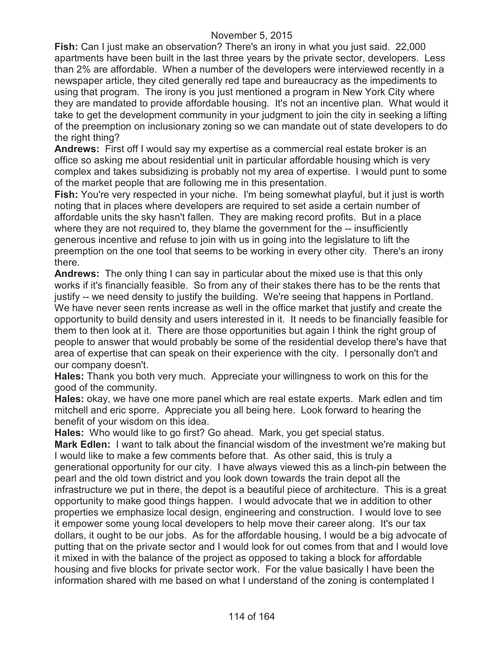**Fish:** Can I just make an observation? There's an irony in what you just said. 22,000 apartments have been built in the last three years by the private sector, developers. Less than 2% are affordable. When a number of the developers were interviewed recently in a newspaper article, they cited generally red tape and bureaucracy as the impediments to using that program. The irony is you just mentioned a program in New York City where they are mandated to provide affordable housing. It's not an incentive plan. What would it take to get the development community in your judgment to join the city in seeking a lifting of the preemption on inclusionary zoning so we can mandate out of state developers to do the right thing?

**Andrews:** First off I would say my expertise as a commercial real estate broker is an office so asking me about residential unit in particular affordable housing which is very complex and takes subsidizing is probably not my area of expertise. I would punt to some of the market people that are following me in this presentation.

**Fish:** You're very respected in your niche. I'm being somewhat playful, but it just is worth noting that in places where developers are required to set aside a certain number of affordable units the sky hasn't fallen. They are making record profits. But in a place where they are not required to, they blame the government for the -- insufficiently generous incentive and refuse to join with us in going into the legislature to lift the preemption on the one tool that seems to be working in every other city. There's an irony there.

**Andrews:** The only thing I can say in particular about the mixed use is that this only works if it's financially feasible. So from any of their stakes there has to be the rents that justify -- we need density to justify the building. We're seeing that happens in Portland. We have never seen rents increase as well in the office market that justify and create the opportunity to build density and users interested in it. It needs to be financially feasible for them to then look at it. There are those opportunities but again I think the right group of people to answer that would probably be some of the residential develop there's have that area of expertise that can speak on their experience with the city. I personally don't and our company doesn't.

**Hales:** Thank you both very much. Appreciate your willingness to work on this for the good of the community.

**Hales:** okay, we have one more panel which are real estate experts. Mark edlen and tim mitchell and eric sporre. Appreciate you all being here. Look forward to hearing the benefit of your wisdom on this idea.

**Hales:** Who would like to go first? Go ahead. Mark, you get special status.

**Mark Edlen:** I want to talk about the financial wisdom of the investment we're making but I would like to make a few comments before that. As other said, this is truly a generational opportunity for our city. I have always viewed this as a linch-pin between the pearl and the old town district and you look down towards the train depot all the infrastructure we put in there, the depot is a beautiful piece of architecture. This is a great opportunity to make good things happen. I would advocate that we in addition to other properties we emphasize local design, engineering and construction. I would love to see it empower some young local developers to help move their career along. It's our tax dollars, it ought to be our jobs. As for the affordable housing, I would be a big advocate of putting that on the private sector and I would look for out comes from that and I would love it mixed in with the balance of the project as opposed to taking a block for affordable housing and five blocks for private sector work. For the value basically I have been the information shared with me based on what I understand of the zoning is contemplated I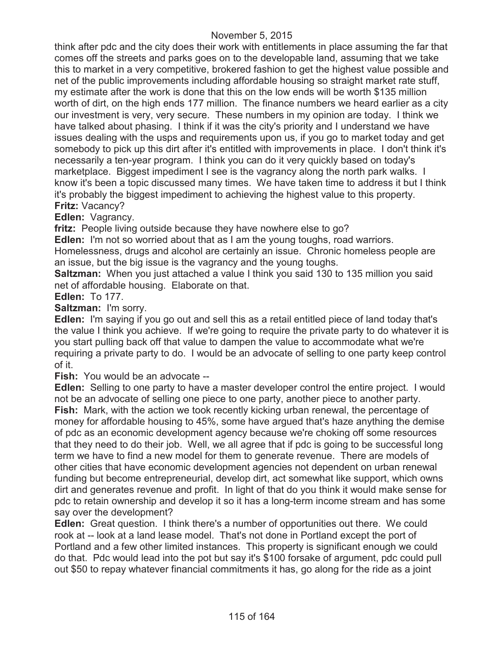think after pdc and the city does their work with entitlements in place assuming the far that comes off the streets and parks goes on to the developable land, assuming that we take this to market in a very competitive, brokered fashion to get the highest value possible and net of the public improvements including affordable housing so straight market rate stuff, my estimate after the work is done that this on the low ends will be worth \$135 million worth of dirt, on the high ends 177 million. The finance numbers we heard earlier as a city our investment is very, very secure. These numbers in my opinion are today. I think we have talked about phasing. I think if it was the city's priority and I understand we have issues dealing with the usps and requirements upon us, if you go to market today and get somebody to pick up this dirt after it's entitled with improvements in place. I don't think it's necessarily a ten-year program. I think you can do it very quickly based on today's marketplace. Biggest impediment I see is the vagrancy along the north park walks. I know it's been a topic discussed many times. We have taken time to address it but I think it's probably the biggest impediment to achieving the highest value to this property. **Fritz:** Vacancy?

**Edlen:** Vagrancy.

**fritz:** People living outside because they have nowhere else to go?

**Edlen:** I'm not so worried about that as I am the young toughs, road warriors.

Homelessness, drugs and alcohol are certainly an issue. Chronic homeless people are an issue, but the big issue is the vagrancy and the young toughs.

**Saltzman:** When you just attached a value I think you said 130 to 135 million you said net of affordable housing. Elaborate on that.

### **Edlen:** To 177.

**Saltzman:** I'm sorry.

**Edlen:** I'm saying if you go out and sell this as a retail entitled piece of land today that's the value I think you achieve. If we're going to require the private party to do whatever it is you start pulling back off that value to dampen the value to accommodate what we're requiring a private party to do. I would be an advocate of selling to one party keep control of it.

**Fish:** You would be an advocate --

**Edlen:** Selling to one party to have a master developer control the entire project. I would not be an advocate of selling one piece to one party, another piece to another party. **Fish:** Mark, with the action we took recently kicking urban renewal, the percentage of money for affordable housing to 45%, some have argued that's haze anything the demise of pdc as an economic development agency because we're choking off some resources that they need to do their job. Well, we all agree that if pdc is going to be successful long term we have to find a new model for them to generate revenue. There are models of other cities that have economic development agencies not dependent on urban renewal funding but become entrepreneurial, develop dirt, act somewhat like support, which owns dirt and generates revenue and profit. In light of that do you think it would make sense for pdc to retain ownership and develop it so it has a long-term income stream and has some say over the development?

**Edlen:** Great question. I think there's a number of opportunities out there. We could rook at -- look at a land lease model. That's not done in Portland except the port of Portland and a few other limited instances. This property is significant enough we could do that. Pdc would lead into the pot but say it's \$100 forsake of argument, pdc could pull out \$50 to repay whatever financial commitments it has, go along for the ride as a joint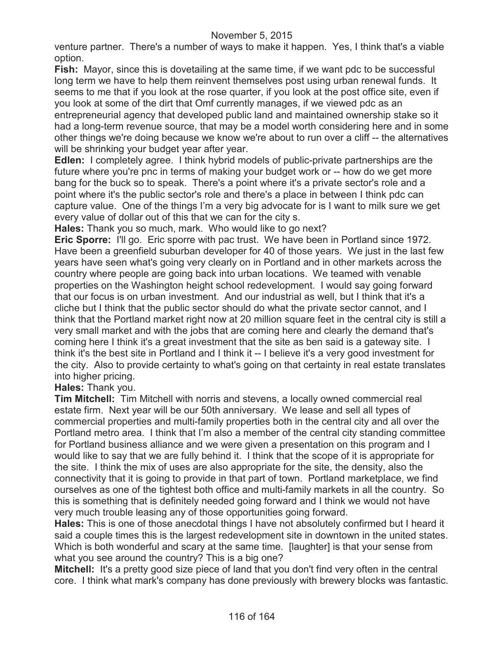venture partner. There's a number of ways to make it happen. Yes, I think that's a viable option.

**Fish:** Mayor, since this is dovetailing at the same time, if we want pdc to be successful long term we have to help them reinvent themselves post using urban renewal funds. It seems to me that if you look at the rose quarter, if you look at the post office site, even if you look at some of the dirt that Omf currently manages, if we viewed pdc as an entrepreneurial agency that developed public land and maintained ownership stake so it

had a long-term revenue source, that may be a model worth considering here and in some other things we're doing because we know we're about to run over a cliff -- the alternatives will be shrinking your budget year after year.

**Edlen:** I completely agree. I think hybrid models of public-private partnerships are the future where you're pnc in terms of making your budget work or -- how do we get more bang for the buck so to speak. There's a point where it's a private sector's role and a point where it's the public sector's role and there's a place in between I think pdc can capture value. One of the things I'm a very big advocate for is I want to milk sure we get every value of dollar out of this that we can for the city s.

**Hales:** Thank you so much, mark. Who would like to go next?

**Eric Sporre:** I'll go. Eric sporre with pac trust. We have been in Portland since 1972. Have been a greenfield suburban developer for 40 of those years. We just in the last few years have seen what's going very clearly on in Portland and in other markets across the country where people are going back into urban locations. We teamed with venable properties on the Washington height school redevelopment. I would say going forward that our focus is on urban investment. And our industrial as well, but I think that it's a cliche but I think that the public sector should do what the private sector cannot, and I think that the Portland market right now at 20 million square feet in the central city is still a very small market and with the jobs that are coming here and clearly the demand that's coming here I think it's a great investment that the site as ben said is a gateway site. I think it's the best site in Portland and I think it -- I believe it's a very good investment for the city. Also to provide certainty to what's going on that certainty in real estate translates into higher pricing.

**Hales:** Thank you.

**Tim Mitchell:** Tim Mitchell with norris and stevens, a locally owned commercial real estate firm. Next year will be our 50th anniversary. We lease and sell all types of commercial properties and multi-family properties both in the central city and all over the Portland metro area. I think that I'm also a member of the central city standing committee for Portland business alliance and we were given a presentation on this program and I would like to say that we are fully behind it. I think that the scope of it is appropriate for the site. I think the mix of uses are also appropriate for the site, the density, also the connectivity that it is going to provide in that part of town. Portland marketplace, we find ourselves as one of the tightest both office and multi-family markets in all the country. So this is something that is definitely needed going forward and I think we would not have very much trouble leasing any of those opportunities going forward.

**Hales:** This is one of those anecdotal things I have not absolutely confirmed but I heard it said a couple times this is the largest redevelopment site in downtown in the united states. Which is both wonderful and scary at the same time. [laughter] is that your sense from what you see around the country? This is a big one?

**Mitchell:** It's a pretty good size piece of land that you don't find very often in the central core. I think what mark's company has done previously with brewery blocks was fantastic.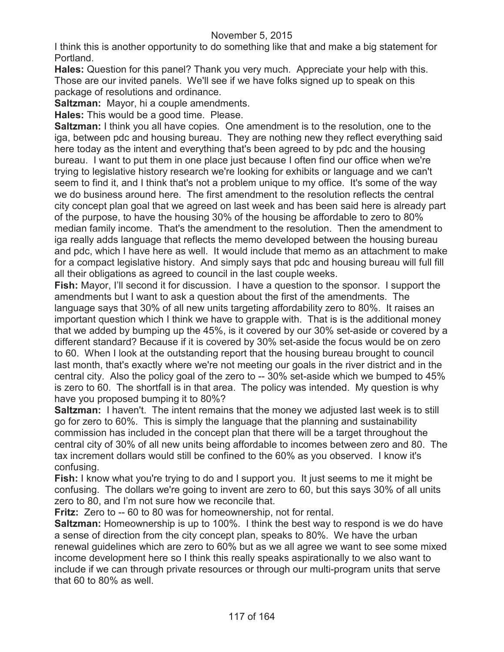I think this is another opportunity to do something like that and make a big statement for Portland.

**Hales:** Question for this panel? Thank you very much. Appreciate your help with this. Those are our invited panels. We'll see if we have folks signed up to speak on this package of resolutions and ordinance.

**Saltzman:** Mayor, hi a couple amendments.

**Hales:** This would be a good time. Please.

**Saltzman:** I think you all have copies. One amendment is to the resolution, one to the iga, between pdc and housing bureau. They are nothing new they reflect everything said here today as the intent and everything that's been agreed to by pdc and the housing bureau. I want to put them in one place just because I often find our office when we're trying to legislative history research we're looking for exhibits or language and we can't seem to find it, and I think that's not a problem unique to my office. It's some of the way we do business around here. The first amendment to the resolution reflects the central city concept plan goal that we agreed on last week and has been said here is already part of the purpose, to have the housing 30% of the housing be affordable to zero to 80% median family income. That's the amendment to the resolution. Then the amendment to iga really adds language that reflects the memo developed between the housing bureau and pdc, which I have here as well. It would include that memo as an attachment to make for a compact legislative history. And simply says that pdc and housing bureau will full fill all their obligations as agreed to council in the last couple weeks.

**Fish:** Mayor, I'll second it for discussion. I have a question to the sponsor. I support the amendments but I want to ask a question about the first of the amendments. The language says that 30% of all new units targeting affordability zero to 80%. It raises an important question which I think we have to grapple with. That is is the additional money that we added by bumping up the 45%, is it covered by our 30% set-aside or covered by a different standard? Because if it is covered by 30% set-aside the focus would be on zero to 60. When I look at the outstanding report that the housing bureau brought to council last month, that's exactly where we're not meeting our goals in the river district and in the central city. Also the policy goal of the zero to -- 30% set-aside which we bumped to 45% is zero to 60. The shortfall is in that area. The policy was intended. My question is why have you proposed bumping it to 80%?

**Saltzman:** I haven't. The intent remains that the money we adjusted last week is to still go for zero to 60%. This is simply the language that the planning and sustainability commission has included in the concept plan that there will be a target throughout the central city of 30% of all new units being affordable to incomes between zero and 80. The tax increment dollars would still be confined to the 60% as you observed. I know it's confusing.

**Fish:** I know what you're trying to do and I support you. It just seems to me it might be confusing. The dollars we're going to invent are zero to 60, but this says 30% of all units zero to 80, and I'm not sure how we reconcile that.

**Fritz:** Zero to -- 60 to 80 was for homeownership, not for rental.

**Saltzman:** Homeownership is up to 100%. I think the best way to respond is we do have a sense of direction from the city concept plan, speaks to 80%. We have the urban renewal guidelines which are zero to 60% but as we all agree we want to see some mixed income development here so I think this really speaks aspirationally to we also want to include if we can through private resources or through our multi-program units that serve that 60 to 80% as well.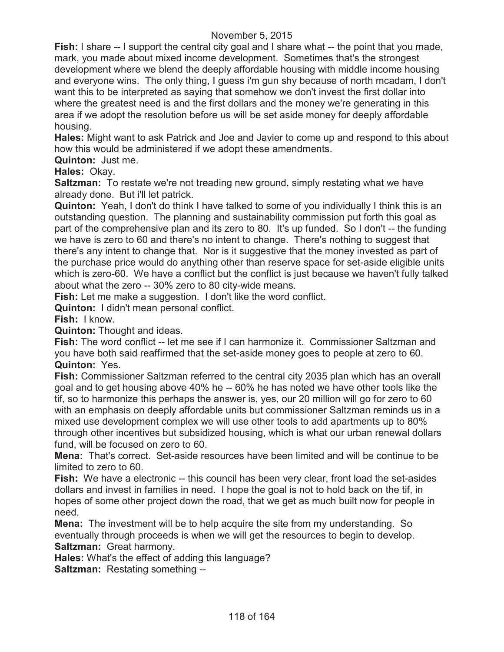**Fish:** I share -- I support the central city goal and I share what -- the point that you made, mark, you made about mixed income development. Sometimes that's the strongest development where we blend the deeply affordable housing with middle income housing and everyone wins. The only thing, I guess i'm gun shy because of north mcadam, I don't want this to be interpreted as saying that somehow we don't invest the first dollar into where the greatest need is and the first dollars and the money we're generating in this area if we adopt the resolution before us will be set aside money for deeply affordable housing.

**Hales:** Might want to ask Patrick and Joe and Javier to come up and respond to this about how this would be administered if we adopt these amendments.

**Quinton:** Just me.

**Hales:** Okay.

**Saltzman:** To restate we're not treading new ground, simply restating what we have already done. But i'll let patrick.

**Quinton:** Yeah, I don't do think I have talked to some of you individually I think this is an outstanding question. The planning and sustainability commission put forth this goal as part of the comprehensive plan and its zero to 80. It's up funded. So I don't -- the funding we have is zero to 60 and there's no intent to change. There's nothing to suggest that there's any intent to change that. Nor is it suggestive that the money invested as part of the purchase price would do anything other than reserve space for set-aside eligible units which is zero-60. We have a conflict but the conflict is just because we haven't fully talked about what the zero -- 30% zero to 80 city-wide means.

**Fish:** Let me make a suggestion. I don't like the word conflict.

**Quinton:** I didn't mean personal conflict.

**Fish:** I know.

**Quinton:** Thought and ideas.

**Fish:** The word conflict -- let me see if I can harmonize it. Commissioner Saltzman and you have both said reaffirmed that the set-aside money goes to people at zero to 60. **Quinton:** Yes.

**Fish:** Commissioner Saltzman referred to the central city 2035 plan which has an overall goal and to get housing above 40% he -- 60% he has noted we have other tools like the tif, so to harmonize this perhaps the answer is, yes, our 20 million will go for zero to 60 with an emphasis on deeply affordable units but commissioner Saltzman reminds us in a mixed use development complex we will use other tools to add apartments up to 80% through other incentives but subsidized housing, which is what our urban renewal dollars fund, will be focused on zero to 60.

**Mena:** That's correct. Set-aside resources have been limited and will be continue to be limited to zero to 60.

**Fish:** We have a electronic -- this council has been very clear, front load the set-asides dollars and invest in families in need. I hope the goal is not to hold back on the tif, in hopes of some other project down the road, that we get as much built now for people in need.

**Mena:** The investment will be to help acquire the site from my understanding. So eventually through proceeds is when we will get the resources to begin to develop. **Saltzman:** Great harmony.

**Hales:** What's the effect of adding this language?

**Saltzman:** Restating something --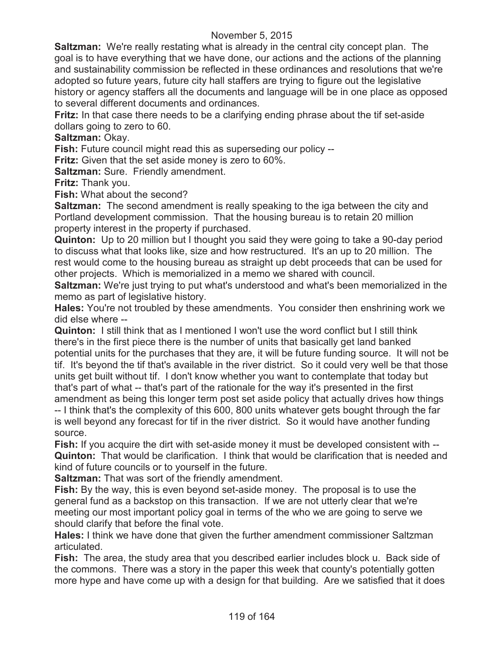**Saltzman:** We're really restating what is already in the central city concept plan. The goal is to have everything that we have done, our actions and the actions of the planning and sustainability commission be reflected in these ordinances and resolutions that we're adopted so future years, future city hall staffers are trying to figure out the legislative history or agency staffers all the documents and language will be in one place as opposed to several different documents and ordinances.

**Fritz:** In that case there needs to be a clarifying ending phrase about the tif set-aside dollars going to zero to 60.

**Saltzman:** Okay.

**Fish:** Future council might read this as superseding our policy --

**Fritz:** Given that the set aside money is zero to 60%.

**Saltzman:** Sure. Friendly amendment.

**Fritz:** Thank you.

**Fish:** What about the second?

**Saltzman:** The second amendment is really speaking to the iga between the city and Portland development commission. That the housing bureau is to retain 20 million property interest in the property if purchased.

**Quinton:** Up to 20 million but I thought you said they were going to take a 90-day period to discuss what that looks like, size and how restructured. It's an up to 20 million. The rest would come to the housing bureau as straight up debt proceeds that can be used for other projects. Which is memorialized in a memo we shared with council.

**Saltzman:** We're just trying to put what's understood and what's been memorialized in the memo as part of legislative history.

**Hales:** You're not troubled by these amendments. You consider then enshrining work we did else where --

**Quinton:** I still think that as I mentioned I won't use the word conflict but I still think there's in the first piece there is the number of units that basically get land banked potential units for the purchases that they are, it will be future funding source. It will not be tif. It's beyond the tif that's available in the river district. So it could very well be that those units get built without tif. I don't know whether you want to contemplate that today but that's part of what -- that's part of the rationale for the way it's presented in the first amendment as being this longer term post set aside policy that actually drives how things -- I think that's the complexity of this 600, 800 units whatever gets bought through the far

is well beyond any forecast for tif in the river district. So it would have another funding source.

**Fish:** If you acquire the dirt with set-aside money it must be developed consistent with -- **Quinton:** That would be clarification. I think that would be clarification that is needed and kind of future councils or to yourself in the future.

**Saltzman:** That was sort of the friendly amendment.

**Fish:** By the way, this is even beyond set-aside money. The proposal is to use the general fund as a backstop on this transaction. If we are not utterly clear that we're meeting our most important policy goal in terms of the who we are going to serve we should clarify that before the final vote.

**Hales:** I think we have done that given the further amendment commissioner Saltzman articulated.

**Fish:** The area, the study area that you described earlier includes block u. Back side of the commons. There was a story in the paper this week that county's potentially gotten more hype and have come up with a design for that building. Are we satisfied that it does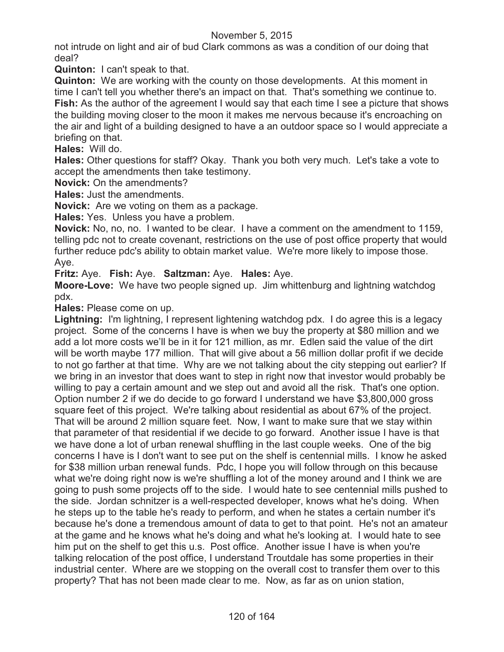not intrude on light and air of bud Clark commons as was a condition of our doing that deal?

**Quinton:** I can't speak to that.

**Quinton:** We are working with the county on those developments. At this moment in time I can't tell you whether there's an impact on that. That's something we continue to. **Fish:** As the author of the agreement I would say that each time I see a picture that shows the building moving closer to the moon it makes me nervous because it's encroaching on the air and light of a building designed to have a an outdoor space so I would appreciate a briefing on that.

**Hales:** Will do.

**Hales:** Other questions for staff? Okay. Thank you both very much. Let's take a vote to accept the amendments then take testimony.

**Novick:** On the amendments?

**Hales:** Just the amendments.

**Novick:** Are we voting on them as a package.

**Hales:** Yes. Unless you have a problem.

**Novick:** No, no, no. I wanted to be clear. I have a comment on the amendment to 1159, telling pdc not to create covenant, restrictions on the use of post office property that would further reduce pdc's ability to obtain market value. We're more likely to impose those. Aye.

**Fritz:** Aye. **Fish:** Aye. **Saltzman:** Aye. **Hales:** Aye.

**Moore-Love:** We have two people signed up. Jim whittenburg and lightning watchdog pdx.

**Hales:** Please come on up.

**Lightning:** I'm lightning, I represent lightening watchdog pdx. I do agree this is a legacy project. Some of the concerns I have is when we buy the property at \$80 million and we add a lot more costs we'll be in it for 121 million, as mr. Edlen said the value of the dirt will be worth maybe 177 million. That will give about a 56 million dollar profit if we decide to not go farther at that time. Why are we not talking about the city stepping out earlier? If we bring in an investor that does want to step in right now that investor would probably be willing to pay a certain amount and we step out and avoid all the risk. That's one option. Option number 2 if we do decide to go forward I understand we have \$3,800,000 gross square feet of this project. We're talking about residential as about 67% of the project. That will be around 2 million square feet. Now, I want to make sure that we stay within that parameter of that residential if we decide to go forward. Another issue I have is that we have done a lot of urban renewal shuffling in the last couple weeks. One of the big concerns I have is I don't want to see put on the shelf is centennial mills. I know he asked for \$38 million urban renewal funds. Pdc, I hope you will follow through on this because what we're doing right now is we're shuffling a lot of the money around and I think we are going to push some projects off to the side. I would hate to see centennial mills pushed to the side. Jordan schnitzer is a well-respected developer, knows what he's doing. When he steps up to the table he's ready to perform, and when he states a certain number it's because he's done a tremendous amount of data to get to that point. He's not an amateur at the game and he knows what he's doing and what he's looking at. I would hate to see him put on the shelf to get this u.s. Post office. Another issue I have is when you're talking relocation of the post office, I understand Troutdale has some properties in their industrial center. Where are we stopping on the overall cost to transfer them over to this property? That has not been made clear to me. Now, as far as on union station,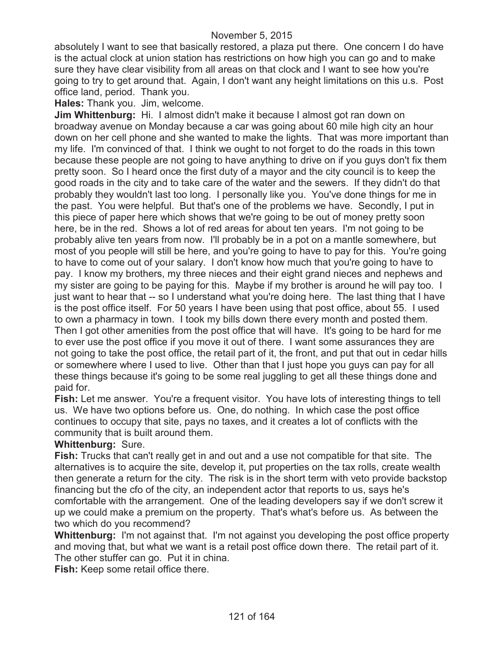absolutely I want to see that basically restored, a plaza put there. One concern I do have is the actual clock at union station has restrictions on how high you can go and to make sure they have clear visibility from all areas on that clock and I want to see how you're going to try to get around that. Again, I don't want any height limitations on this u.s. Post office land, period. Thank you.

**Hales:** Thank you. Jim, welcome.

**Jim Whittenburg:** Hi. I almost didn't make it because I almost got ran down on broadway avenue on Monday because a car was going about 60 mile high city an hour down on her cell phone and she wanted to make the lights. That was more important than my life. I'm convinced of that. I think we ought to not forget to do the roads in this town because these people are not going to have anything to drive on if you guys don't fix them pretty soon. So I heard once the first duty of a mayor and the city council is to keep the good roads in the city and to take care of the water and the sewers. If they didn't do that probably they wouldn't last too long. I personally like you. You've done things for me in the past. You were helpful. But that's one of the problems we have. Secondly, I put in this piece of paper here which shows that we're going to be out of money pretty soon here, be in the red. Shows a lot of red areas for about ten years. I'm not going to be probably alive ten years from now. I'll probably be in a pot on a mantle somewhere, but most of you people will still be here, and you're going to have to pay for this. You're going to have to come out of your salary. I don't know how much that you're going to have to pay. I know my brothers, my three nieces and their eight grand nieces and nephews and my sister are going to be paying for this. Maybe if my brother is around he will pay too. I just want to hear that -- so I understand what you're doing here. The last thing that I have is the post office itself. For 50 years I have been using that post office, about 55. I used to own a pharmacy in town. I took my bills down there every month and posted them. Then I got other amenities from the post office that will have. It's going to be hard for me to ever use the post office if you move it out of there. I want some assurances they are not going to take the post office, the retail part of it, the front, and put that out in cedar hills or somewhere where I used to live. Other than that I just hope you guys can pay for all these things because it's going to be some real juggling to get all these things done and paid for.

**Fish:** Let me answer. You're a frequent visitor. You have lots of interesting things to tell us. We have two options before us. One, do nothing. In which case the post office continues to occupy that site, pays no taxes, and it creates a lot of conflicts with the community that is built around them.

**Whittenburg:** Sure.

**Fish:** Trucks that can't really get in and out and a use not compatible for that site. The alternatives is to acquire the site, develop it, put properties on the tax rolls, create wealth then generate a return for the city. The risk is in the short term with veto provide backstop financing but the cfo of the city, an independent actor that reports to us, says he's comfortable with the arrangement. One of the leading developers say if we don't screw it up we could make a premium on the property. That's what's before us. As between the two which do you recommend?

**Whittenburg:** I'm not against that. I'm not against you developing the post office property and moving that, but what we want is a retail post office down there. The retail part of it. The other stuffer can go. Put it in china.

**Fish:** Keep some retail office there.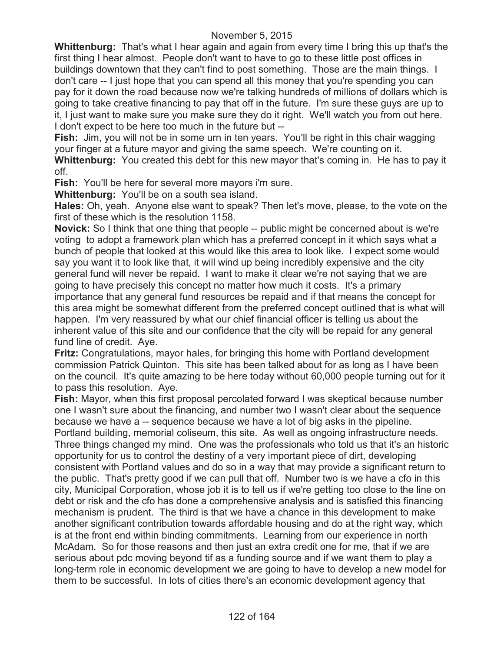**Whittenburg:** That's what I hear again and again from every time I bring this up that's the first thing I hear almost. People don't want to have to go to these little post offices in buildings downtown that they can't find to post something. Those are the main things. I don't care -- I just hope that you can spend all this money that you're spending you can pay for it down the road because now we're talking hundreds of millions of dollars which is going to take creative financing to pay that off in the future. I'm sure these guys are up to it, I just want to make sure you make sure they do it right. We'll watch you from out here. I don't expect to be here too much in the future but --

**Fish:** Jim, you will not be in some urn in ten years. You'll be right in this chair wagging your finger at a future mayor and giving the same speech. We're counting on it. **Whittenburg:** You created this debt for this new mayor that's coming in. He has to pay it

off.

**Fish:** You'll be here for several more mayors i'm sure.

**Whittenburg:** You'll be on a south sea island.

**Hales:** Oh, yeah. Anyone else want to speak? Then let's move, please, to the vote on the first of these which is the resolution 1158.

**Novick:** So I think that one thing that people -- public might be concerned about is we're voting to adopt a framework plan which has a preferred concept in it which says what a bunch of people that looked at this would like this area to look like. I expect some would say you want it to look like that, it will wind up being incredibly expensive and the city general fund will never be repaid. I want to make it clear we're not saying that we are going to have precisely this concept no matter how much it costs. It's a primary importance that any general fund resources be repaid and if that means the concept for this area might be somewhat different from the preferred concept outlined that is what will happen. I'm very reassured by what our chief financial officer is telling us about the inherent value of this site and our confidence that the city will be repaid for any general fund line of credit. Aye.

**Fritz:** Congratulations, mayor hales, for bringing this home with Portland development commission Patrick Quinton. This site has been talked about for as long as I have been on the council. It's quite amazing to be here today without 60,000 people turning out for it to pass this resolution. Aye.

**Fish:** Mayor, when this first proposal percolated forward I was skeptical because number one I wasn't sure about the financing, and number two I wasn't clear about the sequence because we have a -- sequence because we have a lot of big asks in the pipeline. Portland building, memorial coliseum, this site. As well as ongoing infrastructure needs. Three things changed my mind. One was the professionals who told us that it's an historic opportunity for us to control the destiny of a very important piece of dirt, developing consistent with Portland values and do so in a way that may provide a significant return to the public. That's pretty good if we can pull that off. Number two is we have a cfo in this city, Municipal Corporation, whose job it is to tell us if we're getting too close to the line on debt or risk and the cfo has done a comprehensive analysis and is satisfied this financing mechanism is prudent. The third is that we have a chance in this development to make another significant contribution towards affordable housing and do at the right way, which is at the front end within binding commitments. Learning from our experience in north McAdam. So for those reasons and then just an extra credit one for me, that if we are serious about pdc moving beyond tif as a funding source and if we want them to play a long-term role in economic development we are going to have to develop a new model for them to be successful. In lots of cities there's an economic development agency that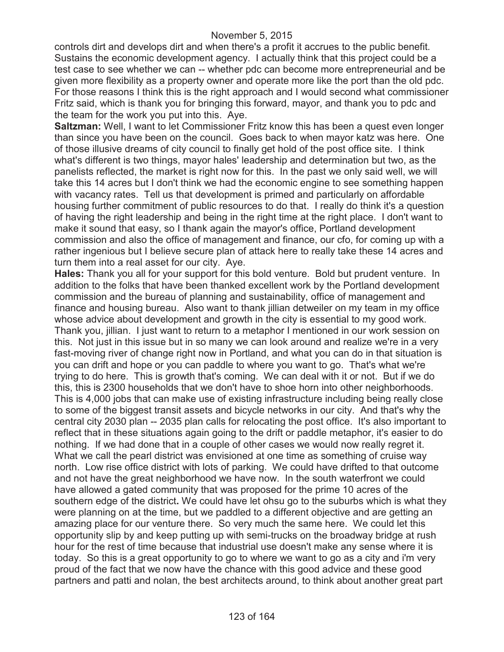controls dirt and develops dirt and when there's a profit it accrues to the public benefit. Sustains the economic development agency. I actually think that this project could be a test case to see whether we can -- whether pdc can become more entrepreneurial and be given more flexibility as a property owner and operate more like the port than the old pdc. For those reasons I think this is the right approach and I would second what commissioner Fritz said, which is thank you for bringing this forward, mayor, and thank you to pdc and the team for the work you put into this. Aye.

**Saltzman:** Well, I want to let Commissioner Fritz know this has been a quest even longer than since you have been on the council. Goes back to when mayor katz was here. One of those illusive dreams of city council to finally get hold of the post office site. I think what's different is two things, mayor hales' leadership and determination but two, as the panelists reflected, the market is right now for this. In the past we only said well, we will take this 14 acres but I don't think we had the economic engine to see something happen with vacancy rates. Tell us that development is primed and particularly on affordable housing further commitment of public resources to do that. I really do think it's a question of having the right leadership and being in the right time at the right place. I don't want to make it sound that easy, so I thank again the mayor's office, Portland development commission and also the office of management and finance, our cfo, for coming up with a rather ingenious but I believe secure plan of attack here to really take these 14 acres and turn them into a real asset for our city. Aye.

**Hales:** Thank you all for your support for this bold venture. Bold but prudent venture. In addition to the folks that have been thanked excellent work by the Portland development commission and the bureau of planning and sustainability, office of management and finance and housing bureau. Also want to thank jillian detweiler on my team in my office whose advice about development and growth in the city is essential to my good work. Thank you, jillian. I just want to return to a metaphor I mentioned in our work session on this. Not just in this issue but in so many we can look around and realize we're in a very fast-moving river of change right now in Portland, and what you can do in that situation is you can drift and hope or you can paddle to where you want to go. That's what we're trying to do here. This is growth that's coming. We can deal with it or not. But if we do this, this is 2300 households that we don't have to shoe horn into other neighborhoods. This is 4,000 jobs that can make use of existing infrastructure including being really close to some of the biggest transit assets and bicycle networks in our city. And that's why the central city 2030 plan -- 2035 plan calls for relocating the post office. It's also important to reflect that in these situations again going to the drift or paddle metaphor, it's easier to do nothing. If we had done that in a couple of other cases we would now really regret it. What we call the pearl district was envisioned at one time as something of cruise way north. Low rise office district with lots of parking. We could have drifted to that outcome and not have the great neighborhood we have now. In the south waterfront we could have allowed a gated community that was proposed for the prime 10 acres of the southern edge of the district**.** We could have let ohsu go to the suburbs which is what they were planning on at the time, but we paddled to a different objective and are getting an amazing place for our venture there. So very much the same here. We could let this opportunity slip by and keep putting up with semi-trucks on the broadway bridge at rush hour for the rest of time because that industrial use doesn't make any sense where it is today. So this is a great opportunity to go to where we want to go as a city and i'm very proud of the fact that we now have the chance with this good advice and these good partners and patti and nolan, the best architects around, to think about another great part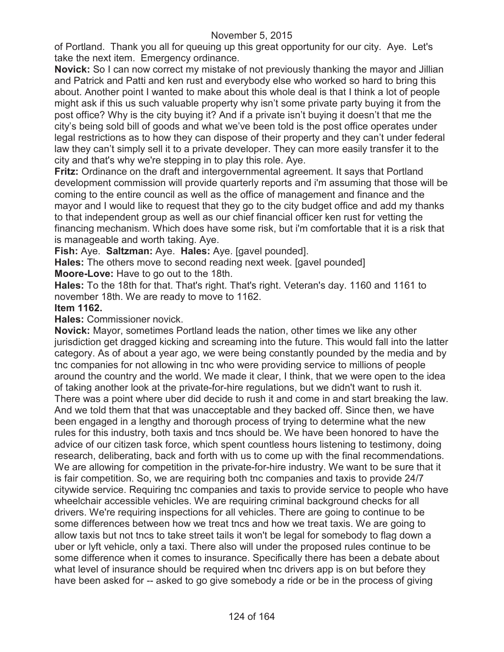of Portland. Thank you all for queuing up this great opportunity for our city. Aye. Let's take the next item. Emergency ordinance.

**Novick:** So I can now correct my mistake of not previously thanking the mayor and Jillian and Patrick and Patti and ken rust and everybody else who worked so hard to bring this about. Another point I wanted to make about this whole deal is that I think a lot of people might ask if this us such valuable property why isn't some private party buying it from the post office? Why is the city buying it? And if a private isn't buying it doesn't that me the city's being sold bill of goods and what we've been told is the post office operates under legal restrictions as to how they can dispose of their property and they can't under federal law they can't simply sell it to a private developer. They can more easily transfer it to the city and that's why we're stepping in to play this role. Aye.

**Fritz:** Ordinance on the draft and intergovernmental agreement. It says that Portland development commission will provide quarterly reports and i'm assuming that those will be coming to the entire council as well as the office of management and finance and the mayor and I would like to request that they go to the city budget office and add my thanks to that independent group as well as our chief financial officer ken rust for vetting the financing mechanism. Which does have some risk, but i'm comfortable that it is a risk that is manageable and worth taking. Aye.

**Fish:** Aye. **Saltzman:** Aye. **Hales:** Aye. [gavel pounded].

**Hales:** The others move to second reading next week. [gavel pounded]

**Moore-Love:** Have to go out to the 18th.

**Hales:** To the 18th for that. That's right. That's right. Veteran's day. 1160 and 1161 to november 18th. We are ready to move to 1162.

# **Item 1162.**

**Hales:** Commissioner novick.

**Novick:** Mayor, sometimes Portland leads the nation, other times we like any other jurisdiction get dragged kicking and screaming into the future. This would fall into the latter category. As of about a year ago, we were being constantly pounded by the media and by tnc companies for not allowing in tnc who were providing service to millions of people around the country and the world. We made it clear, I think, that we were open to the idea of taking another look at the private-for-hire regulations, but we didn't want to rush it. There was a point where uber did decide to rush it and come in and start breaking the law. And we told them that that was unacceptable and they backed off. Since then, we have been engaged in a lengthy and thorough process of trying to determine what the new rules for this industry, both taxis and tncs should be. We have been honored to have the advice of our citizen task force, which spent countless hours listening to testimony, doing research, deliberating, back and forth with us to come up with the final recommendations. We are allowing for competition in the private-for-hire industry. We want to be sure that it is fair competition. So, we are requiring both tnc companies and taxis to provide 24/7 citywide service. Requiring tnc companies and taxis to provide service to people who have wheelchair accessible vehicles. We are requiring criminal background checks for all drivers. We're requiring inspections for all vehicles. There are going to continue to be some differences between how we treat tncs and how we treat taxis. We are going to allow taxis but not tncs to take street tails it won't be legal for somebody to flag down a uber or lyft vehicle, only a taxi. There also will under the proposed rules continue to be some difference when it comes to insurance. Specifically there has been a debate about what level of insurance should be required when tnc drivers app is on but before they have been asked for -- asked to go give somebody a ride or be in the process of giving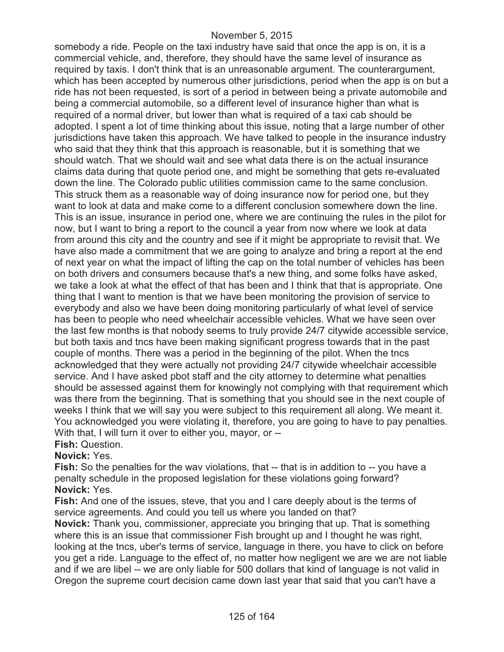somebody a ride. People on the taxi industry have said that once the app is on, it is a commercial vehicle, and, therefore, they should have the same level of insurance as required by taxis. I don't think that is an unreasonable argument. The counterargument, which has been accepted by numerous other jurisdictions, period when the app is on but a ride has not been requested, is sort of a period in between being a private automobile and being a commercial automobile, so a different level of insurance higher than what is required of a normal driver, but lower than what is required of a taxi cab should be adopted. I spent a lot of time thinking about this issue, noting that a large number of other jurisdictions have taken this approach. We have talked to people in the insurance industry who said that they think that this approach is reasonable, but it is something that we should watch. That we should wait and see what data there is on the actual insurance claims data during that quote period one, and might be something that gets re-evaluated down the line. The Colorado public utilities commission came to the same conclusion. This struck them as a reasonable way of doing insurance now for period one, but they want to look at data and make come to a different conclusion somewhere down the line. This is an issue, insurance in period one, where we are continuing the rules in the pilot for now, but I want to bring a report to the council a year from now where we look at data from around this city and the country and see if it might be appropriate to revisit that. We have also made a commitment that we are going to analyze and bring a report at the end of next year on what the impact of lifting the cap on the total number of vehicles has been on both drivers and consumers because that's a new thing, and some folks have asked, we take a look at what the effect of that has been and I think that that is appropriate. One thing that I want to mention is that we have been monitoring the provision of service to everybody and also we have been doing monitoring particularly of what level of service has been to people who need wheelchair accessible vehicles. What we have seen over the last few months is that nobody seems to truly provide 24/7 citywide accessible service, but both taxis and tncs have been making significant progress towards that in the past couple of months. There was a period in the beginning of the pilot. When the tncs acknowledged that they were actually not providing 24/7 citywide wheelchair accessible service. And I have asked pbot staff and the city attorney to determine what penalties should be assessed against them for knowingly not complying with that requirement which was there from the beginning. That is something that you should see in the next couple of weeks I think that we will say you were subject to this requirement all along. We meant it. You acknowledged you were violating it, therefore, you are going to have to pay penalties. With that, I will turn it over to either you, mayor, or --**Fish:** Question.

# **Novick:** Yes.

**Fish:** So the penalties for the way violations, that -- that is in addition to -- you have a penalty schedule in the proposed legislation for these violations going forward? **Novick:** Yes.

**Fish:** And one of the issues, steve, that you and I care deeply about is the terms of service agreements. And could you tell us where you landed on that?

**Novick:** Thank you, commissioner, appreciate you bringing that up. That is something where this is an issue that commissioner Fish brought up and I thought he was right, looking at the tncs, uber's terms of service, language in there, you have to click on before you get a ride. Language to the effect of, no matter how negligent we are we are not liable and if we are libel -- we are only liable for 500 dollars that kind of language is not valid in Oregon the supreme court decision came down last year that said that you can't have a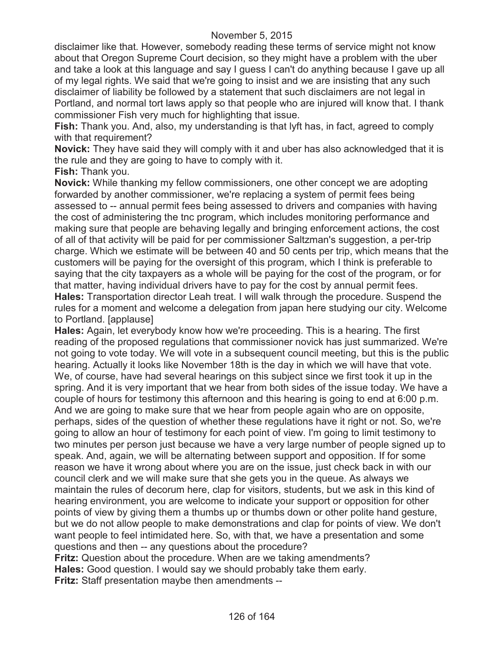disclaimer like that. However, somebody reading these terms of service might not know about that Oregon Supreme Court decision, so they might have a problem with the uber and take a look at this language and say I guess I can't do anything because I gave up all of my legal rights. We said that we're going to insist and we are insisting that any such disclaimer of liability be followed by a statement that such disclaimers are not legal in Portland, and normal tort laws apply so that people who are injured will know that. I thank commissioner Fish very much for highlighting that issue.

**Fish:** Thank you. And, also, my understanding is that lyft has, in fact, agreed to comply with that requirement?

**Novick:** They have said they will comply with it and uber has also acknowledged that it is the rule and they are going to have to comply with it.

**Fish:** Thank you.

**Novick:** While thanking my fellow commissioners, one other concept we are adopting forwarded by another commissioner, we're replacing a system of permit fees being assessed to -- annual permit fees being assessed to drivers and companies with having the cost of administering the tnc program, which includes monitoring performance and making sure that people are behaving legally and bringing enforcement actions, the cost of all of that activity will be paid for per commissioner Saltzman's suggestion, a per-trip charge. Which we estimate will be between 40 and 50 cents per trip, which means that the customers will be paying for the oversight of this program, which I think is preferable to saying that the city taxpayers as a whole will be paying for the cost of the program, or for that matter, having individual drivers have to pay for the cost by annual permit fees. **Hales:** Transportation director Leah treat. I will walk through the procedure. Suspend the rules for a moment and welcome a delegation from japan here studying our city. Welcome to Portland. [applause]

**Hales:** Again, let everybody know how we're proceeding. This is a hearing. The first reading of the proposed regulations that commissioner novick has just summarized. We're not going to vote today. We will vote in a subsequent council meeting, but this is the public hearing. Actually it looks like November 18th is the day in which we will have that vote. We, of course, have had several hearings on this subject since we first took it up in the spring. And it is very important that we hear from both sides of the issue today. We have a couple of hours for testimony this afternoon and this hearing is going to end at 6:00 p.m. And we are going to make sure that we hear from people again who are on opposite, perhaps, sides of the question of whether these regulations have it right or not. So, we're going to allow an hour of testimony for each point of view. I'm going to limit testimony to two minutes per person just because we have a very large number of people signed up to speak. And, again, we will be alternating between support and opposition. If for some reason we have it wrong about where you are on the issue, just check back in with our council clerk and we will make sure that she gets you in the queue. As always we maintain the rules of decorum here, clap for visitors, students, but we ask in this kind of hearing environment, you are welcome to indicate your support or opposition for other points of view by giving them a thumbs up or thumbs down or other polite hand gesture, but we do not allow people to make demonstrations and clap for points of view. We don't want people to feel intimidated here. So, with that, we have a presentation and some questions and then -- any questions about the procedure? **Fritz:** Question about the procedure. When are we taking amendments? **Hales:** Good question. I would say we should probably take them early.

**Fritz:** Staff presentation maybe then amendments --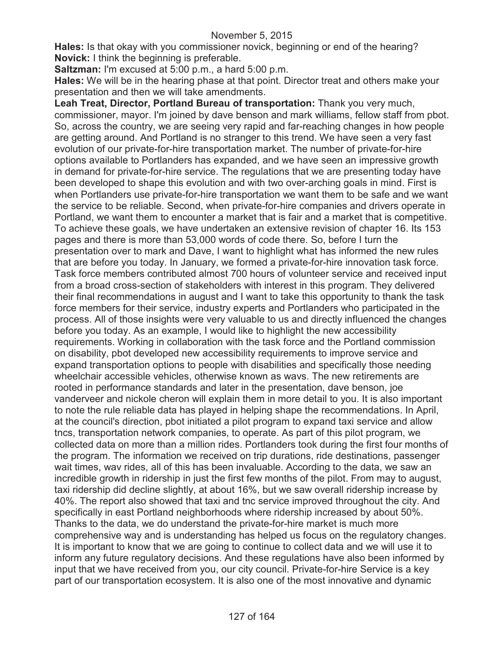**Hales:** Is that okay with you commissioner novick, beginning or end of the hearing? **Novick:** I think the beginning is preferable.

**Saltzman:** I'm excused at 5:00 p.m., a hard 5:00 p.m.

**Hales:** We will be in the hearing phase at that point. Director treat and others make your presentation and then we will take amendments.

**Leah Treat, Director, Portland Bureau of transportation:** Thank you very much, commissioner, mayor. I'm joined by dave benson and mark williams, fellow staff from pbot. So, across the country, we are seeing very rapid and far-reaching changes in how people are getting around. And Portland is no stranger to this trend. We have seen a very fast evolution of our private-for-hire transportation market. The number of private-for-hire options available to Portlanders has expanded, and we have seen an impressive growth in demand for private-for-hire service. The regulations that we are presenting today have been developed to shape this evolution and with two over-arching goals in mind. First is when Portlanders use private-for-hire transportation we want them to be safe and we want the service to be reliable. Second, when private-for-hire companies and drivers operate in Portland, we want them to encounter a market that is fair and a market that is competitive. To achieve these goals, we have undertaken an extensive revision of chapter 16. Its 153 pages and there is more than 53,000 words of code there. So, before I turn the presentation over to mark and Dave, I want to highlight what has informed the new rules that are before you today. In January, we formed a private-for-hire innovation task force. Task force members contributed almost 700 hours of volunteer service and received input from a broad cross-section of stakeholders with interest in this program. They delivered their final recommendations in august and I want to take this opportunity to thank the task force members for their service, industry experts and Portlanders who participated in the process. All of those insights were very valuable to us and directly influenced the changes before you today. As an example, I would like to highlight the new accessibility requirements. Working in collaboration with the task force and the Portland commission on disability, pbot developed new accessibility requirements to improve service and expand transportation options to people with disabilities and specifically those needing wheelchair accessible vehicles, otherwise known as wavs. The new retirements are rooted in performance standards and later in the presentation, dave benson, joe vanderveer and nickole cheron will explain them in more detail to you. It is also important to note the rule reliable data has played in helping shape the recommendations. In April, at the council's direction, pbot initiated a pilot program to expand taxi service and allow tncs, transportation network companies, to operate. As part of this pilot program, we collected data on more than a million rides. Portlanders took during the first four months of the program. The information we received on trip durations, ride destinations, passenger wait times, wav rides, all of this has been invaluable. According to the data, we saw an incredible growth in ridership in just the first few months of the pilot. From may to august, taxi ridership did decline slightly, at about 16%, but we saw overall ridership increase by 40%. The report also showed that taxi and tnc service improved throughout the city. And specifically in east Portland neighborhoods where ridership increased by about 50%. Thanks to the data, we do understand the private-for-hire market is much more comprehensive way and is understanding has helped us focus on the regulatory changes. It is important to know that we are going to continue to collect data and we will use it to inform any future regulatory decisions. And these regulations have also been informed by input that we have received from you, our city council. Private-for-hire Service is a key part of our transportation ecosystem. It is also one of the most innovative and dynamic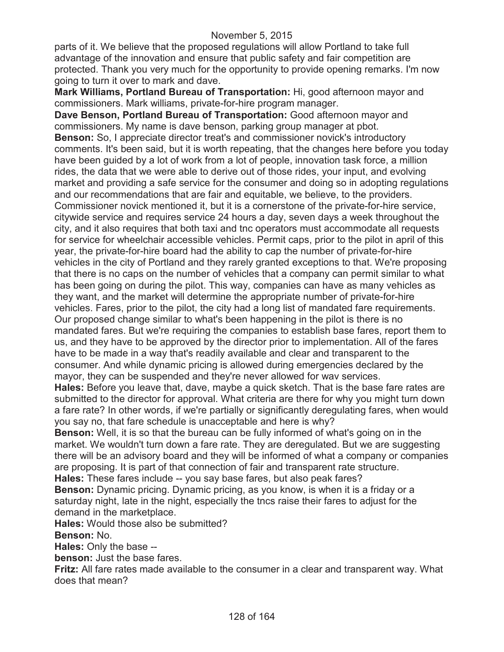parts of it. We believe that the proposed regulations will allow Portland to take full advantage of the innovation and ensure that public safety and fair competition are protected. Thank you very much for the opportunity to provide opening remarks. I'm now going to turn it over to mark and dave.

**Mark Williams, Portland Bureau of Transportation:** Hi, good afternoon mayor and commissioners. Mark williams, private-for-hire program manager.

**Dave Benson, Portland Bureau of Transportation:** Good afternoon mayor and commissioners. My name is dave benson, parking group manager at pbot. **Benson:** So, I appreciate director treat's and commissioner novick's introductory comments. It's been said, but it is worth repeating, that the changes here before you today have been guided by a lot of work from a lot of people, innovation task force, a million rides, the data that we were able to derive out of those rides, your input, and evolving market and providing a safe service for the consumer and doing so in adopting regulations and our recommendations that are fair and equitable, we believe, to the providers. Commissioner novick mentioned it, but it is a cornerstone of the private-for-hire service, citywide service and requires service 24 hours a day, seven days a week throughout the city, and it also requires that both taxi and tnc operators must accommodate all requests for service for wheelchair accessible vehicles. Permit caps, prior to the pilot in april of this year, the private-for-hire board had the ability to cap the number of private-for-hire vehicles in the city of Portland and they rarely granted exceptions to that. We're proposing that there is no caps on the number of vehicles that a company can permit similar to what has been going on during the pilot. This way, companies can have as many vehicles as they want, and the market will determine the appropriate number of private-for-hire vehicles. Fares, prior to the pilot, the city had a long list of mandated fare requirements. Our proposed change similar to what's been happening in the pilot is there is no mandated fares. But we're requiring the companies to establish base fares, report them to us, and they have to be approved by the director prior to implementation. All of the fares have to be made in a way that's readily available and clear and transparent to the consumer. And while dynamic pricing is allowed during emergencies declared by the mayor, they can be suspended and they're never allowed for wav services.

**Hales:** Before you leave that, dave, maybe a quick sketch. That is the base fare rates are submitted to the director for approval. What criteria are there for why you might turn down a fare rate? In other words, if we're partially or significantly deregulating fares, when would you say no, that fare schedule is unacceptable and here is why?

**Benson:** Well, it is so that the bureau can be fully informed of what's going on in the market. We wouldn't turn down a fare rate. They are deregulated. But we are suggesting there will be an advisory board and they will be informed of what a company or companies are proposing. It is part of that connection of fair and transparent rate structure.

**Hales:** These fares include -- you say base fares, but also peak fares?

**Benson:** Dynamic pricing. Dynamic pricing, as you know, is when it is a friday or a saturday night, late in the night, especially the tncs raise their fares to adjust for the demand in the marketplace.

**Hales:** Would those also be submitted?

**Benson:** No.

**Hales:** Only the base --

**benson:** Just the base fares.

**Fritz:** All fare rates made available to the consumer in a clear and transparent way. What does that mean?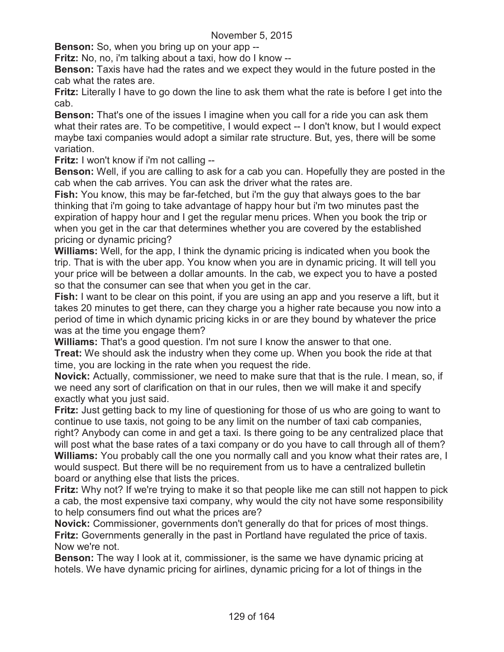**Benson:** So, when you bring up on your app --

**Fritz:** No, no, i'm talking about a taxi, how do I know --

**Benson:** Taxis have had the rates and we expect they would in the future posted in the cab what the rates are.

**Fritz:** Literally I have to go down the line to ask them what the rate is before I get into the cab.

**Benson:** That's one of the issues I imagine when you call for a ride you can ask them what their rates are. To be competitive, I would expect -- I don't know, but I would expect maybe taxi companies would adopt a similar rate structure. But, yes, there will be some variation.

**Fritz:** I won't know if i'm not calling --

**Benson:** Well, if you are calling to ask for a cab you can. Hopefully they are posted in the cab when the cab arrives. You can ask the driver what the rates are.

**Fish:** You know, this may be far-fetched, but i'm the guy that always goes to the bar thinking that i'm going to take advantage of happy hour but i'm two minutes past the expiration of happy hour and I get the regular menu prices. When you book the trip or when you get in the car that determines whether you are covered by the established pricing or dynamic pricing?

**Williams:** Well, for the app, I think the dynamic pricing is indicated when you book the trip. That is with the uber app. You know when you are in dynamic pricing. It will tell you your price will be between a dollar amounts. In the cab, we expect you to have a posted so that the consumer can see that when you get in the car.

**Fish:** I want to be clear on this point, if you are using an app and you reserve a lift, but it takes 20 minutes to get there, can they charge you a higher rate because you now into a period of time in which dynamic pricing kicks in or are they bound by whatever the price was at the time you engage them?

**Williams:** That's a good question. I'm not sure I know the answer to that one.

**Treat:** We should ask the industry when they come up. When you book the ride at that time, you are locking in the rate when you request the ride.

**Novick:** Actually, commissioner, we need to make sure that that is the rule. I mean, so, if we need any sort of clarification on that in our rules, then we will make it and specify exactly what you just said.

**Fritz:** Just getting back to my line of questioning for those of us who are going to want to continue to use taxis, not going to be any limit on the number of taxi cab companies, right? Anybody can come in and get a taxi. Is there going to be any centralized place that will post what the base rates of a taxi company or do you have to call through all of them? **Williams:** You probably call the one you normally call and you know what their rates are, I would suspect. But there will be no requirement from us to have a centralized bulletin board or anything else that lists the prices.

**Fritz:** Why not? If we're trying to make it so that people like me can still not happen to pick a cab, the most expensive taxi company, why would the city not have some responsibility to help consumers find out what the prices are?

**Novick:** Commissioner, governments don't generally do that for prices of most things. **Fritz:** Governments generally in the past in Portland have regulated the price of taxis. Now we're not.

**Benson:** The way I look at it, commissioner, is the same we have dynamic pricing at hotels. We have dynamic pricing for airlines, dynamic pricing for a lot of things in the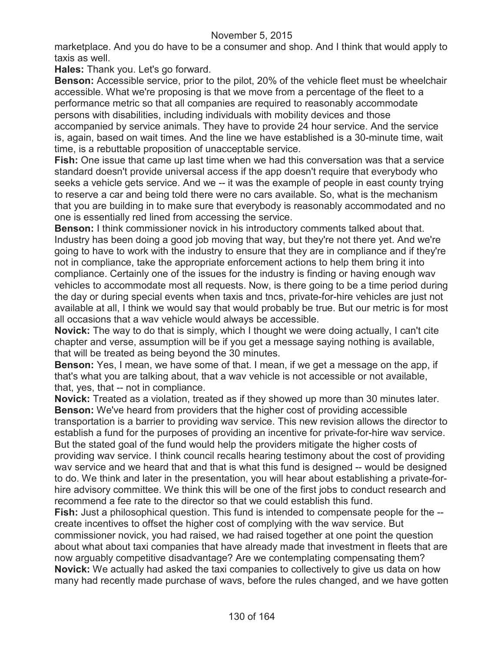marketplace. And you do have to be a consumer and shop. And I think that would apply to taxis as well.

**Hales:** Thank you. Let's go forward.

**Benson:** Accessible service, prior to the pilot, 20% of the vehicle fleet must be wheelchair accessible. What we're proposing is that we move from a percentage of the fleet to a performance metric so that all companies are required to reasonably accommodate persons with disabilities, including individuals with mobility devices and those accompanied by service animals. They have to provide 24 hour service. And the service is, again, based on wait times. And the line we have established is a 30-minute time, wait time, is a rebuttable proposition of unacceptable service.

**Fish:** One issue that came up last time when we had this conversation was that a service standard doesn't provide universal access if the app doesn't require that everybody who seeks a vehicle gets service. And we -- it was the example of people in east county trying to reserve a car and being told there were no cars available. So, what is the mechanism that you are building in to make sure that everybody is reasonably accommodated and no one is essentially red lined from accessing the service.

**Benson:** I think commissioner novick in his introductory comments talked about that. Industry has been doing a good job moving that way, but they're not there yet. And we're going to have to work with the industry to ensure that they are in compliance and if they're not in compliance, take the appropriate enforcement actions to help them bring it into compliance. Certainly one of the issues for the industry is finding or having enough wav vehicles to accommodate most all requests. Now, is there going to be a time period during the day or during special events when taxis and tncs, private-for-hire vehicles are just not available at all, I think we would say that would probably be true. But our metric is for most all occasions that a wav vehicle would always be accessible.

**Novick:** The way to do that is simply, which I thought we were doing actually, I can't cite chapter and verse, assumption will be if you get a message saying nothing is available, that will be treated as being beyond the 30 minutes.

**Benson:** Yes, I mean, we have some of that. I mean, if we get a message on the app, if that's what you are talking about, that a wav vehicle is not accessible or not available, that, yes, that -- not in compliance.

**Novick:** Treated as a violation, treated as if they showed up more than 30 minutes later. **Benson:** We've heard from providers that the higher cost of providing accessible transportation is a barrier to providing wav service. This new revision allows the director to establish a fund for the purposes of providing an incentive for private-for-hire wav service. But the stated goal of the fund would help the providers mitigate the higher costs of providing wav service. I think council recalls hearing testimony about the cost of providing wav service and we heard that and that is what this fund is designed -- would be designed to do. We think and later in the presentation, you will hear about establishing a private-forhire advisory committee. We think this will be one of the first jobs to conduct research and recommend a fee rate to the director so that we could establish this fund.

**Fish:** Just a philosophical question. This fund is intended to compensate people for the - create incentives to offset the higher cost of complying with the wav service. But

commissioner novick, you had raised, we had raised together at one point the question about what about taxi companies that have already made that investment in fleets that are now arguably competitive disadvantage? Are we contemplating compensating them? **Novick:** We actually had asked the taxi companies to collectively to give us data on how many had recently made purchase of wavs, before the rules changed, and we have gotten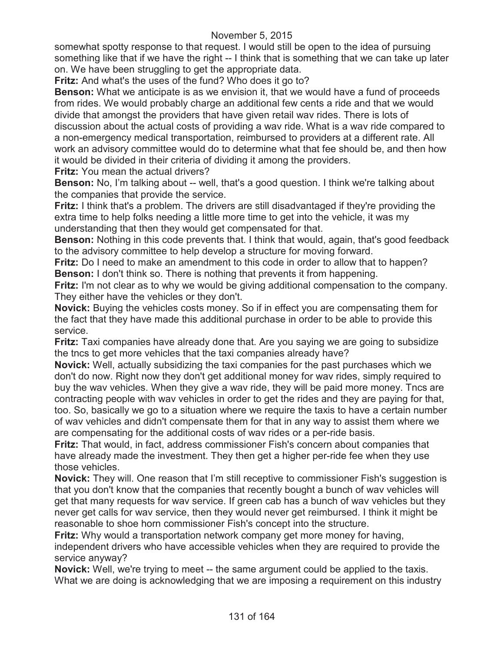somewhat spotty response to that request. I would still be open to the idea of pursuing something like that if we have the right -- I think that is something that we can take up later on. We have been struggling to get the appropriate data.

**Fritz:** And what's the uses of the fund? Who does it go to?

**Benson:** What we anticipate is as we envision it, that we would have a fund of proceeds from rides. We would probably charge an additional few cents a ride and that we would divide that amongst the providers that have given retail wav rides. There is lots of discussion about the actual costs of providing a wav ride. What is a wav ride compared to a non-emergency medical transportation, reimbursed to providers at a different rate. All work an advisory committee would do to determine what that fee should be, and then how it would be divided in their criteria of dividing it among the providers.

**Fritz:** You mean the actual drivers?

**Benson:** No, I'm talking about -- well, that's a good question. I think we're talking about the companies that provide the service.

**Fritz:** I think that's a problem. The drivers are still disadvantaged if they're providing the extra time to help folks needing a little more time to get into the vehicle, it was my understanding that then they would get compensated for that.

**Benson:** Nothing in this code prevents that. I think that would, again, that's good feedback to the advisory committee to help develop a structure for moving forward.

**Fritz:** Do I need to make an amendment to this code in order to allow that to happen? **Benson:** I don't think so. There is nothing that prevents it from happening.

**Fritz:** I'm not clear as to why we would be giving additional compensation to the company. They either have the vehicles or they don't.

**Novick:** Buying the vehicles costs money. So if in effect you are compensating them for the fact that they have made this additional purchase in order to be able to provide this service.

**Fritz:** Taxi companies have already done that. Are you saying we are going to subsidize the tncs to get more vehicles that the taxi companies already have?

**Novick:** Well, actually subsidizing the taxi companies for the past purchases which we don't do now. Right now they don't get additional money for wav rides, simply required to buy the wav vehicles. When they give a wav ride, they will be paid more money. Tncs are contracting people with wav vehicles in order to get the rides and they are paying for that, too. So, basically we go to a situation where we require the taxis to have a certain number of wav vehicles and didn't compensate them for that in any way to assist them where we are compensating for the additional costs of wav rides or a per-ride basis.

**Fritz:** That would, in fact, address commissioner Fish's concern about companies that have already made the investment. They then get a higher per-ride fee when they use those vehicles.

**Novick:** They will. One reason that I'm still receptive to commissioner Fish's suggestion is that you don't know that the companies that recently bought a bunch of wav vehicles will get that many requests for wav service. If green cab has a bunch of wav vehicles but they never get calls for wav service, then they would never get reimbursed. I think it might be reasonable to shoe horn commissioner Fish's concept into the structure.

**Fritz:** Why would a transportation network company get more money for having, independent drivers who have accessible vehicles when they are required to provide the service anyway?

**Novick:** Well, we're trying to meet -- the same argument could be applied to the taxis. What we are doing is acknowledging that we are imposing a requirement on this industry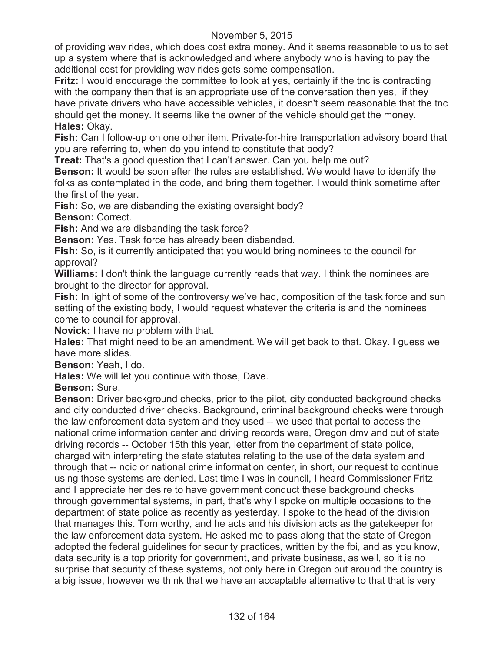of providing wav rides, which does cost extra money. And it seems reasonable to us to set up a system where that is acknowledged and where anybody who is having to pay the additional cost for providing wav rides gets some compensation.

**Fritz:** I would encourage the committee to look at yes, certainly if the tnc is contracting with the company then that is an appropriate use of the conversation then yes, if they have private drivers who have accessible vehicles, it doesn't seem reasonable that the tnc should get the money. It seems like the owner of the vehicle should get the money. **Hales:** Okay.

**Fish:** Can I follow-up on one other item. Private-for-hire transportation advisory board that you are referring to, when do you intend to constitute that body?

**Treat:** That's a good question that I can't answer. Can you help me out?

**Benson:** It would be soon after the rules are established. We would have to identify the folks as contemplated in the code, and bring them together. I would think sometime after the first of the year.

**Fish:** So, we are disbanding the existing oversight body?

**Benson:** Correct.

**Fish:** And we are disbanding the task force?

**Benson:** Yes. Task force has already been disbanded.

**Fish:** So, is it currently anticipated that you would bring nominees to the council for approval?

**Williams:** I don't think the language currently reads that way. I think the nominees are brought to the director for approval.

**Fish:** In light of some of the controversy we've had, composition of the task force and sun setting of the existing body, I would request whatever the criteria is and the nominees come to council for approval.

**Novick:** I have no problem with that.

**Hales:** That might need to be an amendment. We will get back to that. Okay. I guess we have more slides.

**Benson:** Yeah, I do.

**Hales:** We will let you continue with those, Dave.

**Benson:** Sure.

**Benson:** Driver background checks, prior to the pilot, city conducted background checks and city conducted driver checks. Background, criminal background checks were through the law enforcement data system and they used -- we used that portal to access the national crime information center and driving records were, Oregon dmv and out of state driving records -- October 15th this year, letter from the department of state police, charged with interpreting the state statutes relating to the use of the data system and through that -- ncic or national crime information center, in short, our request to continue using those systems are denied. Last time I was in council, I heard Commissioner Fritz and I appreciate her desire to have government conduct these background checks through governmental systems, in part, that's why I spoke on multiple occasions to the department of state police as recently as yesterday. I spoke to the head of the division that manages this. Tom worthy, and he acts and his division acts as the gatekeeper for the law enforcement data system. He asked me to pass along that the state of Oregon adopted the federal guidelines for security practices, written by the fbi, and as you know, data security is a top priority for government, and private business, as well, so it is no surprise that security of these systems, not only here in Oregon but around the country is a big issue, however we think that we have an acceptable alternative to that that is very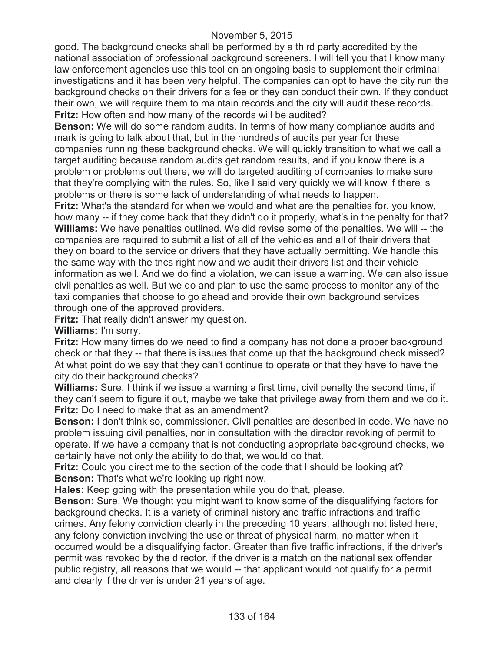good. The background checks shall be performed by a third party accredited by the national association of professional background screeners. I will tell you that I know many law enforcement agencies use this tool on an ongoing basis to supplement their criminal investigations and it has been very helpful. The companies can opt to have the city run the background checks on their drivers for a fee or they can conduct their own. If they conduct their own, we will require them to maintain records and the city will audit these records. **Fritz:** How often and how many of the records will be audited?

**Benson:** We will do some random audits. In terms of how many compliance audits and mark is going to talk about that, but in the hundreds of audits per year for these companies running these background checks. We will quickly transition to what we call a target auditing because random audits get random results, and if you know there is a problem or problems out there, we will do targeted auditing of companies to make sure that they're complying with the rules. So, like I said very quickly we will know if there is problems or there is some lack of understanding of what needs to happen.

**Fritz:** What's the standard for when we would and what are the penalties for, you know, how many -- if they come back that they didn't do it properly, what's in the penalty for that? **Williams:** We have penalties outlined. We did revise some of the penalties. We will -- the companies are required to submit a list of all of the vehicles and all of their drivers that they on board to the service or drivers that they have actually permitting. We handle this the same way with the tncs right now and we audit their drivers list and their vehicle information as well. And we do find a violation, we can issue a warning. We can also issue civil penalties as well. But we do and plan to use the same process to monitor any of the taxi companies that choose to go ahead and provide their own background services through one of the approved providers.

**Fritz:** That really didn't answer my question.

**Williams:** I'm sorry.

**Fritz:** How many times do we need to find a company has not done a proper background check or that they -- that there is issues that come up that the background check missed? At what point do we say that they can't continue to operate or that they have to have the city do their background checks?

**Williams:** Sure, I think if we issue a warning a first time, civil penalty the second time, if they can't seem to figure it out, maybe we take that privilege away from them and we do it. **Fritz:** Do I need to make that as an amendment?

**Benson:** I don't think so, commissioner. Civil penalties are described in code. We have no problem issuing civil penalties, nor in consultation with the director revoking of permit to operate. If we have a company that is not conducting appropriate background checks, we certainly have not only the ability to do that, we would do that.

**Fritz:** Could you direct me to the section of the code that I should be looking at? **Benson:** That's what we're looking up right now.

**Hales:** Keep going with the presentation while you do that, please.

**Benson:** Sure. We thought you might want to know some of the disqualifying factors for background checks. It is a variety of criminal history and traffic infractions and traffic crimes. Any felony conviction clearly in the preceding 10 years, although not listed here, any felony conviction involving the use or threat of physical harm, no matter when it occurred would be a disqualifying factor. Greater than five traffic infractions, if the driver's permit was revoked by the director, if the driver is a match on the national sex offender public registry, all reasons that we would -- that applicant would not qualify for a permit and clearly if the driver is under 21 years of age.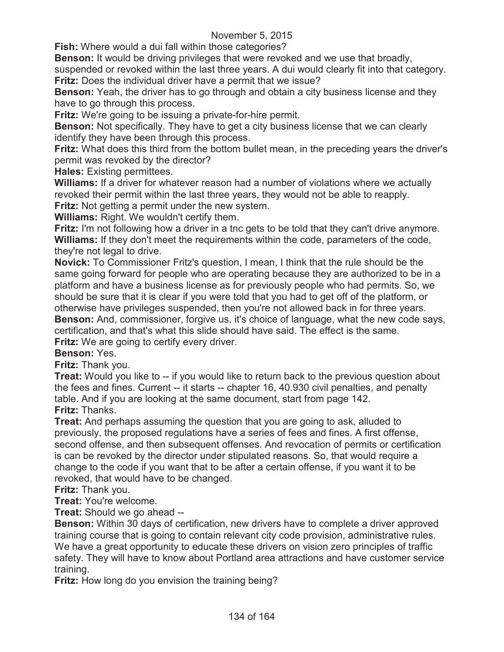**Fish:** Where would a dui fall within those categories?

**Benson:** It would be driving privileges that were revoked and we use that broadly, suspended or revoked within the last three years. A dui would clearly fit into that category. **Fritz:** Does the individual driver have a permit that we issue?

**Benson:** Yeah, the driver has to go through and obtain a city business license and they have to go through this process.

**Fritz:** We're going to be issuing a private-for-hire permit.

**Benson:** Not specifically. They have to get a city business license that we can clearly identify they have been through this process.

**Fritz:** What does this third from the bottom bullet mean, in the preceding years the driver's permit was revoked by the director?

**Hales:** Existing permittees.

**Williams:** If a driver for whatever reason had a number of violations where we actually revoked their permit within the last three years, they would not be able to reapply. **Fritz:** Not getting a permit under the new system.

**Williams:** Right. We wouldn't certify them.

**Fritz:** I'm not following how a driver in a tnc gets to be told that they can't drive anymore. **Williams:** If they don't meet the requirements within the code, parameters of the code, they're not legal to drive.

**Novick:** To Commissioner Fritz's question, I mean, I think that the rule should be the same going forward for people who are operating because they are authorized to be in a platform and have a business license as for previously people who had permits. So, we should be sure that it is clear if you were told that you had to get off of the platform, or otherwise have privileges suspended, then you're not allowed back in for three years.

**Benson:** And, commissioner, forgive us, it's choice of language, what the new code says, certification, and that's what this slide should have said. The effect is the same. **Fritz:** We are going to certify every driver.

**Benson:** Yes.

**Fritz:** Thank you.

**Treat:** Would you like to -- if you would like to return back to the previous question about the fees and fines. Current -- it starts -- chapter 16, 40.930 civil penalties, and penalty table. And if you are looking at the same document, start from page 142. **Fritz:** Thanks.

**Treat:** And perhaps assuming the question that you are going to ask, alluded to previously, the proposed regulations have a series of fees and fines. A first offense, second offense, and then subsequent offenses. And revocation of permits or certification is can be revoked by the director under stipulated reasons. So, that would require a change to the code if you want that to be after a certain offense, if you want it to be revoked, that would have to be changed.

**Fritz:** Thank you.

**Treat:** You're welcome.

**Treat:** Should we go ahead --

**Benson:** Within 30 days of certification, new drivers have to complete a driver approved training course that is going to contain relevant city code provision, administrative rules. We have a great opportunity to educate these drivers on vision zero principles of traffic safety. They will have to know about Portland area attractions and have customer service training.

**Fritz:** How long do you envision the training being?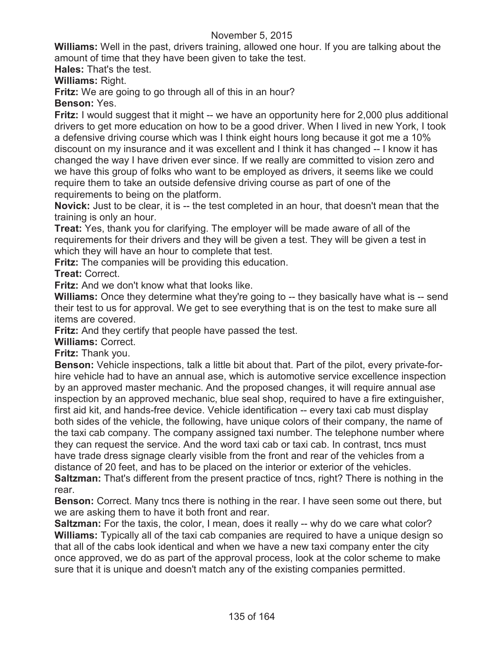**Williams:** Well in the past, drivers training, allowed one hour. If you are talking about the amount of time that they have been given to take the test.

**Hales:** That's the test.

**Williams:** Right.

**Fritz:** We are going to go through all of this in an hour?

**Benson:** Yes.

**Fritz:** I would suggest that it might -- we have an opportunity here for 2,000 plus additional drivers to get more education on how to be a good driver. When I lived in new York, I took a defensive driving course which was I think eight hours long because it got me a 10% discount on my insurance and it was excellent and I think it has changed -- I know it has changed the way I have driven ever since. If we really are committed to vision zero and we have this group of folks who want to be employed as drivers, it seems like we could require them to take an outside defensive driving course as part of one of the requirements to being on the platform.

**Novick:** Just to be clear, it is -- the test completed in an hour, that doesn't mean that the training is only an hour.

**Treat:** Yes, thank you for clarifying. The employer will be made aware of all of the requirements for their drivers and they will be given a test. They will be given a test in which they will have an hour to complete that test.

**Fritz:** The companies will be providing this education.

**Treat:** Correct.

**Fritz:** And we don't know what that looks like.

**Williams:** Once they determine what they're going to -- they basically have what is -- send their test to us for approval. We get to see everything that is on the test to make sure all items are covered.

**Fritz:** And they certify that people have passed the test.

**Williams:** Correct.

**Fritz:** Thank you.

**Benson:** Vehicle inspections, talk a little bit about that. Part of the pilot, every private-forhire vehicle had to have an annual ase, which is automotive service excellence inspection by an approved master mechanic. And the proposed changes, it will require annual ase inspection by an approved mechanic, blue seal shop, required to have a fire extinguisher, first aid kit, and hands-free device. Vehicle identification -- every taxi cab must display both sides of the vehicle, the following, have unique colors of their company, the name of the taxi cab company. The company assigned taxi number. The telephone number where they can request the service. And the word taxi cab or taxi cab. In contrast, tncs must have trade dress signage clearly visible from the front and rear of the vehicles from a distance of 20 feet, and has to be placed on the interior or exterior of the vehicles. **Saltzman:** That's different from the present practice of tncs, right? There is nothing in the

rear.

**Benson:** Correct. Many tncs there is nothing in the rear. I have seen some out there, but we are asking them to have it both front and rear.

**Saltzman:** For the taxis, the color, I mean, does it really -- why do we care what color? **Williams:** Typically all of the taxi cab companies are required to have a unique design so that all of the cabs look identical and when we have a new taxi company enter the city once approved, we do as part of the approval process, look at the color scheme to make sure that it is unique and doesn't match any of the existing companies permitted.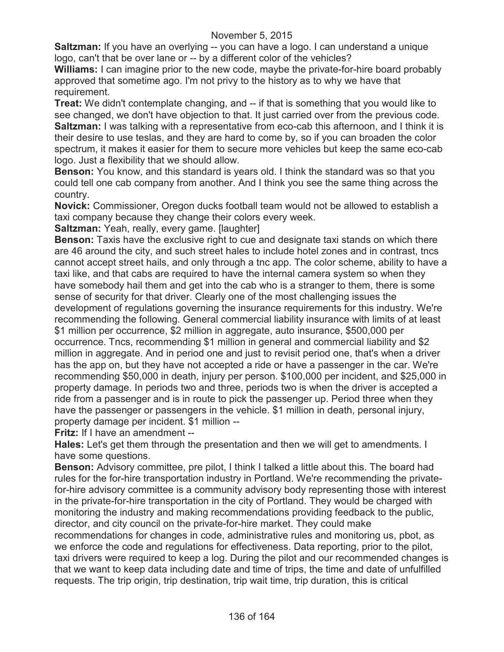**Saltzman:** If you have an overlying -- you can have a logo. I can understand a unique logo, can't that be over lane or -- by a different color of the vehicles?

**Williams:** I can imagine prior to the new code, maybe the private-for-hire board probably approved that sometime ago. I'm not privy to the history as to why we have that requirement.

**Treat:** We didn't contemplate changing, and -- if that is something that you would like to see changed, we don't have objection to that. It just carried over from the previous code. **Saltzman:** I was talking with a representative from eco-cab this afternoon, and I think it is their desire to use teslas, and they are hard to come by, so if you can broaden the color spectrum, it makes it easier for them to secure more vehicles but keep the same eco-cab logo. Just a flexibility that we should allow.

**Benson:** You know, and this standard is years old. I think the standard was so that you could tell one cab company from another. And I think you see the same thing across the country.

**Novick:** Commissioner, Oregon ducks football team would not be allowed to establish a taxi company because they change their colors every week.

**Saltzman:** Yeah, really, every game. [laughter]

**Benson:** Taxis have the exclusive right to cue and designate taxi stands on which there are 46 around the city, and such street hales to include hotel zones and in contrast, tncs cannot accept street hails, and only through a tnc app. The color scheme, ability to have a taxi like, and that cabs are required to have the internal camera system so when they have somebody hail them and get into the cab who is a stranger to them, there is some sense of security for that driver. Clearly one of the most challenging issues the development of regulations governing the insurance requirements for this industry. We're recommending the following. General commercial liability insurance with limits of at least \$1 million per occurrence, \$2 million in aggregate, auto insurance, \$500,000 per occurrence. Tncs, recommending \$1 million in general and commercial liability and \$2 million in aggregate. And in period one and just to revisit period one, that's when a driver has the app on, but they have not accepted a ride or have a passenger in the car. We're recommending \$50,000 in death, injury per person. \$100,000 per incident, and \$25,000 in property damage. In periods two and three, periods two is when the driver is accepted a ride from a passenger and is in route to pick the passenger up. Period three when they have the passenger or passengers in the vehicle. \$1 million in death, personal injury, property damage per incident. \$1 million --

**Fritz:** If I have an amendment --

**Hales:** Let's get them through the presentation and then we will get to amendments. I have some questions.

**Benson:** Advisory committee, pre pilot, I think I talked a little about this. The board had rules for the for-hire transportation industry in Portland. We're recommending the privatefor-hire advisory committee is a community advisory body representing those with interest in the private-for-hire transportation in the city of Portland. They would be charged with monitoring the industry and making recommendations providing feedback to the public, director, and city council on the private-for-hire market. They could make

recommendations for changes in code, administrative rules and monitoring us, pbot, as we enforce the code and regulations for effectiveness. Data reporting, prior to the pilot, taxi drivers were required to keep a log. During the pilot and our recommended changes is that we want to keep data including date and time of trips, the time and date of unfulfilled requests. The trip origin, trip destination, trip wait time, trip duration, this is critical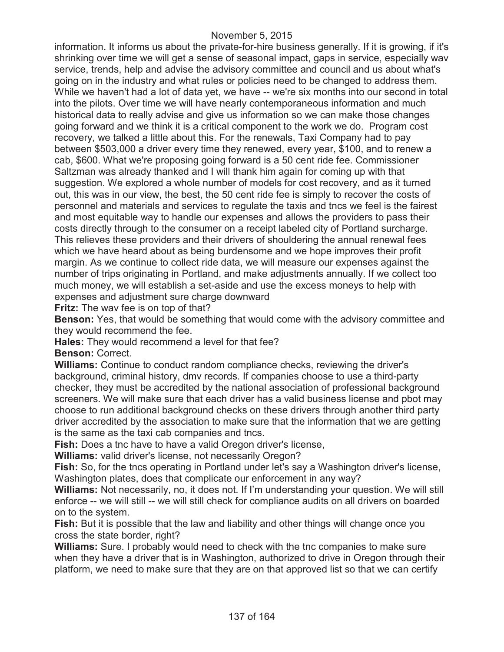information. It informs us about the private-for-hire business generally. If it is growing, if it's shrinking over time we will get a sense of seasonal impact, gaps in service, especially wav service, trends, help and advise the advisory committee and council and us about what's going on in the industry and what rules or policies need to be changed to address them. While we haven't had a lot of data yet, we have -- we're six months into our second in total into the pilots. Over time we will have nearly contemporaneous information and much historical data to really advise and give us information so we can make those changes going forward and we think it is a critical component to the work we do. Program cost recovery, we talked a little about this. For the renewals, Taxi Company had to pay between \$503,000 a driver every time they renewed, every year, \$100, and to renew a cab, \$600. What we're proposing going forward is a 50 cent ride fee. Commissioner Saltzman was already thanked and I will thank him again for coming up with that suggestion. We explored a whole number of models for cost recovery, and as it turned out, this was in our view, the best, the 50 cent ride fee is simply to recover the costs of personnel and materials and services to regulate the taxis and tncs we feel is the fairest and most equitable way to handle our expenses and allows the providers to pass their costs directly through to the consumer on a receipt labeled city of Portland surcharge. This relieves these providers and their drivers of shouldering the annual renewal fees which we have heard about as being burdensome and we hope improves their profit margin. As we continue to collect ride data, we will measure our expenses against the number of trips originating in Portland, and make adjustments annually. If we collect too much money, we will establish a set-aside and use the excess moneys to help with expenses and adjustment sure charge downward

**Fritz:** The wav fee is on top of that?

**Benson:** Yes, that would be something that would come with the advisory committee and they would recommend the fee.

**Hales:** They would recommend a level for that fee? **Benson:** Correct.

**Williams:** Continue to conduct random compliance checks, reviewing the driver's background, criminal history, dmv records. If companies choose to use a third-party checker, they must be accredited by the national association of professional background screeners. We will make sure that each driver has a valid business license and pbot may choose to run additional background checks on these drivers through another third party driver accredited by the association to make sure that the information that we are getting is the same as the taxi cab companies and tncs.

**Fish:** Does a tnc have to have a valid Oregon driver's license,

**Williams:** valid driver's license, not necessarily Oregon?

Fish: So, for the tncs operating in Portland under let's say a Washington driver's license, Washington plates, does that complicate our enforcement in any way?

**Williams:** Not necessarily, no, it does not. If I'm understanding your question. We will still enforce -- we will still -- we will still check for compliance audits on all drivers on boarded on to the system.

**Fish:** But it is possible that the law and liability and other things will change once you cross the state border, right?

**Williams:** Sure. I probably would need to check with the tnc companies to make sure when they have a driver that is in Washington, authorized to drive in Oregon through their platform, we need to make sure that they are on that approved list so that we can certify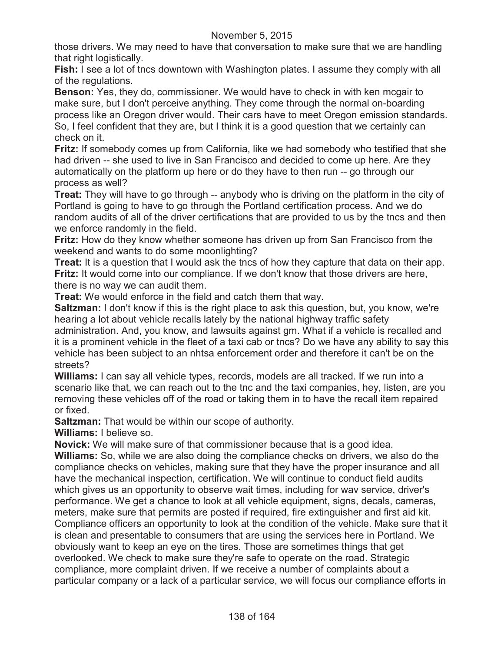those drivers. We may need to have that conversation to make sure that we are handling that right logistically.

**Fish:** I see a lot of tncs downtown with Washington plates. I assume they comply with all of the regulations.

**Benson:** Yes, they do, commissioner. We would have to check in with ken mcgair to make sure, but I don't perceive anything. They come through the normal on-boarding process like an Oregon driver would. Their cars have to meet Oregon emission standards. So, I feel confident that they are, but I think it is a good question that we certainly can check on it.

**Fritz:** If somebody comes up from California, like we had somebody who testified that she had driven -- she used to live in San Francisco and decided to come up here. Are they automatically on the platform up here or do they have to then run -- go through our process as well?

**Treat:** They will have to go through -- anybody who is driving on the platform in the city of Portland is going to have to go through the Portland certification process. And we do random audits of all of the driver certifications that are provided to us by the tncs and then we enforce randomly in the field.

**Fritz:** How do they know whether someone has driven up from San Francisco from the weekend and wants to do some moonlighting?

**Treat:** It is a question that I would ask the tncs of how they capture that data on their app. **Fritz:** It would come into our compliance. If we don't know that those drivers are here, there is no way we can audit them.

**Treat:** We would enforce in the field and catch them that way.

**Saltzman:** I don't know if this is the right place to ask this question, but, you know, we're hearing a lot about vehicle recalls lately by the national highway traffic safety administration. And, you know, and lawsuits against gm. What if a vehicle is recalled and it is a prominent vehicle in the fleet of a taxi cab or tncs? Do we have any ability to say this vehicle has been subject to an nhtsa enforcement order and therefore it can't be on the streets?

**Williams:** I can say all vehicle types, records, models are all tracked. If we run into a scenario like that, we can reach out to the tnc and the taxi companies, hey, listen, are you removing these vehicles off of the road or taking them in to have the recall item repaired or fixed.

**Saltzman:** That would be within our scope of authority.

**Williams:** I believe so.

**Novick:** We will make sure of that commissioner because that is a good idea.

**Williams:** So, while we are also doing the compliance checks on drivers, we also do the compliance checks on vehicles, making sure that they have the proper insurance and all have the mechanical inspection, certification. We will continue to conduct field audits which gives us an opportunity to observe wait times, including for wav service, driver's performance. We get a chance to look at all vehicle equipment, signs, decals, cameras, meters, make sure that permits are posted if required, fire extinguisher and first aid kit. Compliance officers an opportunity to look at the condition of the vehicle. Make sure that it is clean and presentable to consumers that are using the services here in Portland. We obviously want to keep an eye on the tires. Those are sometimes things that get overlooked. We check to make sure they're safe to operate on the road. Strategic compliance, more complaint driven. If we receive a number of complaints about a particular company or a lack of a particular service, we will focus our compliance efforts in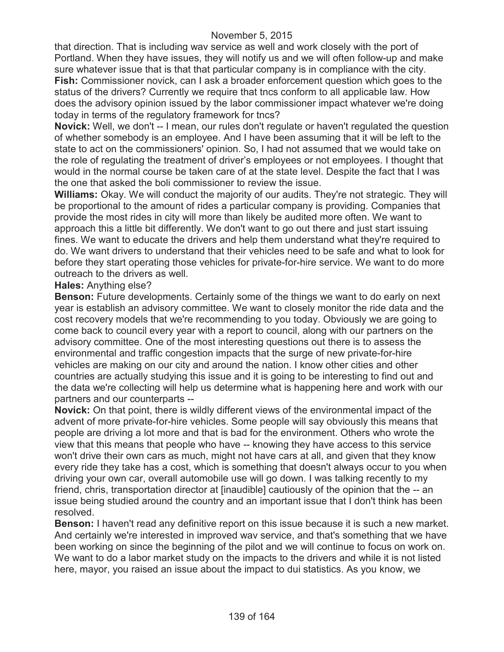that direction. That is including wav service as well and work closely with the port of Portland. When they have issues, they will notify us and we will often follow-up and make sure whatever issue that is that that particular company is in compliance with the city. **Fish:** Commissioner novick, can I ask a broader enforcement question which goes to the status of the drivers? Currently we require that tncs conform to all applicable law. How does the advisory opinion issued by the labor commissioner impact whatever we're doing today in terms of the regulatory framework for tncs?

**Novick:** Well, we don't -- I mean, our rules don't regulate or haven't regulated the question of whether somebody is an employee. And I have been assuming that it will be left to the state to act on the commissioners' opinion. So, I had not assumed that we would take on the role of regulating the treatment of driver's employees or not employees. I thought that would in the normal course be taken care of at the state level. Despite the fact that I was the one that asked the boli commissioner to review the issue.

**Williams:** Okay. We will conduct the majority of our audits. They're not strategic. They will be proportional to the amount of rides a particular company is providing. Companies that provide the most rides in city will more than likely be audited more often. We want to approach this a little bit differently. We don't want to go out there and just start issuing fines. We want to educate the drivers and help them understand what they're required to do. We want drivers to understand that their vehicles need to be safe and what to look for before they start operating those vehicles for private-for-hire service. We want to do more outreach to the drivers as well.

### **Hales:** Anything else?

**Benson:** Future developments. Certainly some of the things we want to do early on next year is establish an advisory committee. We want to closely monitor the ride data and the cost recovery models that we're recommending to you today. Obviously we are going to come back to council every year with a report to council, along with our partners on the advisory committee. One of the most interesting questions out there is to assess the environmental and traffic congestion impacts that the surge of new private-for-hire vehicles are making on our city and around the nation. I know other cities and other countries are actually studying this issue and it is going to be interesting to find out and the data we're collecting will help us determine what is happening here and work with our partners and our counterparts --

**Novick:** On that point, there is wildly different views of the environmental impact of the advent of more private-for-hire vehicles. Some people will say obviously this means that people are driving a lot more and that is bad for the environment. Others who wrote the view that this means that people who have -- knowing they have access to this service won't drive their own cars as much, might not have cars at all, and given that they know every ride they take has a cost, which is something that doesn't always occur to you when driving your own car, overall automobile use will go down. I was talking recently to my friend, chris, transportation director at [inaudible] cautiously of the opinion that the -- an issue being studied around the country and an important issue that I don't think has been resolved.

**Benson:** I haven't read any definitive report on this issue because it is such a new market. And certainly we're interested in improved wav service, and that's something that we have been working on since the beginning of the pilot and we will continue to focus on work on. We want to do a labor market study on the impacts to the drivers and while it is not listed here, mayor, you raised an issue about the impact to dui statistics. As you know, we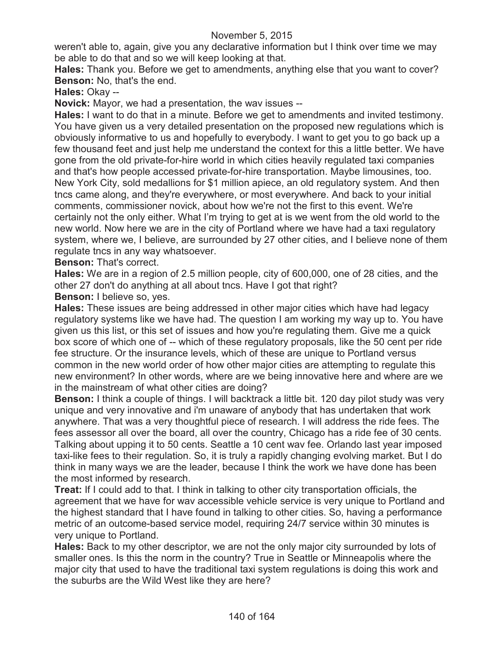weren't able to, again, give you any declarative information but I think over time we may be able to do that and so we will keep looking at that.

**Hales:** Thank you. Before we get to amendments, anything else that you want to cover? **Benson:** No, that's the end.

**Hales:** Okay --

**Novick:** Mayor, we had a presentation, the wav issues --

**Hales:** I want to do that in a minute. Before we get to amendments and invited testimony. You have given us a very detailed presentation on the proposed new regulations which is obviously informative to us and hopefully to everybody. I want to get you to go back up a few thousand feet and just help me understand the context for this a little better. We have gone from the old private-for-hire world in which cities heavily regulated taxi companies and that's how people accessed private-for-hire transportation. Maybe limousines, too. New York City, sold medallions for \$1 million apiece, an old regulatory system. And then tncs came along, and they're everywhere, or most everywhere. And back to your initial comments, commissioner novick, about how we're not the first to this event. We're certainly not the only either. What I'm trying to get at is we went from the old world to the new world. Now here we are in the city of Portland where we have had a taxi regulatory system, where we, I believe, are surrounded by 27 other cities, and I believe none of them regulate tncs in any way whatsoever.

**Benson:** That's correct.

**Hales:** We are in a region of 2.5 million people, city of 600,000, one of 28 cities, and the other 27 don't do anything at all about tncs. Have I got that right?

**Benson:** I believe so, yes.

**Hales:** These issues are being addressed in other major cities which have had legacy regulatory systems like we have had. The question I am working my way up to. You have given us this list, or this set of issues and how you're regulating them. Give me a quick box score of which one of -- which of these regulatory proposals, like the 50 cent per ride fee structure. Or the insurance levels, which of these are unique to Portland versus common in the new world order of how other major cities are attempting to regulate this new environment? In other words, where are we being innovative here and where are we in the mainstream of what other cities are doing?

**Benson:** I think a couple of things. I will backtrack a little bit. 120 day pilot study was very unique and very innovative and i'm unaware of anybody that has undertaken that work anywhere. That was a very thoughtful piece of research. I will address the ride fees. The fees assessor all over the board, all over the country, Chicago has a ride fee of 30 cents. Talking about upping it to 50 cents. Seattle a 10 cent wav fee. Orlando last year imposed taxi-like fees to their regulation. So, it is truly a rapidly changing evolving market. But I do think in many ways we are the leader, because I think the work we have done has been the most informed by research.

**Treat:** If I could add to that. I think in talking to other city transportation officials, the agreement that we have for wav accessible vehicle service is very unique to Portland and the highest standard that I have found in talking to other cities. So, having a performance metric of an outcome-based service model, requiring 24/7 service within 30 minutes is very unique to Portland.

**Hales:** Back to my other descriptor, we are not the only major city surrounded by lots of smaller ones. Is this the norm in the country? True in Seattle or Minneapolis where the major city that used to have the traditional taxi system regulations is doing this work and the suburbs are the Wild West like they are here?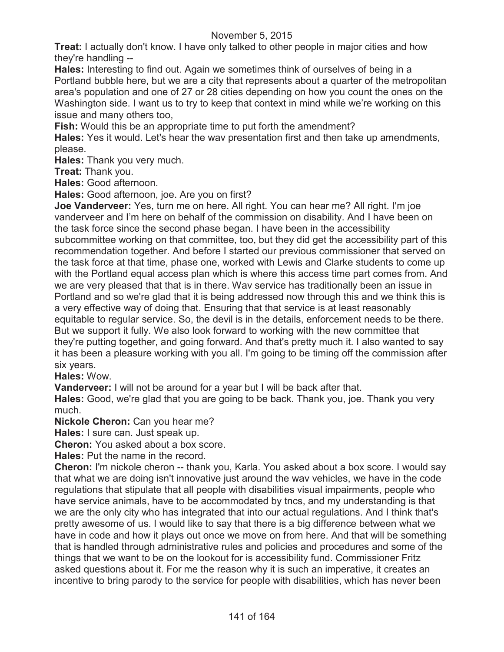**Treat:** I actually don't know. I have only talked to other people in major cities and how they're handling --

**Hales:** Interesting to find out. Again we sometimes think of ourselves of being in a Portland bubble here, but we are a city that represents about a quarter of the metropolitan area's population and one of 27 or 28 cities depending on how you count the ones on the Washington side. I want us to try to keep that context in mind while we're working on this issue and many others too,

**Fish:** Would this be an appropriate time to put forth the amendment?

**Hales:** Yes it would. Let's hear the wav presentation first and then take up amendments, please.

**Hales:** Thank you very much.

**Treat:** Thank you.

**Hales:** Good afternoon.

**Hales:** Good afternoon, joe. Are you on first?

**Joe Vanderveer:** Yes, turn me on here. All right. You can hear me? All right. I'm joe vanderveer and I'm here on behalf of the commission on disability. And I have been on the task force since the second phase began. I have been in the accessibility subcommittee working on that committee, too, but they did get the accessibility part of this recommendation together. And before I started our previous commissioner that served on the task force at that time, phase one, worked with Lewis and Clarke students to come up with the Portland equal access plan which is where this access time part comes from. And we are very pleased that that is in there. Wav service has traditionally been an issue in Portland and so we're glad that it is being addressed now through this and we think this is a very effective way of doing that. Ensuring that that service is at least reasonably equitable to regular service. So, the devil is in the details, enforcement needs to be there. But we support it fully. We also look forward to working with the new committee that they're putting together, and going forward. And that's pretty much it. I also wanted to say it has been a pleasure working with you all. I'm going to be timing off the commission after six years.

**Hales:** Wow.

**Vanderveer:** I will not be around for a year but I will be back after that.

**Hales:** Good, we're glad that you are going to be back. Thank you, joe. Thank you very much.

**Nickole Cheron:** Can you hear me?

**Hales:** I sure can. Just speak up.

**Cheron:** You asked about a box score.

**Hales:** Put the name in the record.

**Cheron:** I'm nickole cheron -- thank you, Karla. You asked about a box score. I would say that what we are doing isn't innovative just around the wav vehicles, we have in the code regulations that stipulate that all people with disabilities visual impairments, people who have service animals, have to be accommodated by tncs, and my understanding is that we are the only city who has integrated that into our actual regulations. And I think that's pretty awesome of us. I would like to say that there is a big difference between what we have in code and how it plays out once we move on from here. And that will be something that is handled through administrative rules and policies and procedures and some of the things that we want to be on the lookout for is accessibility fund. Commissioner Fritz asked questions about it. For me the reason why it is such an imperative, it creates an incentive to bring parody to the service for people with disabilities, which has never been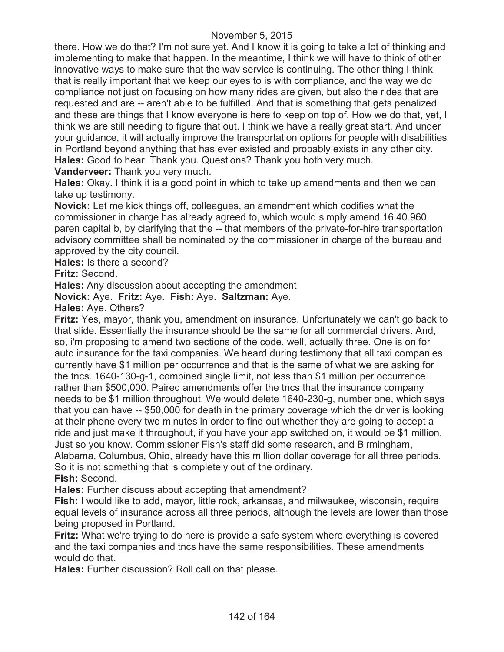there. How we do that? I'm not sure yet. And I know it is going to take a lot of thinking and implementing to make that happen. In the meantime, I think we will have to think of other innovative ways to make sure that the wav service is continuing. The other thing I think that is really important that we keep our eyes to is with compliance, and the way we do compliance not just on focusing on how many rides are given, but also the rides that are requested and are -- aren't able to be fulfilled. And that is something that gets penalized and these are things that I know everyone is here to keep on top of. How we do that, yet, I think we are still needing to figure that out. I think we have a really great start. And under your guidance, it will actually improve the transportation options for people with disabilities in Portland beyond anything that has ever existed and probably exists in any other city. **Hales:** Good to hear. Thank you. Questions? Thank you both very much.

**Vanderveer:** Thank you very much.

**Hales:** Okay. I think it is a good point in which to take up amendments and then we can take up testimony.

**Novick:** Let me kick things off, colleagues, an amendment which codifies what the commissioner in charge has already agreed to, which would simply amend 16.40.960 paren capital b, by clarifying that the -- that members of the private-for-hire transportation advisory committee shall be nominated by the commissioner in charge of the bureau and approved by the city council.

**Hales:** Is there a second?

**Fritz:** Second.

**Hales:** Any discussion about accepting the amendment

**Novick:** Aye. **Fritz:** Aye. **Fish:** Aye. **Saltzman:** Aye.

**Hales:** Aye. Others?

**Fritz:** Yes, mayor, thank you, amendment on insurance. Unfortunately we can't go back to that slide. Essentially the insurance should be the same for all commercial drivers. And, so, i'm proposing to amend two sections of the code, well, actually three. One is on for auto insurance for the taxi companies. We heard during testimony that all taxi companies currently have \$1 million per occurrence and that is the same of what we are asking for the tncs. 1640-130-g-1, combined single limit, not less than \$1 million per occurrence rather than \$500,000. Paired amendments offer the tncs that the insurance company needs to be \$1 million throughout. We would delete 1640-230-g, number one, which says that you can have -- \$50,000 for death in the primary coverage which the driver is looking at their phone every two minutes in order to find out whether they are going to accept a ride and just make it throughout, if you have your app switched on, it would be \$1 million. Just so you know. Commissioner Fish's staff did some research, and Birmingham, Alabama, Columbus, Ohio, already have this million dollar coverage for all three periods. So it is not something that is completely out of the ordinary. **Fish:** Second.

**Hales:** Further discuss about accepting that amendment?

**Fish:** I would like to add, mayor, little rock, arkansas, and milwaukee, wisconsin, require equal levels of insurance across all three periods, although the levels are lower than those being proposed in Portland.

**Fritz:** What we're trying to do here is provide a safe system where everything is covered and the taxi companies and tncs have the same responsibilities. These amendments would do that.

**Hales:** Further discussion? Roll call on that please.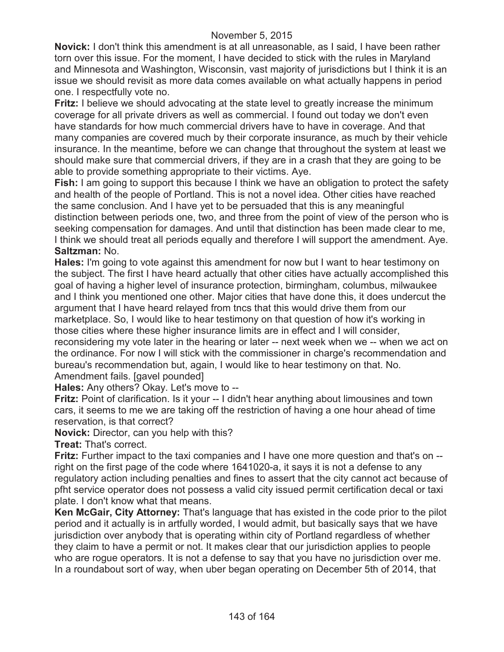**Novick:** I don't think this amendment is at all unreasonable, as I said, I have been rather torn over this issue. For the moment, I have decided to stick with the rules in Maryland and Minnesota and Washington, Wisconsin, vast majority of jurisdictions but I think it is an issue we should revisit as more data comes available on what actually happens in period one. I respectfully vote no.

**Fritz:** I believe we should advocating at the state level to greatly increase the minimum coverage for all private drivers as well as commercial. I found out today we don't even have standards for how much commercial drivers have to have in coverage. And that many companies are covered much by their corporate insurance, as much by their vehicle insurance. In the meantime, before we can change that throughout the system at least we should make sure that commercial drivers, if they are in a crash that they are going to be able to provide something appropriate to their victims. Aye.

**Fish:** I am going to support this because I think we have an obligation to protect the safety and health of the people of Portland. This is not a novel idea. Other cities have reached the same conclusion. And I have yet to be persuaded that this is any meaningful distinction between periods one, two, and three from the point of view of the person who is seeking compensation for damages. And until that distinction has been made clear to me, I think we should treat all periods equally and therefore I will support the amendment. Aye. **Saltzman:** No.

**Hales:** I'm going to vote against this amendment for now but I want to hear testimony on the subject. The first I have heard actually that other cities have actually accomplished this goal of having a higher level of insurance protection, birmingham, columbus, milwaukee and I think you mentioned one other. Major cities that have done this, it does undercut the argument that I have heard relayed from tncs that this would drive them from our marketplace. So, I would like to hear testimony on that question of how it's working in those cities where these higher insurance limits are in effect and I will consider, reconsidering my vote later in the hearing or later -- next week when we -- when we act on the ordinance. For now I will stick with the commissioner in charge's recommendation and bureau's recommendation but, again, I would like to hear testimony on that. No.

Amendment fails. [gavel pounded]

**Hales:** Any others? Okay. Let's move to --

**Fritz:** Point of clarification. Is it your -- I didn't hear anything about limousines and town cars, it seems to me we are taking off the restriction of having a one hour ahead of time reservation, is that correct?

**Novick:** Director, can you help with this?

**Treat:** That's correct.

**Fritz:** Further impact to the taxi companies and I have one more question and that's on - right on the first page of the code where 1641020-a, it says it is not a defense to any regulatory action including penalties and fines to assert that the city cannot act because of pfht service operator does not possess a valid city issued permit certification decal or taxi plate. I don't know what that means.

**Ken McGair, City Attorney:** That's language that has existed in the code prior to the pilot period and it actually is in artfully worded, I would admit, but basically says that we have jurisdiction over anybody that is operating within city of Portland regardless of whether they claim to have a permit or not. It makes clear that our jurisdiction applies to people who are rogue operators. It is not a defense to say that you have no jurisdiction over me. In a roundabout sort of way, when uber began operating on December 5th of 2014, that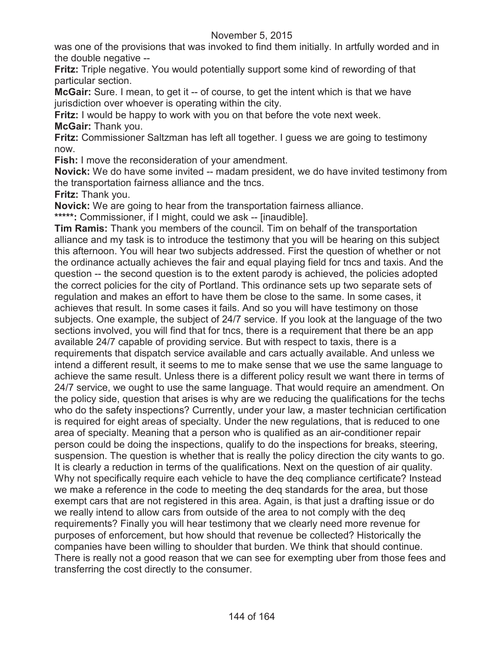was one of the provisions that was invoked to find them initially. In artfully worded and in the double negative --

**Fritz:** Triple negative. You would potentially support some kind of rewording of that particular section.

**McGair:** Sure. I mean, to get it -- of course, to get the intent which is that we have jurisdiction over whoever is operating within the city.

**Fritz:** I would be happy to work with you on that before the vote next week. **McGair:** Thank you.

**Fritz:** Commissioner Saltzman has left all together. I guess we are going to testimony now.

**Fish:** I move the reconsideration of your amendment.

**Novick:** We do have some invited -- madam president, we do have invited testimony from the transportation fairness alliance and the tncs.

**Fritz:** Thank you.

**Novick:** We are going to hear from the transportation fairness alliance.

**\*\*\*\*\*:** Commissioner, if I might, could we ask -- [inaudible].

**Tim Ramis:** Thank you members of the council. Tim on behalf of the transportation alliance and my task is to introduce the testimony that you will be hearing on this subject this afternoon. You will hear two subjects addressed. First the question of whether or not the ordinance actually achieves the fair and equal playing field for tncs and taxis. And the question -- the second question is to the extent parody is achieved, the policies adopted the correct policies for the city of Portland. This ordinance sets up two separate sets of regulation and makes an effort to have them be close to the same. In some cases, it achieves that result. In some cases it fails. And so you will have testimony on those subjects. One example, the subject of 24/7 service. If you look at the language of the two sections involved, you will find that for tncs, there is a requirement that there be an app available 24/7 capable of providing service. But with respect to taxis, there is a requirements that dispatch service available and cars actually available. And unless we intend a different result, it seems to me to make sense that we use the same language to achieve the same result. Unless there is a different policy result we want there in terms of 24/7 service, we ought to use the same language. That would require an amendment. On the policy side, question that arises is why are we reducing the qualifications for the techs who do the safety inspections? Currently, under your law, a master technician certification is required for eight areas of specialty. Under the new regulations, that is reduced to one area of specialty. Meaning that a person who is qualified as an air-conditioner repair person could be doing the inspections, qualify to do the inspections for breaks, steering, suspension. The question is whether that is really the policy direction the city wants to go. It is clearly a reduction in terms of the qualifications. Next on the question of air quality. Why not specifically require each vehicle to have the deq compliance certificate? Instead we make a reference in the code to meeting the deq standards for the area, but those exempt cars that are not registered in this area. Again, is that just a drafting issue or do we really intend to allow cars from outside of the area to not comply with the deq requirements? Finally you will hear testimony that we clearly need more revenue for purposes of enforcement, but how should that revenue be collected? Historically the companies have been willing to shoulder that burden. We think that should continue. There is really not a good reason that we can see for exempting uber from those fees and transferring the cost directly to the consumer.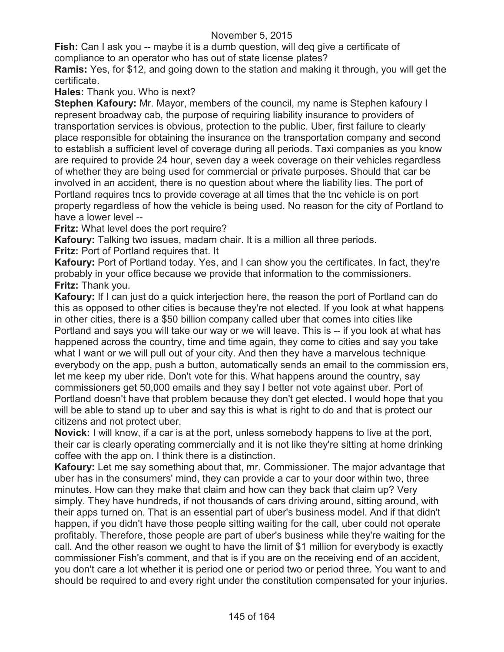**Fish:** Can I ask you -- maybe it is a dumb question, will deg give a certificate of compliance to an operator who has out of state license plates?

**Ramis:** Yes, for \$12, and going down to the station and making it through, you will get the certificate.

### **Hales:** Thank you. Who is next?

**Stephen Kafoury:** Mr. Mayor, members of the council, my name is Stephen kafoury I represent broadway cab, the purpose of requiring liability insurance to providers of transportation services is obvious, protection to the public. Uber, first failure to clearly place responsible for obtaining the insurance on the transportation company and second to establish a sufficient level of coverage during all periods. Taxi companies as you know are required to provide 24 hour, seven day a week coverage on their vehicles regardless of whether they are being used for commercial or private purposes. Should that car be involved in an accident, there is no question about where the liability lies. The port of Portland requires tncs to provide coverage at all times that the tnc vehicle is on port property regardless of how the vehicle is being used. No reason for the city of Portland to have a lower level --

**Fritz:** What level does the port require?

**Kafoury:** Talking two issues, madam chair. It is a million all three periods.

**Fritz:** Port of Portland requires that. It

**Kafoury:** Port of Portland today. Yes, and I can show you the certificates. In fact, they're probably in your office because we provide that information to the commissioners. **Fritz:** Thank you.

**Kafoury:** If I can just do a quick interjection here, the reason the port of Portland can do this as opposed to other cities is because they're not elected. If you look at what happens in other cities, there is a \$50 billion company called uber that comes into cities like Portland and says you will take our way or we will leave. This is -- if you look at what has happened across the country, time and time again, they come to cities and say you take what I want or we will pull out of your city. And then they have a marvelous technique everybody on the app, push a button, automatically sends an email to the commission ers, let me keep my uber ride. Don't vote for this. What happens around the country, say commissioners get 50,000 emails and they say I better not vote against uber. Port of Portland doesn't have that problem because they don't get elected. I would hope that you will be able to stand up to uber and say this is what is right to do and that is protect our citizens and not protect uber.

**Novick:** I will know, if a car is at the port, unless somebody happens to live at the port, their car is clearly operating commercially and it is not like they're sitting at home drinking coffee with the app on. I think there is a distinction.

**Kafoury:** Let me say something about that, mr. Commissioner. The major advantage that uber has in the consumers' mind, they can provide a car to your door within two, three minutes. How can they make that claim and how can they back that claim up? Very simply. They have hundreds, if not thousands of cars driving around, sitting around, with their apps turned on. That is an essential part of uber's business model. And if that didn't happen, if you didn't have those people sitting waiting for the call, uber could not operate profitably. Therefore, those people are part of uber's business while they're waiting for the call. And the other reason we ought to have the limit of \$1 million for everybody is exactly commissioner Fish's comment, and that is if you are on the receiving end of an accident, you don't care a lot whether it is period one or period two or period three. You want to and should be required to and every right under the constitution compensated for your injuries.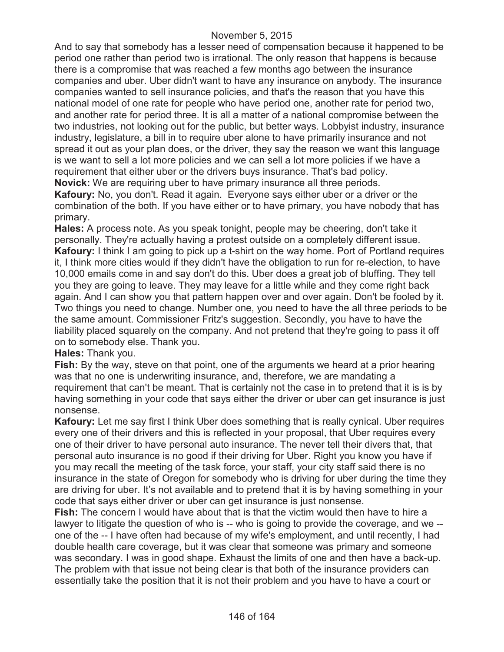And to say that somebody has a lesser need of compensation because it happened to be period one rather than period two is irrational. The only reason that happens is because there is a compromise that was reached a few months ago between the insurance companies and uber. Uber didn't want to have any insurance on anybody. The insurance companies wanted to sell insurance policies, and that's the reason that you have this national model of one rate for people who have period one, another rate for period two, and another rate for period three. It is all a matter of a national compromise between the two industries, not looking out for the public, but better ways. Lobbyist industry, insurance industry, legislature, a bill in to require uber alone to have primarily insurance and not spread it out as your plan does, or the driver, they say the reason we want this language is we want to sell a lot more policies and we can sell a lot more policies if we have a requirement that either uber or the drivers buys insurance. That's bad policy.

**Novick:** We are requiring uber to have primary insurance all three periods.

**Kafoury:** No, you don't. Read it again. Everyone says either uber or a driver or the combination of the both. If you have either or to have primary, you have nobody that has primary.

**Hales:** A process note. As you speak tonight, people may be cheering, don't take it personally. They're actually having a protest outside on a completely different issue. **Kafoury:** I think I am going to pick up a t-shirt on the way home. Port of Portland requires it, I think more cities would if they didn't have the obligation to run for re-election, to have 10,000 emails come in and say don't do this. Uber does a great job of bluffing. They tell you they are going to leave. They may leave for a little while and they come right back again. And I can show you that pattern happen over and over again. Don't be fooled by it. Two things you need to change. Number one, you need to have the all three periods to be the same amount. Commissioner Fritz's suggestion. Secondly, you have to have the liability placed squarely on the company. And not pretend that they're going to pass it off on to somebody else. Thank you.

### **Hales:** Thank you.

**Fish:** By the way, steve on that point, one of the arguments we heard at a prior hearing was that no one is underwriting insurance, and, therefore, we are mandating a requirement that can't be meant. That is certainly not the case in to pretend that it is is by having something in your code that says either the driver or uber can get insurance is just nonsense.

**Kafoury:** Let me say first I think Uber does something that is really cynical. Uber requires every one of their drivers and this is reflected in your proposal, that Uber requires every one of their driver to have personal auto insurance. The never tell their divers that, that personal auto insurance is no good if their driving for Uber. Right you know you have if you may recall the meeting of the task force, your staff, your city staff said there is no insurance in the state of Oregon for somebody who is driving for uber during the time they are driving for uber. It's not available and to pretend that it is by having something in your code that says either driver or uber can get insurance is just nonsense.

**Fish:** The concern I would have about that is that the victim would then have to hire a lawyer to litigate the question of who is -- who is going to provide the coverage, and we -one of the -- I have often had because of my wife's employment, and until recently, I had double health care coverage, but it was clear that someone was primary and someone was secondary. I was in good shape. Exhaust the limits of one and then have a back-up. The problem with that issue not being clear is that both of the insurance providers can essentially take the position that it is not their problem and you have to have a court or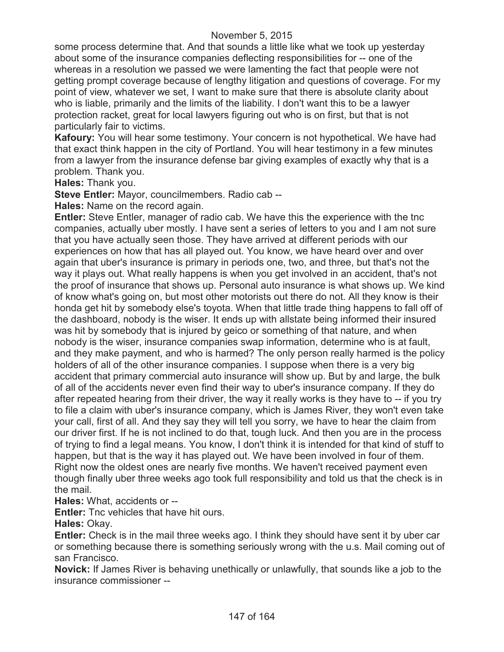some process determine that. And that sounds a little like what we took up yesterday about some of the insurance companies deflecting responsibilities for -- one of the whereas in a resolution we passed we were lamenting the fact that people were not getting prompt coverage because of lengthy litigation and questions of coverage. For my point of view, whatever we set, I want to make sure that there is absolute clarity about who is liable, primarily and the limits of the liability. I don't want this to be a lawyer protection racket, great for local lawyers figuring out who is on first, but that is not particularly fair to victims.

**Kafoury:** You will hear some testimony. Your concern is not hypothetical. We have had that exact think happen in the city of Portland. You will hear testimony in a few minutes from a lawyer from the insurance defense bar giving examples of exactly why that is a problem. Thank you.

**Hales:** Thank you.

**Steve Entler:** Mayor, councilmembers. Radio cab --

**Hales:** Name on the record again.

**Entler:** Steve Entler, manager of radio cab. We have this the experience with the tnc companies, actually uber mostly. I have sent a series of letters to you and I am not sure that you have actually seen those. They have arrived at different periods with our experiences on how that has all played out. You know, we have heard over and over again that uber's insurance is primary in periods one, two, and three, but that's not the way it plays out. What really happens is when you get involved in an accident, that's not the proof of insurance that shows up. Personal auto insurance is what shows up. We kind of know what's going on, but most other motorists out there do not. All they know is their honda get hit by somebody else's toyota. When that little trade thing happens to fall off of the dashboard, nobody is the wiser. It ends up with allstate being informed their insured was hit by somebody that is injured by geico or something of that nature, and when nobody is the wiser, insurance companies swap information, determine who is at fault, and they make payment, and who is harmed? The only person really harmed is the policy holders of all of the other insurance companies. I suppose when there is a very big accident that primary commercial auto insurance will show up. But by and large, the bulk of all of the accidents never even find their way to uber's insurance company. If they do after repeated hearing from their driver, the way it really works is they have to -- if you try to file a claim with uber's insurance company, which is James River, they won't even take your call, first of all. And they say they will tell you sorry, we have to hear the claim from our driver first. If he is not inclined to do that, tough luck. And then you are in the process of trying to find a legal means. You know, I don't think it is intended for that kind of stuff to happen, but that is the way it has played out. We have been involved in four of them. Right now the oldest ones are nearly five months. We haven't received payment even though finally uber three weeks ago took full responsibility and told us that the check is in the mail.

**Hales:** What, accidents or --

**Entler:** Tnc vehicles that have hit ours.

**Hales:** Okay.

**Entler:** Check is in the mail three weeks ago. I think they should have sent it by uber car or something because there is something seriously wrong with the u.s. Mail coming out of san Francisco.

**Novick:** If James River is behaving unethically or unlawfully, that sounds like a job to the insurance commissioner --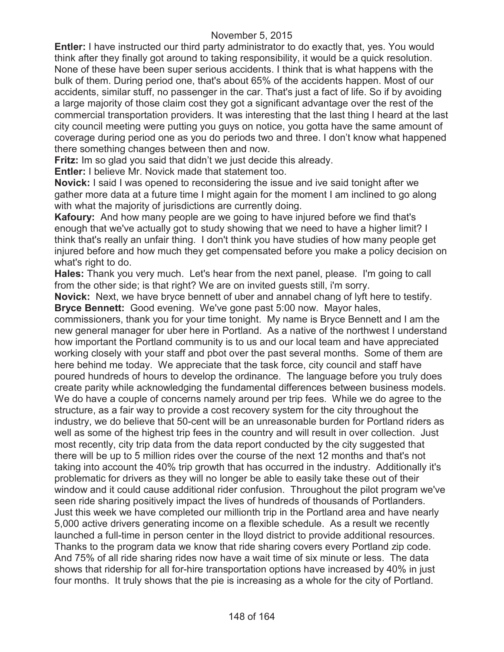**Entler:** I have instructed our third party administrator to do exactly that, yes. You would think after they finally got around to taking responsibility, it would be a quick resolution. None of these have been super serious accidents. I think that is what happens with the bulk of them. During period one, that's about 65% of the accidents happen. Most of our accidents, similar stuff, no passenger in the car. That's just a fact of life. So if by avoiding a large majority of those claim cost they got a significant advantage over the rest of the commercial transportation providers. It was interesting that the last thing I heard at the last city council meeting were putting you guys on notice, you gotta have the same amount of coverage during period one as you do periods two and three. I don't know what happened there something changes between then and now.

**Fritz:** Im so glad you said that didn't we just decide this already.

**Entler:** I believe Mr. Novick made that statement too.

**Novick:** I said I was opened to reconsidering the issue and ive said tonight after we gather more data at a future time I might again for the moment I am inclined to go along with what the majority of jurisdictions are currently doing.

**Kafoury:** And how many people are we going to have injured before we find that's enough that we've actually got to study showing that we need to have a higher limit? I think that's really an unfair thing. I don't think you have studies of how many people get injured before and how much they get compensated before you make a policy decision on what's right to do.

**Hales:** Thank you very much. Let's hear from the next panel, please. I'm going to call from the other side; is that right? We are on invited guests still, i'm sorry.

**Novick:** Next, we have bryce bennett of uber and annabel chang of lyft here to testify. **Bryce Bennett:** Good evening. We've gone past 5:00 now. Mayor hales,

commissioners, thank you for your time tonight. My name is Bryce Bennett and I am the new general manager for uber here in Portland. As a native of the northwest I understand how important the Portland community is to us and our local team and have appreciated working closely with your staff and pbot over the past several months. Some of them are here behind me today. We appreciate that the task force, city council and staff have poured hundreds of hours to develop the ordinance. The language before you truly does create parity while acknowledging the fundamental differences between business models. We do have a couple of concerns namely around per trip fees. While we do agree to the structure, as a fair way to provide a cost recovery system for the city throughout the industry, we do believe that 50-cent will be an unreasonable burden for Portland riders as well as some of the highest trip fees in the country and will result in over collection. Just most recently, city trip data from the data report conducted by the city suggested that there will be up to 5 million rides over the course of the next 12 months and that's not taking into account the 40% trip growth that has occurred in the industry. Additionally it's problematic for drivers as they will no longer be able to easily take these out of their window and it could cause additional rider confusion. Throughout the pilot program we've seen ride sharing positively impact the lives of hundreds of thousands of Portlanders. Just this week we have completed our millionth trip in the Portland area and have nearly 5,000 active drivers generating income on a flexible schedule. As a result we recently launched a full-time in person center in the lloyd district to provide additional resources. Thanks to the program data we know that ride sharing covers every Portland zip code. And 75% of all ride sharing rides now have a wait time of six minute or less. The data shows that ridership for all for-hire transportation options have increased by 40% in just four months. It truly shows that the pie is increasing as a whole for the city of Portland.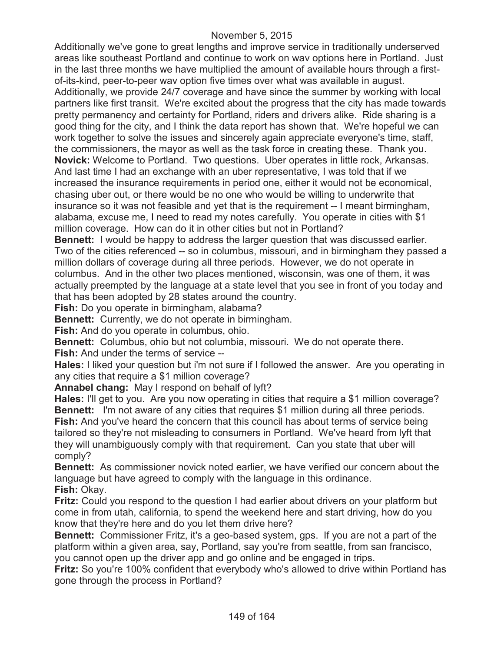Additionally we've gone to great lengths and improve service in traditionally underserved areas like southeast Portland and continue to work on wav options here in Portland. Just in the last three months we have multiplied the amount of available hours through a firstof-its-kind, peer-to-peer wav option five times over what was available in august. Additionally, we provide 24/7 coverage and have since the summer by working with local partners like first transit. We're excited about the progress that the city has made towards pretty permanency and certainty for Portland, riders and drivers alike. Ride sharing is a good thing for the city, and I think the data report has shown that. We're hopeful we can work together to solve the issues and sincerely again appreciate everyone's time, staff, the commissioners, the mayor as well as the task force in creating these. Thank you. **Novick:** Welcome to Portland. Two questions. Uber operates in little rock, Arkansas. And last time I had an exchange with an uber representative, I was told that if we increased the insurance requirements in period one, either it would not be economical, chasing uber out, or there would be no one who would be willing to underwrite that insurance so it was not feasible and yet that is the requirement -- I meant birmingham, alabama, excuse me, I need to read my notes carefully. You operate in cities with \$1 million coverage. How can do it in other cities but not in Portland?

**Bennett:** I would be happy to address the larger question that was discussed earlier. Two of the cities referenced -- so in columbus, missouri, and in birmingham they passed a million dollars of coverage during all three periods. However, we do not operate in columbus. And in the other two places mentioned, wisconsin, was one of them, it was actually preempted by the language at a state level that you see in front of you today and that has been adopted by 28 states around the country.

**Fish:** Do you operate in birmingham, alabama?

**Bennett:** Currently, we do not operate in birmingham.

**Fish:** And do you operate in columbus, ohio.

**Bennett:** Columbus, ohio but not columbia, missouri. We do not operate there.

**Fish:** And under the terms of service --

**Hales:** I liked your question but i'm not sure if I followed the answer. Are you operating in any cities that require a \$1 million coverage?

**Annabel chang:** May I respond on behalf of lyft?

**Hales:** I'll get to you. Are you now operating in cities that require a \$1 million coverage? **Bennett:** I'm not aware of any cities that requires \$1 million during all three periods. **Fish:** And you've heard the concern that this council has about terms of service being tailored so they're not misleading to consumers in Portland. We've heard from lyft that they will unambiguously comply with that requirement. Can you state that uber will comply?

**Bennett:** As commissioner novick noted earlier, we have verified our concern about the language but have agreed to comply with the language in this ordinance. **Fish:** Okay.

**Fritz:** Could you respond to the question I had earlier about drivers on your platform but come in from utah, california, to spend the weekend here and start driving, how do you know that they're here and do you let them drive here?

**Bennett:** Commissioner Fritz, it's a geo-based system, gps. If you are not a part of the platform within a given area, say, Portland, say you're from seattle, from san francisco, you cannot open up the driver app and go online and be engaged in trips.

**Fritz:** So you're 100% confident that everybody who's allowed to drive within Portland has gone through the process in Portland?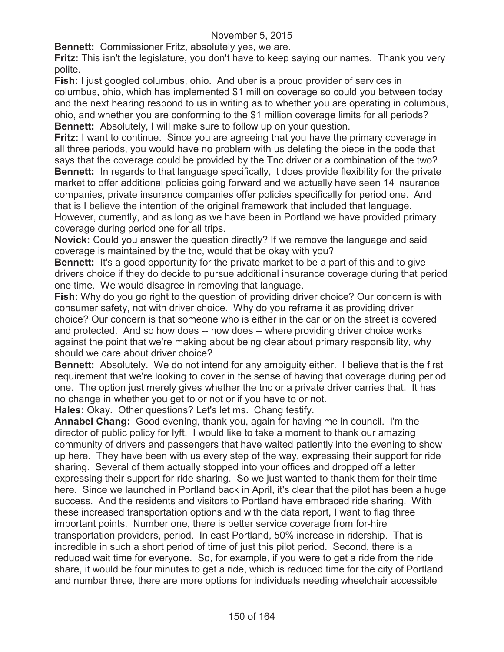**Bennett:** Commissioner Fritz, absolutely yes, we are.

**Fritz:** This isn't the legislature, you don't have to keep saying our names. Thank you very polite.

**Fish:** I just googled columbus, ohio. And uber is a proud provider of services in columbus, ohio, which has implemented \$1 million coverage so could you between today and the next hearing respond to us in writing as to whether you are operating in columbus, ohio, and whether you are conforming to the \$1 million coverage limits for all periods? **Bennett:** Absolutely, I will make sure to follow up on your question.

**Fritz:** I want to continue. Since you are agreeing that you have the primary coverage in all three periods, you would have no problem with us deleting the piece in the code that says that the coverage could be provided by the Tnc driver or a combination of the two? **Bennett:** In regards to that language specifically, it does provide flexibility for the private market to offer additional policies going forward and we actually have seen 14 insurance companies, private insurance companies offer policies specifically for period one. And that is I believe the intention of the original framework that included that language. However, currently, and as long as we have been in Portland we have provided primary

coverage during period one for all trips.

**Novick:** Could you answer the question directly? If we remove the language and said coverage is maintained by the tnc, would that be okay with you?

**Bennett:** It's a good opportunity for the private market to be a part of this and to give drivers choice if they do decide to pursue additional insurance coverage during that period one time. We would disagree in removing that language.

**Fish:** Why do you go right to the question of providing driver choice? Our concern is with consumer safety, not with driver choice. Why do you reframe it as providing driver choice? Our concern is that someone who is either in the car or on the street is covered and protected. And so how does -- how does -- where providing driver choice works against the point that we're making about being clear about primary responsibility, why should we care about driver choice?

**Bennett:** Absolutely. We do not intend for any ambiguity either. I believe that is the first requirement that we're looking to cover in the sense of having that coverage during period one. The option just merely gives whether the tnc or a private driver carries that. It has no change in whether you get to or not or if you have to or not.

**Hales:** Okay. Other questions? Let's let ms. Chang testify.

**Annabel Chang:** Good evening, thank you, again for having me in council. I'm the director of public policy for lyft. I would like to take a moment to thank our amazing community of drivers and passengers that have waited patiently into the evening to show up here. They have been with us every step of the way, expressing their support for ride sharing. Several of them actually stopped into your offices and dropped off a letter expressing their support for ride sharing. So we just wanted to thank them for their time here. Since we launched in Portland back in April, it's clear that the pilot has been a huge success. And the residents and visitors to Portland have embraced ride sharing. With these increased transportation options and with the data report, I want to flag three important points. Number one, there is better service coverage from for-hire transportation providers, period. In east Portland, 50% increase in ridership. That is incredible in such a short period of time of just this pilot period. Second, there is a reduced wait time for everyone. So, for example, if you were to get a ride from the ride share, it would be four minutes to get a ride, which is reduced time for the city of Portland and number three, there are more options for individuals needing wheelchair accessible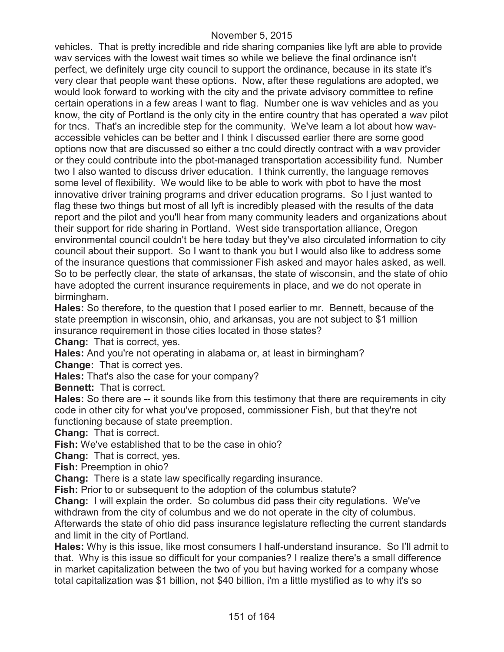vehicles. That is pretty incredible and ride sharing companies like lyft are able to provide wav services with the lowest wait times so while we believe the final ordinance isn't perfect, we definitely urge city council to support the ordinance, because in its state it's very clear that people want these options. Now, after these regulations are adopted, we would look forward to working with the city and the private advisory committee to refine certain operations in a few areas I want to flag. Number one is wav vehicles and as you know, the city of Portland is the only city in the entire country that has operated a wav pilot for tncs. That's an incredible step for the community. We've learn a lot about how wavaccessible vehicles can be better and I think I discussed earlier there are some good options now that are discussed so either a tnc could directly contract with a wav provider or they could contribute into the pbot-managed transportation accessibility fund. Number two I also wanted to discuss driver education. I think currently, the language removes some level of flexibility. We would like to be able to work with pbot to have the most innovative driver training programs and driver education programs. So I just wanted to flag these two things but most of all lyft is incredibly pleased with the results of the data report and the pilot and you'll hear from many community leaders and organizations about their support for ride sharing in Portland. West side transportation alliance, Oregon environmental council couldn't be here today but they've also circulated information to city council about their support. So I want to thank you but I would also like to address some of the insurance questions that commissioner Fish asked and mayor hales asked, as well. So to be perfectly clear, the state of arkansas, the state of wisconsin, and the state of ohio have adopted the current insurance requirements in place, and we do not operate in birmingham.

**Hales:** So therefore, to the question that I posed earlier to mr. Bennett, because of the state preemption in wisconsin, ohio, and arkansas, you are not subject to \$1 million insurance requirement in those cities located in those states?

**Chang:** That is correct, yes.

**Hales:** And you're not operating in alabama or, at least in birmingham?

**Change:** That is correct yes.

**Hales:** That's also the case for your company?

**Bennett:** That is correct.

**Hales:** So there are -- it sounds like from this testimony that there are requirements in city code in other city for what you've proposed, commissioner Fish, but that they're not functioning because of state preemption.

**Chang:** That is correct.

**Fish:** We've established that to be the case in ohio?

**Chang:** That is correct, yes.

**Fish:** Preemption in ohio?

**Chang:** There is a state law specifically regarding insurance.

**Fish:** Prior to or subsequent to the adoption of the columbus statute?

**Chang:** I will explain the order. So columbus did pass their city regulations. We've withdrawn from the city of columbus and we do not operate in the city of columbus. Afterwards the state of ohio did pass insurance legislature reflecting the current standards and limit in the city of Portland.

**Hales:** Why is this issue, like most consumers I half-understand insurance. So I'll admit to that. Why is this issue so difficult for your companies? I realize there's a small difference in market capitalization between the two of you but having worked for a company whose total capitalization was \$1 billion, not \$40 billion, i'm a little mystified as to why it's so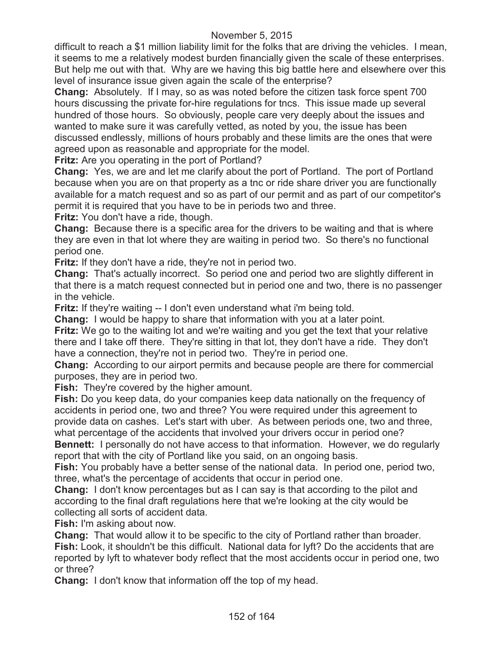difficult to reach a \$1 million liability limit for the folks that are driving the vehicles. I mean, it seems to me a relatively modest burden financially given the scale of these enterprises. But help me out with that. Why are we having this big battle here and elsewhere over this level of insurance issue given again the scale of the enterprise?

**Chang:** Absolutely. If I may, so as was noted before the citizen task force spent 700 hours discussing the private for-hire regulations for tncs. This issue made up several hundred of those hours. So obviously, people care very deeply about the issues and wanted to make sure it was carefully vetted, as noted by you, the issue has been discussed endlessly, millions of hours probably and these limits are the ones that were agreed upon as reasonable and appropriate for the model.

**Fritz:** Are you operating in the port of Portland?

**Chang:** Yes, we are and let me clarify about the port of Portland. The port of Portland because when you are on that property as a tnc or ride share driver you are functionally available for a match request and so as part of our permit and as part of our competitor's permit it is required that you have to be in periods two and three.

**Fritz:** You don't have a ride, though.

**Chang:** Because there is a specific area for the drivers to be waiting and that is where they are even in that lot where they are waiting in period two. So there's no functional period one.

**Fritz:** If they don't have a ride, they're not in period two.

**Chang:** That's actually incorrect. So period one and period two are slightly different in that there is a match request connected but in period one and two, there is no passenger in the vehicle.

**Fritz:** If they're waiting -- I don't even understand what i'm being told.

**Chang:** I would be happy to share that information with you at a later point.

**Fritz:** We go to the waiting lot and we're waiting and you get the text that your relative there and I take off there. They're sitting in that lot, they don't have a ride. They don't have a connection, they're not in period two. They're in period one.

**Chang:** According to our airport permits and because people are there for commercial purposes, they are in period two.

**Fish:** They're covered by the higher amount.

**Fish:** Do you keep data, do your companies keep data nationally on the frequency of accidents in period one, two and three? You were required under this agreement to provide data on cashes. Let's start with uber. As between periods one, two and three, what percentage of the accidents that involved your drivers occur in period one?

**Bennett:** I personally do not have access to that information. However, we do regularly report that with the city of Portland like you said, on an ongoing basis.

**Fish:** You probably have a better sense of the national data. In period one, period two, three, what's the percentage of accidents that occur in period one.

**Chang:** I don't know percentages but as I can say is that according to the pilot and according to the final draft regulations here that we're looking at the city would be collecting all sorts of accident data.

**Fish:** I'm asking about now.

**Chang:** That would allow it to be specific to the city of Portland rather than broader. **Fish:** Look, it shouldn't be this difficult. National data for lyft? Do the accidents that are reported by lyft to whatever body reflect that the most accidents occur in period one, two or three?

**Chang:** I don't know that information off the top of my head.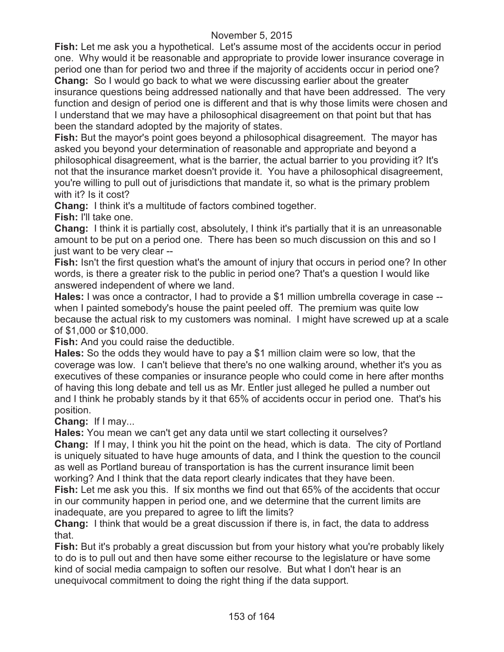**Fish:** Let me ask you a hypothetical. Let's assume most of the accidents occur in period one. Why would it be reasonable and appropriate to provide lower insurance coverage in period one than for period two and three if the majority of accidents occur in period one? **Chang:** So I would go back to what we were discussing earlier about the greater

insurance questions being addressed nationally and that have been addressed. The very function and design of period one is different and that is why those limits were chosen and I understand that we may have a philosophical disagreement on that point but that has been the standard adopted by the majority of states.

**Fish:** But the mayor's point goes beyond a philosophical disagreement. The mayor has asked you beyond your determination of reasonable and appropriate and beyond a philosophical disagreement, what is the barrier, the actual barrier to you providing it? It's not that the insurance market doesn't provide it. You have a philosophical disagreement, you're willing to pull out of jurisdictions that mandate it, so what is the primary problem with it? Is it cost?

**Chang:** I think it's a multitude of factors combined together.

**Fish:** I'll take one.

**Chang:** I think it is partially cost, absolutely, I think it's partially that it is an unreasonable amount to be put on a period one. There has been so much discussion on this and so I just want to be very clear --

**Fish:** Isn't the first question what's the amount of injury that occurs in period one? In other words, is there a greater risk to the public in period one? That's a question I would like answered independent of where we land.

**Hales:** I was once a contractor, I had to provide a \$1 million umbrella coverage in case - when I painted somebody's house the paint peeled off. The premium was quite low because the actual risk to my customers was nominal. I might have screwed up at a scale of \$1,000 or \$10,000.

**Fish:** And you could raise the deductible.

**Hales:** So the odds they would have to pay a \$1 million claim were so low, that the coverage was low. I can't believe that there's no one walking around, whether it's you as executives of these companies or insurance people who could come in here after months of having this long debate and tell us as Mr. Entler just alleged he pulled a number out and I think he probably stands by it that 65% of accidents occur in period one. That's his position.

**Chang:** If I may...

**Hales:** You mean we can't get any data until we start collecting it ourselves?

**Chang:** If I may, I think you hit the point on the head, which is data. The city of Portland is uniquely situated to have huge amounts of data, and I think the question to the council as well as Portland bureau of transportation is has the current insurance limit been working? And I think that the data report clearly indicates that they have been.

**Fish:** Let me ask you this. If six months we find out that 65% of the accidents that occur in our community happen in period one, and we determine that the current limits are inadequate, are you prepared to agree to lift the limits?

**Chang:** I think that would be a great discussion if there is, in fact, the data to address that.

**Fish:** But it's probably a great discussion but from your history what you're probably likely to do is to pull out and then have some either recourse to the legislature or have some kind of social media campaign to soften our resolve. But what I don't hear is an unequivocal commitment to doing the right thing if the data support.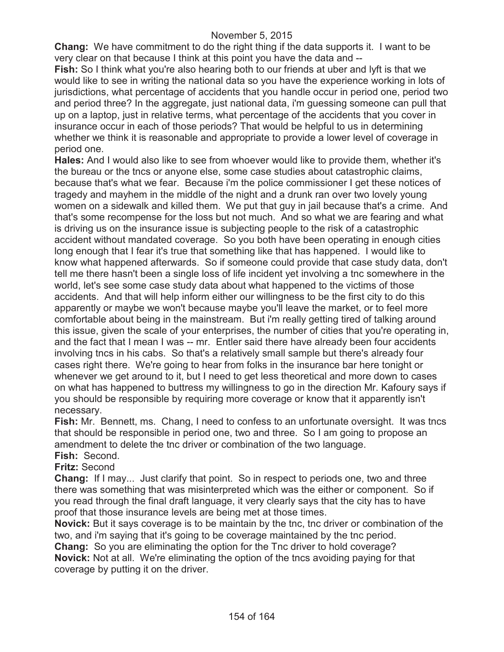**Chang:** We have commitment to do the right thing if the data supports it. I want to be very clear on that because I think at this point you have the data and --

**Fish:** So I think what you're also hearing both to our friends at uber and lyft is that we would like to see in writing the national data so you have the experience working in lots of jurisdictions, what percentage of accidents that you handle occur in period one, period two and period three? In the aggregate, just national data, i'm guessing someone can pull that up on a laptop, just in relative terms, what percentage of the accidents that you cover in insurance occur in each of those periods? That would be helpful to us in determining whether we think it is reasonable and appropriate to provide a lower level of coverage in period one.

**Hales:** And I would also like to see from whoever would like to provide them, whether it's the bureau or the tncs or anyone else, some case studies about catastrophic claims, because that's what we fear. Because i'm the police commissioner I get these notices of tragedy and mayhem in the middle of the night and a drunk ran over two lovely young women on a sidewalk and killed them. We put that guy in jail because that's a crime. And that's some recompense for the loss but not much. And so what we are fearing and what is driving us on the insurance issue is subjecting people to the risk of a catastrophic accident without mandated coverage. So you both have been operating in enough cities long enough that I fear it's true that something like that has happened. I would like to know what happened afterwards. So if someone could provide that case study data, don't tell me there hasn't been a single loss of life incident yet involving a tnc somewhere in the world, let's see some case study data about what happened to the victims of those accidents. And that will help inform either our willingness to be the first city to do this apparently or maybe we won't because maybe you'll leave the market, or to feel more comfortable about being in the mainstream. But i'm really getting tired of talking around this issue, given the scale of your enterprises, the number of cities that you're operating in, and the fact that I mean I was -- mr. Entler said there have already been four accidents involving tncs in his cabs. So that's a relatively small sample but there's already four cases right there. We're going to hear from folks in the insurance bar here tonight or whenever we get around to it, but I need to get less theoretical and more down to cases on what has happened to buttress my willingness to go in the direction Mr. Kafoury says if you should be responsible by requiring more coverage or know that it apparently isn't necessary.

**Fish:** Mr. Bennett, ms. Chang, I need to confess to an unfortunate oversight. It was tncs that should be responsible in period one, two and three. So I am going to propose an amendment to delete the tnc driver or combination of the two language.

# **Fish:** Second.

# **Fritz:** Second

**Chang:** If I may... Just clarify that point. So in respect to periods one, two and three there was something that was misinterpreted which was the either or component. So if you read through the final draft language, it very clearly says that the city has to have proof that those insurance levels are being met at those times.

**Novick:** But it says coverage is to be maintain by the tnc, tnc driver or combination of the two, and i'm saying that it's going to be coverage maintained by the tnc period.

**Chang:** So you are eliminating the option for the Tnc driver to hold coverage? **Novick:** Not at all. We're eliminating the option of the tncs avoiding paying for that coverage by putting it on the driver.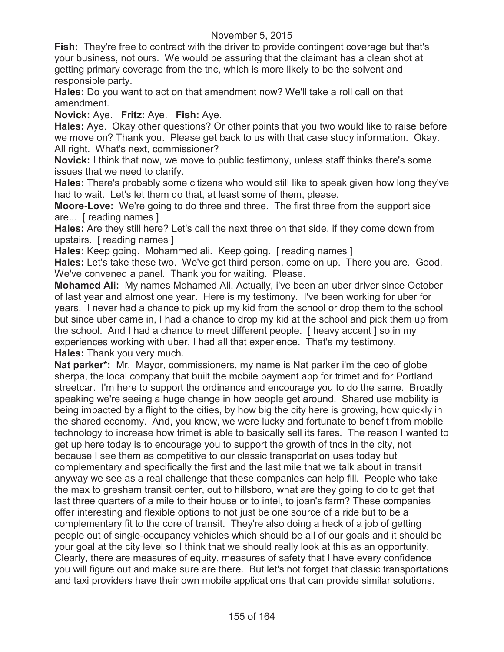**Fish:** They're free to contract with the driver to provide contingent coverage but that's your business, not ours. We would be assuring that the claimant has a clean shot at getting primary coverage from the tnc, which is more likely to be the solvent and responsible party.

**Hales:** Do you want to act on that amendment now? We'll take a roll call on that amendment.

**Novick:** Aye. **Fritz:** Aye. **Fish:** Aye.

**Hales:** Aye. Okay other questions? Or other points that you two would like to raise before we move on? Thank you. Please get back to us with that case study information. Okay. All right. What's next, commissioner?

**Novick:** I think that now, we move to public testimony, unless staff thinks there's some issues that we need to clarify.

**Hales:** There's probably some citizens who would still like to speak given how long they've had to wait. Let's let them do that, at least some of them, please.

**Moore-Love:** We're going to do three and three. The first three from the support side are... [ reading names ]

**Hales:** Are they still here? Let's call the next three on that side, if they come down from upstairs. [ reading names ]

**Hales:** Keep going. Mohammed ali. Keep going. [ reading names ]

**Hales:** Let's take these two. We've got third person, come on up. There you are. Good. We've convened a panel. Thank you for waiting. Please.

**Mohamed Ali:** My names Mohamed Ali. Actually, i've been an uber driver since October of last year and almost one year. Here is my testimony. I've been working for uber for years. I never had a chance to pick up my kid from the school or drop them to the school but since uber came in, I had a chance to drop my kid at the school and pick them up from the school. And I had a chance to meet different people. [ heavy accent ] so in my experiences working with uber, I had all that experience. That's my testimony. **Hales:** Thank you very much.

**Nat parker\*:** Mr. Mayor, commissioners, my name is Nat parker i'm the ceo of globe sherpa, the local company that built the mobile payment app for trimet and for Portland streetcar. I'm here to support the ordinance and encourage you to do the same. Broadly speaking we're seeing a huge change in how people get around. Shared use mobility is being impacted by a flight to the cities, by how big the city here is growing, how quickly in the shared economy. And, you know, we were lucky and fortunate to benefit from mobile technology to increase how trimet is able to basically sell its fares. The reason I wanted to get up here today is to encourage you to support the growth of tncs in the city, not because I see them as competitive to our classic transportation uses today but complementary and specifically the first and the last mile that we talk about in transit anyway we see as a real challenge that these companies can help fill. People who take the max to gresham transit center, out to hillsboro, what are they going to do to get that last three quarters of a mile to their house or to intel, to joan's farm? These companies offer interesting and flexible options to not just be one source of a ride but to be a complementary fit to the core of transit. They're also doing a heck of a job of getting people out of single-occupancy vehicles which should be all of our goals and it should be your goal at the city level so I think that we should really look at this as an opportunity. Clearly, there are measures of equity, measures of safety that I have every confidence you will figure out and make sure are there. But let's not forget that classic transportations and taxi providers have their own mobile applications that can provide similar solutions.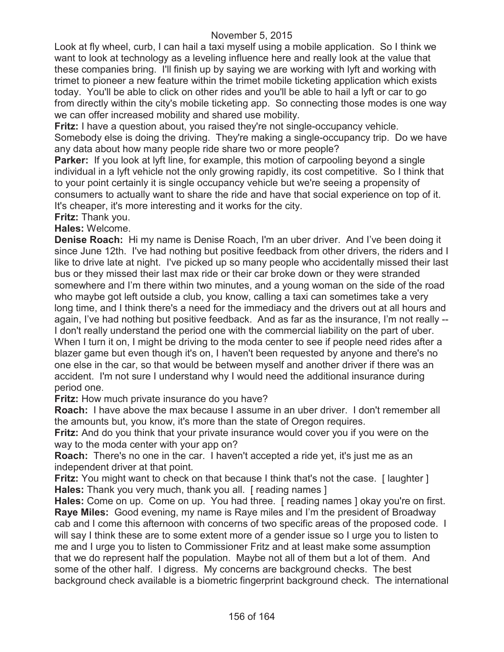Look at fly wheel, curb, I can hail a taxi myself using a mobile application. So I think we want to look at technology as a leveling influence here and really look at the value that these companies bring. I'll finish up by saying we are working with lyft and working with trimet to pioneer a new feature within the trimet mobile ticketing application which exists today. You'll be able to click on other rides and you'll be able to hail a lyft or car to go from directly within the city's mobile ticketing app. So connecting those modes is one way we can offer increased mobility and shared use mobility.

**Fritz:** I have a question about, you raised they're not single-occupancy vehicle. Somebody else is doing the driving. They're making a single-occupancy trip. Do we have any data about how many people ride share two or more people?

**Parker:** If you look at lyft line, for example, this motion of carpooling beyond a single individual in a lyft vehicle not the only growing rapidly, its cost competitive. So I think that to your point certainly it is single occupancy vehicle but we're seeing a propensity of consumers to actually want to share the ride and have that social experience on top of it. It's cheaper, it's more interesting and it works for the city.

**Fritz:** Thank you.

# **Hales:** Welcome.

**Denise Roach:** Hi my name is Denise Roach, I'm an uber driver. And I've been doing it since June 12th. I've had nothing but positive feedback from other drivers, the riders and I like to drive late at night. I've picked up so many people who accidentally missed their last bus or they missed their last max ride or their car broke down or they were stranded somewhere and I'm there within two minutes, and a young woman on the side of the road who maybe got left outside a club, you know, calling a taxi can sometimes take a very long time, and I think there's a need for the immediacy and the drivers out at all hours and again, I've had nothing but positive feedback. And as far as the insurance, I'm not really -- I don't really understand the period one with the commercial liability on the part of uber. When I turn it on, I might be driving to the moda center to see if people need rides after a blazer game but even though it's on, I haven't been requested by anyone and there's no one else in the car, so that would be between myself and another driver if there was an accident. I'm not sure I understand why I would need the additional insurance during period one.

**Fritz:** How much private insurance do you have?

**Roach:** I have above the max because I assume in an uber driver. I don't remember all the amounts but, you know, it's more than the state of Oregon requires.

**Fritz:** And do you think that your private insurance would cover you if you were on the way to the moda center with your app on?

**Roach:** There's no one in the car. I haven't accepted a ride yet, it's just me as an independent driver at that point.

**Fritz:** You might want to check on that because I think that's not the case. [ laughter ] **Hales:** Thank you very much, thank you all. [ reading names ]

**Hales:** Come on up. Come on up. You had three. [ reading names ] okay you're on first. **Raye Miles:** Good evening, my name is Raye miles and I'm the president of Broadway cab and I come this afternoon with concerns of two specific areas of the proposed code. I will say I think these are to some extent more of a gender issue so I urge you to listen to me and I urge you to listen to Commissioner Fritz and at least make some assumption that we do represent half the population. Maybe not all of them but a lot of them. And some of the other half. I digress. My concerns are background checks. The best background check available is a biometric fingerprint background check. The international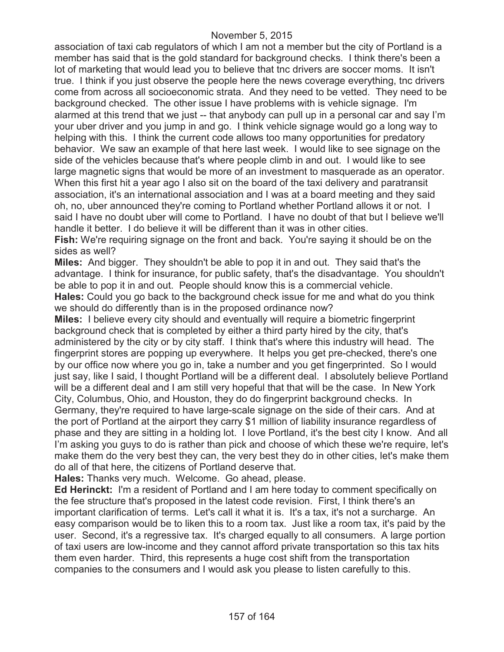association of taxi cab regulators of which I am not a member but the city of Portland is a member has said that is the gold standard for background checks. I think there's been a lot of marketing that would lead you to believe that tnc drivers are soccer moms. It isn't true. I think if you just observe the people here the news coverage everything, tnc drivers come from across all socioeconomic strata. And they need to be vetted. They need to be background checked. The other issue I have problems with is vehicle signage. I'm alarmed at this trend that we just -- that anybody can pull up in a personal car and say I'm your uber driver and you jump in and go. I think vehicle signage would go a long way to helping with this. I think the current code allows too many opportunities for predatory behavior. We saw an example of that here last week. I would like to see signage on the side of the vehicles because that's where people climb in and out. I would like to see large magnetic signs that would be more of an investment to masquerade as an operator. When this first hit a year ago I also sit on the board of the taxi delivery and paratransit association, it's an international association and I was at a board meeting and they said oh, no, uber announced they're coming to Portland whether Portland allows it or not. I said I have no doubt uber will come to Portland. I have no doubt of that but I believe we'll handle it better. I do believe it will be different than it was in other cities.

**Fish:** We're requiring signage on the front and back. You're saying it should be on the sides as well?

**Miles:** And bigger. They shouldn't be able to pop it in and out. They said that's the advantage. I think for insurance, for public safety, that's the disadvantage. You shouldn't be able to pop it in and out. People should know this is a commercial vehicle. **Hales:** Could you go back to the background check issue for me and what do you think we should do differently than is in the proposed ordinance now?

**Miles:** I believe every city should and eventually will require a biometric fingerprint background check that is completed by either a third party hired by the city, that's administered by the city or by city staff. I think that's where this industry will head. The fingerprint stores are popping up everywhere. It helps you get pre-checked, there's one by our office now where you go in, take a number and you get fingerprinted. So I would just say, like I said, I thought Portland will be a different deal. I absolutely believe Portland will be a different deal and I am still very hopeful that that will be the case. In New York City, Columbus, Ohio, and Houston, they do do fingerprint background checks. In Germany, they're required to have large-scale signage on the side of their cars. And at the port of Portland at the airport they carry \$1 million of liability insurance regardless of phase and they are sitting in a holding lot. I love Portland, it's the best city I know. And all I'm asking you guys to do is rather than pick and choose of which these we're require, let's make them do the very best they can, the very best they do in other cities, let's make them do all of that here, the citizens of Portland deserve that.

**Hales:** Thanks very much. Welcome. Go ahead, please.

**Ed Herinckt:** I'm a resident of Portland and I am here today to comment specifically on the fee structure that's proposed in the latest code revision. First, I think there's an important clarification of terms. Let's call it what it is. It's a tax, it's not a surcharge. An easy comparison would be to liken this to a room tax. Just like a room tax, it's paid by the user. Second, it's a regressive tax. It's charged equally to all consumers. A large portion of taxi users are low-income and they cannot afford private transportation so this tax hits them even harder. Third, this represents a huge cost shift from the transportation companies to the consumers and I would ask you please to listen carefully to this.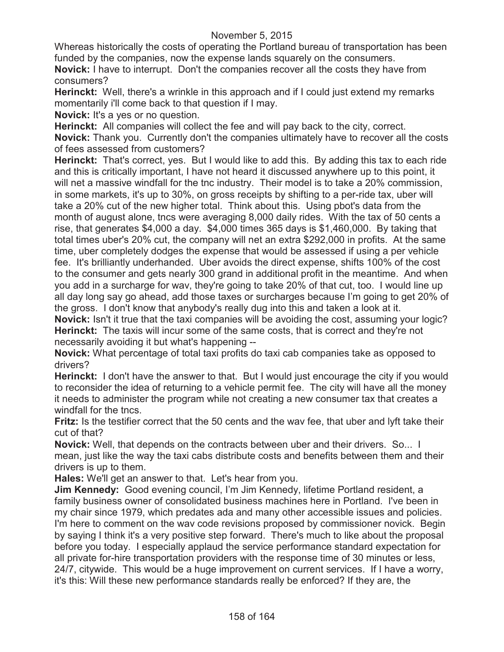Whereas historically the costs of operating the Portland bureau of transportation has been funded by the companies, now the expense lands squarely on the consumers.

**Novick:** I have to interrupt. Don't the companies recover all the costs they have from consumers?

**Herinckt:** Well, there's a wrinkle in this approach and if I could just extend my remarks momentarily i'll come back to that question if I may.

**Novick:** It's a yes or no question.

**Herinckt:** All companies will collect the fee and will pay back to the city, correct. **Novick:** Thank you. Currently don't the companies ultimately have to recover all the costs of fees assessed from customers?

**Herinckt:** That's correct, yes. But I would like to add this. By adding this tax to each ride and this is critically important, I have not heard it discussed anywhere up to this point, it will net a massive windfall for the tnc industry. Their model is to take a 20% commission, in some markets, it's up to 30%, on gross receipts by shifting to a per-ride tax, uber will take a 20% cut of the new higher total. Think about this. Using pbot's data from the month of august alone, tncs were averaging 8,000 daily rides. With the tax of 50 cents a rise, that generates \$4,000 a day. \$4,000 times 365 days is \$1,460,000. By taking that total times uber's 20% cut, the company will net an extra \$292,000 in profits. At the same time, uber completely dodges the expense that would be assessed if using a per vehicle fee. It's brilliantly underhanded. Uber avoids the direct expense, shifts 100% of the cost to the consumer and gets nearly 300 grand in additional profit in the meantime. And when you add in a surcharge for wav, they're going to take 20% of that cut, too. I would line up all day long say go ahead, add those taxes or surcharges because I'm going to get 20% of the gross. I don't know that anybody's really dug into this and taken a look at it.

**Novick:** Isn't it true that the taxi companies will be avoiding the cost, assuming your logic? **Herinckt:** The taxis will incur some of the same costs, that is correct and they're not necessarily avoiding it but what's happening --

**Novick:** What percentage of total taxi profits do taxi cab companies take as opposed to drivers?

**Herinckt:** I don't have the answer to that. But I would just encourage the city if you would to reconsider the idea of returning to a vehicle permit fee. The city will have all the money it needs to administer the program while not creating a new consumer tax that creates a windfall for the tncs.

**Fritz:** Is the testifier correct that the 50 cents and the wav fee, that uber and lyft take their cut of that?

**Novick:** Well, that depends on the contracts between uber and their drivers. So... I mean, just like the way the taxi cabs distribute costs and benefits between them and their drivers is up to them.

**Hales:** We'll get an answer to that. Let's hear from you.

**Jim Kennedy:** Good evening council, I'm Jim Kennedy, lifetime Portland resident, a family business owner of consolidated business machines here in Portland. I've been in my chair since 1979, which predates ada and many other accessible issues and policies. I'm here to comment on the wav code revisions proposed by commissioner novick. Begin by saying I think it's a very positive step forward. There's much to like about the proposal before you today. I especially applaud the service performance standard expectation for all private for-hire transportation providers with the response time of 30 minutes or less, 24/7, citywide. This would be a huge improvement on current services. If I have a worry, it's this: Will these new performance standards really be enforced? If they are, the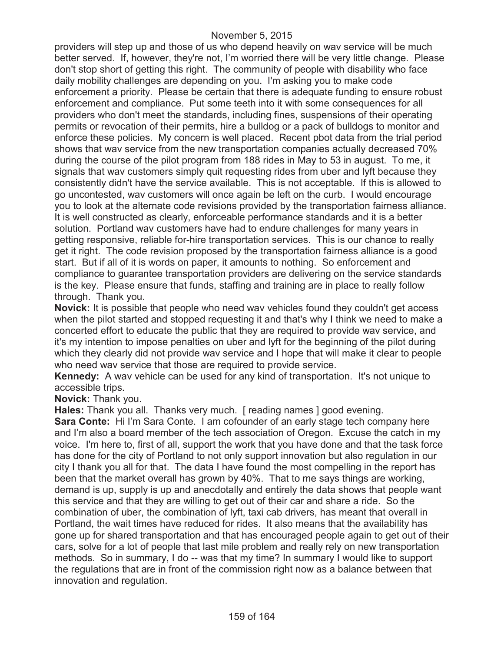providers will step up and those of us who depend heavily on wav service will be much better served. If, however, they're not, I'm worried there will be very little change. Please don't stop short of getting this right. The community of people with disability who face daily mobility challenges are depending on you. I'm asking you to make code enforcement a priority. Please be certain that there is adequate funding to ensure robust enforcement and compliance. Put some teeth into it with some consequences for all providers who don't meet the standards, including fines, suspensions of their operating permits or revocation of their permits, hire a bulldog or a pack of bulldogs to monitor and enforce these policies. My concern is well placed. Recent pbot data from the trial period shows that wav service from the new transportation companies actually decreased 70% during the course of the pilot program from 188 rides in May to 53 in august. To me, it signals that wav customers simply quit requesting rides from uber and lyft because they consistently didn't have the service available. This is not acceptable. If this is allowed to go uncontested, wav customers will once again be left on the curb. I would encourage you to look at the alternate code revisions provided by the transportation fairness alliance. It is well constructed as clearly, enforceable performance standards and it is a better solution. Portland wav customers have had to endure challenges for many years in getting responsive, reliable for-hire transportation services. This is our chance to really get it right. The code revision proposed by the transportation fairness alliance is a good start. But if all of it is words on paper, it amounts to nothing. So enforcement and compliance to guarantee transportation providers are delivering on the service standards is the key. Please ensure that funds, staffing and training are in place to really follow through. Thank you.

**Novick:** It is possible that people who need wav vehicles found they couldn't get access when the pilot started and stopped requesting it and that's why I think we need to make a concerted effort to educate the public that they are required to provide wav service, and it's my intention to impose penalties on uber and lyft for the beginning of the pilot during which they clearly did not provide wav service and I hope that will make it clear to people who need wav service that those are required to provide service.

**Kennedy:** A wav vehicle can be used for any kind of transportation. It's not unique to accessible trips.

**Novick:** Thank you.

**Hales:** Thank you all. Thanks very much. [ reading names ] good evening.

**Sara Conte:** Hi I'm Sara Conte. I am cofounder of an early stage tech company here and I'm also a board member of the tech association of Oregon. Excuse the catch in my voice. I'm here to, first of all, support the work that you have done and that the task force has done for the city of Portland to not only support innovation but also regulation in our city I thank you all for that. The data I have found the most compelling in the report has been that the market overall has grown by 40%. That to me says things are working, demand is up, supply is up and anecdotally and entirely the data shows that people want this service and that they are willing to get out of their car and share a ride. So the combination of uber, the combination of lyft, taxi cab drivers, has meant that overall in Portland, the wait times have reduced for rides. It also means that the availability has gone up for shared transportation and that has encouraged people again to get out of their cars, solve for a lot of people that last mile problem and really rely on new transportation methods. So in summary, I do -- was that my time? In summary I would like to support the regulations that are in front of the commission right now as a balance between that innovation and regulation.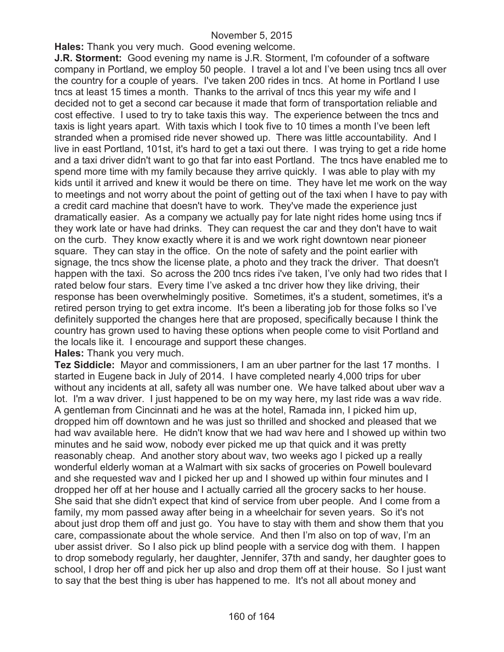**Hales:** Thank you very much. Good evening welcome.

**J.R. Storment:** Good evening my name is J.R. Storment, I'm cofounder of a software company in Portland, we employ 50 people. I travel a lot and I've been using tncs all over the country for a couple of years. I've taken 200 rides in tncs. At home in Portland I use tncs at least 15 times a month. Thanks to the arrival of tncs this year my wife and I decided not to get a second car because it made that form of transportation reliable and cost effective. I used to try to take taxis this way. The experience between the tncs and taxis is light years apart. With taxis which I took five to 10 times a month I've been left stranded when a promised ride never showed up. There was little accountability. And I live in east Portland, 101st, it's hard to get a taxi out there. I was trying to get a ride home and a taxi driver didn't want to go that far into east Portland. The tncs have enabled me to spend more time with my family because they arrive quickly. I was able to play with my kids until it arrived and knew it would be there on time. They have let me work on the way to meetings and not worry about the point of getting out of the taxi when I have to pay with a credit card machine that doesn't have to work. They've made the experience just dramatically easier. As a company we actually pay for late night rides home using tncs if they work late or have had drinks. They can request the car and they don't have to wait on the curb. They know exactly where it is and we work right downtown near pioneer square. They can stay in the office. On the note of safety and the point earlier with signage, the tncs show the license plate, a photo and they track the driver. That doesn't happen with the taxi. So across the 200 tncs rides i've taken, I've only had two rides that I rated below four stars. Every time I've asked a tnc driver how they like driving, their response has been overwhelmingly positive. Sometimes, it's a student, sometimes, it's a retired person trying to get extra income. It's been a liberating job for those folks so I've definitely supported the changes here that are proposed, specifically because I think the country has grown used to having these options when people come to visit Portland and the locals like it. I encourage and support these changes.

**Hales:** Thank you very much.

**Tez Siddicle:** Mayor and commissioners, I am an uber partner for the last 17 months. I started in Eugene back in July of 2014. I have completed nearly 4,000 trips for uber without any incidents at all, safety all was number one. We have talked about uber wav a lot. I'm a wav driver. I just happened to be on my way here, my last ride was a wav ride. A gentleman from Cincinnati and he was at the hotel, Ramada inn, I picked him up, dropped him off downtown and he was just so thrilled and shocked and pleased that we had wav available here. He didn't know that we had wav here and I showed up within two minutes and he said wow, nobody ever picked me up that quick and it was pretty reasonably cheap. And another story about wav, two weeks ago I picked up a really wonderful elderly woman at a Walmart with six sacks of groceries on Powell boulevard and she requested wav and I picked her up and I showed up within four minutes and I dropped her off at her house and I actually carried all the grocery sacks to her house. She said that she didn't expect that kind of service from uber people. And I come from a family, my mom passed away after being in a wheelchair for seven years. So it's not about just drop them off and just go. You have to stay with them and show them that you care, compassionate about the whole service. And then I'm also on top of wav, I'm an uber assist driver. So I also pick up blind people with a service dog with them. I happen to drop somebody regularly, her daughter, Jennifer, 37th and sandy, her daughter goes to school, I drop her off and pick her up also and drop them off at their house. So I just want to say that the best thing is uber has happened to me. It's not all about money and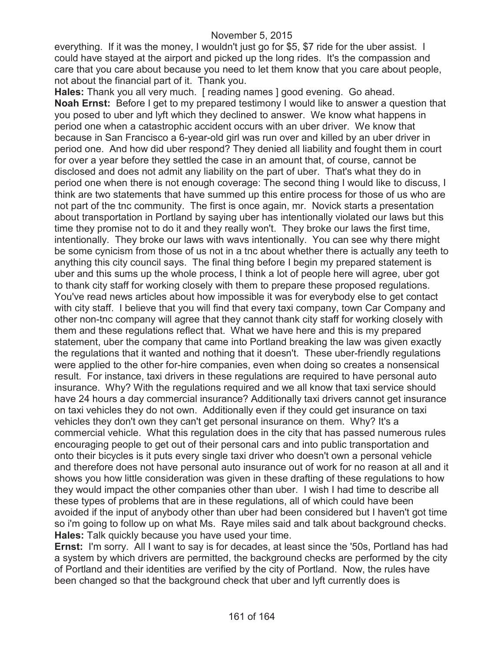everything. If it was the money, I wouldn't just go for \$5, \$7 ride for the uber assist. I could have stayed at the airport and picked up the long rides. It's the compassion and care that you care about because you need to let them know that you care about people, not about the financial part of it. Thank you.

**Hales:** Thank you all very much. [ reading names ] good evening. Go ahead. **Noah Ernst:** Before I get to my prepared testimony I would like to answer a question that you posed to uber and lyft which they declined to answer. We know what happens in period one when a catastrophic accident occurs with an uber driver. We know that because in San Francisco a 6-year-old girl was run over and killed by an uber driver in period one. And how did uber respond? They denied all liability and fought them in court for over a year before they settled the case in an amount that, of course, cannot be disclosed and does not admit any liability on the part of uber. That's what they do in period one when there is not enough coverage: The second thing I would like to discuss, I think are two statements that have summed up this entire process for those of us who are not part of the tnc community. The first is once again, mr. Novick starts a presentation about transportation in Portland by saying uber has intentionally violated our laws but this time they promise not to do it and they really won't. They broke our laws the first time, intentionally. They broke our laws with wavs intentionally. You can see why there might be some cynicism from those of us not in a tnc about whether there is actually any teeth to anything this city council says. The final thing before I begin my prepared statement is uber and this sums up the whole process, I think a lot of people here will agree, uber got to thank city staff for working closely with them to prepare these proposed regulations. You've read news articles about how impossible it was for everybody else to get contact with city staff. I believe that you will find that every taxi company, town Car Company and other non-tnc company will agree that they cannot thank city staff for working closely with them and these regulations reflect that. What we have here and this is my prepared statement, uber the company that came into Portland breaking the law was given exactly the regulations that it wanted and nothing that it doesn't. These uber-friendly regulations were applied to the other for-hire companies, even when doing so creates a nonsensical result. For instance, taxi drivers in these regulations are required to have personal auto insurance. Why? With the regulations required and we all know that taxi service should have 24 hours a day commercial insurance? Additionally taxi drivers cannot get insurance on taxi vehicles they do not own. Additionally even if they could get insurance on taxi vehicles they don't own they can't get personal insurance on them. Why? It's a commercial vehicle. What this regulation does in the city that has passed numerous rules encouraging people to get out of their personal cars and into public transportation and onto their bicycles is it puts every single taxi driver who doesn't own a personal vehicle and therefore does not have personal auto insurance out of work for no reason at all and it shows you how little consideration was given in these drafting of these regulations to how they would impact the other companies other than uber. I wish I had time to describe all these types of problems that are in these regulations, all of which could have been avoided if the input of anybody other than uber had been considered but I haven't got time so i'm going to follow up on what Ms. Raye miles said and talk about background checks. **Hales:** Talk quickly because you have used your time.

**Ernst:** I'm sorry. All I want to say is for decades, at least since the '50s, Portland has had a system by which drivers are permitted, the background checks are performed by the city of Portland and their identities are verified by the city of Portland. Now, the rules have been changed so that the background check that uber and lyft currently does is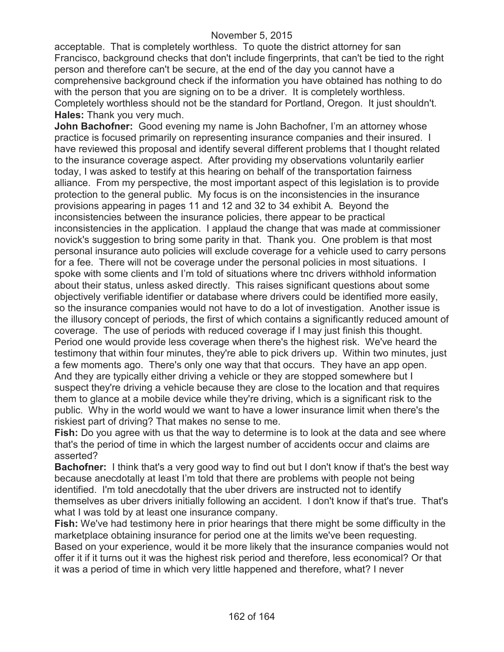acceptable. That is completely worthless. To quote the district attorney for san Francisco, background checks that don't include fingerprints, that can't be tied to the right person and therefore can't be secure, at the end of the day you cannot have a comprehensive background check if the information you have obtained has nothing to do with the person that you are signing on to be a driver. It is completely worthless. Completely worthless should not be the standard for Portland, Oregon. It just shouldn't. **Hales:** Thank you very much.

**John Bachofner:** Good evening my name is John Bachofner, I'm an attorney whose practice is focused primarily on representing insurance companies and their insured. I have reviewed this proposal and identify several different problems that I thought related to the insurance coverage aspect. After providing my observations voluntarily earlier today, I was asked to testify at this hearing on behalf of the transportation fairness alliance. From my perspective, the most important aspect of this legislation is to provide protection to the general public. My focus is on the inconsistencies in the insurance provisions appearing in pages 11 and 12 and 32 to 34 exhibit A. Beyond the inconsistencies between the insurance policies, there appear to be practical inconsistencies in the application. I applaud the change that was made at commissioner novick's suggestion to bring some parity in that. Thank you. One problem is that most personal insurance auto policies will exclude coverage for a vehicle used to carry persons for a fee. There will not be coverage under the personal policies in most situations. I spoke with some clients and I'm told of situations where tnc drivers withhold information about their status, unless asked directly. This raises significant questions about some objectively verifiable identifier or database where drivers could be identified more easily, so the insurance companies would not have to do a lot of investigation. Another issue is the illusory concept of periods, the first of which contains a significantly reduced amount of coverage. The use of periods with reduced coverage if I may just finish this thought. Period one would provide less coverage when there's the highest risk. We've heard the testimony that within four minutes, they're able to pick drivers up. Within two minutes, just a few moments ago. There's only one way that that occurs. They have an app open. And they are typically either driving a vehicle or they are stopped somewhere but I suspect they're driving a vehicle because they are close to the location and that requires them to glance at a mobile device while they're driving, which is a significant risk to the public. Why in the world would we want to have a lower insurance limit when there's the riskiest part of driving? That makes no sense to me.

**Fish:** Do you agree with us that the way to determine is to look at the data and see where that's the period of time in which the largest number of accidents occur and claims are asserted?

**Bachofner:** I think that's a very good way to find out but I don't know if that's the best way because anecdotally at least I'm told that there are problems with people not being identified. I'm told anecdotally that the uber drivers are instructed not to identify themselves as uber drivers initially following an accident. I don't know if that's true. That's what I was told by at least one insurance company.

**Fish:** We've had testimony here in prior hearings that there might be some difficulty in the marketplace obtaining insurance for period one at the limits we've been requesting. Based on your experience, would it be more likely that the insurance companies would not offer it if it turns out it was the highest risk period and therefore, less economical? Or that it was a period of time in which very little happened and therefore, what? I never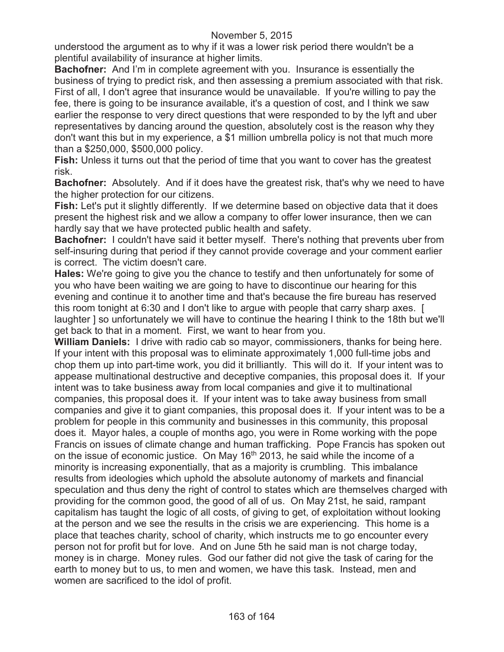understood the argument as to why if it was a lower risk period there wouldn't be a plentiful availability of insurance at higher limits.

**Bachofner:** And I'm in complete agreement with you. Insurance is essentially the business of trying to predict risk, and then assessing a premium associated with that risk. First of all, I don't agree that insurance would be unavailable. If you're willing to pay the fee, there is going to be insurance available, it's a question of cost, and I think we saw earlier the response to very direct questions that were responded to by the lyft and uber representatives by dancing around the question, absolutely cost is the reason why they don't want this but in my experience, a \$1 million umbrella policy is not that much more than a \$250,000, \$500,000 policy.

**Fish:** Unless it turns out that the period of time that you want to cover has the greatest risk.

**Bachofner:** Absolutely. And if it does have the greatest risk, that's why we need to have the higher protection for our citizens.

**Fish:** Let's put it slightly differently. If we determine based on objective data that it does present the highest risk and we allow a company to offer lower insurance, then we can hardly say that we have protected public health and safety.

**Bachofner:** I couldn't have said it better myself. There's nothing that prevents uber from self-insuring during that period if they cannot provide coverage and your comment earlier is correct. The victim doesn't care.

**Hales:** We're going to give you the chance to testify and then unfortunately for some of you who have been waiting we are going to have to discontinue our hearing for this evening and continue it to another time and that's because the fire bureau has reserved this room tonight at 6:30 and I don't like to argue with people that carry sharp axes. [ laughter ] so unfortunately we will have to continue the hearing I think to the 18th but we'll get back to that in a moment. First, we want to hear from you.

**William Daniels:** I drive with radio cab so mayor, commissioners, thanks for being here. If your intent with this proposal was to eliminate approximately 1,000 full-time jobs and chop them up into part-time work, you did it brilliantly. This will do it. If your intent was to appease multinational destructive and deceptive companies, this proposal does it. If your intent was to take business away from local companies and give it to multinational companies, this proposal does it. If your intent was to take away business from small companies and give it to giant companies, this proposal does it. If your intent was to be a problem for people in this community and businesses in this community, this proposal does it. Mayor hales, a couple of months ago, you were in Rome working with the pope Francis on issues of climate change and human trafficking. Pope Francis has spoken out on the issue of economic justice. On May 16<sup>th</sup> 2013, he said while the income of a minority is increasing exponentially, that as a majority is crumbling. This imbalance results from ideologies which uphold the absolute autonomy of markets and financial speculation and thus deny the right of control to states which are themselves charged with providing for the common good, the good of all of us. On May 21st, he said, rampant capitalism has taught the logic of all costs, of giving to get, of exploitation without looking at the person and we see the results in the crisis we are experiencing. This home is a place that teaches charity, school of charity, which instructs me to go encounter every person not for profit but for love. And on June 5th he said man is not charge today, money is in charge. Money rules. God our father did not give the task of caring for the earth to money but to us, to men and women, we have this task. Instead, men and women are sacrificed to the idol of profit.